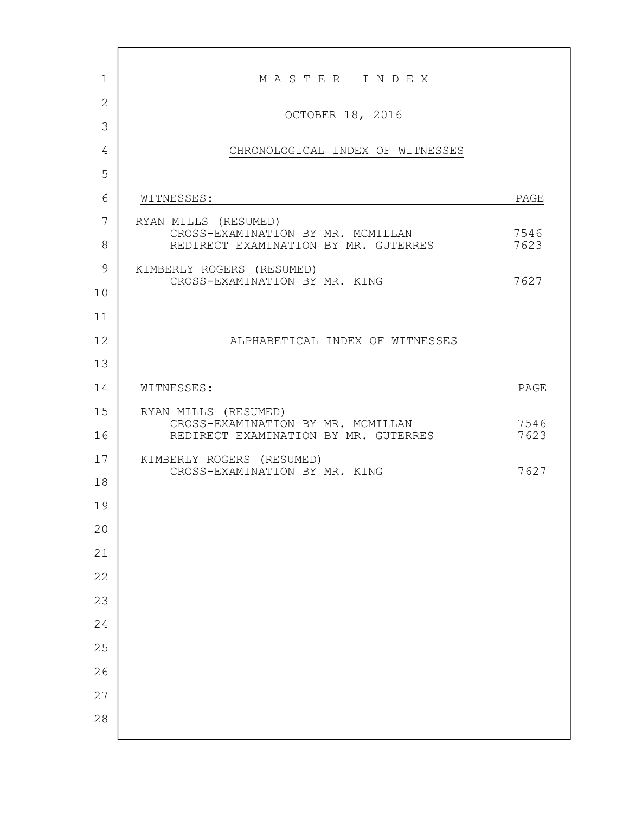| $\mathbf 1$    | MASTER INDEX                                                                                      |              |
|----------------|---------------------------------------------------------------------------------------------------|--------------|
| $\overline{2}$ |                                                                                                   |              |
| 3              | OCTOBER 18, 2016                                                                                  |              |
| 4              | CHRONOLOGICAL INDEX OF WITNESSES                                                                  |              |
| 5              |                                                                                                   |              |
| 6              | WITNESSES:                                                                                        | PAGE         |
| 7              | RYAN MILLS (RESUMED)<br>CROSS-EXAMINATION BY MR. MCMILLAN<br>REDIRECT EXAMINATION BY MR. GUTERRES |              |
| 8              |                                                                                                   | 7546<br>7623 |
| 9              | KIMBERLY ROGERS (RESUMED)                                                                         |              |
| 10             | CROSS-EXAMINATION BY MR. KING                                                                     | 7627         |
| 11             |                                                                                                   |              |
| 12             | ALPHABETICAL INDEX OF WITNESSES                                                                   |              |
| 13             |                                                                                                   |              |
| 14             | WITNESSES:                                                                                        | PAGE         |
| 15             | RYAN MILLS (RESUMED)                                                                              |              |
| 16             | CROSS-EXAMINATION BY MR. MCMILLAN<br>REDIRECT EXAMINATION BY MR. GUTERRES                         | 7546<br>7623 |
| 17             | KIMBERLY ROGERS (RESUMED)                                                                         |              |
| 18             | CROSS-EXAMINATION BY MR. KING                                                                     | 7627         |
| 19             |                                                                                                   |              |
| 20             |                                                                                                   |              |
| 21             |                                                                                                   |              |
| 22             |                                                                                                   |              |
| 23             |                                                                                                   |              |
| 24             |                                                                                                   |              |
| 25             |                                                                                                   |              |
| 26             |                                                                                                   |              |
| 27             |                                                                                                   |              |
| 28             |                                                                                                   |              |
|                |                                                                                                   |              |

г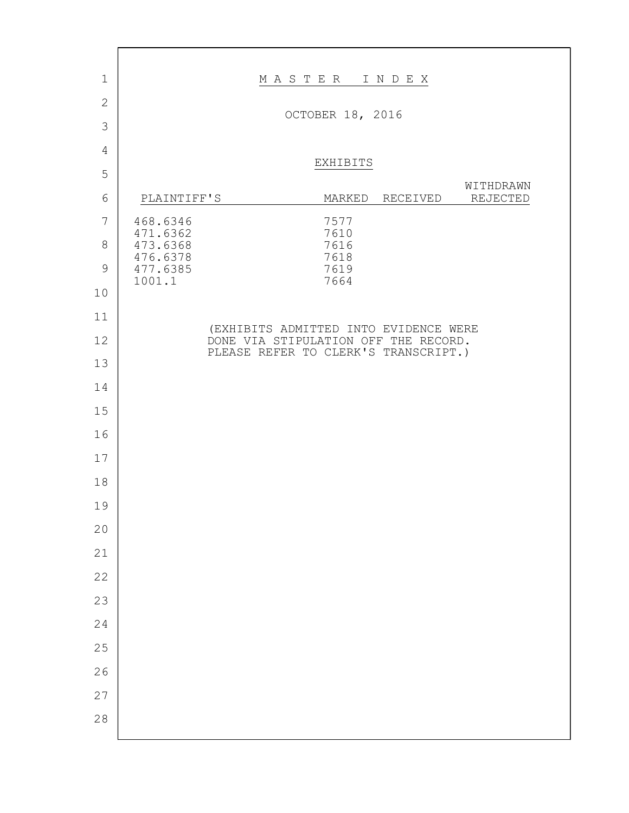| $\mathbf 1$    |                      | MASTER<br>INDEX                                                               |
|----------------|----------------------|-------------------------------------------------------------------------------|
| $\overline{2}$ |                      |                                                                               |
| $\mathcal{S}$  |                      | OCTOBER 18, 2016                                                              |
| 4              |                      |                                                                               |
| 5              |                      | EXHIBITS                                                                      |
| 6              | PLAINTIFF'S          | WITHDRAWN<br>REJECTED<br>MARKED<br>RECEIVED                                   |
| $\overline{7}$ | 468.6346             | 7577                                                                          |
| $8\,$          | 471.6362<br>473.6368 | 7610<br>7616                                                                  |
| $\mathcal{G}$  | 476.6378<br>477.6385 | 7618<br>7619                                                                  |
| 10             | 1001.1               | 7664                                                                          |
| 11             |                      |                                                                               |
| 12             |                      | (EXHIBITS ADMITTED INTO EVIDENCE WERE<br>DONE VIA STIPULATION OFF THE RECORD. |
| 13             |                      | PLEASE REFER TO CLERK'S TRANSCRIPT.)                                          |
| 14             |                      |                                                                               |
| 15             |                      |                                                                               |
| 16             |                      |                                                                               |
| 17             |                      |                                                                               |
| 18             |                      |                                                                               |
| 19             |                      |                                                                               |
| 20             |                      |                                                                               |
| 21             |                      |                                                                               |
| 22             |                      |                                                                               |
| 23             |                      |                                                                               |
| 24             |                      |                                                                               |
| 25             |                      |                                                                               |
| 26             |                      |                                                                               |
| 27             |                      |                                                                               |
| 28             |                      |                                                                               |

 $\Gamma$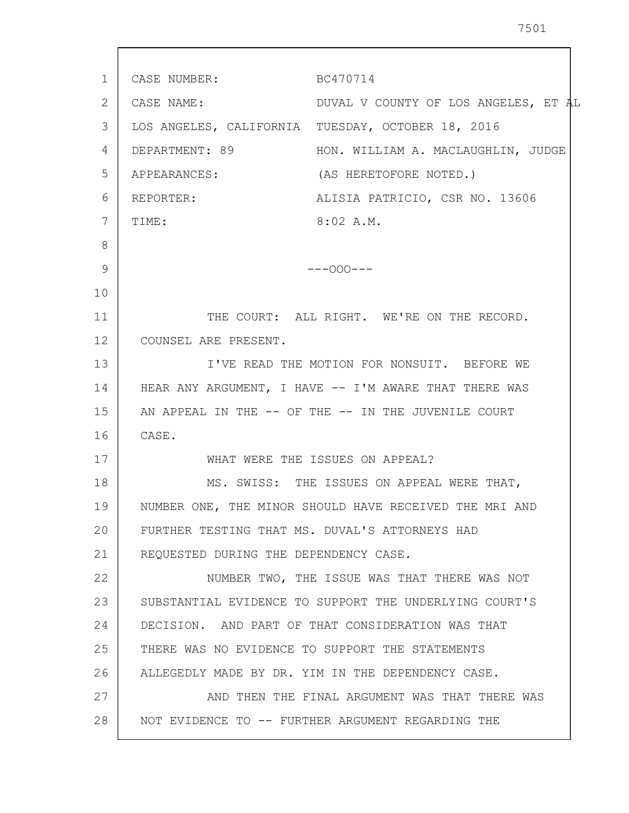1 2 3 4 5 6 7 8 9 10 11 12 13 14 15 16 17 18 19 20 21 22 23 24 25 26 27 28 CASE NUMBER: BC470714 CASE NAME: DUVAL V COUNTY OF LOS ANGELES, ET AL LOS ANGELES, CALIFORNIA TUESDAY, OCTOBER 18, 2016 DEPARTMENT: 89 HON. WILLIAM A. MACLAUGHLIN, JUDGE APPEARANCES: (AS HERETOFORE NOTED.) REPORTER: ALISIA PATRICIO, CSR NO. 13606 TIME: 8:02 A.M.  $---OOO---$ THE COURT: ALL RIGHT. WE'RE ON THE RECORD. COUNSEL ARE PRESENT. I'VE READ THE MOTION FOR NONSUIT. BEFORE WE HEAR ANY ARGUMENT, I HAVE -- I'M AWARE THAT THERE WAS AN APPEAL IN THE -- OF THE -- IN THE JUVENILE COURT CASE. WHAT WERE THE ISSUES ON APPEAL? MS. SWISS: THE ISSUES ON APPEAL WERE THAT, NUMBER ONE, THE MINOR SHOULD HAVE RECEIVED THE MRI AND FURTHER TESTING THAT MS. DUVAL'S ATTORNEYS HAD REQUESTED DURING THE DEPENDENCY CASE. NUMBER TWO, THE ISSUE WAS THAT THERE WAS NOT SUBSTANTIAL EVIDENCE TO SUPPORT THE UNDERLYING COURT'S DECISION. AND PART OF THAT CONSIDERATION WAS THAT THERE WAS NO EVIDENCE TO SUPPORT THE STATEMENTS ALLEGEDLY MADE BY DR. YIM IN THE DEPENDENCY CASE. AND THEN THE FINAL ARGUMENT WAS THAT THERE WAS NOT EVIDENCE TO -- FURTHER ARGUMENT REGARDING THE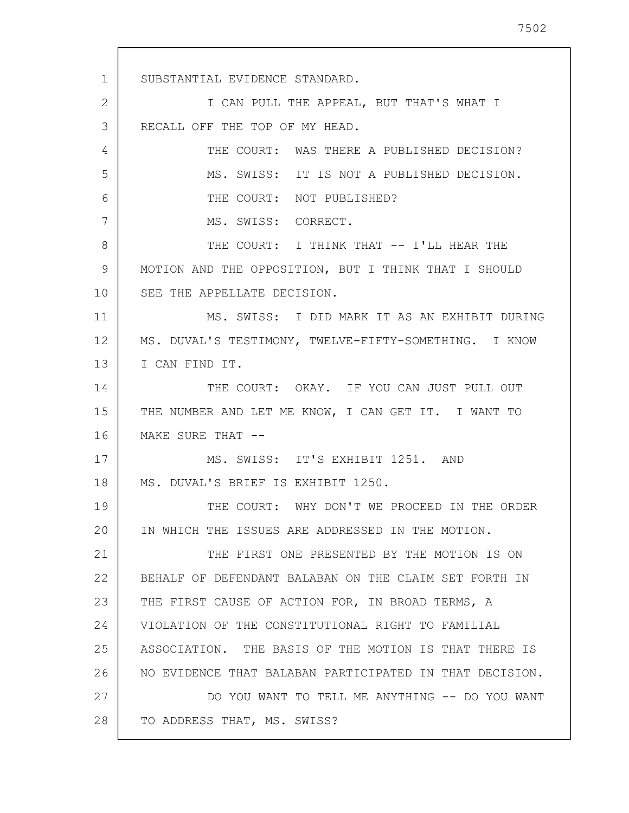1 2 3 4 5 6 7 8 9 10 11 12 13 14 15 16 17 18 19 20 21 22 23 24 25 26 27 28 SUBSTANTIAL EVIDENCE STANDARD. I CAN PULL THE APPEAL, BUT THAT'S WHAT I RECALL OFF THE TOP OF MY HEAD. THE COURT: WAS THERE A PUBLISHED DECISION? MS. SWISS: IT IS NOT A PUBLISHED DECISION. THE COURT: NOT PUBLISHED? MS. SWISS: CORRECT. THE COURT: I THINK THAT -- I'LL HEAR THE MOTION AND THE OPPOSITION, BUT I THINK THAT I SHOULD SEE THE APPELLATE DECISION. MS. SWISS: I DID MARK IT AS AN EXHIBIT DURING MS. DUVAL'S TESTIMONY, TWELVE-FIFTY-SOMETHING. I KNOW I CAN FIND IT. THE COURT: OKAY. IF YOU CAN JUST PULL OUT THE NUMBER AND LET ME KNOW, I CAN GET IT. I WANT TO MAKE SURE THAT --MS. SWISS: IT'S EXHIBIT 1251. AND MS. DUVAL'S BRIEF IS EXHIBIT 1250. THE COURT: WHY DON'T WE PROCEED IN THE ORDER IN WHICH THE ISSUES ARE ADDRESSED IN THE MOTION. THE FIRST ONE PRESENTED BY THE MOTION IS ON BEHALF OF DEFENDANT BALABAN ON THE CLAIM SET FORTH IN THE FIRST CAUSE OF ACTION FOR, IN BROAD TERMS, A VIOLATION OF THE CONSTITUTIONAL RIGHT TO FAMILIAL ASSOCIATION. THE BASIS OF THE MOTION IS THAT THERE IS NO EVIDENCE THAT BALABAN PARTICIPATED IN THAT DECISION. DO YOU WANT TO TELL ME ANYTHING -- DO YOU WANT TO ADDRESS THAT, MS. SWISS?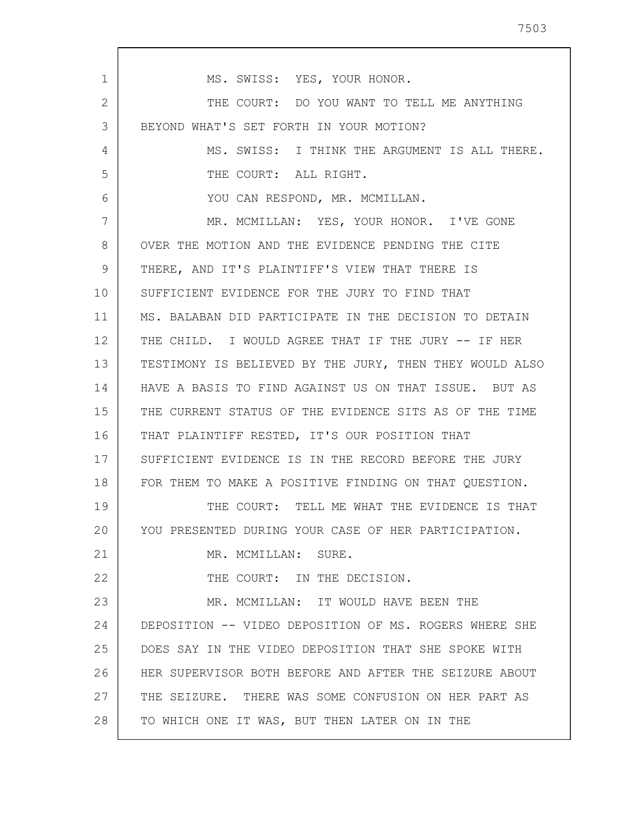1 2 3 4 5 6 7 8 9 10 11 12 13 14 15 16 17 18 19 20 21 22 23 24 25 26 27 28 MS. SWISS: YES, YOUR HONOR. THE COURT: DO YOU WANT TO TELL ME ANYTHING BEYOND WHAT'S SET FORTH IN YOUR MOTION? MS. SWISS: I THINK THE ARGUMENT IS ALL THERE. THE COURT: ALL RIGHT. YOU CAN RESPOND, MR. MCMILLAN. MR. MCMILLAN: YES, YOUR HONOR. I'VE GONE OVER THE MOTION AND THE EVIDENCE PENDING THE CITE THERE, AND IT'S PLAINTIFF'S VIEW THAT THERE IS SUFFICIENT EVIDENCE FOR THE JURY TO FIND THAT MS. BALABAN DID PARTICIPATE IN THE DECISION TO DETAIN THE CHILD. I WOULD AGREE THAT IF THE JURY -- IF HER TESTIMONY IS BELIEVED BY THE JURY, THEN THEY WOULD ALSO HAVE A BASIS TO FIND AGAINST US ON THAT ISSUE. BUT AS THE CURRENT STATUS OF THE EVIDENCE SITS AS OF THE TIME THAT PLAINTIFF RESTED, IT'S OUR POSITION THAT SUFFICIENT EVIDENCE IS IN THE RECORD BEFORE THE JURY FOR THEM TO MAKE A POSITIVE FINDING ON THAT QUESTION. THE COURT: TELL ME WHAT THE EVIDENCE IS THAT YOU PRESENTED DURING YOUR CASE OF HER PARTICIPATION. MR. MCMILLAN: SURE. THE COURT: IN THE DECISION. MR. MCMILLAN: IT WOULD HAVE BEEN THE DEPOSITION -- VIDEO DEPOSITION OF MS. ROGERS WHERE SHE DOES SAY IN THE VIDEO DEPOSITION THAT SHE SPOKE WITH HER SUPERVISOR BOTH BEFORE AND AFTER THE SEIZURE ABOUT THE SEIZURE. THERE WAS SOME CONFUSION ON HER PART AS TO WHICH ONE IT WAS, BUT THEN LATER ON IN THE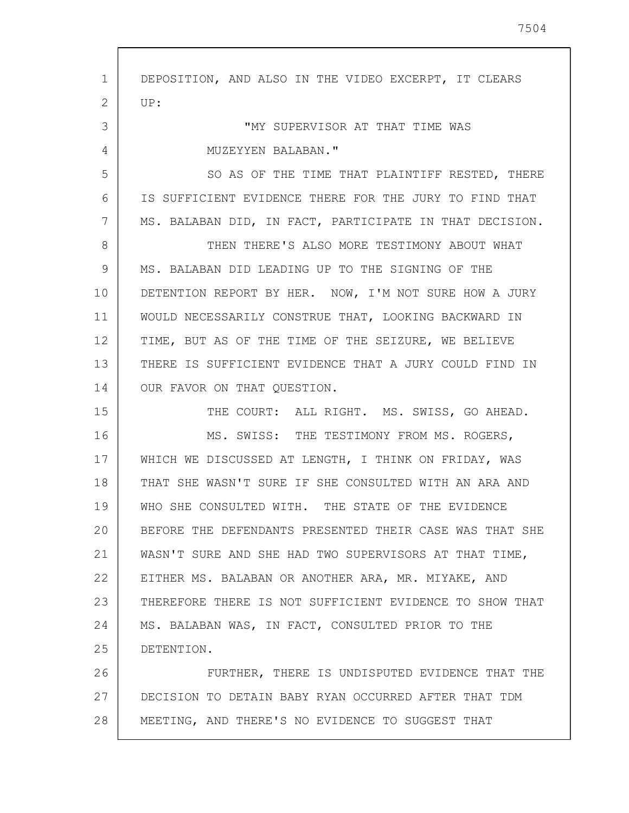1 2 3 4 5 6 7 8 9 10 11 12 13 14 15 16 17 18 19 20 21 22 23 24 25 26 27 28 DEPOSITION, AND ALSO IN THE VIDEO EXCERPT, IT CLEARS UP: "MY SUPERVISOR AT THAT TIME WAS MUZEYYEN BALABAN." SO AS OF THE TIME THAT PLAINTIFF RESTED, THERE IS SUFFICIENT EVIDENCE THERE FOR THE JURY TO FIND THAT MS. BALABAN DID, IN FACT, PARTICIPATE IN THAT DECISION. THEN THERE'S ALSO MORE TESTIMONY ABOUT WHAT MS. BALABAN DID LEADING UP TO THE SIGNING OF THE DETENTION REPORT BY HER. NOW, I'M NOT SURE HOW A JURY WOULD NECESSARILY CONSTRUE THAT, LOOKING BACKWARD IN TIME, BUT AS OF THE TIME OF THE SEIZURE, WE BELIEVE THERE IS SUFFICIENT EVIDENCE THAT A JURY COULD FIND IN OUR FAVOR ON THAT QUESTION. THE COURT: ALL RIGHT. MS. SWISS, GO AHEAD. MS. SWISS: THE TESTIMONY FROM MS. ROGERS, WHICH WE DISCUSSED AT LENGTH, I THINK ON FRIDAY, WAS THAT SHE WASN'T SURE IF SHE CONSULTED WITH AN ARA AND WHO SHE CONSULTED WITH. THE STATE OF THE EVIDENCE BEFORE THE DEFENDANTS PRESENTED THEIR CASE WAS THAT SHE WASN'T SURE AND SHE HAD TWO SUPERVISORS AT THAT TIME, EITHER MS. BALABAN OR ANOTHER ARA, MR. MIYAKE, AND THEREFORE THERE IS NOT SUFFICIENT EVIDENCE TO SHOW THAT MS. BALABAN WAS, IN FACT, CONSULTED PRIOR TO THE DETENTION. FURTHER, THERE IS UNDISPUTED EVIDENCE THAT THE DECISION TO DETAIN BABY RYAN OCCURRED AFTER THAT TDM MEETING, AND THERE'S NO EVIDENCE TO SUGGEST THAT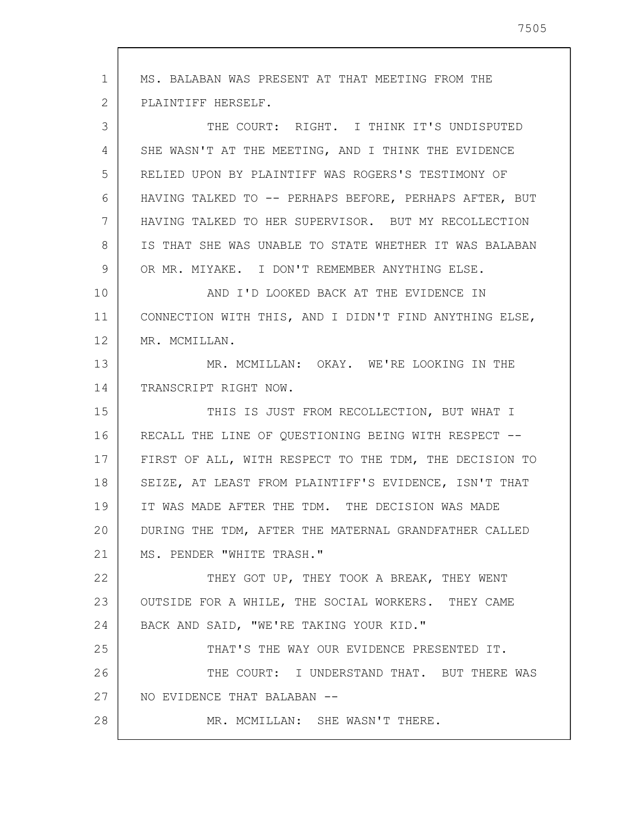1 2 3 4 5 6 7 8 9 10 11 12 13 14 15 16 17 18 19 20 21 22 23 24 25 26 27 28 MS. BALABAN WAS PRESENT AT THAT MEETING FROM THE PLAINTIFF HERSELF. THE COURT: RIGHT. I THINK IT'S UNDISPUTED SHE WASN'T AT THE MEETING, AND I THINK THE EVIDENCE RELIED UPON BY PLAINTIFF WAS ROGERS'S TESTIMONY OF HAVING TALKED TO -- PERHAPS BEFORE, PERHAPS AFTER, BUT HAVING TALKED TO HER SUPERVISOR. BUT MY RECOLLECTION IS THAT SHE WAS UNABLE TO STATE WHETHER IT WAS BALABAN OR MR. MIYAKE. I DON'T REMEMBER ANYTHING ELSE. AND I'D LOOKED BACK AT THE EVIDENCE IN CONNECTION WITH THIS, AND I DIDN'T FIND ANYTHING ELSE, MR. MCMILLAN. MR. MCMILLAN: OKAY. WE'RE LOOKING IN THE TRANSCRIPT RIGHT NOW. THIS IS JUST FROM RECOLLECTION, BUT WHAT I RECALL THE LINE OF QUESTIONING BEING WITH RESPECT -- FIRST OF ALL, WITH RESPECT TO THE TDM, THE DECISION TO SEIZE, AT LEAST FROM PLAINTIFF'S EVIDENCE, ISN'T THAT IT WAS MADE AFTER THE TDM. THE DECISION WAS MADE DURING THE TDM, AFTER THE MATERNAL GRANDFATHER CALLED MS. PENDER "WHITE TRASH." THEY GOT UP, THEY TOOK A BREAK, THEY WENT OUTSIDE FOR A WHILE, THE SOCIAL WORKERS. THEY CAME BACK AND SAID, "WE'RE TAKING YOUR KID." THAT'S THE WAY OUR EVIDENCE PRESENTED IT. THE COURT: I UNDERSTAND THAT. BUT THERE WAS NO EVIDENCE THAT BALABAN -- MR. MCMILLAN: SHE WASN'T THERE.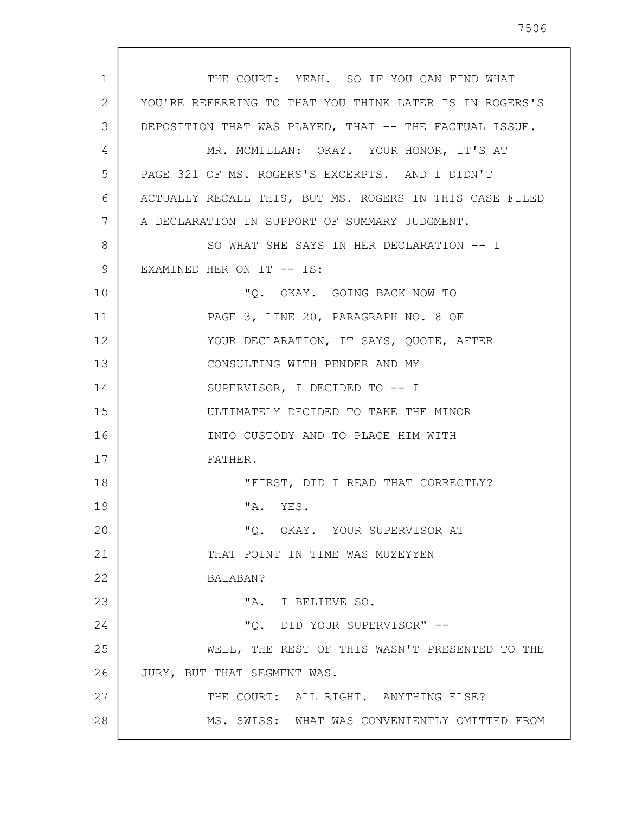1 2 3 4 5 6 7 8 9 10 11 12 13 14 15 16 17 18 19 20 21 22 23 24 25 26 27 28 THE COURT: YEAH. SO IF YOU CAN FIND WHAT YOU'RE REFERRING TO THAT YOU THINK LATER IS IN ROGERS'S DEPOSITION THAT WAS PLAYED, THAT -- THE FACTUAL ISSUE. MR. MCMILLAN: OKAY. YOUR HONOR, IT'S AT PAGE 321 OF MS. ROGERS'S EXCERPTS. AND I DIDN'T ACTUALLY RECALL THIS, BUT MS. ROGERS IN THIS CASE FILED A DECLARATION IN SUPPORT OF SUMMARY JUDGMENT. SO WHAT SHE SAYS IN HER DECLARATION -- I EXAMINED HER ON IT -- IS: "Q. OKAY. GOING BACK NOW TO PAGE 3, LINE 20, PARAGRAPH NO. 8 OF YOUR DECLARATION, IT SAYS, QUOTE, AFTER CONSULTING WITH PENDER AND MY SUPERVISOR, I DECIDED TO -- I ULTIMATELY DECIDED TO TAKE THE MINOR INTO CUSTODY AND TO PLACE HIM WITH FATHER. "FIRST, DID I READ THAT CORRECTLY? "A. YES. "Q. OKAY. YOUR SUPERVISOR AT THAT POINT IN TIME WAS MUZEYYEN BALABAN? "A. I BELIEVE SO. "Q. DID YOUR SUPERVISOR" -- WELL, THE REST OF THIS WASN'T PRESENTED TO THE JURY, BUT THAT SEGMENT WAS. THE COURT: ALL RIGHT. ANYTHING ELSE? MS. SWISS: WHAT WAS CONVENIENTLY OMITTED FROM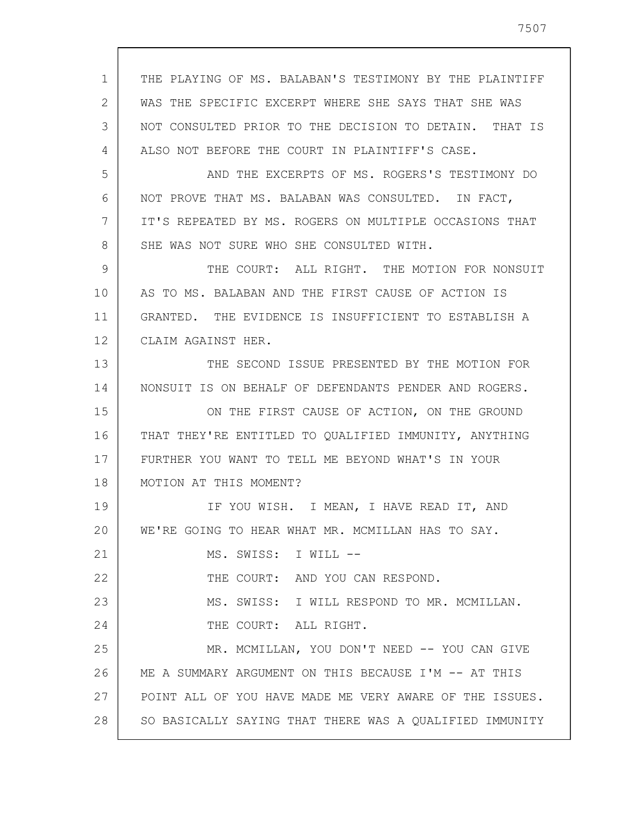| 1  | THE PLAYING OF MS. BALABAN'S TESTIMONY BY THE PLAINTIFF |
|----|---------------------------------------------------------|
| 2  | WAS THE SPECIFIC EXCERPT WHERE SHE SAYS THAT SHE WAS    |
| 3  | NOT CONSULTED PRIOR TO THE DECISION TO DETAIN. THAT IS  |
| 4  | ALSO NOT BEFORE THE COURT IN PLAINTIFF'S CASE.          |
| 5  | AND THE EXCERPTS OF MS. ROGERS'S TESTIMONY DO           |
| 6  | NOT PROVE THAT MS. BALABAN WAS CONSULTED. IN FACT,      |
| 7  | IT'S REPEATED BY MS. ROGERS ON MULTIPLE OCCASIONS THAT  |
| 8  | SHE WAS NOT SURE WHO SHE CONSULTED WITH.                |
| 9  | THE COURT: ALL RIGHT. THE MOTION FOR NONSUIT            |
| 10 | AS TO MS. BALABAN AND THE FIRST CAUSE OF ACTION IS      |
| 11 | GRANTED. THE EVIDENCE IS INSUFFICIENT TO ESTABLISH A    |
| 12 | CLAIM AGAINST HER.                                      |
| 13 | THE SECOND ISSUE PRESENTED BY THE MOTION FOR            |
| 14 | NONSUIT IS ON BEHALF OF DEFENDANTS PENDER AND ROGERS.   |
| 15 | ON THE FIRST CAUSE OF ACTION, ON THE GROUND             |
| 16 | THAT THEY'RE ENTITLED TO QUALIFIED IMMUNITY, ANYTHING   |
| 17 | FURTHER YOU WANT TO TELL ME BEYOND WHAT'S IN YOUR       |
| 18 | MOTION AT THIS MOMENT?                                  |
| 19 | IF YOU WISH. I MEAN, I HAVE READ IT, AND                |
| 20 | WE'RE GOING TO HEAR WHAT MR. MCMILLAN HAS TO SAY.       |
| 21 | MS. SWISS: I WILL --                                    |
| 22 | THE COURT: AND YOU CAN RESPOND.                         |
| 23 | MS. SWISS: I WILL RESPOND TO MR. MCMILLAN.              |
| 24 | THE COURT: ALL RIGHT.                                   |
| 25 | MR. MCMILLAN, YOU DON'T NEED -- YOU CAN GIVE            |
| 26 | ME A SUMMARY ARGUMENT ON THIS BECAUSE I'M -- AT THIS    |
| 27 | POINT ALL OF YOU HAVE MADE ME VERY AWARE OF THE ISSUES. |
| 28 | SO BASICALLY SAYING THAT THERE WAS A QUALIFIED IMMUNITY |

 $\overline{\phantom{a}}$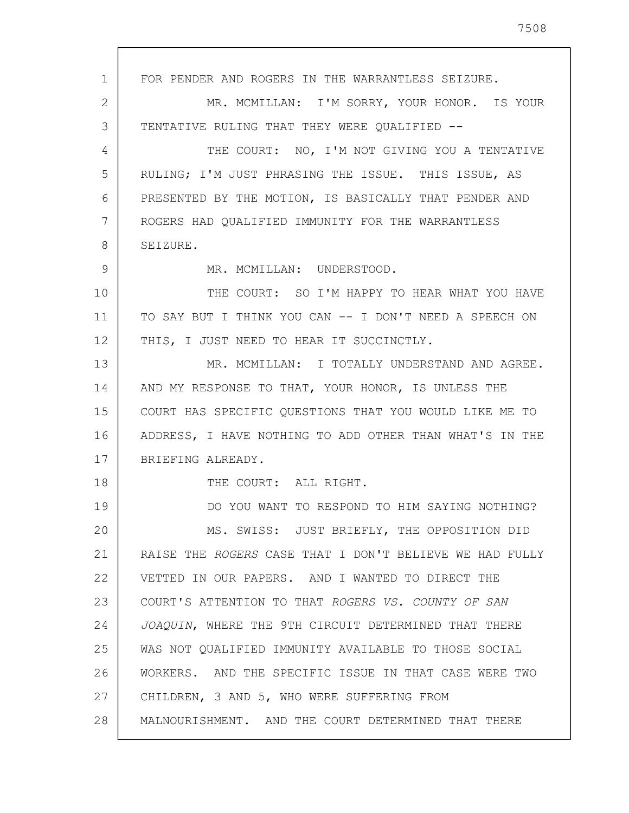1 2 3 4 5 6 7 8 9 10 11 12 13 14 15 16 17 18 19 20 21 22 23 24 25 26 27 28 FOR PENDER AND ROGERS IN THE WARRANTLESS SEIZURE. MR. MCMILLAN: I'M SORRY, YOUR HONOR. IS YOUR TENTATIVE RULING THAT THEY WERE QUALIFIED -- THE COURT: NO, I'M NOT GIVING YOU A TENTATIVE RULING; I'M JUST PHRASING THE ISSUE. THIS ISSUE, AS PRESENTED BY THE MOTION, IS BASICALLY THAT PENDER AND ROGERS HAD QUALIFIED IMMUNITY FOR THE WARRANTLESS SEIZURE. MR. MCMILLAN: UNDERSTOOD. THE COURT: SO I'M HAPPY TO HEAR WHAT YOU HAVE TO SAY BUT I THINK YOU CAN -- I DON'T NEED A SPEECH ON THIS, I JUST NEED TO HEAR IT SUCCINCTLY. MR. MCMILLAN: I TOTALLY UNDERSTAND AND AGREE. AND MY RESPONSE TO THAT, YOUR HONOR, IS UNLESS THE COURT HAS SPECIFIC QUESTIONS THAT YOU WOULD LIKE ME TO ADDRESS, I HAVE NOTHING TO ADD OTHER THAN WHAT'S IN THE BRIEFING ALREADY. THE COURT: ALL RIGHT. DO YOU WANT TO RESPOND TO HIM SAYING NOTHING? MS. SWISS: JUST BRIEFLY, THE OPPOSITION DID RAISE THE ROGERS CASE THAT I DON'T BELIEVE WE HAD FULLY VETTED IN OUR PAPERS. AND I WANTED TO DIRECT THE COURT'S ATTENTION TO THAT ROGERS VS. COUNTY OF SAN JOAQUIN, WHERE THE 9TH CIRCUIT DETERMINED THAT THERE WAS NOT QUALIFIED IMMUNITY AVAILABLE TO THOSE SOCIAL WORKERS. AND THE SPECIFIC ISSUE IN THAT CASE WERE TWO CHILDREN, 3 AND 5, WHO WERE SUFFERING FROM MALNOURISHMENT. AND THE COURT DETERMINED THAT THERE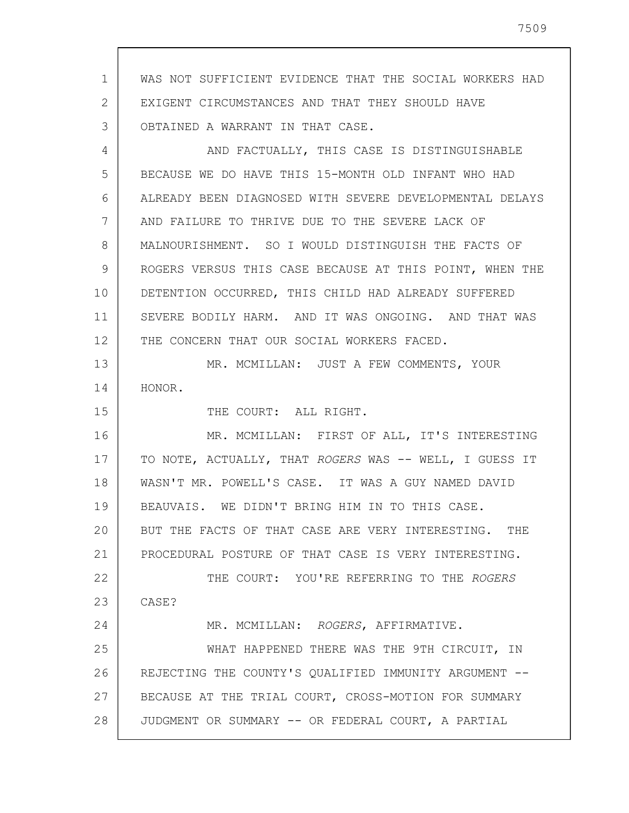1 2 3 4 5 6 7 8 9 10 11 12 13 14 15 16 17 18 19 20 21 22 23 24 25 26 27 28 WAS NOT SUFFICIENT EVIDENCE THAT THE SOCIAL WORKERS HAD EXIGENT CIRCUMSTANCES AND THAT THEY SHOULD HAVE OBTAINED A WARRANT IN THAT CASE. AND FACTUALLY, THIS CASE IS DISTINGUISHABLE BECAUSE WE DO HAVE THIS 15-MONTH OLD INFANT WHO HAD ALREADY BEEN DIAGNOSED WITH SEVERE DEVELOPMENTAL DELAYS AND FAILURE TO THRIVE DUE TO THE SEVERE LACK OF MALNOURISHMENT. SO I WOULD DISTINGUISH THE FACTS OF ROGERS VERSUS THIS CASE BECAUSE AT THIS POINT, WHEN THE DETENTION OCCURRED, THIS CHILD HAD ALREADY SUFFERED SEVERE BODILY HARM. AND IT WAS ONGOING. AND THAT WAS THE CONCERN THAT OUR SOCIAL WORKERS FACED. MR. MCMILLAN: JUST A FEW COMMENTS, YOUR HONOR. THE COURT: ALL RIGHT. MR. MCMILLAN: FIRST OF ALL, IT'S INTERESTING TO NOTE, ACTUALLY, THAT ROGERS WAS -- WELL, I GUESS IT WASN'T MR. POWELL'S CASE. IT WAS A GUY NAMED DAVID BEAUVAIS. WE DIDN'T BRING HIM IN TO THIS CASE. BUT THE FACTS OF THAT CASE ARE VERY INTERESTING. THE PROCEDURAL POSTURE OF THAT CASE IS VERY INTERESTING. THE COURT: YOU'RE REFERRING TO THE ROGERS CASE? MR. MCMILLAN: ROGERS, AFFIRMATIVE. WHAT HAPPENED THERE WAS THE 9TH CIRCUIT, IN REJECTING THE COUNTY'S QUALIFIED IMMUNITY ARGUMENT -- BECAUSE AT THE TRIAL COURT, CROSS-MOTION FOR SUMMARY JUDGMENT OR SUMMARY -- OR FEDERAL COURT, A PARTIAL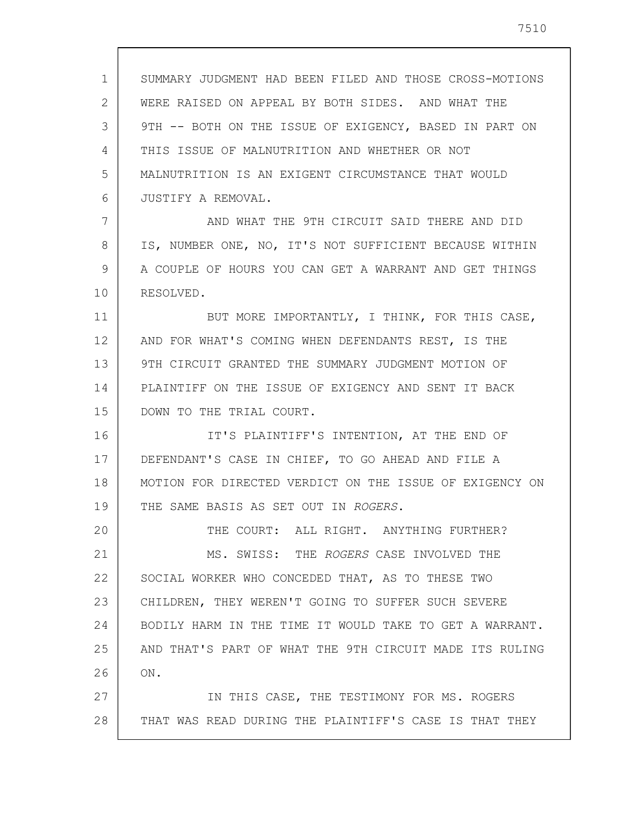1 2 3 4 5 6 7 8 9 10 11 12 13 14 15 16 17 18 19 20 21 22 23 24 25 26 27 28 SUMMARY JUDGMENT HAD BEEN FILED AND THOSE CROSS-MOTIONS WERE RAISED ON APPEAL BY BOTH SIDES. AND WHAT THE 9TH -- BOTH ON THE ISSUE OF EXIGENCY, BASED IN PART ON THIS ISSUE OF MALNUTRITION AND WHETHER OR NOT MALNUTRITION IS AN EXIGENT CIRCUMSTANCE THAT WOULD JUSTIFY A REMOVAL. AND WHAT THE 9TH CIRCUIT SAID THERE AND DID IS, NUMBER ONE, NO, IT'S NOT SUFFICIENT BECAUSE WITHIN A COUPLE OF HOURS YOU CAN GET A WARRANT AND GET THINGS RESOLVED. BUT MORE IMPORTANTLY, I THINK, FOR THIS CASE, AND FOR WHAT'S COMING WHEN DEFENDANTS REST, IS THE 9TH CIRCUIT GRANTED THE SUMMARY JUDGMENT MOTION OF PLAINTIFF ON THE ISSUE OF EXIGENCY AND SENT IT BACK DOWN TO THE TRIAL COURT. IT'S PLAINTIFF'S INTENTION, AT THE END OF DEFENDANT'S CASE IN CHIEF, TO GO AHEAD AND FILE A MOTION FOR DIRECTED VERDICT ON THE ISSUE OF EXIGENCY ON THE SAME BASIS AS SET OUT IN ROGERS. THE COURT: ALL RIGHT. ANYTHING FURTHER? MS. SWISS: THE ROGERS CASE INVOLVED THE SOCIAL WORKER WHO CONCEDED THAT, AS TO THESE TWO CHILDREN, THEY WEREN'T GOING TO SUFFER SUCH SEVERE BODILY HARM IN THE TIME IT WOULD TAKE TO GET A WARRANT. AND THAT'S PART OF WHAT THE 9TH CIRCUIT MADE ITS RULING ON. IN THIS CASE, THE TESTIMONY FOR MS. ROGERS THAT WAS READ DURING THE PLAINTIFF'S CASE IS THAT THEY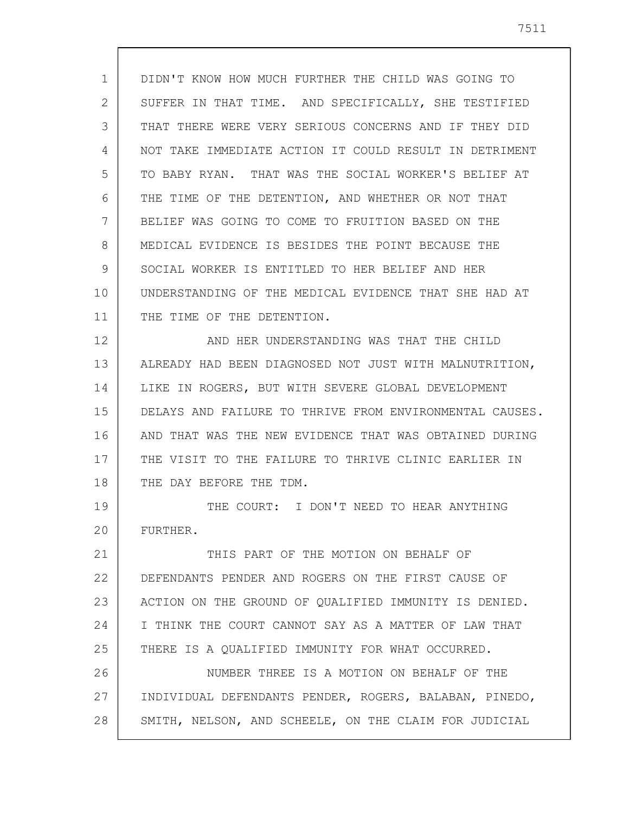1 2 3 4 5 6 7 8 9 10 11 12 13 14 DIDN'T KNOW HOW MUCH FURTHER THE CHILD WAS GOING TO SUFFER IN THAT TIME. AND SPECIFICALLY, SHE TESTIFIED THAT THERE WERE VERY SERIOUS CONCERNS AND IF THEY DID NOT TAKE IMMEDIATE ACTION IT COULD RESULT IN DETRIMENT TO BABY RYAN. THAT WAS THE SOCIAL WORKER'S BELIEF AT THE TIME OF THE DETENTION, AND WHETHER OR NOT THAT BELIEF WAS GOING TO COME TO FRUITION BASED ON THE MEDICAL EVIDENCE IS BESIDES THE POINT BECAUSE THE SOCIAL WORKER IS ENTITLED TO HER BELIEF AND HER UNDERSTANDING OF THE MEDICAL EVIDENCE THAT SHE HAD AT THE TIME OF THE DETENTION. AND HER UNDERSTANDING WAS THAT THE CHILD ALREADY HAD BEEN DIAGNOSED NOT JUST WITH MALNUTRITION, LIKE IN ROGERS, BUT WITH SEVERE GLOBAL DEVELOPMENT

15 16 17 18 DELAYS AND FAILURE TO THRIVE FROM ENVIRONMENTAL CAUSES. AND THAT WAS THE NEW EVIDENCE THAT WAS OBTAINED DURING THE VISIT TO THE FAILURE TO THRIVE CLINIC EARLIER IN THE DAY BEFORE THE TDM.

19 20 THE COURT: I DON'T NEED TO HEAR ANYTHING FURTHER.

21 22 23 24 25 26 27 28 THIS PART OF THE MOTION ON BEHALF OF DEFENDANTS PENDER AND ROGERS ON THE FIRST CAUSE OF ACTION ON THE GROUND OF QUALIFIED IMMUNITY IS DENIED. I THINK THE COURT CANNOT SAY AS A MATTER OF LAW THAT THERE IS A QUALIFIED IMMUNITY FOR WHAT OCCURRED. NUMBER THREE IS A MOTION ON BEHALF OF THE INDIVIDUAL DEFENDANTS PENDER, ROGERS, BALABAN, PINEDO, SMITH, NELSON, AND SCHEELE, ON THE CLAIM FOR JUDICIAL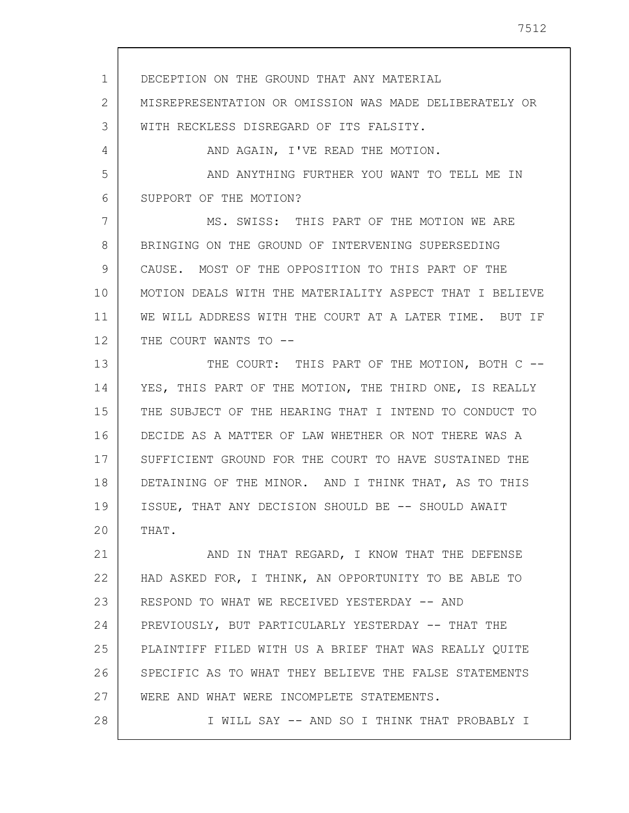1 2 3 4 5 6 7 8 9 10 11 12 13 14 15 16 17 18 19 20 21 22 23 24 25 26 27 DECEPTION ON THE GROUND THAT ANY MATERIAL MISREPRESENTATION OR OMISSION WAS MADE DELIBERATELY OR WITH RECKLESS DISREGARD OF ITS FALSITY. AND AGAIN, I'VE READ THE MOTION. AND ANYTHING FURTHER YOU WANT TO TELL ME IN SUPPORT OF THE MOTION? MS. SWISS: THIS PART OF THE MOTION WE ARE BRINGING ON THE GROUND OF INTERVENING SUPERSEDING CAUSE. MOST OF THE OPPOSITION TO THIS PART OF THE MOTION DEALS WITH THE MATERIALITY ASPECT THAT I BELIEVE WE WILL ADDRESS WITH THE COURT AT A LATER TIME. BUT IF THE COURT WANTS TO --THE COURT: THIS PART OF THE MOTION, BOTH C --YES, THIS PART OF THE MOTION, THE THIRD ONE, IS REALLY THE SUBJECT OF THE HEARING THAT I INTEND TO CONDUCT TO DECIDE AS A MATTER OF LAW WHETHER OR NOT THERE WAS A SUFFICIENT GROUND FOR THE COURT TO HAVE SUSTAINED THE DETAINING OF THE MINOR. AND I THINK THAT, AS TO THIS ISSUE, THAT ANY DECISION SHOULD BE -- SHOULD AWAIT THAT. AND IN THAT REGARD, I KNOW THAT THE DEFENSE HAD ASKED FOR, I THINK, AN OPPORTUNITY TO BE ABLE TO RESPOND TO WHAT WE RECEIVED YESTERDAY -- AND PREVIOUSLY, BUT PARTICULARLY YESTERDAY -- THAT THE PLAINTIFF FILED WITH US A BRIEF THAT WAS REALLY QUITE SPECIFIC AS TO WHAT THEY BELIEVE THE FALSE STATEMENTS WERE AND WHAT WERE INCOMPLETE STATEMENTS.

I WILL SAY -- AND SO I THINK THAT PROBABLY I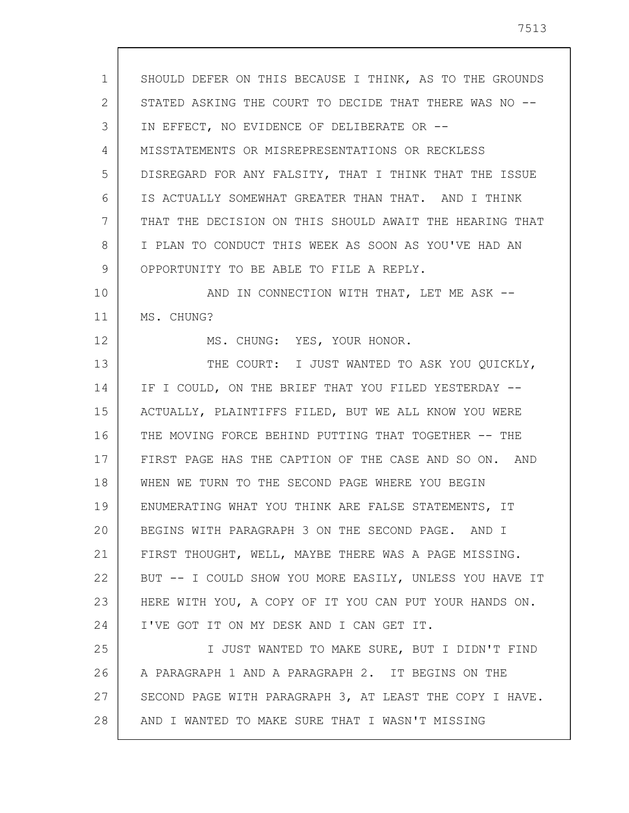1 2 3 4 5 6 7 8 9 10 11 12 13 14 15 16 17 18 19 20 21 22 23 24 25 26 27 28 SHOULD DEFER ON THIS BECAUSE I THINK, AS TO THE GROUNDS STATED ASKING THE COURT TO DECIDE THAT THERE WAS NO -- IN EFFECT, NO EVIDENCE OF DELIBERATE OR -- MISSTATEMENTS OR MISREPRESENTATIONS OR RECKLESS DISREGARD FOR ANY FALSITY, THAT I THINK THAT THE ISSUE IS ACTUALLY SOMEWHAT GREATER THAN THAT. AND I THINK THAT THE DECISION ON THIS SHOULD AWAIT THE HEARING THAT I PLAN TO CONDUCT THIS WEEK AS SOON AS YOU'VE HAD AN OPPORTUNITY TO BE ABLE TO FILE A REPLY. AND IN CONNECTION WITH THAT, LET ME ASK --MS. CHUNG? MS. CHUNG: YES, YOUR HONOR. THE COURT: I JUST WANTED TO ASK YOU QUICKLY, IF I COULD, ON THE BRIEF THAT YOU FILED YESTERDAY -- ACTUALLY, PLAINTIFFS FILED, BUT WE ALL KNOW YOU WERE THE MOVING FORCE BEHIND PUTTING THAT TOGETHER -- THE FIRST PAGE HAS THE CAPTION OF THE CASE AND SO ON. AND WHEN WE TURN TO THE SECOND PAGE WHERE YOU BEGIN ENUMERATING WHAT YOU THINK ARE FALSE STATEMENTS, IT BEGINS WITH PARAGRAPH 3 ON THE SECOND PAGE. AND I FIRST THOUGHT, WELL, MAYBE THERE WAS A PAGE MISSING. BUT -- I COULD SHOW YOU MORE EASILY, UNLESS YOU HAVE IT HERE WITH YOU, A COPY OF IT YOU CAN PUT YOUR HANDS ON. I'VE GOT IT ON MY DESK AND I CAN GET IT. I JUST WANTED TO MAKE SURE, BUT I DIDN'T FIND A PARAGRAPH 1 AND A PARAGRAPH 2. IT BEGINS ON THE SECOND PAGE WITH PARAGRAPH 3, AT LEAST THE COPY I HAVE. AND I WANTED TO MAKE SURE THAT I WASN'T MISSING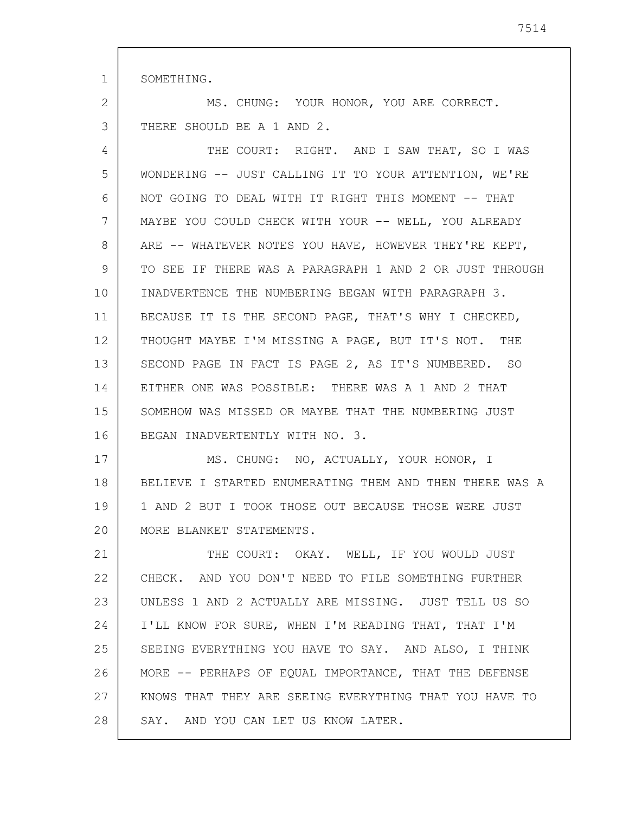1 SOMETHING.

2 3 MS. CHUNG: YOUR HONOR, YOU ARE CORRECT. THERE SHOULD BE A 1 AND 2.

4 5 6 7 8 9 10 11 12 13 14 15 16 THE COURT: RIGHT. AND I SAW THAT, SO I WAS WONDERING -- JUST CALLING IT TO YOUR ATTENTION, WE'RE NOT GOING TO DEAL WITH IT RIGHT THIS MOMENT -- THAT MAYBE YOU COULD CHECK WITH YOUR -- WELL, YOU ALREADY ARE -- WHATEVER NOTES YOU HAVE, HOWEVER THEY'RE KEPT, TO SEE IF THERE WAS A PARAGRAPH 1 AND 2 OR JUST THROUGH INADVERTENCE THE NUMBERING BEGAN WITH PARAGRAPH 3. BECAUSE IT IS THE SECOND PAGE, THAT'S WHY I CHECKED, THOUGHT MAYBE I'M MISSING A PAGE, BUT IT'S NOT. THE SECOND PAGE IN FACT IS PAGE 2, AS IT'S NUMBERED. SO EITHER ONE WAS POSSIBLE: THERE WAS A 1 AND 2 THAT SOMEHOW WAS MISSED OR MAYBE THAT THE NUMBERING JUST BEGAN INADVERTENTLY WITH NO. 3.

17 18 19 20 MS. CHUNG: NO, ACTUALLY, YOUR HONOR, I BELIEVE I STARTED ENUMERATING THEM AND THEN THERE WAS A 1 AND 2 BUT I TOOK THOSE OUT BECAUSE THOSE WERE JUST MORE BLANKET STATEMENTS.

21 22 23 24 25 26 27 28 THE COURT: OKAY. WELL, IF YOU WOULD JUST CHECK. AND YOU DON'T NEED TO FILE SOMETHING FURTHER UNLESS 1 AND 2 ACTUALLY ARE MISSING. JUST TELL US SO I'LL KNOW FOR SURE, WHEN I'M READING THAT, THAT I'M SEEING EVERYTHING YOU HAVE TO SAY. AND ALSO, I THINK MORE -- PERHAPS OF EQUAL IMPORTANCE, THAT THE DEFENSE KNOWS THAT THEY ARE SEEING EVERYTHING THAT YOU HAVE TO SAY. AND YOU CAN LET US KNOW LATER.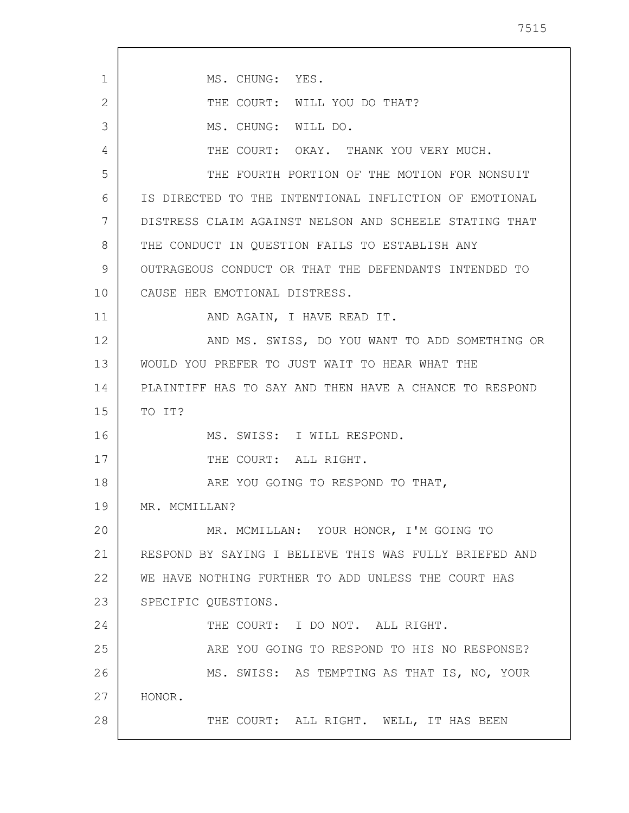| 1  | MS. CHUNG: YES.                                        |
|----|--------------------------------------------------------|
| 2  | THE COURT: WILL YOU DO THAT?                           |
| 3  | MS. CHUNG: WILL DO.                                    |
| 4  | THE COURT: OKAY. THANK YOU VERY MUCH.                  |
| 5  | THE FOURTH PORTION OF THE MOTION FOR NONSUIT           |
| 6  | IS DIRECTED TO THE INTENTIONAL INFLICTION OF EMOTIONAL |
| 7  | DISTRESS CLAIM AGAINST NELSON AND SCHEELE STATING THAT |
| 8  | THE CONDUCT IN QUESTION FAILS TO ESTABLISH ANY         |
| 9  | OUTRAGEOUS CONDUCT OR THAT THE DEFENDANTS INTENDED TO  |
| 10 | CAUSE HER EMOTIONAL DISTRESS.                          |
| 11 | AND AGAIN, I HAVE READ IT.                             |
| 12 | AND MS. SWISS, DO YOU WANT TO ADD SOMETHING OR         |
| 13 | WOULD YOU PREFER TO JUST WAIT TO HEAR WHAT THE         |
| 14 | PLAINTIFF HAS TO SAY AND THEN HAVE A CHANCE TO RESPOND |
| 15 | TO IT?                                                 |
| 16 | MS. SWISS: I WILL RESPOND.                             |
| 17 | THE COURT: ALL RIGHT.                                  |
| 18 | ARE YOU GOING TO RESPOND TO THAT,                      |
| 19 | MR. MCMILLAN?                                          |
| 20 | MR. MCMILLAN: YOUR HONOR, I'M GOING TO                 |
| 21 | RESPOND BY SAYING I BELIEVE THIS WAS FULLY BRIEFED AND |
| 22 | WE HAVE NOTHING FURTHER TO ADD UNLESS THE COURT HAS    |
| 23 | SPECIFIC QUESTIONS.                                    |
| 24 | THE COURT: I DO NOT. ALL RIGHT.                        |
| 25 | ARE YOU GOING TO RESPOND TO HIS NO RESPONSE?           |
| 26 | MS. SWISS: AS TEMPTING AS THAT IS, NO, YOUR            |
| 27 | HONOR.                                                 |
| 28 | THE COURT: ALL RIGHT. WELL, IT HAS BEEN                |
|    |                                                        |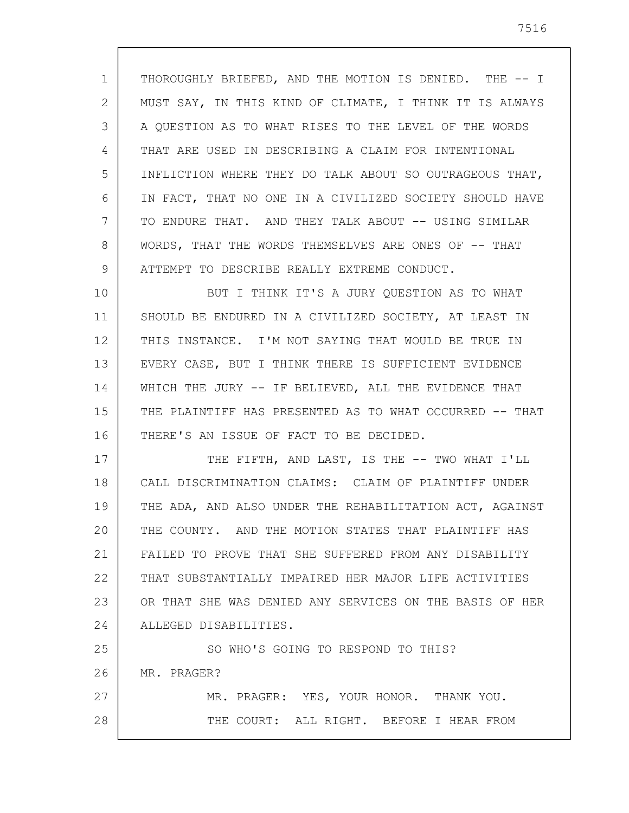1 2 3 4 5 6 7 8 9 THOROUGHLY BRIEFED, AND THE MOTION IS DENIED. THE -- I MUST SAY, IN THIS KIND OF CLIMATE, I THINK IT IS ALWAYS A QUESTION AS TO WHAT RISES TO THE LEVEL OF THE WORDS THAT ARE USED IN DESCRIBING A CLAIM FOR INTENTIONAL INFLICTION WHERE THEY DO TALK ABOUT SO OUTRAGEOUS THAT, IN FACT, THAT NO ONE IN A CIVILIZED SOCIETY SHOULD HAVE TO ENDURE THAT. AND THEY TALK ABOUT -- USING SIMILAR WORDS, THAT THE WORDS THEMSELVES ARE ONES OF -- THAT ATTEMPT TO DESCRIBE REALLY EXTREME CONDUCT.

10 11 12 13 14 15 16 BUT I THINK IT'S A JURY QUESTION AS TO WHAT SHOULD BE ENDURED IN A CIVILIZED SOCIETY, AT LEAST IN THIS INSTANCE. I'M NOT SAYING THAT WOULD BE TRUE IN EVERY CASE, BUT I THINK THERE IS SUFFICIENT EVIDENCE WHICH THE JURY -- IF BELIEVED, ALL THE EVIDENCE THAT THE PLAINTIFF HAS PRESENTED AS TO WHAT OCCURRED -- THAT THERE'S AN ISSUE OF FACT TO BE DECIDED.

17 18 19 20 21 22 23 24 THE FIFTH, AND LAST, IS THE -- TWO WHAT I'LL CALL DISCRIMINATION CLAIMS: CLAIM OF PLAINTIFF UNDER THE ADA, AND ALSO UNDER THE REHABILITATION ACT, AGAINST THE COUNTY. AND THE MOTION STATES THAT PLAINTIFF HAS FAILED TO PROVE THAT SHE SUFFERED FROM ANY DISABILITY THAT SUBSTANTIALLY IMPAIRED HER MAJOR LIFE ACTIVITIES OR THAT SHE WAS DENIED ANY SERVICES ON THE BASIS OF HER ALLEGED DISABILITIES.

25 26 27 28 SO WHO'S GOING TO RESPOND TO THIS? MR. PRAGER? MR. PRAGER: YES, YOUR HONOR. THANK YOU. THE COURT: ALL RIGHT. BEFORE I HEAR FROM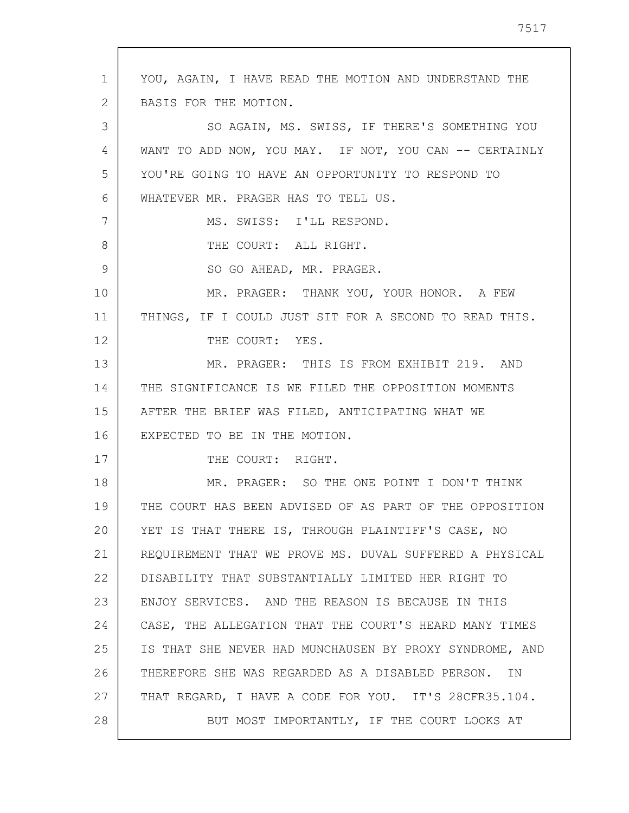1 2 3 4 5 6 7 8 9 10 11 12 13 14 15 16 17 18 19 20 21 22 23 24 25 26 27 28 YOU, AGAIN, I HAVE READ THE MOTION AND UNDERSTAND THE BASIS FOR THE MOTION. SO AGAIN, MS. SWISS, IF THERE'S SOMETHING YOU WANT TO ADD NOW, YOU MAY. IF NOT, YOU CAN -- CERTAINLY YOU'RE GOING TO HAVE AN OPPORTUNITY TO RESPOND TO WHATEVER MR. PRAGER HAS TO TELL US. MS. SWISS: I'LL RESPOND. THE COURT: ALL RIGHT. SO GO AHEAD, MR. PRAGER. MR. PRAGER: THANK YOU, YOUR HONOR. A FEW THINGS, IF I COULD JUST SIT FOR A SECOND TO READ THIS. THE COURT: YES. MR. PRAGER: THIS IS FROM EXHIBIT 219. AND THE SIGNIFICANCE IS WE FILED THE OPPOSITION MOMENTS AFTER THE BRIEF WAS FILED, ANTICIPATING WHAT WE EXPECTED TO BE IN THE MOTION. THE COURT: RIGHT. MR. PRAGER: SO THE ONE POINT I DON'T THINK THE COURT HAS BEEN ADVISED OF AS PART OF THE OPPOSITION YET IS THAT THERE IS, THROUGH PLAINTIFF'S CASE, NO REQUIREMENT THAT WE PROVE MS. DUVAL SUFFERED A PHYSICAL DISABILITY THAT SUBSTANTIALLY LIMITED HER RIGHT TO ENJOY SERVICES. AND THE REASON IS BECAUSE IN THIS CASE, THE ALLEGATION THAT THE COURT'S HEARD MANY TIMES IS THAT SHE NEVER HAD MUNCHAUSEN BY PROXY SYNDROME, AND THEREFORE SHE WAS REGARDED AS A DISABLED PERSON. IN THAT REGARD, I HAVE A CODE FOR YOU. IT'S 28CFR35.104. BUT MOST IMPORTANTLY, IF THE COURT LOOKS AT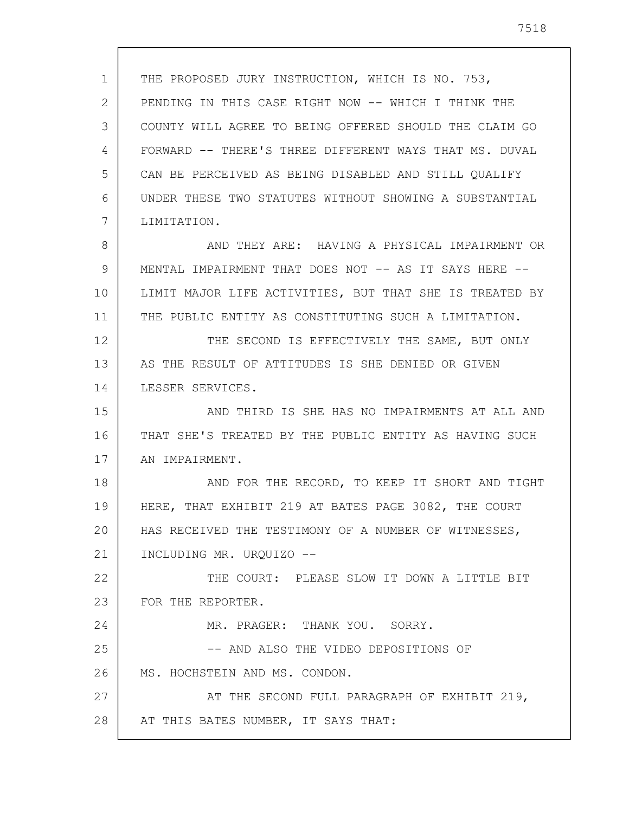1 2 3 4 5 6 7 8 9 10 11 12 13 14 15 16 17 18 19 20 21 22 23 24 25 26 27 28 THE PROPOSED JURY INSTRUCTION, WHICH IS NO. 753, PENDING IN THIS CASE RIGHT NOW -- WHICH I THINK THE COUNTY WILL AGREE TO BEING OFFERED SHOULD THE CLAIM GO FORWARD -- THERE'S THREE DIFFERENT WAYS THAT MS. DUVAL CAN BE PERCEIVED AS BEING DISABLED AND STILL QUALIFY UNDER THESE TWO STATUTES WITHOUT SHOWING A SUBSTANTIAL LIMITATION. AND THEY ARE: HAVING A PHYSICAL IMPAIRMENT OR MENTAL IMPAIRMENT THAT DOES NOT -- AS IT SAYS HERE -- LIMIT MAJOR LIFE ACTIVITIES, BUT THAT SHE IS TREATED BY THE PUBLIC ENTITY AS CONSTITUTING SUCH A LIMITATION. THE SECOND IS EFFECTIVELY THE SAME, BUT ONLY AS THE RESULT OF ATTITUDES IS SHE DENIED OR GIVEN LESSER SERVICES. AND THIRD IS SHE HAS NO IMPAIRMENTS AT ALL AND THAT SHE'S TREATED BY THE PUBLIC ENTITY AS HAVING SUCH AN IMPAIRMENT. AND FOR THE RECORD, TO KEEP IT SHORT AND TIGHT HERE, THAT EXHIBIT 219 AT BATES PAGE 3082, THE COURT HAS RECEIVED THE TESTIMONY OF A NUMBER OF WITNESSES, INCLUDING MR. URQUIZO -- THE COURT: PLEASE SLOW IT DOWN A LITTLE BIT FOR THE REPORTER. MR. PRAGER: THANK YOU. SORRY. -- AND ALSO THE VIDEO DEPOSITIONS OF MS. HOCHSTEIN AND MS. CONDON. AT THE SECOND FULL PARAGRAPH OF EXHIBIT 219, AT THIS BATES NUMBER, IT SAYS THAT: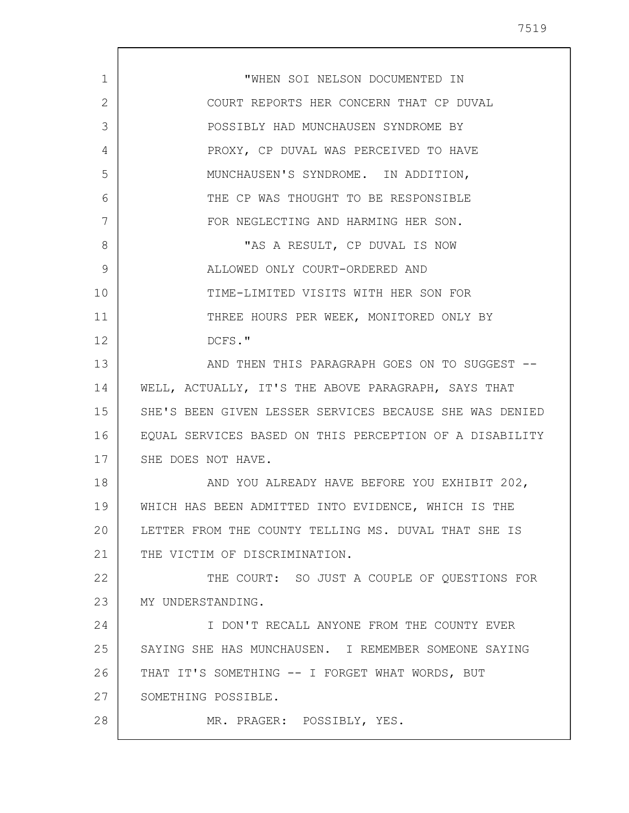1 2 3 4 5 6 7 8 9 10 11 12 13 14 15 16 17 18 19 20 21 22 23 24 25 26 27 28 "WHEN SOI NELSON DOCUMENTED IN COURT REPORTS HER CONCERN THAT CP DUVAL POSSIBLY HAD MUNCHAUSEN SYNDROME BY PROXY, CP DUVAL WAS PERCEIVED TO HAVE MUNCHAUSEN'S SYNDROME. IN ADDITION, THE CP WAS THOUGHT TO BE RESPONSIBLE FOR NEGLECTING AND HARMING HER SON. "AS A RESULT, CP DUVAL IS NOW ALLOWED ONLY COURT-ORDERED AND TIME-LIMITED VISITS WITH HER SON FOR THREE HOURS PER WEEK, MONITORED ONLY BY DCFS." AND THEN THIS PARAGRAPH GOES ON TO SUGGEST -- WELL, ACTUALLY, IT'S THE ABOVE PARAGRAPH, SAYS THAT SHE'S BEEN GIVEN LESSER SERVICES BECAUSE SHE WAS DENIED EQUAL SERVICES BASED ON THIS PERCEPTION OF A DISABILITY SHE DOES NOT HAVE. AND YOU ALREADY HAVE BEFORE YOU EXHIBIT 202, WHICH HAS BEEN ADMITTED INTO EVIDENCE, WHICH IS THE LETTER FROM THE COUNTY TELLING MS. DUVAL THAT SHE IS THE VICTIM OF DISCRIMINATION. THE COURT: SO JUST A COUPLE OF QUESTIONS FOR MY UNDERSTANDING. I DON'T RECALL ANYONE FROM THE COUNTY EVER SAYING SHE HAS MUNCHAUSEN. I REMEMBER SOMEONE SAYING THAT IT'S SOMETHING -- I FORGET WHAT WORDS, BUT SOMETHING POSSIBLE. MR. PRAGER: POSSIBLY, YES.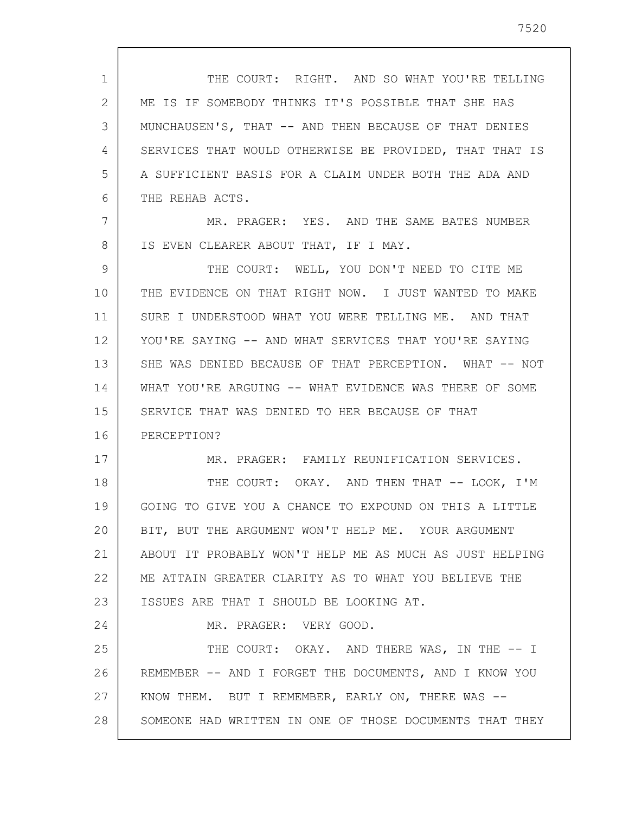1 2 3 4 5 6 THE COURT: RIGHT. AND SO WHAT YOU'RE TELLING ME IS IF SOMEBODY THINKS IT'S POSSIBLE THAT SHE HAS MUNCHAUSEN'S, THAT -- AND THEN BECAUSE OF THAT DENIES SERVICES THAT WOULD OTHERWISE BE PROVIDED, THAT THAT IS A SUFFICIENT BASIS FOR A CLAIM UNDER BOTH THE ADA AND THE REHAB ACTS.

7 8 MR. PRAGER: YES. AND THE SAME BATES NUMBER IS EVEN CLEARER ABOUT THAT, IF I MAY.

9 10 11 12 13 14 15 16 THE COURT: WELL, YOU DON'T NEED TO CITE ME THE EVIDENCE ON THAT RIGHT NOW. I JUST WANTED TO MAKE SURE I UNDERSTOOD WHAT YOU WERE TELLING ME. AND THAT YOU'RE SAYING -- AND WHAT SERVICES THAT YOU'RE SAYING SHE WAS DENIED BECAUSE OF THAT PERCEPTION. WHAT -- NOT WHAT YOU'RE ARGUING -- WHAT EVIDENCE WAS THERE OF SOME SERVICE THAT WAS DENIED TO HER BECAUSE OF THAT PERCEPTION?

MR. PRAGER: FAMILY REUNIFICATION SERVICES.

18 19 20 21 22 23 THE COURT: OKAY. AND THEN THAT -- LOOK, I'M GOING TO GIVE YOU A CHANCE TO EXPOUND ON THIS A LITTLE BIT, BUT THE ARGUMENT WON'T HELP ME. YOUR ARGUMENT ABOUT IT PROBABLY WON'T HELP ME AS MUCH AS JUST HELPING ME ATTAIN GREATER CLARITY AS TO WHAT YOU BELIEVE THE ISSUES ARE THAT I SHOULD BE LOOKING AT.

MR. PRAGER: VERY GOOD.

17

24

25 26 27 28 THE COURT: OKAY. AND THERE WAS, IN THE -- I REMEMBER -- AND I FORGET THE DOCUMENTS, AND I KNOW YOU KNOW THEM. BUT I REMEMBER, EARLY ON, THERE WAS --SOMEONE HAD WRITTEN IN ONE OF THOSE DOCUMENTS THAT THEY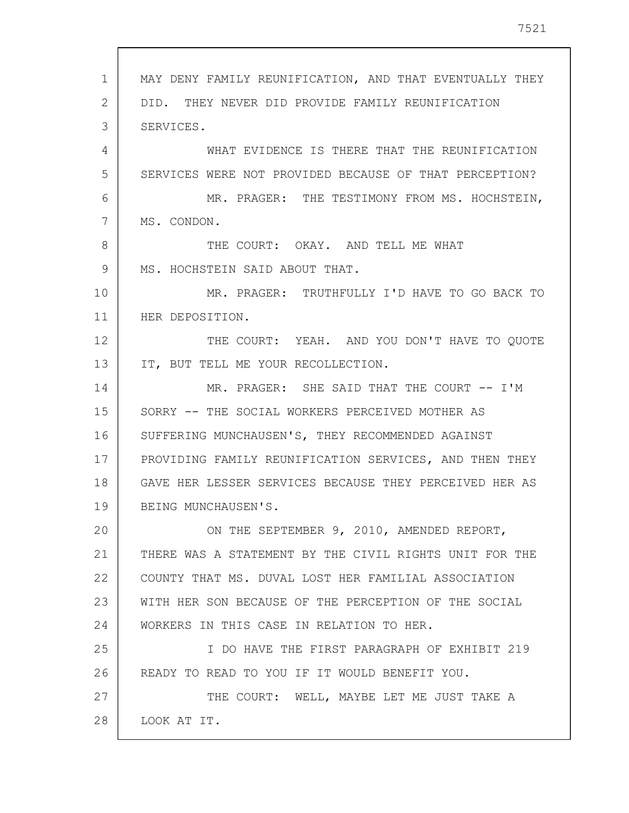1 2 3 4 5 6 7 8 9 10 11 12 13 14 15 16 17 18 19 20 21 22 23 24 25 26 27 28 MAY DENY FAMILY REUNIFICATION, AND THAT EVENTUALLY THEY DID. THEY NEVER DID PROVIDE FAMILY REUNIFICATION SERVICES. WHAT EVIDENCE IS THERE THAT THE REUNIFICATION SERVICES WERE NOT PROVIDED BECAUSE OF THAT PERCEPTION? MR. PRAGER: THE TESTIMONY FROM MS. HOCHSTEIN, MS. CONDON. THE COURT: OKAY. AND TELL ME WHAT MS. HOCHSTEIN SAID ABOUT THAT. MR. PRAGER: TRUTHFULLY I'D HAVE TO GO BACK TO HER DEPOSITION. THE COURT: YEAH. AND YOU DON'T HAVE TO QUOTE IT, BUT TELL ME YOUR RECOLLECTION. MR. PRAGER: SHE SAID THAT THE COURT -- I'M SORRY -- THE SOCIAL WORKERS PERCEIVED MOTHER AS SUFFERING MUNCHAUSEN'S, THEY RECOMMENDED AGAINST PROVIDING FAMILY REUNIFICATION SERVICES, AND THEN THEY GAVE HER LESSER SERVICES BECAUSE THEY PERCEIVED HER AS BEING MUNCHAUSEN'S. ON THE SEPTEMBER 9, 2010, AMENDED REPORT, THERE WAS A STATEMENT BY THE CIVIL RIGHTS UNIT FOR THE COUNTY THAT MS. DUVAL LOST HER FAMILIAL ASSOCIATION WITH HER SON BECAUSE OF THE PERCEPTION OF THE SOCIAL WORKERS IN THIS CASE IN RELATION TO HER. I DO HAVE THE FIRST PARAGRAPH OF EXHIBIT 219 READY TO READ TO YOU IF IT WOULD BENEFIT YOU. THE COURT: WELL, MAYBE LET ME JUST TAKE A LOOK AT IT.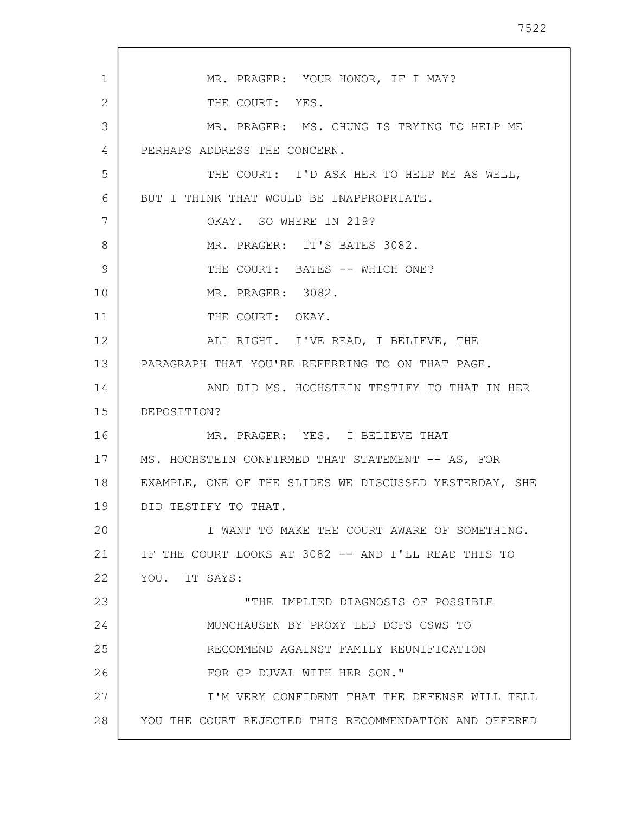1 2 3 4 5 6 7 8 9 10 11 12 13 14 15 16 17 18 19 20 21 22 23 24 25 26 27 28 MR. PRAGER: YOUR HONOR, IF I MAY? THE COURT: YES. MR. PRAGER: MS. CHUNG IS TRYING TO HELP ME PERHAPS ADDRESS THE CONCERN. THE COURT: I'D ASK HER TO HELP ME AS WELL, BUT I THINK THAT WOULD BE INAPPROPRIATE. OKAY. SO WHERE IN 219? MR. PRAGER: IT'S BATES 3082. THE COURT: BATES -- WHICH ONE? MR. PRAGER: 3082. THE COURT: OKAY. ALL RIGHT. I'VE READ, I BELIEVE, THE PARAGRAPH THAT YOU'RE REFERRING TO ON THAT PAGE. AND DID MS. HOCHSTEIN TESTIFY TO THAT IN HER DEPOSITION? MR. PRAGER: YES. I BELIEVE THAT MS. HOCHSTEIN CONFIRMED THAT STATEMENT -- AS, FOR EXAMPLE, ONE OF THE SLIDES WE DISCUSSED YESTERDAY, SHE DID TESTIFY TO THAT. I WANT TO MAKE THE COURT AWARE OF SOMETHING. IF THE COURT LOOKS AT 3082 -- AND I'LL READ THIS TO YOU. IT SAYS: "THE IMPLIED DIAGNOSIS OF POSSIBLE MUNCHAUSEN BY PROXY LED DCFS CSWS TO RECOMMEND AGAINST FAMILY REUNIFICATION FOR CP DUVAL WITH HER SON." I'M VERY CONFIDENT THAT THE DEFENSE WILL TELL YOU THE COURT REJECTED THIS RECOMMENDATION AND OFFERED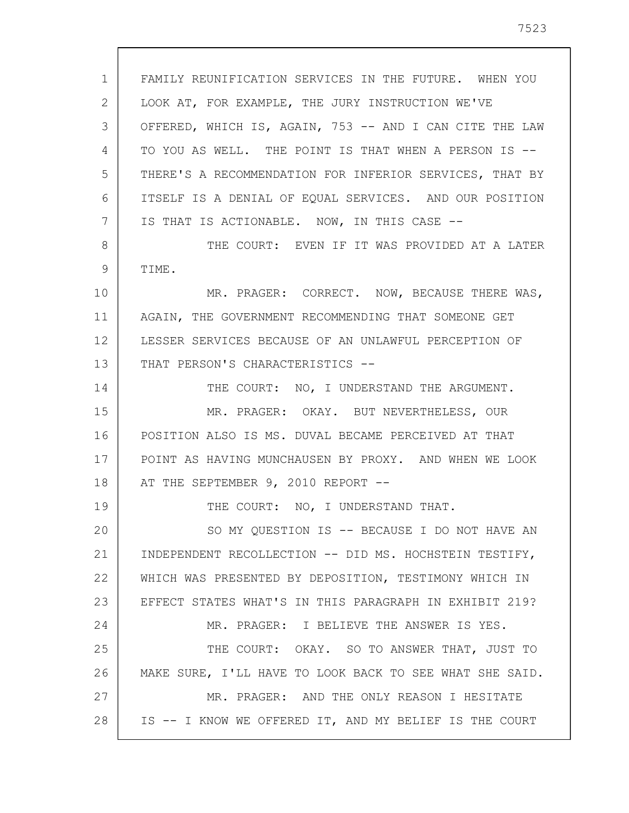1 2 3 4 5 6 7 8 9 10 11 12 13 14 15 16 17 18 19 20 21 22 23 24 25 26 27 28 FAMILY REUNIFICATION SERVICES IN THE FUTURE. WHEN YOU LOOK AT, FOR EXAMPLE, THE JURY INSTRUCTION WE'VE OFFERED, WHICH IS, AGAIN, 753 -- AND I CAN CITE THE LAW TO YOU AS WELL. THE POINT IS THAT WHEN A PERSON IS -- THERE'S A RECOMMENDATION FOR INFERIOR SERVICES, THAT BY ITSELF IS A DENIAL OF EQUAL SERVICES. AND OUR POSITION IS THAT IS ACTIONABLE. NOW, IN THIS CASE -- THE COURT: EVEN IF IT WAS PROVIDED AT A LATER TIME. MR. PRAGER: CORRECT. NOW, BECAUSE THERE WAS, AGAIN, THE GOVERNMENT RECOMMENDING THAT SOMEONE GET LESSER SERVICES BECAUSE OF AN UNLAWFUL PERCEPTION OF THAT PERSON'S CHARACTERISTICS --THE COURT: NO, I UNDERSTAND THE ARGUMENT. MR. PRAGER: OKAY. BUT NEVERTHELESS, OUR POSITION ALSO IS MS. DUVAL BECAME PERCEIVED AT THAT POINT AS HAVING MUNCHAUSEN BY PROXY. AND WHEN WE LOOK AT THE SEPTEMBER 9, 2010 REPORT --THE COURT: NO, I UNDERSTAND THAT. SO MY QUESTION IS -- BECAUSE I DO NOT HAVE AN INDEPENDENT RECOLLECTION -- DID MS. HOCHSTEIN TESTIFY, WHICH WAS PRESENTED BY DEPOSITION, TESTIMONY WHICH IN EFFECT STATES WHAT'S IN THIS PARAGRAPH IN EXHIBIT 219? MR. PRAGER: I BELIEVE THE ANSWER IS YES. THE COURT: OKAY. SO TO ANSWER THAT, JUST TO MAKE SURE, I'LL HAVE TO LOOK BACK TO SEE WHAT SHE SAID. MR. PRAGER: AND THE ONLY REASON I HESITATE IS -- I KNOW WE OFFERED IT, AND MY BELIEF IS THE COURT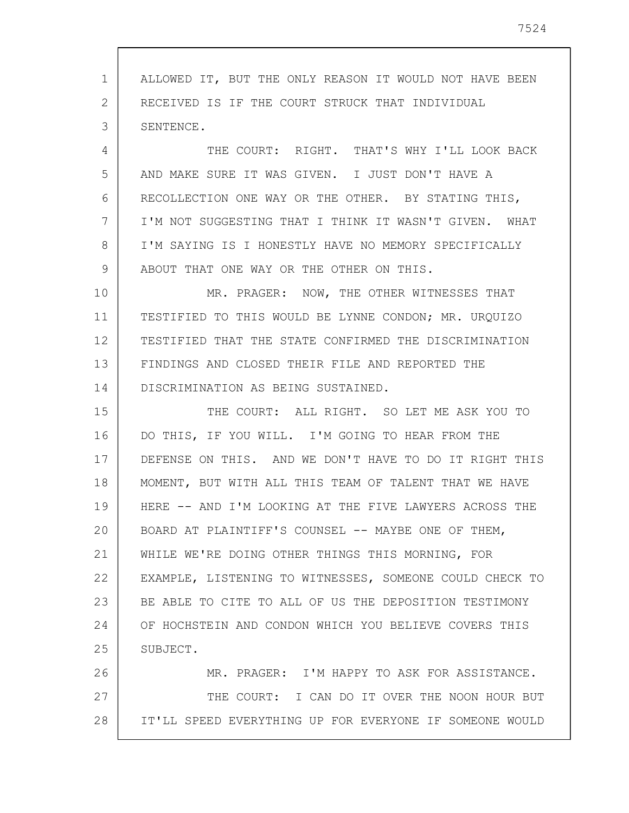1 2 3 4 5 6 7 8 9 10 11 12 13 14 15 16 17 18 19 20 21 22 23 24 25 26 27 28 ALLOWED IT, BUT THE ONLY REASON IT WOULD NOT HAVE BEEN RECEIVED IS IF THE COURT STRUCK THAT INDIVIDUAL SENTENCE. THE COURT: RIGHT. THAT'S WHY I'LL LOOK BACK AND MAKE SURE IT WAS GIVEN. I JUST DON'T HAVE A RECOLLECTION ONE WAY OR THE OTHER. BY STATING THIS, I'M NOT SUGGESTING THAT I THINK IT WASN'T GIVEN. WHAT I'M SAYING IS I HONESTLY HAVE NO MEMORY SPECIFICALLY ABOUT THAT ONE WAY OR THE OTHER ON THIS. MR. PRAGER: NOW, THE OTHER WITNESSES THAT TESTIFIED TO THIS WOULD BE LYNNE CONDON; MR. URQUIZO TESTIFIED THAT THE STATE CONFIRMED THE DISCRIMINATION FINDINGS AND CLOSED THEIR FILE AND REPORTED THE DISCRIMINATION AS BEING SUSTAINED. THE COURT: ALL RIGHT. SO LET ME ASK YOU TO DO THIS, IF YOU WILL. I'M GOING TO HEAR FROM THE DEFENSE ON THIS. AND WE DON'T HAVE TO DO IT RIGHT THIS MOMENT, BUT WITH ALL THIS TEAM OF TALENT THAT WE HAVE HERE -- AND I'M LOOKING AT THE FIVE LAWYERS ACROSS THE BOARD AT PLAINTIFF'S COUNSEL -- MAYBE ONE OF THEM, WHILE WE'RE DOING OTHER THINGS THIS MORNING, FOR EXAMPLE, LISTENING TO WITNESSES, SOMEONE COULD CHECK TO BE ABLE TO CITE TO ALL OF US THE DEPOSITION TESTIMONY OF HOCHSTEIN AND CONDON WHICH YOU BELIEVE COVERS THIS SUBJECT. MR. PRAGER: I'M HAPPY TO ASK FOR ASSISTANCE. THE COURT: I CAN DO IT OVER THE NOON HOUR BUT IT'LL SPEED EVERYTHING UP FOR EVERYONE IF SOMEONE WOULD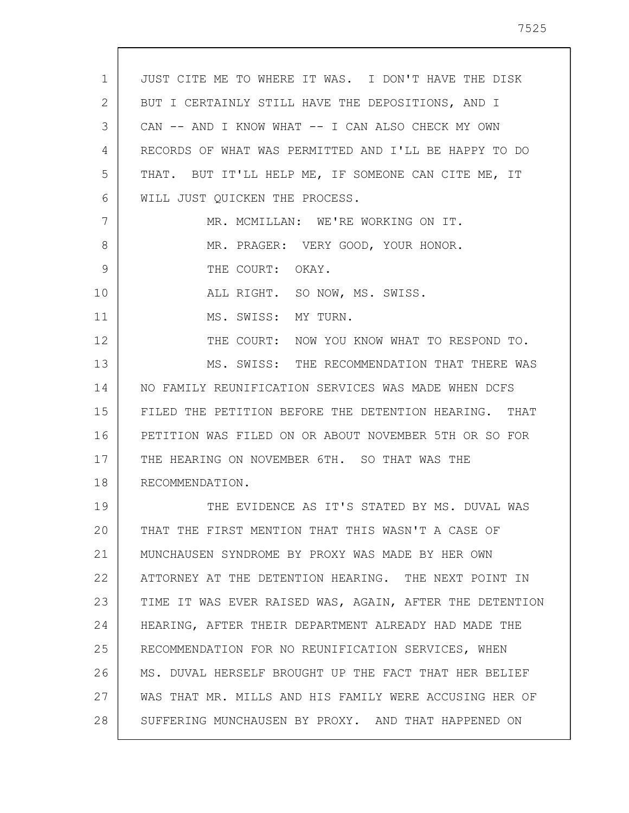1 2 3 4 5 6 7 8 9 10 11 12 13 14 15 16 17 18 19 20 21 22 23 24 25 26 27 28 JUST CITE ME TO WHERE IT WAS. I DON'T HAVE THE DISK BUT I CERTAINLY STILL HAVE THE DEPOSITIONS, AND I CAN -- AND I KNOW WHAT -- I CAN ALSO CHECK MY OWN RECORDS OF WHAT WAS PERMITTED AND I'LL BE HAPPY TO DO THAT. BUT IT'LL HELP ME, IF SOMEONE CAN CITE ME, IT WILL JUST QUICKEN THE PROCESS. MR. MCMILLAN: WE'RE WORKING ON IT. MR. PRAGER: VERY GOOD, YOUR HONOR. THE COURT: OKAY. ALL RIGHT. SO NOW, MS. SWISS. MS. SWISS: MY TURN. THE COURT: NOW YOU KNOW WHAT TO RESPOND TO. MS. SWISS: THE RECOMMENDATION THAT THERE WAS NO FAMILY REUNIFICATION SERVICES WAS MADE WHEN DCFS FILED THE PETITION BEFORE THE DETENTION HEARING. THAT PETITION WAS FILED ON OR ABOUT NOVEMBER 5TH OR SO FOR THE HEARING ON NOVEMBER 6TH. SO THAT WAS THE RECOMMENDATION. THE EVIDENCE AS IT'S STATED BY MS. DUVAL WAS THAT THE FIRST MENTION THAT THIS WASN'T A CASE OF MUNCHAUSEN SYNDROME BY PROXY WAS MADE BY HER OWN ATTORNEY AT THE DETENTION HEARING. THE NEXT POINT IN TIME IT WAS EVER RAISED WAS, AGAIN, AFTER THE DETENTION HEARING, AFTER THEIR DEPARTMENT ALREADY HAD MADE THE RECOMMENDATION FOR NO REUNIFICATION SERVICES, WHEN MS. DUVAL HERSELF BROUGHT UP THE FACT THAT HER BELIEF WAS THAT MR. MILLS AND HIS FAMILY WERE ACCUSING HER OF SUFFERING MUNCHAUSEN BY PROXY. AND THAT HAPPENED ON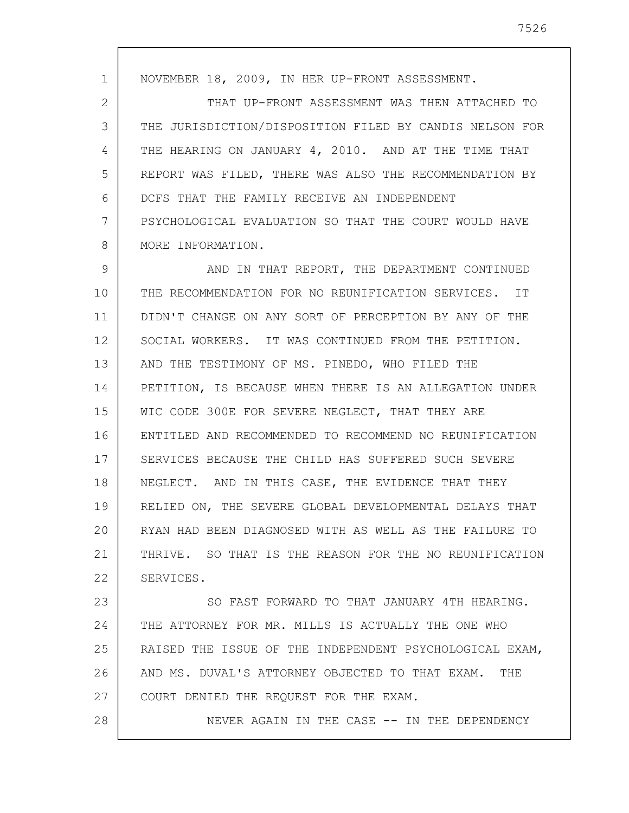1 2 3 4 5 6 7 8 NOVEMBER 18, 2009, IN HER UP-FRONT ASSESSMENT. THAT UP-FRONT ASSESSMENT WAS THEN ATTACHED TO THE JURISDICTION/DISPOSITION FILED BY CANDIS NELSON FOR THE HEARING ON JANUARY 4, 2010. AND AT THE TIME THAT REPORT WAS FILED, THERE WAS ALSO THE RECOMMENDATION BY DCFS THAT THE FAMILY RECEIVE AN INDEPENDENT PSYCHOLOGICAL EVALUATION SO THAT THE COURT WOULD HAVE MORE INFORMATION.

9 10 11 12 13 14 15 16 17 18 19 20 21 22 AND IN THAT REPORT, THE DEPARTMENT CONTINUED THE RECOMMENDATION FOR NO REUNIFICATION SERVICES. IT DIDN'T CHANGE ON ANY SORT OF PERCEPTION BY ANY OF THE SOCIAL WORKERS. IT WAS CONTINUED FROM THE PETITION. AND THE TESTIMONY OF MS. PINEDO, WHO FILED THE PETITION, IS BECAUSE WHEN THERE IS AN ALLEGATION UNDER WIC CODE 300E FOR SEVERE NEGLECT, THAT THEY ARE ENTITLED AND RECOMMENDED TO RECOMMEND NO REUNIFICATION SERVICES BECAUSE THE CHILD HAS SUFFERED SUCH SEVERE NEGLECT. AND IN THIS CASE, THE EVIDENCE THAT THEY RELIED ON, THE SEVERE GLOBAL DEVELOPMENTAL DELAYS THAT RYAN HAD BEEN DIAGNOSED WITH AS WELL AS THE FAILURE TO THRIVE. SO THAT IS THE REASON FOR THE NO REUNIFICATION SERVICES.

23 24 25 26 27 SO FAST FORWARD TO THAT JANUARY 4TH HEARING. THE ATTORNEY FOR MR. MILLS IS ACTUALLY THE ONE WHO RAISED THE ISSUE OF THE INDEPENDENT PSYCHOLOGICAL EXAM, AND MS. DUVAL'S ATTORNEY OBJECTED TO THAT EXAM. THE COURT DENIED THE REQUEST FOR THE EXAM.

28

NEVER AGAIN IN THE CASE -- IN THE DEPENDENCY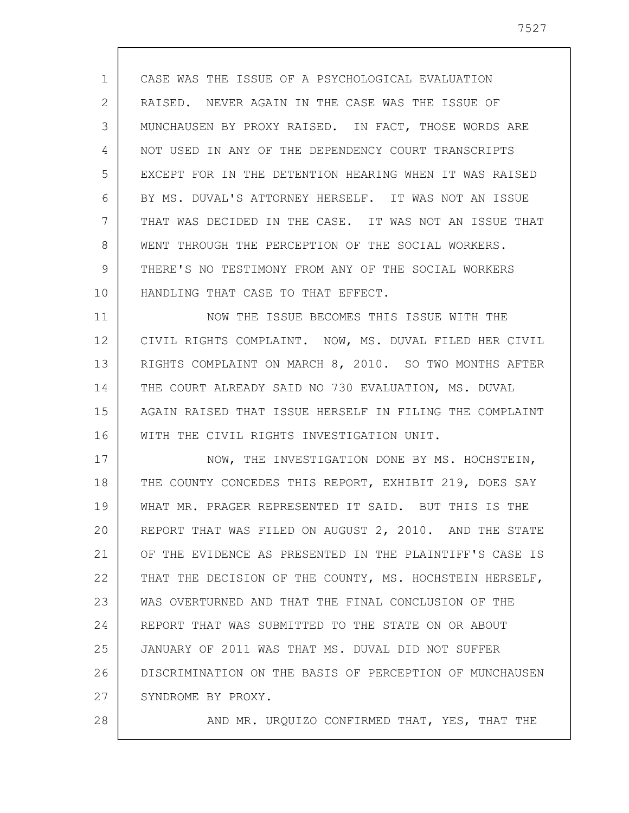1 2 3 4 5 6 7 8 9 10 CASE WAS THE ISSUE OF A PSYCHOLOGICAL EVALUATION RAISED. NEVER AGAIN IN THE CASE WAS THE ISSUE OF MUNCHAUSEN BY PROXY RAISED. IN FACT, THOSE WORDS ARE NOT USED IN ANY OF THE DEPENDENCY COURT TRANSCRIPTS EXCEPT FOR IN THE DETENTION HEARING WHEN IT WAS RAISED BY MS. DUVAL'S ATTORNEY HERSELF. IT WAS NOT AN ISSUE THAT WAS DECIDED IN THE CASE. IT WAS NOT AN ISSUE THAT WENT THROUGH THE PERCEPTION OF THE SOCIAL WORKERS. THERE'S NO TESTIMONY FROM ANY OF THE SOCIAL WORKERS HANDLING THAT CASE TO THAT EFFECT.

11 12 13 14 15 16 NOW THE ISSUE BECOMES THIS ISSUE WITH THE CIVIL RIGHTS COMPLAINT. NOW, MS. DUVAL FILED HER CIVIL RIGHTS COMPLAINT ON MARCH 8, 2010. SO TWO MONTHS AFTER THE COURT ALREADY SAID NO 730 EVALUATION, MS. DUVAL AGAIN RAISED THAT ISSUE HERSELF IN FILING THE COMPLAINT WITH THE CIVIL RIGHTS INVESTIGATION UNIT.

17 18 19 20 21 22 23 24 25 26 27 NOW, THE INVESTIGATION DONE BY MS. HOCHSTEIN, THE COUNTY CONCEDES THIS REPORT, EXHIBIT 219, DOES SAY WHAT MR. PRAGER REPRESENTED IT SAID. BUT THIS IS THE REPORT THAT WAS FILED ON AUGUST 2, 2010. AND THE STATE OF THE EVIDENCE AS PRESENTED IN THE PLAINTIFF'S CASE IS THAT THE DECISION OF THE COUNTY, MS. HOCHSTEIN HERSELF, WAS OVERTURNED AND THAT THE FINAL CONCLUSION OF THE REPORT THAT WAS SUBMITTED TO THE STATE ON OR ABOUT JANUARY OF 2011 WAS THAT MS. DUVAL DID NOT SUFFER DISCRIMINATION ON THE BASIS OF PERCEPTION OF MUNCHAUSEN SYNDROME BY PROXY.

28

AND MR. URQUIZO CONFIRMED THAT, YES, THAT THE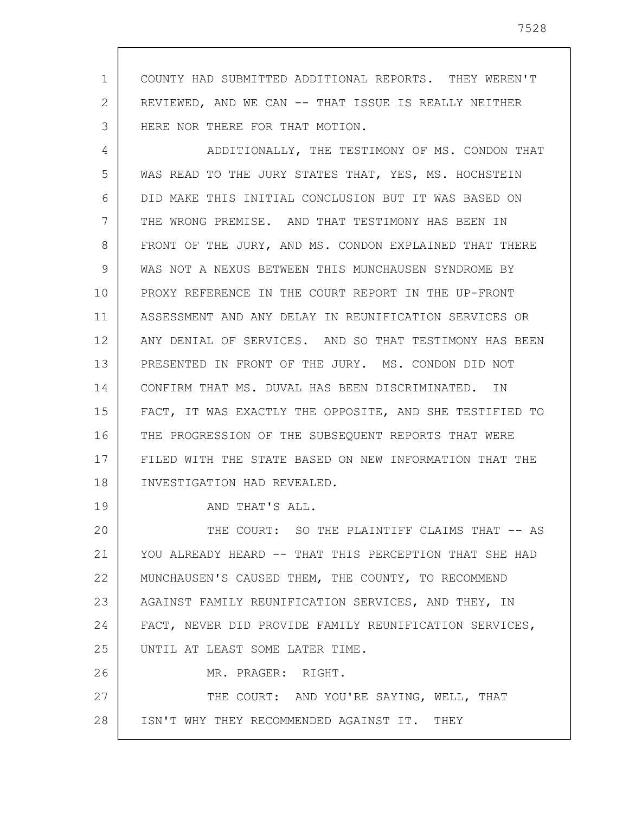1 2 3 COUNTY HAD SUBMITTED ADDITIONAL REPORTS. THEY WEREN'T REVIEWED, AND WE CAN -- THAT ISSUE IS REALLY NEITHER HERE NOR THERE FOR THAT MOTION.

4 5 6 7 8 9 10 11 12 13 14 15 16 17 18 ADDITIONALLY, THE TESTIMONY OF MS. CONDON THAT WAS READ TO THE JURY STATES THAT, YES, MS. HOCHSTEIN DID MAKE THIS INITIAL CONCLUSION BUT IT WAS BASED ON THE WRONG PREMISE. AND THAT TESTIMONY HAS BEEN IN FRONT OF THE JURY, AND MS. CONDON EXPLAINED THAT THERE WAS NOT A NEXUS BETWEEN THIS MUNCHAUSEN SYNDROME BY PROXY REFERENCE IN THE COURT REPORT IN THE UP-FRONT ASSESSMENT AND ANY DELAY IN REUNIFICATION SERVICES OR ANY DENIAL OF SERVICES. AND SO THAT TESTIMONY HAS BEEN PRESENTED IN FRONT OF THE JURY. MS. CONDON DID NOT CONFIRM THAT MS. DUVAL HAS BEEN DISCRIMINATED. IN FACT, IT WAS EXACTLY THE OPPOSITE, AND SHE TESTIFIED TO THE PROGRESSION OF THE SUBSEQUENT REPORTS THAT WERE FILED WITH THE STATE BASED ON NEW INFORMATION THAT THE INVESTIGATION HAD REVEALED.

AND THAT'S ALL.

19

20 21 22 23 24 25 26 27 THE COURT: SO THE PLAINTIFF CLAIMS THAT -- AS YOU ALREADY HEARD -- THAT THIS PERCEPTION THAT SHE HAD MUNCHAUSEN'S CAUSED THEM, THE COUNTY, TO RECOMMEND AGAINST FAMILY REUNIFICATION SERVICES, AND THEY, IN FACT, NEVER DID PROVIDE FAMILY REUNIFICATION SERVICES, UNTIL AT LEAST SOME LATER TIME. MR. PRAGER: RIGHT. THE COURT: AND YOU'RE SAYING, WELL, THAT

28 ISN'T WHY THEY RECOMMENDED AGAINST IT. THEY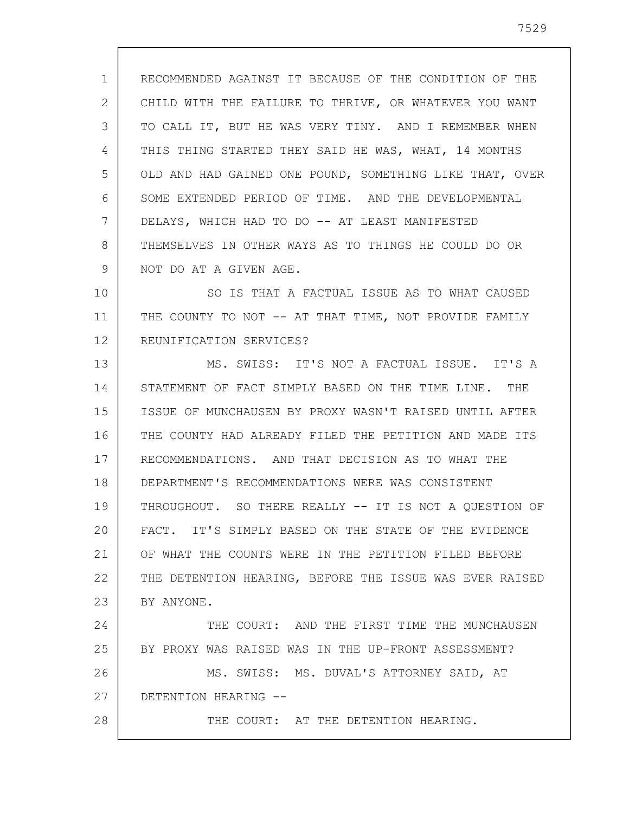1 2 3 4 5 6 7 8 9 RECOMMENDED AGAINST IT BECAUSE OF THE CONDITION OF THE CHILD WITH THE FAILURE TO THRIVE, OR WHATEVER YOU WANT TO CALL IT, BUT HE WAS VERY TINY. AND I REMEMBER WHEN THIS THING STARTED THEY SAID HE WAS, WHAT, 14 MONTHS OLD AND HAD GAINED ONE POUND, SOMETHING LIKE THAT, OVER SOME EXTENDED PERIOD OF TIME. AND THE DEVELOPMENTAL DELAYS, WHICH HAD TO DO -- AT LEAST MANIFESTED THEMSELVES IN OTHER WAYS AS TO THINGS HE COULD DO OR NOT DO AT A GIVEN AGE.

10 11 12 SO IS THAT A FACTUAL ISSUE AS TO WHAT CAUSED THE COUNTY TO NOT -- AT THAT TIME, NOT PROVIDE FAMILY REUNIFICATION SERVICES?

13 14 15 16 17 18 19 20 21 22 23 24 25 MS. SWISS: IT'S NOT A FACTUAL ISSUE. IT'S A STATEMENT OF FACT SIMPLY BASED ON THE TIME LINE. THE ISSUE OF MUNCHAUSEN BY PROXY WASN'T RAISED UNTIL AFTER THE COUNTY HAD ALREADY FILED THE PETITION AND MADE ITS RECOMMENDATIONS. AND THAT DECISION AS TO WHAT THE DEPARTMENT'S RECOMMENDATIONS WERE WAS CONSISTENT THROUGHOUT. SO THERE REALLY -- IT IS NOT A QUESTION OF FACT. IT'S SIMPLY BASED ON THE STATE OF THE EVIDENCE OF WHAT THE COUNTS WERE IN THE PETITION FILED BEFORE THE DETENTION HEARING, BEFORE THE ISSUE WAS EVER RAISED BY ANYONE. THE COURT: AND THE FIRST TIME THE MUNCHAUSEN BY PROXY WAS RAISED WAS IN THE UP-FRONT ASSESSMENT?

26 27 MS. SWISS: MS. DUVAL'S ATTORNEY SAID, AT DETENTION HEARING --

28

THE COURT: AT THE DETENTION HEARING.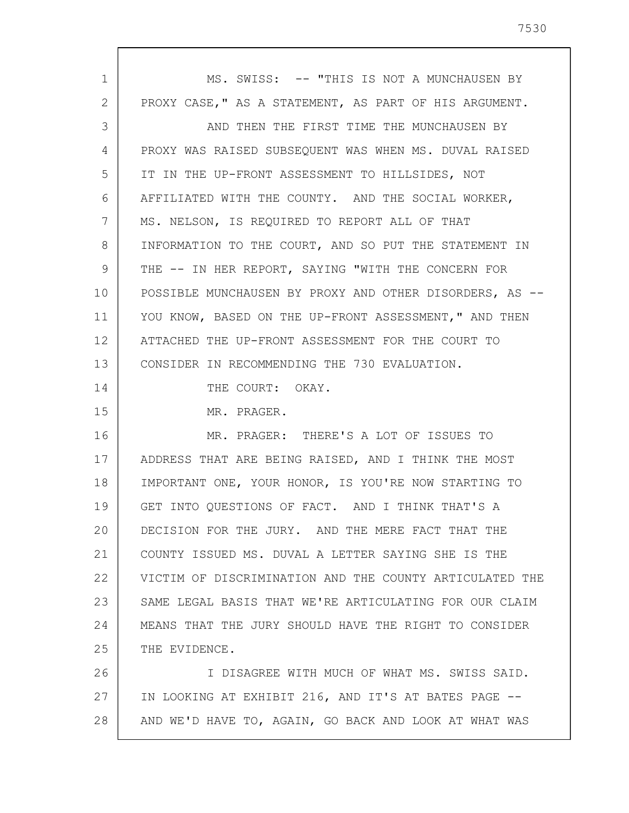| $\mathbf 1$     | MS. SWISS: -- "THIS IS NOT A MUNCHAUSEN BY              |
|-----------------|---------------------------------------------------------|
| $\overline{2}$  | PROXY CASE, " AS A STATEMENT, AS PART OF HIS ARGUMENT.  |
| 3               | AND THEN THE FIRST TIME THE MUNCHAUSEN BY               |
| 4               | PROXY WAS RAISED SUBSEQUENT WAS WHEN MS. DUVAL RAISED   |
| 5               | IT IN THE UP-FRONT ASSESSMENT TO HILLSIDES, NOT         |
| 6               | AFFILIATED WITH THE COUNTY. AND THE SOCIAL WORKER,      |
| 7               | MS. NELSON, IS REQUIRED TO REPORT ALL OF THAT           |
| 8               | INFORMATION TO THE COURT, AND SO PUT THE STATEMENT IN   |
| 9               | THE -- IN HER REPORT, SAYING "WITH THE CONCERN FOR      |
| 10              | POSSIBLE MUNCHAUSEN BY PROXY AND OTHER DISORDERS, AS -- |
| 11              | YOU KNOW, BASED ON THE UP-FRONT ASSESSMENT," AND THEN   |
| 12 <sup>°</sup> | ATTACHED THE UP-FRONT ASSESSMENT FOR THE COURT TO       |
| 13              | CONSIDER IN RECOMMENDING THE 730 EVALUATION.            |
| 14              | THE COURT: OKAY.                                        |
| 15              | MR. PRAGER.                                             |
| 16              | MR. PRAGER: THERE'S A LOT OF ISSUES TO                  |
| 17              | ADDRESS THAT ARE BEING RAISED, AND I THINK THE MOST     |
| 18              | IMPORTANT ONE, YOUR HONOR, IS YOU'RE NOW STARTING TO    |
| 19              | GET INTO QUESTIONS OF FACT. AND I THINK THAT'S A        |
| 20              | DECISION FOR THE JURY. AND THE MERE FACT THAT THE       |
| 21              | COUNTY ISSUED MS. DUVAL A LETTER SAYING SHE IS THE      |
| 22              | VICTIM OF DISCRIMINATION AND THE COUNTY ARTICULATED THE |
| 23              | SAME LEGAL BASIS THAT WE'RE ARTICULATING FOR OUR CLAIM  |
| 24              | MEANS THAT THE JURY SHOULD HAVE THE RIGHT TO CONSIDER   |
| 25              | THE EVIDENCE.                                           |
| 26              | I DISAGREE WITH MUCH OF WHAT MS. SWISS SAID.            |
| 27              | IN LOOKING AT EXHIBIT 216, AND IT'S AT BATES PAGE --    |
| 28              | AND WE'D HAVE TO, AGAIN, GO BACK AND LOOK AT WHAT WAS   |

 $\overline{\phantom{a}}$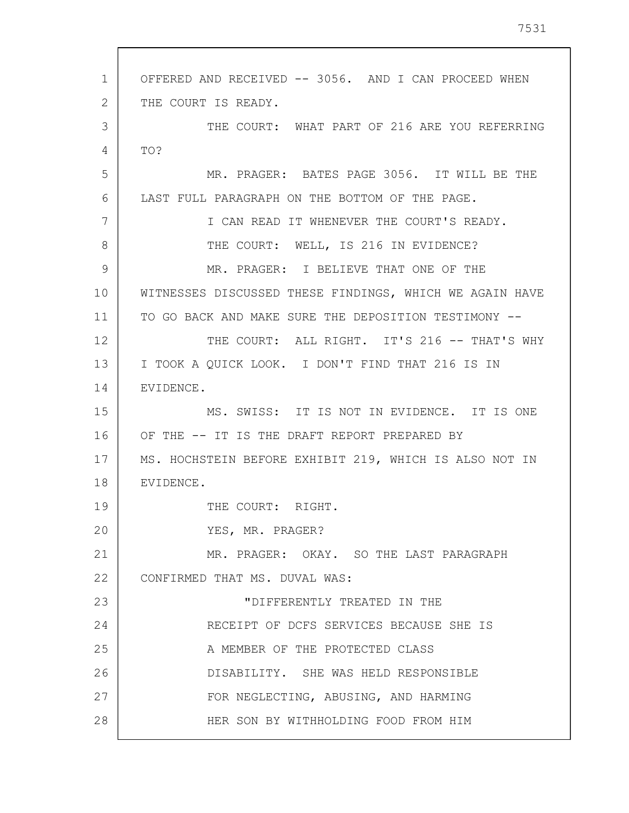1 2 3 4 5 6 7 8 9 10 11 12 13 14 15 16 17 18 19 20 21 22 23 24 25 26 27 28 OFFERED AND RECEIVED -- 3056. AND I CAN PROCEED WHEN THE COURT IS READY. THE COURT: WHAT PART OF 216 ARE YOU REFERRING TO? MR. PRAGER: BATES PAGE 3056. IT WILL BE THE LAST FULL PARAGRAPH ON THE BOTTOM OF THE PAGE. I CAN READ IT WHENEVER THE COURT'S READY. THE COURT: WELL, IS 216 IN EVIDENCE? MR. PRAGER: I BELIEVE THAT ONE OF THE WITNESSES DISCUSSED THESE FINDINGS, WHICH WE AGAIN HAVE TO GO BACK AND MAKE SURE THE DEPOSITION TESTIMONY -- THE COURT: ALL RIGHT. IT'S 216 -- THAT'S WHY I TOOK A QUICK LOOK. I DON'T FIND THAT 216 IS IN EVIDENCE. MS. SWISS: IT IS NOT IN EVIDENCE. IT IS ONE OF THE -- IT IS THE DRAFT REPORT PREPARED BY MS. HOCHSTEIN BEFORE EXHIBIT 219, WHICH IS ALSO NOT IN EVIDENCE. THE COURT: RIGHT. YES, MR. PRAGER? MR. PRAGER: OKAY. SO THE LAST PARAGRAPH CONFIRMED THAT MS. DUVAL WAS: "DIFFERENTLY TREATED IN THE RECEIPT OF DCFS SERVICES BECAUSE SHE IS A MEMBER OF THE PROTECTED CLASS DISABILITY. SHE WAS HELD RESPONSIBLE FOR NEGLECTING, ABUSING, AND HARMING HER SON BY WITHHOLDING FOOD FROM HIM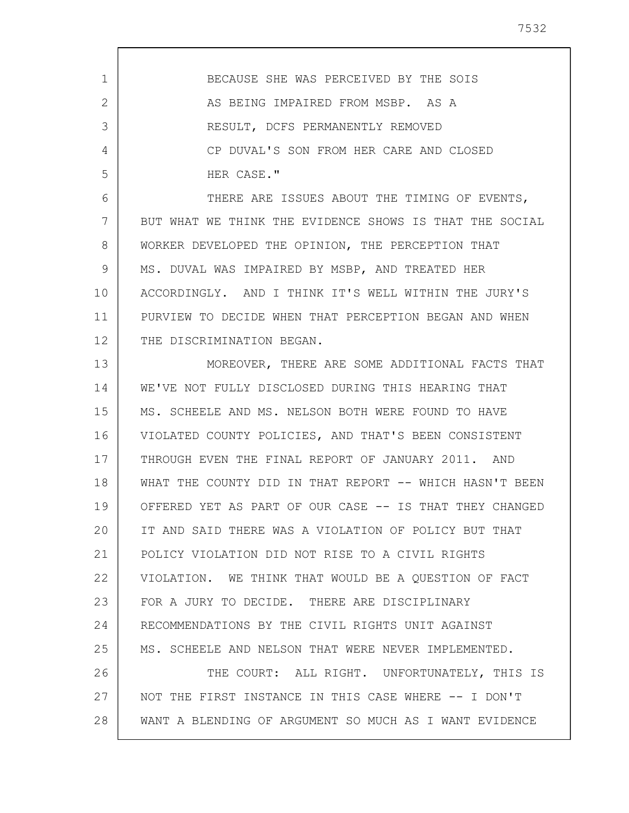| 1  | BECAUSE SHE WAS PERCEIVED BY THE SOIS                   |
|----|---------------------------------------------------------|
| 2  | AS BEING IMPAIRED FROM MSBP. AS A                       |
| 3  | RESULT, DCFS PERMANENTLY REMOVED                        |
| 4  | CP DUVAL'S SON FROM HER CARE AND CLOSED                 |
| 5  | HER CASE."                                              |
| 6  | THERE ARE ISSUES ABOUT THE TIMING OF EVENTS,            |
| 7  | BUT WHAT WE THINK THE EVIDENCE SHOWS IS THAT THE SOCIAL |
| 8  | WORKER DEVELOPED THE OPINION, THE PERCEPTION THAT       |
| 9  | MS. DUVAL WAS IMPAIRED BY MSBP, AND TREATED HER         |
| 10 | ACCORDINGLY. AND I THINK IT'S WELL WITHIN THE JURY'S    |
| 11 | PURVIEW TO DECIDE WHEN THAT PERCEPTION BEGAN AND WHEN   |
| 12 | THE DISCRIMINATION BEGAN.                               |
| 13 | MOREOVER, THERE ARE SOME ADDITIONAL FACTS THAT          |
| 14 | WE'VE NOT FULLY DISCLOSED DURING THIS HEARING THAT      |
| 15 | MS. SCHEELE AND MS. NELSON BOTH WERE FOUND TO HAVE      |
| 16 | VIOLATED COUNTY POLICIES, AND THAT'S BEEN CONSISTENT    |
| 17 | THROUGH EVEN THE FINAL REPORT OF JANUARY 2011. AND      |
| 18 | WHAT THE COUNTY DID IN THAT REPORT -- WHICH HASN'T BEEN |
| 19 | OFFERED YET AS PART OF OUR CASE -- IS THAT THEY CHANGED |
| 20 | IT AND SAID THERE WAS A VIOLATION OF POLICY BUT THAT    |
| 21 | POLICY VIOLATION DID NOT RISE TO A CIVIL RIGHTS         |
| 22 | VIOLATION. WE THINK THAT WOULD BE A QUESTION OF FACT    |
| 23 | FOR A JURY TO DECIDE. THERE ARE DISCIPLINARY            |
| 24 | RECOMMENDATIONS BY THE CIVIL RIGHTS UNIT AGAINST        |
| 25 | MS. SCHEELE AND NELSON THAT WERE NEVER IMPLEMENTED.     |
| 26 | THE COURT: ALL RIGHT. UNFORTUNATELY, THIS IS            |
| 27 | NOT THE FIRST INSTANCE IN THIS CASE WHERE -- I DON'T    |
| 28 | WANT A BLENDING OF ARGUMENT SO MUCH AS I WANT EVIDENCE  |
|    |                                                         |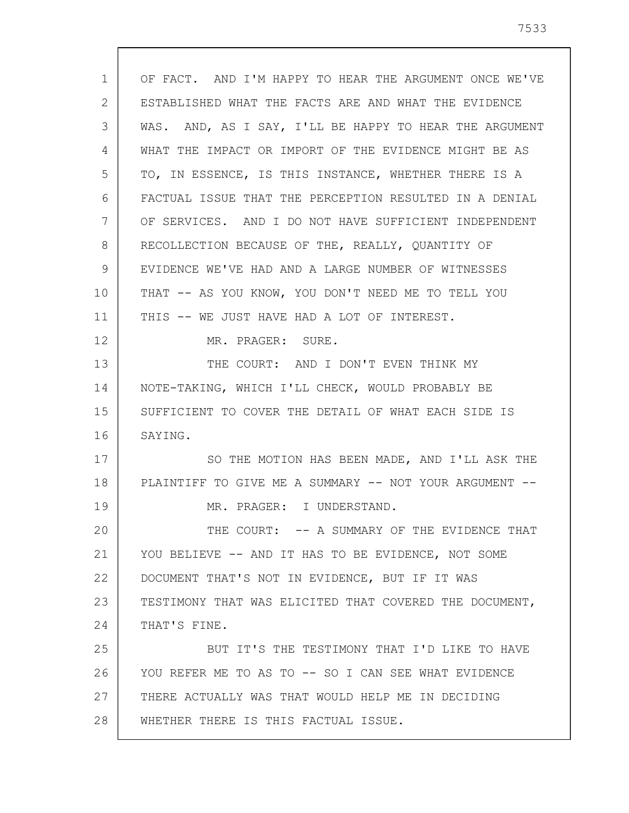| $\mathbf{1}$ | OF FACT. AND I'M HAPPY TO HEAR THE ARGUMENT ONCE WE'VE |
|--------------|--------------------------------------------------------|
| 2            | ESTABLISHED WHAT THE FACTS ARE AND WHAT THE EVIDENCE   |
| 3            | WAS. AND, AS I SAY, I'LL BE HAPPY TO HEAR THE ARGUMENT |
| 4            | WHAT THE IMPACT OR IMPORT OF THE EVIDENCE MIGHT BE AS  |
| 5            | TO, IN ESSENCE, IS THIS INSTANCE, WHETHER THERE IS A   |
| 6            | FACTUAL ISSUE THAT THE PERCEPTION RESULTED IN A DENIAL |
| 7            | OF SERVICES. AND I DO NOT HAVE SUFFICIENT INDEPENDENT  |
| 8            | RECOLLECTION BECAUSE OF THE, REALLY, QUANTITY OF       |
| 9            | EVIDENCE WE'VE HAD AND A LARGE NUMBER OF WITNESSES     |
| 10           | THAT -- AS YOU KNOW, YOU DON'T NEED ME TO TELL YOU     |
| 11           | THIS -- WE JUST HAVE HAD A LOT OF INTEREST.            |
| 12           | MR. PRAGER: SURE.                                      |
| 13           | THE COURT: AND I DON'T EVEN THINK MY                   |
| 14           | NOTE-TAKING, WHICH I'LL CHECK, WOULD PROBABLY BE       |
| 15           | SUFFICIENT TO COVER THE DETAIL OF WHAT EACH SIDE IS    |
| 16           | SAYING.                                                |
| 17           | SO THE MOTION HAS BEEN MADE, AND I'LL ASK THE          |
| 18           | PLAINTIFF TO GIVE ME A SUMMARY -- NOT YOUR ARGUMENT -- |
| 19           | MR. PRAGER: I UNDERSTAND.                              |
| 20           | THE COURT: -- A SUMMARY OF THE EVIDENCE THAT           |
| 21           | YOU BELIEVE -- AND IT HAS TO BE EVIDENCE, NOT SOME     |
| 22           | DOCUMENT THAT'S NOT IN EVIDENCE, BUT IF IT WAS         |
| 23           | TESTIMONY THAT WAS ELICITED THAT COVERED THE DOCUMENT, |
| 24           | THAT'S FINE.                                           |
| 25           | BUT IT'S THE TESTIMONY THAT I'D LIKE TO HAVE           |
| 26           | YOU REFER ME TO AS TO -- SO I CAN SEE WHAT EVIDENCE    |
| 27           | THERE ACTUALLY WAS THAT WOULD HELP ME IN DECIDING      |
| 28           | WHETHER THERE IS THIS FACTUAL ISSUE.                   |

 $\sqrt{ }$ 

 $\overline{\phantom{a}}$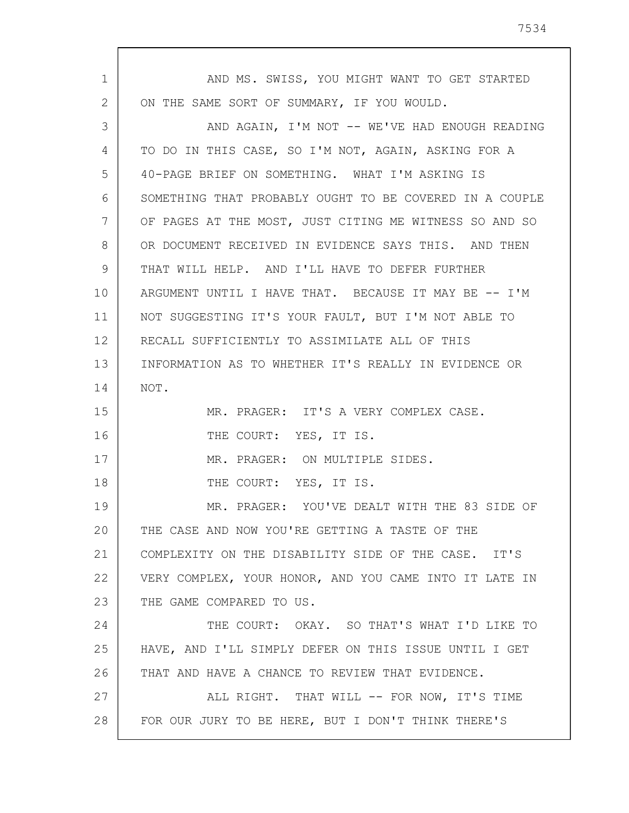| 1  | AND MS. SWISS, YOU MIGHT WANT TO GET STARTED            |
|----|---------------------------------------------------------|
| 2  | ON THE SAME SORT OF SUMMARY, IF YOU WOULD.              |
| 3  | AND AGAIN, I'M NOT -- WE'VE HAD ENOUGH READING          |
| 4  | TO DO IN THIS CASE, SO I'M NOT, AGAIN, ASKING FOR A     |
| 5  | 40-PAGE BRIEF ON SOMETHING. WHAT I'M ASKING IS          |
| 6  | SOMETHING THAT PROBABLY OUGHT TO BE COVERED IN A COUPLE |
| 7  | OF PAGES AT THE MOST, JUST CITING ME WITNESS SO AND SO  |
| 8  | OR DOCUMENT RECEIVED IN EVIDENCE SAYS THIS. AND THEN    |
| 9  | THAT WILL HELP. AND I'LL HAVE TO DEFER FURTHER          |
| 10 | ARGUMENT UNTIL I HAVE THAT. BECAUSE IT MAY BE -- I'M    |
| 11 | NOT SUGGESTING IT'S YOUR FAULT, BUT I'M NOT ABLE TO     |
| 12 | RECALL SUFFICIENTLY TO ASSIMILATE ALL OF THIS           |
| 13 | INFORMATION AS TO WHETHER IT'S REALLY IN EVIDENCE OR    |
| 14 | NOT.                                                    |
| 15 | MR. PRAGER: IT'S A VERY COMPLEX CASE.                   |
| 16 | THE COURT: YES, IT IS.                                  |
| 17 | MR. PRAGER: ON MULTIPLE SIDES.                          |
| 18 | THE COURT: YES, IT IS.                                  |
| 19 | MR. PRAGER: YOU'VE DEALT WITH THE 83 SIDE OF            |
| 20 | THE CASE AND NOW YOU'RE GETTING A TASTE OF THE          |
| 21 | COMPLEXITY ON THE DISABILITY SIDE OF THE CASE. IT'S     |
| 22 | VERY COMPLEX, YOUR HONOR, AND YOU CAME INTO IT LATE IN  |
| 23 | THE GAME COMPARED TO US.                                |
| 24 | THE COURT: OKAY. SO THAT'S WHAT I'D LIKE TO             |
| 25 | HAVE, AND I'LL SIMPLY DEFER ON THIS ISSUE UNTIL I GET   |
| 26 | THAT AND HAVE A CHANCE TO REVIEW THAT EVIDENCE.         |
| 27 | ALL RIGHT. THAT WILL -- FOR NOW, IT'S TIME              |
| 28 | FOR OUR JURY TO BE HERE, BUT I DON'T THINK THERE'S      |
|    |                                                         |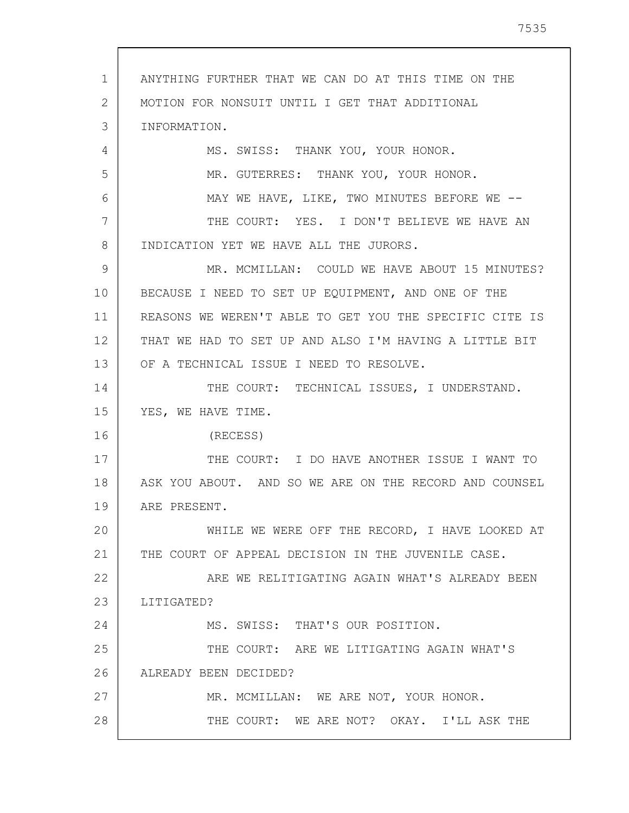1 2 3 4 5 6 7 8 9 10 11 12 13 14 15 16 17 18 19 20 21 22 23 24 25 26 27 28 ANYTHING FURTHER THAT WE CAN DO AT THIS TIME ON THE MOTION FOR NONSUIT UNTIL I GET THAT ADDITIONAL INFORMATION. MS. SWISS: THANK YOU, YOUR HONOR. MR. GUTERRES: THANK YOU, YOUR HONOR. MAY WE HAVE, LIKE, TWO MINUTES BEFORE WE --THE COURT: YES. I DON'T BELIEVE WE HAVE AN INDICATION YET WE HAVE ALL THE JURORS. MR. MCMILLAN: COULD WE HAVE ABOUT 15 MINUTES? BECAUSE I NEED TO SET UP EQUIPMENT, AND ONE OF THE REASONS WE WEREN'T ABLE TO GET YOU THE SPECIFIC CITE IS THAT WE HAD TO SET UP AND ALSO I'M HAVING A LITTLE BIT OF A TECHNICAL ISSUE I NEED TO RESOLVE. THE COURT: TECHNICAL ISSUES, I UNDERSTAND. YES, WE HAVE TIME. (RECESS) THE COURT: I DO HAVE ANOTHER ISSUE I WANT TO ASK YOU ABOUT. AND SO WE ARE ON THE RECORD AND COUNSEL ARE PRESENT. WHILE WE WERE OFF THE RECORD, I HAVE LOOKED AT THE COURT OF APPEAL DECISION IN THE JUVENILE CASE. ARE WE RELITIGATING AGAIN WHAT'S ALREADY BEEN LITIGATED? MS. SWISS: THAT'S OUR POSITION. THE COURT: ARE WE LITIGATING AGAIN WHAT'S ALREADY BEEN DECIDED? MR. MCMILLAN: WE ARE NOT, YOUR HONOR. THE COURT: WE ARE NOT? OKAY. I'LL ASK THE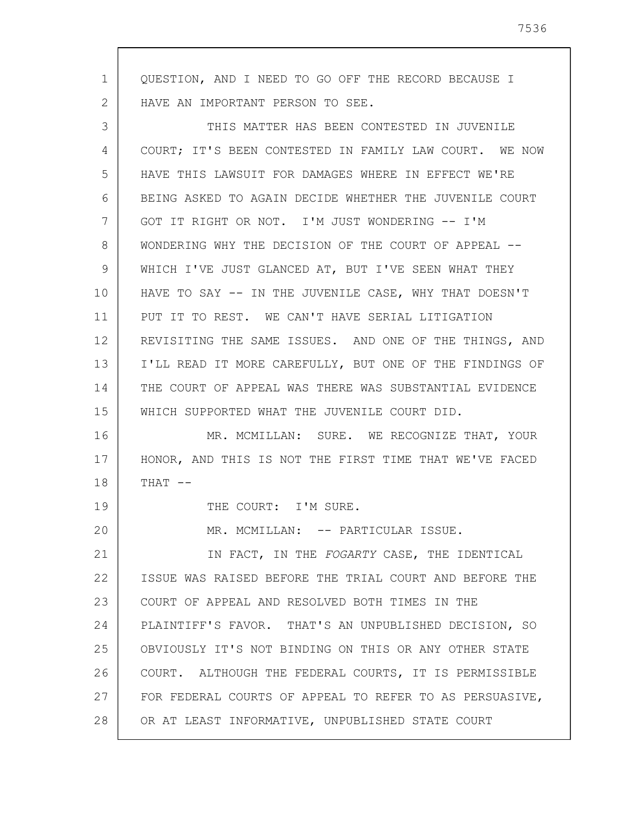1 2 3 4 5 6 7 8 9 10 11 12 13 14 15 16 17 18 19 20 21 22 23 24 25 26 27 28 QUESTION, AND I NEED TO GO OFF THE RECORD BECAUSE I HAVE AN IMPORTANT PERSON TO SEE. THIS MATTER HAS BEEN CONTESTED IN JUVENILE COURT; IT'S BEEN CONTESTED IN FAMILY LAW COURT. WE NOW HAVE THIS LAWSUIT FOR DAMAGES WHERE IN EFFECT WE'RE BEING ASKED TO AGAIN DECIDE WHETHER THE JUVENILE COURT GOT IT RIGHT OR NOT. I'M JUST WONDERING -- I'M WONDERING WHY THE DECISION OF THE COURT OF APPEAL -- WHICH I'VE JUST GLANCED AT, BUT I'VE SEEN WHAT THEY HAVE TO SAY -- IN THE JUVENILE CASE, WHY THAT DOESN'T PUT IT TO REST. WE CAN'T HAVE SERIAL LITIGATION REVISITING THE SAME ISSUES. AND ONE OF THE THINGS, AND I'LL READ IT MORE CAREFULLY, BUT ONE OF THE FINDINGS OF THE COURT OF APPEAL WAS THERE WAS SUBSTANTIAL EVIDENCE WHICH SUPPORTED WHAT THE JUVENILE COURT DID. MR. MCMILLAN: SURE. WE RECOGNIZE THAT, YOUR HONOR, AND THIS IS NOT THE FIRST TIME THAT WE'VE FACED  $THAT$   $--$ THE COURT: I'M SURE. MR. MCMILLAN: -- PARTICULAR ISSUE. IN FACT, IN THE FOGARTY CASE, THE IDENTICAL ISSUE WAS RAISED BEFORE THE TRIAL COURT AND BEFORE THE COURT OF APPEAL AND RESOLVED BOTH TIMES IN THE PLAINTIFF'S FAVOR. THAT'S AN UNPUBLISHED DECISION, SO OBVIOUSLY IT'S NOT BINDING ON THIS OR ANY OTHER STATE COURT. ALTHOUGH THE FEDERAL COURTS, IT IS PERMISSIBLE FOR FEDERAL COURTS OF APPEAL TO REFER TO AS PERSUASIVE, OR AT LEAST INFORMATIVE, UNPUBLISHED STATE COURT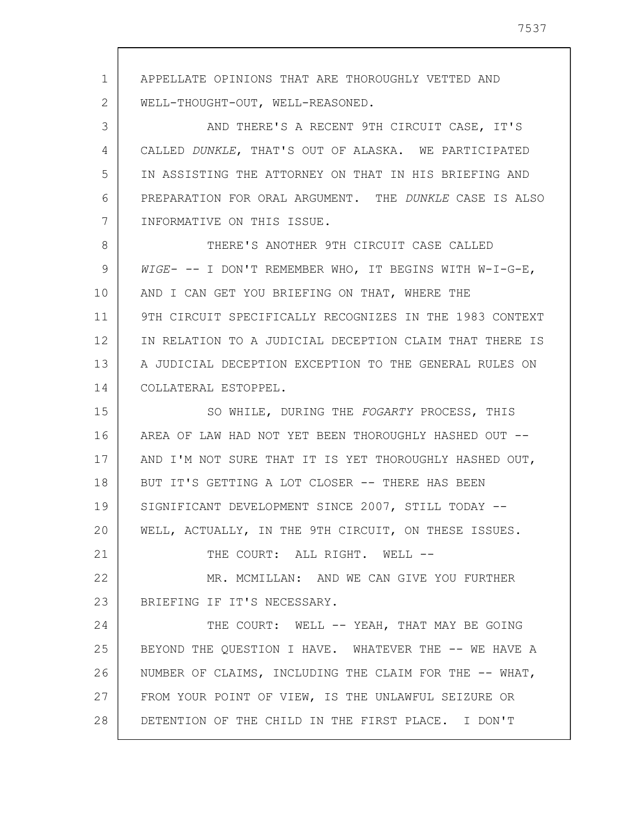1 2 3 4 5 6 7 8 9 10 11 12 13 14 15 16 17 18 19 20 21 22 23 24 25 26 27 28 APPELLATE OPINIONS THAT ARE THOROUGHLY VETTED AND WELL-THOUGHT-OUT, WELL-REASONED. AND THERE'S A RECENT 9TH CIRCUIT CASE, IT'S CALLED DUNKLE, THAT'S OUT OF ALASKA. WE PARTICIPATED IN ASSISTING THE ATTORNEY ON THAT IN HIS BRIEFING AND PREPARATION FOR ORAL ARGUMENT. THE DUNKLE CASE IS ALSO INFORMATIVE ON THIS ISSUE. THERE'S ANOTHER 9TH CIRCUIT CASE CALLED WIGE- -- I DON'T REMEMBER WHO, IT BEGINS WITH W-I-G-E, AND I CAN GET YOU BRIEFING ON THAT, WHERE THE 9TH CIRCUIT SPECIFICALLY RECOGNIZES IN THE 1983 CONTEXT IN RELATION TO A JUDICIAL DECEPTION CLAIM THAT THERE IS A JUDICIAL DECEPTION EXCEPTION TO THE GENERAL RULES ON COLLATERAL ESTOPPEL. SO WHILE, DURING THE FOGARTY PROCESS, THIS AREA OF LAW HAD NOT YET BEEN THOROUGHLY HASHED OUT -- AND I'M NOT SURE THAT IT IS YET THOROUGHLY HASHED OUT, BUT IT'S GETTING A LOT CLOSER -- THERE HAS BEEN SIGNIFICANT DEVELOPMENT SINCE 2007, STILL TODAY -- WELL, ACTUALLY, IN THE 9TH CIRCUIT, ON THESE ISSUES. THE COURT: ALL RIGHT. WELL --MR. MCMILLAN: AND WE CAN GIVE YOU FURTHER BRIEFING IF IT'S NECESSARY. THE COURT: WELL -- YEAH, THAT MAY BE GOING BEYOND THE QUESTION I HAVE. WHATEVER THE -- WE HAVE A NUMBER OF CLAIMS, INCLUDING THE CLAIM FOR THE -- WHAT, FROM YOUR POINT OF VIEW, IS THE UNLAWFUL SEIZURE OR DETENTION OF THE CHILD IN THE FIRST PLACE. I DON'T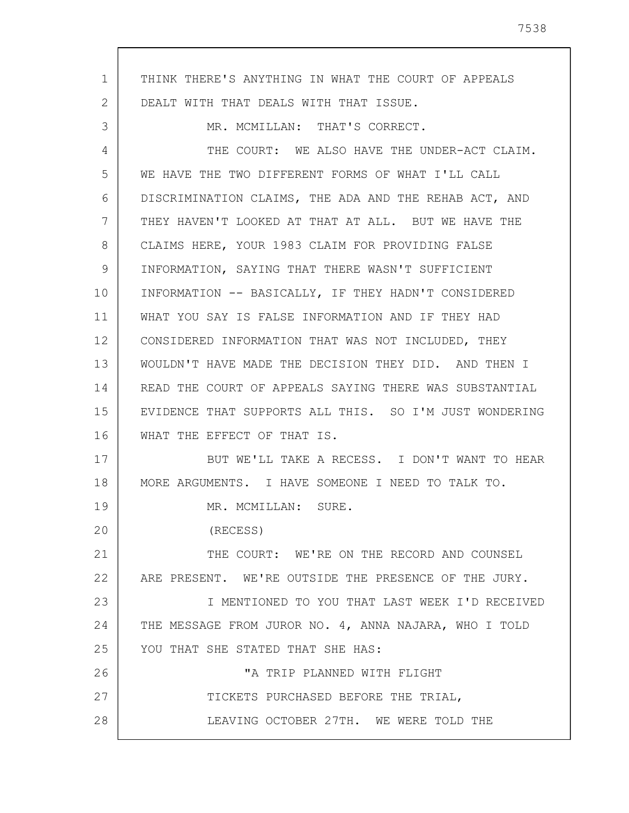1 2 3 4 5 6 7 8 9 10 11 12 13 14 15 16 17 18 19 20 21 22 23 24 25 26 27 28 THINK THERE'S ANYTHING IN WHAT THE COURT OF APPEALS DEALT WITH THAT DEALS WITH THAT ISSUE. MR. MCMILLAN: THAT'S CORRECT. THE COURT: WE ALSO HAVE THE UNDER-ACT CLAIM. WE HAVE THE TWO DIFFERENT FORMS OF WHAT I'LL CALL DISCRIMINATION CLAIMS, THE ADA AND THE REHAB ACT, AND THEY HAVEN'T LOOKED AT THAT AT ALL. BUT WE HAVE THE CLAIMS HERE, YOUR 1983 CLAIM FOR PROVIDING FALSE INFORMATION, SAYING THAT THERE WASN'T SUFFICIENT INFORMATION -- BASICALLY, IF THEY HADN'T CONSIDERED WHAT YOU SAY IS FALSE INFORMATION AND IF THEY HAD CONSIDERED INFORMATION THAT WAS NOT INCLUDED, THEY WOULDN'T HAVE MADE THE DECISION THEY DID. AND THEN I READ THE COURT OF APPEALS SAYING THERE WAS SUBSTANTIAL EVIDENCE THAT SUPPORTS ALL THIS. SO I'M JUST WONDERING WHAT THE EFFECT OF THAT IS. BUT WE'LL TAKE A RECESS. I DON'T WANT TO HEAR MORE ARGUMENTS. I HAVE SOMEONE I NEED TO TALK TO. MR. MCMILLAN: SURE. (RECESS) THE COURT: WE'RE ON THE RECORD AND COUNSEL ARE PRESENT. WE'RE OUTSIDE THE PRESENCE OF THE JURY. I MENTIONED TO YOU THAT LAST WEEK I'D RECEIVED THE MESSAGE FROM JUROR NO. 4, ANNA NAJARA, WHO I TOLD YOU THAT SHE STATED THAT SHE HAS: "A TRIP PLANNED WITH FLIGHT TICKETS PURCHASED BEFORE THE TRIAL, LEAVING OCTOBER 27TH. WE WERE TOLD THE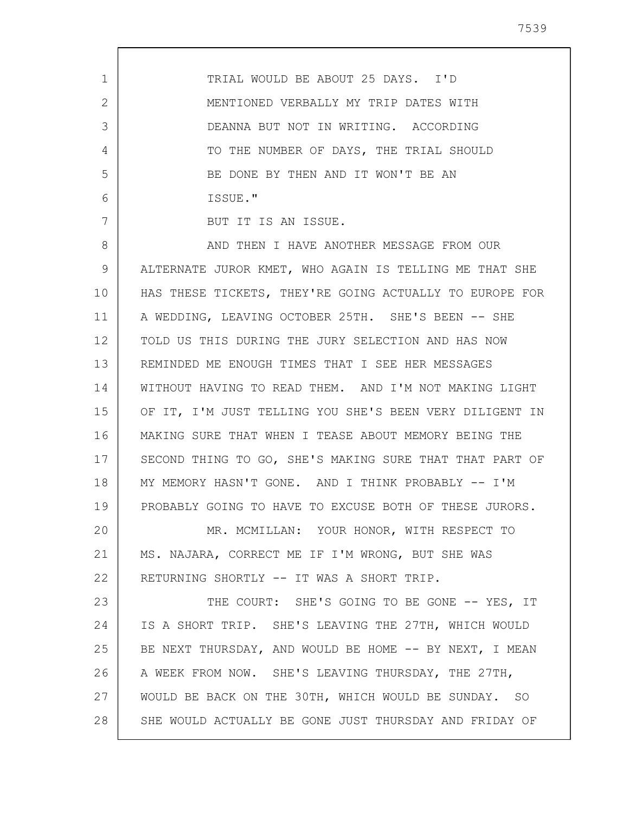1 2 3 4 5 6 7 8 9 10 11 12 13 14 15 16 17 18 19 20 21 22 23 24 25 26 27 28 TRIAL WOULD BE ABOUT 25 DAYS. I'D MENTIONED VERBALLY MY TRIP DATES WITH DEANNA BUT NOT IN WRITING. ACCORDING TO THE NUMBER OF DAYS, THE TRIAL SHOULD BE DONE BY THEN AND IT WON'T BE AN ISSUE." BUT IT IS AN ISSUE. AND THEN I HAVE ANOTHER MESSAGE FROM OUR ALTERNATE JUROR KMET, WHO AGAIN IS TELLING ME THAT SHE HAS THESE TICKETS, THEY'RE GOING ACTUALLY TO EUROPE FOR A WEDDING, LEAVING OCTOBER 25TH. SHE'S BEEN -- SHE TOLD US THIS DURING THE JURY SELECTION AND HAS NOW REMINDED ME ENOUGH TIMES THAT I SEE HER MESSAGES WITHOUT HAVING TO READ THEM. AND I'M NOT MAKING LIGHT OF IT, I'M JUST TELLING YOU SHE'S BEEN VERY DILIGENT IN MAKING SURE THAT WHEN I TEASE ABOUT MEMORY BEING THE SECOND THING TO GO, SHE'S MAKING SURE THAT THAT PART OF MY MEMORY HASN'T GONE. AND I THINK PROBABLY -- I'M PROBABLY GOING TO HAVE TO EXCUSE BOTH OF THESE JURORS. MR. MCMILLAN: YOUR HONOR, WITH RESPECT TO MS. NAJARA, CORRECT ME IF I'M WRONG, BUT SHE WAS RETURNING SHORTLY -- IT WAS A SHORT TRIP. THE COURT: SHE'S GOING TO BE GONE -- YES, IT IS A SHORT TRIP. SHE'S LEAVING THE 27TH, WHICH WOULD BE NEXT THURSDAY, AND WOULD BE HOME -- BY NEXT, I MEAN A WEEK FROM NOW. SHE'S LEAVING THURSDAY, THE 27TH, WOULD BE BACK ON THE 30TH, WHICH WOULD BE SUNDAY. SO SHE WOULD ACTUALLY BE GONE JUST THURSDAY AND FRIDAY OF

7539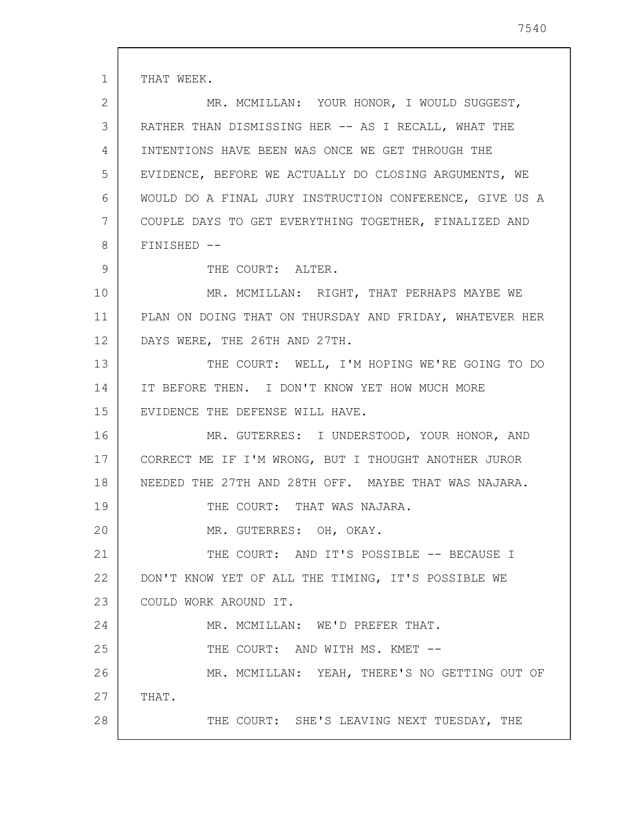1 2 3 4 5 6 7 8 9 10 11 12 13 14 15 16 17 18 19 20 21 22 23 24 25 26 27 28 THAT WEEK. MR. MCMILLAN: YOUR HONOR, I WOULD SUGGEST, RATHER THAN DISMISSING HER -- AS I RECALL, WHAT THE INTENTIONS HAVE BEEN WAS ONCE WE GET THROUGH THE EVIDENCE, BEFORE WE ACTUALLY DO CLOSING ARGUMENTS, WE WOULD DO A FINAL JURY INSTRUCTION CONFERENCE, GIVE US A COUPLE DAYS TO GET EVERYTHING TOGETHER, FINALIZED AND FINISHED -- THE COURT: ALTER. MR. MCMILLAN: RIGHT, THAT PERHAPS MAYBE WE PLAN ON DOING THAT ON THURSDAY AND FRIDAY, WHATEVER HER DAYS WERE, THE 26TH AND 27TH. THE COURT: WELL, I'M HOPING WE'RE GOING TO DO IT BEFORE THEN. I DON'T KNOW YET HOW MUCH MORE EVIDENCE THE DEFENSE WILL HAVE. MR. GUTERRES: I UNDERSTOOD, YOUR HONOR, AND CORRECT ME IF I'M WRONG, BUT I THOUGHT ANOTHER JUROR NEEDED THE 27TH AND 28TH OFF. MAYBE THAT WAS NAJARA. THE COURT: THAT WAS NAJARA. MR. GUTERRES: OH, OKAY. THE COURT: AND IT'S POSSIBLE -- BECAUSE I DON'T KNOW YET OF ALL THE TIMING, IT'S POSSIBLE WE COULD WORK AROUND IT. MR. MCMILLAN: WE'D PREFER THAT. THE COURT: AND WITH MS. KMET --MR. MCMILLAN: YEAH, THERE'S NO GETTING OUT OF THAT. THE COURT: SHE'S LEAVING NEXT TUESDAY, THE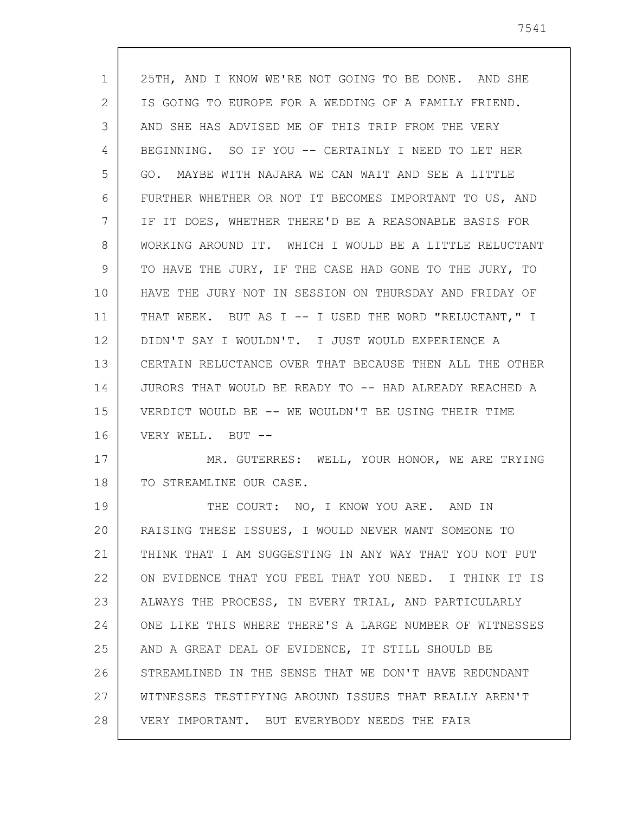| $\mathbf{1}$ | 25TH, AND I KNOW WE'RE NOT GOING TO BE DONE. AND SHE    |
|--------------|---------------------------------------------------------|
| 2            | IS GOING TO EUROPE FOR A WEDDING OF A FAMILY FRIEND.    |
| 3            | AND SHE HAS ADVISED ME OF THIS TRIP FROM THE VERY       |
| 4            | BEGINNING. SO IF YOU -- CERTAINLY I NEED TO LET HER     |
| 5            | GO. MAYBE WITH NAJARA WE CAN WAIT AND SEE A LITTLE      |
| 6            | FURTHER WHETHER OR NOT IT BECOMES IMPORTANT TO US, AND  |
| 7            | IF IT DOES, WHETHER THERE'D BE A REASONABLE BASIS FOR   |
| 8            | WORKING AROUND IT. WHICH I WOULD BE A LITTLE RELUCTANT  |
| 9            | TO HAVE THE JURY, IF THE CASE HAD GONE TO THE JURY, TO  |
| 10           | HAVE THE JURY NOT IN SESSION ON THURSDAY AND FRIDAY OF  |
| 11           | THAT WEEK. BUT AS I -- I USED THE WORD "RELUCTANT," I   |
| 12           | DIDN'T SAY I WOULDN'T. I JUST WOULD EXPERIENCE A        |
| 13           | CERTAIN RELUCTANCE OVER THAT BECAUSE THEN ALL THE OTHER |
| 14           | JURORS THAT WOULD BE READY TO -- HAD ALREADY REACHED A  |
| 15           | VERDICT WOULD BE -- WE WOULDN'T BE USING THEIR TIME     |
| 16           | VERY WELL. BUT --                                       |
| 17           | MR. GUTERRES: WELL, YOUR HONOR, WE ARE TRYING           |
| 18           | TO STREAMLINE OUR CASE.                                 |
| 19           | THE COURT: NO, I KNOW YOU ARE. AND IN                   |
| 20           | RAISING THESE ISSUES, I WOULD NEVER WANT SOMEONE TO     |
| 21           | THINK THAT I AM SUGGESTING IN ANY WAY THAT YOU NOT PUT  |
| 22           | ON EVIDENCE THAT YOU FEEL THAT YOU NEED. I THINK IT IS  |
| 23           | ALWAYS THE PROCESS, IN EVERY TRIAL, AND PARTICULARLY    |
| 24           | ONE LIKE THIS WHERE THERE'S A LARGE NUMBER OF WITNESSES |
| 25           | AND A GREAT DEAL OF EVIDENCE, IT STILL SHOULD BE        |
| 26           | STREAMLINED IN THE SENSE THAT WE DON'T HAVE REDUNDANT   |
| 27           | WITNESSES TESTIFYING AROUND ISSUES THAT REALLY AREN'T   |
| 28           | VERY IMPORTANT. BUT EVERYBODY NEEDS THE FAIR            |

 $\mathsf{l}$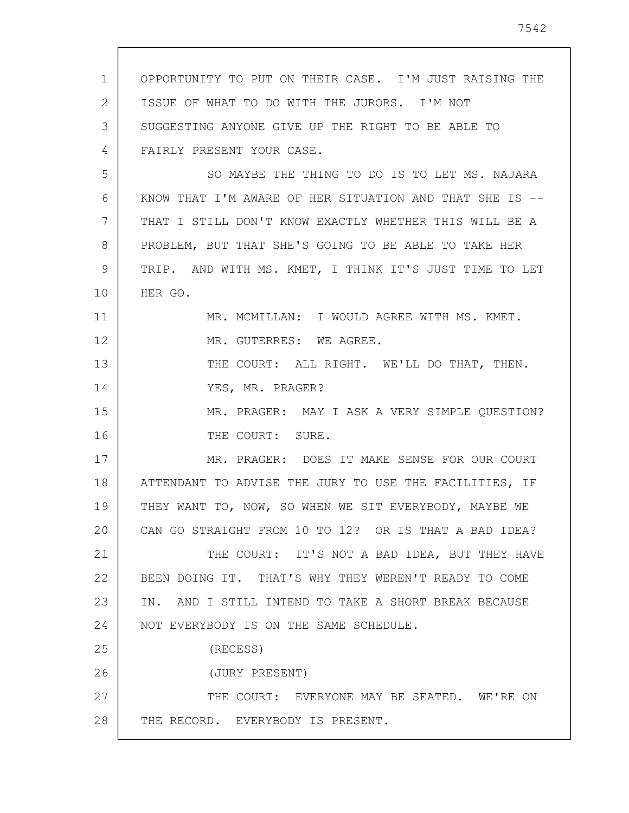| $\mathbf{1}$ | OPPORTUNITY TO PUT ON THEIR CASE. I'M JUST RAISING THE  |
|--------------|---------------------------------------------------------|
| 2            | ISSUE OF WHAT TO DO WITH THE JURORS. I'M NOT            |
| 3            | SUGGESTING ANYONE GIVE UP THE RIGHT TO BE ABLE TO       |
| 4            | FAIRLY PRESENT YOUR CASE.                               |
| 5            | SO MAYBE THE THING TO DO IS TO LET MS. NAJARA           |
| 6            | KNOW THAT I'M AWARE OF HER SITUATION AND THAT SHE IS -- |
| 7            | THAT I STILL DON'T KNOW EXACTLY WHETHER THIS WILL BE A  |
| 8            | PROBLEM, BUT THAT SHE'S GOING TO BE ABLE TO TAKE HER    |
| 9            | TRIP. AND WITH MS. KMET, I THINK IT'S JUST TIME TO LET  |
| 10           | HER GO.                                                 |
| 11           | MR. MCMILLAN: I WOULD AGREE WITH MS. KMET.              |
| 12           | MR. GUTERRES: WE AGREE.                                 |
| 13           | THE COURT: ALL RIGHT. WE'LL DO THAT, THEN.              |
| 14           | YES, MR. PRAGER?                                        |
| 15           | MR. PRAGER: MAY I ASK A VERY SIMPLE QUESTION?           |
| 16           | THE COURT: SURE.                                        |
| 17           | MR. PRAGER: DOES IT MAKE SENSE FOR OUR COURT            |
| 18           | ATTENDANT TO ADVISE THE JURY TO USE THE FACILITIES, IF  |
| 19           | THEY WANT TO, NOW, SO WHEN WE SIT EVERYBODY, MAYBE WE   |
| 20           | CAN GO STRAIGHT FROM 10 TO 12? OR IS THAT A BAD IDEA?   |
| 21           | THE COURT: IT'S NOT A BAD IDEA, BUT THEY HAVE           |
| 22           | BEEN DOING IT. THAT'S WHY THEY WEREN'T READY TO COME    |
| 23           | IN. AND I STILL INTEND TO TAKE A SHORT BREAK BECAUSE    |
| 24           | NOT EVERYBODY IS ON THE SAME SCHEDULE.                  |
| 25           | (RECESS)                                                |
| 26           | (JURY PRESENT)                                          |
| 27           | THE COURT: EVERYONE MAY BE SEATED. WE'RE ON             |
| 28           | THE RECORD. EVERYBODY IS PRESENT.                       |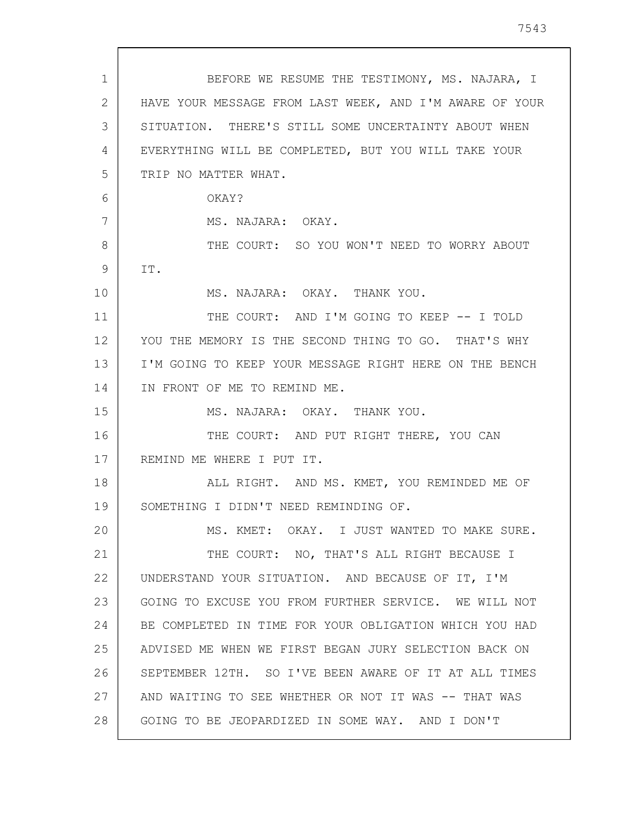| $\mathbf 1$ | BEFORE WE RESUME THE TESTIMONY, MS. NAJARA, I           |
|-------------|---------------------------------------------------------|
| 2           | HAVE YOUR MESSAGE FROM LAST WEEK, AND I'M AWARE OF YOUR |
| 3           | SITUATION. THERE'S STILL SOME UNCERTAINTY ABOUT WHEN    |
| 4           | EVERYTHING WILL BE COMPLETED, BUT YOU WILL TAKE YOUR    |
| 5           | TRIP NO MATTER WHAT.                                    |
| 6           | OKAY?                                                   |
| 7           | MS. NAJARA: OKAY.                                       |
| 8           | THE COURT: SO YOU WON'T NEED TO WORRY ABOUT             |
| 9           | IT.                                                     |
| 10          | MS. NAJARA: OKAY. THANK YOU.                            |
| 11          | THE COURT: AND I'M GOING TO KEEP -- I TOLD              |
| 12          | YOU THE MEMORY IS THE SECOND THING TO GO. THAT'S WHY    |
| 13          | I'M GOING TO KEEP YOUR MESSAGE RIGHT HERE ON THE BENCH  |
| 14          | IN FRONT OF ME TO REMIND ME.                            |
| 15          | MS. NAJARA: OKAY. THANK YOU.                            |
| 16          | THE COURT: AND PUT RIGHT THERE, YOU CAN                 |
| 17          | REMIND ME WHERE I PUT IT.                               |
| 18          | ALL RIGHT. AND MS. KMET, YOU REMINDED ME OF             |
| 19          | SOMETHING I DIDN'T NEED REMINDING OF.                   |
| 20          | MS. KMET: OKAY. I JUST WANTED TO MAKE SURE.             |
| 21          | THE COURT: NO, THAT'S ALL RIGHT BECAUSE I               |
| 22          | UNDERSTAND YOUR SITUATION. AND BECAUSE OF IT, I'M       |
| 23          | GOING TO EXCUSE YOU FROM FURTHER SERVICE. WE WILL NOT   |
| 24          | BE COMPLETED IN TIME FOR YOUR OBLIGATION WHICH YOU HAD  |
| 25          | ADVISED ME WHEN WE FIRST BEGAN JURY SELECTION BACK ON   |
| 26          | SEPTEMBER 12TH. SO I'VE BEEN AWARE OF IT AT ALL TIMES   |
| 27          | AND WAITING TO SEE WHETHER OR NOT IT WAS -- THAT WAS    |
| 28          | GOING TO BE JEOPARDIZED IN SOME WAY. AND I DON'T        |

 $\sqrt{ }$ 

 $\overline{\phantom{a}}$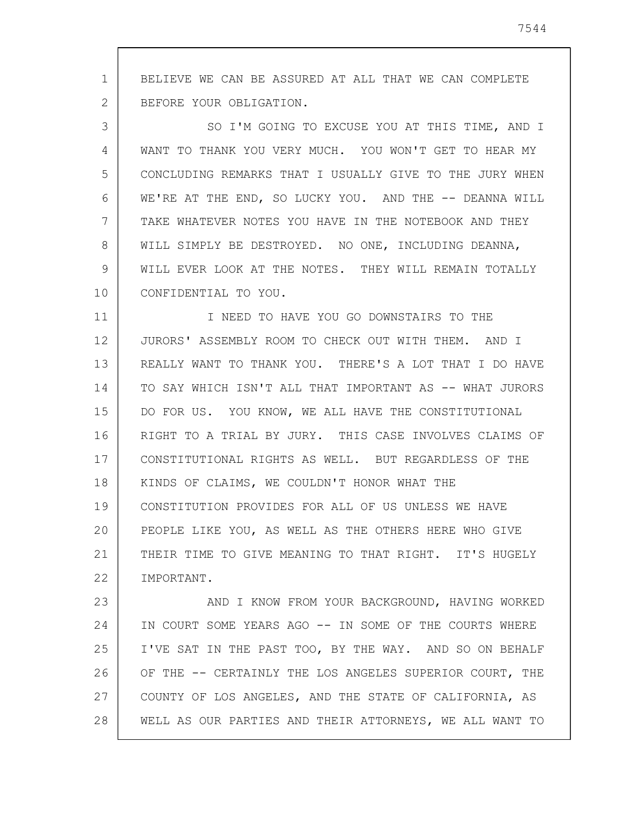1 2 BELIEVE WE CAN BE ASSURED AT ALL THAT WE CAN COMPLETE BEFORE YOUR OBLIGATION.

3 4 5 6 7 8 9 10 SO I'M GOING TO EXCUSE YOU AT THIS TIME, AND I WANT TO THANK YOU VERY MUCH. YOU WON'T GET TO HEAR MY CONCLUDING REMARKS THAT I USUALLY GIVE TO THE JURY WHEN WE'RE AT THE END, SO LUCKY YOU. AND THE -- DEANNA WILL TAKE WHATEVER NOTES YOU HAVE IN THE NOTEBOOK AND THEY WILL SIMPLY BE DESTROYED. NO ONE, INCLUDING DEANNA, WILL EVER LOOK AT THE NOTES. THEY WILL REMAIN TOTALLY CONFIDENTIAL TO YOU.

11 12 13 14 15 16 17 18 19 20 21 22 I NEED TO HAVE YOU GO DOWNSTAIRS TO THE JURORS' ASSEMBLY ROOM TO CHECK OUT WITH THEM. AND I REALLY WANT TO THANK YOU. THERE'S A LOT THAT I DO HAVE TO SAY WHICH ISN'T ALL THAT IMPORTANT AS -- WHAT JURORS DO FOR US. YOU KNOW, WE ALL HAVE THE CONSTITUTIONAL RIGHT TO A TRIAL BY JURY. THIS CASE INVOLVES CLAIMS OF CONSTITUTIONAL RIGHTS AS WELL. BUT REGARDLESS OF THE KINDS OF CLAIMS, WE COULDN'T HONOR WHAT THE CONSTITUTION PROVIDES FOR ALL OF US UNLESS WE HAVE PEOPLE LIKE YOU, AS WELL AS THE OTHERS HERE WHO GIVE THEIR TIME TO GIVE MEANING TO THAT RIGHT. IT'S HUGELY IMPORTANT.

23 24 25 26 27 28 AND I KNOW FROM YOUR BACKGROUND, HAVING WORKED IN COURT SOME YEARS AGO -- IN SOME OF THE COURTS WHERE I'VE SAT IN THE PAST TOO, BY THE WAY. AND SO ON BEHALF OF THE -- CERTAINLY THE LOS ANGELES SUPERIOR COURT, THE COUNTY OF LOS ANGELES, AND THE STATE OF CALIFORNIA, AS WELL AS OUR PARTIES AND THEIR ATTORNEYS, WE ALL WANT TO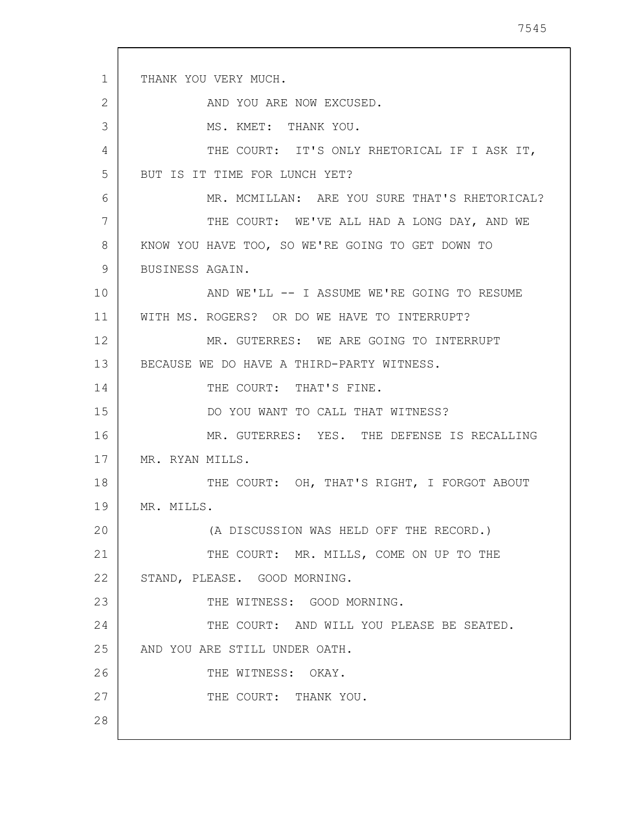1 2 3 4 5 6 7 8 9 10 11 12 13 14 15 16 17 18 19 20 21 22 23 24 25 26 27 28 THANK YOU VERY MUCH. AND YOU ARE NOW EXCUSED. MS. KMET: THANK YOU. THE COURT: IT'S ONLY RHETORICAL IF I ASK IT, BUT IS IT TIME FOR LUNCH YET? MR. MCMILLAN: ARE YOU SURE THAT'S RHETORICAL? THE COURT: WE'VE ALL HAD A LONG DAY, AND WE KNOW YOU HAVE TOO, SO WE'RE GOING TO GET DOWN TO BUSINESS AGAIN. AND WE'LL -- I ASSUME WE'RE GOING TO RESUME WITH MS. ROGERS? OR DO WE HAVE TO INTERRUPT? MR. GUTERRES: WE ARE GOING TO INTERRUPT BECAUSE WE DO HAVE A THIRD-PARTY WITNESS. THE COURT: THAT'S FINE. DO YOU WANT TO CALL THAT WITNESS? MR. GUTERRES: YES. THE DEFENSE IS RECALLING MR. RYAN MILLS. THE COURT: OH, THAT'S RIGHT, I FORGOT ABOUT MR. MILLS. (A DISCUSSION WAS HELD OFF THE RECORD.) THE COURT: MR. MILLS, COME ON UP TO THE STAND, PLEASE. GOOD MORNING. THE WITNESS: GOOD MORNING. THE COURT: AND WILL YOU PLEASE BE SEATED. AND YOU ARE STILL UNDER OATH. THE WITNESS: OKAY. THE COURT: THANK YOU.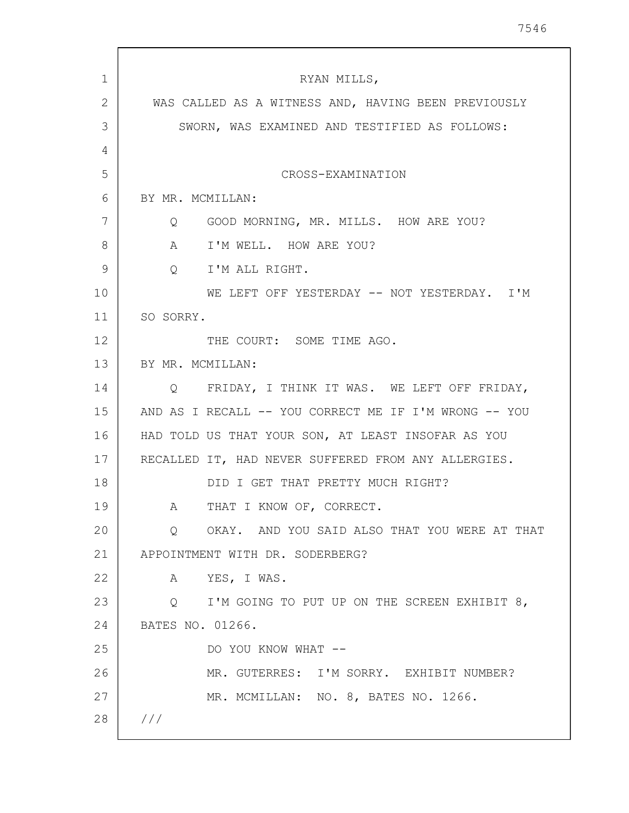| $\mathbf{1}$ | RYAN MILLS,                                           |
|--------------|-------------------------------------------------------|
| 2            | WAS CALLED AS A WITNESS AND, HAVING BEEN PREVIOUSLY   |
| 3            | SWORN, WAS EXAMINED AND TESTIFIED AS FOLLOWS:         |
| 4            |                                                       |
| 5            | CROSS-EXAMINATION                                     |
| 6            | BY MR. MCMILLAN:                                      |
| 7            | GOOD MORNING, MR. MILLS. HOW ARE YOU?<br>Q            |
| 8            | I'M WELL. HOW ARE YOU?<br>A                           |
| 9            | I'M ALL RIGHT.<br>$Q_{\rm c}$                         |
| 10           | WE LEFT OFF YESTERDAY -- NOT YESTERDAY. I'M           |
| 11           | SO SORRY.                                             |
| 12           | THE COURT: SOME TIME AGO.                             |
| 13           | BY MR. MCMILLAN:                                      |
| 14           | Q FRIDAY, I THINK IT WAS. WE LEFT OFF FRIDAY,         |
| 15           | AND AS I RECALL -- YOU CORRECT ME IF I'M WRONG -- YOU |
| 16           | HAD TOLD US THAT YOUR SON, AT LEAST INSOFAR AS YOU    |
| 17           | RECALLED IT, HAD NEVER SUFFERED FROM ANY ALLERGIES.   |
| 18           | DID I GET THAT PRETTY MUCH RIGHT?                     |
| 19           | THAT I KNOW OF, CORRECT.<br>A                         |
| 20           | OKAY. AND YOU SAID ALSO THAT YOU WERE AT THAT<br>Q    |
| 21           | APPOINTMENT WITH DR. SODERBERG?                       |
| 22           | YES, I WAS.<br>A                                      |
| 23           | Q I'M GOING TO PUT UP ON THE SCREEN EXHIBIT 8,        |
| 24           | BATES NO. 01266.                                      |
| 25           | DO YOU KNOW WHAT --                                   |
| 26           | MR. GUTERRES: I'M SORRY. EXHIBIT NUMBER?              |
| 27           | MR. MCMILLAN: NO. 8, BATES NO. 1266.                  |
| 28           | ///                                                   |
|              |                                                       |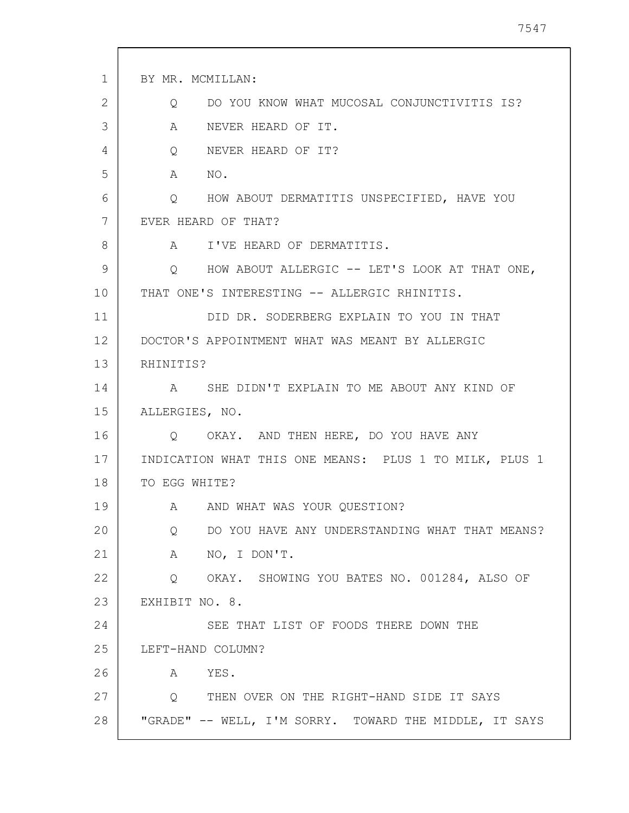| $\mathbf{1}$ | BY MR. MCMILLAN:                                                    |
|--------------|---------------------------------------------------------------------|
| 2            | DO YOU KNOW WHAT MUCOSAL CONJUNCTIVITIS IS?<br>Q                    |
| 3            | A<br>NEVER HEARD OF IT.                                             |
| 4            | NEVER HEARD OF IT?<br>$Q \qquad \qquad$                             |
| 5            | NO.<br>A                                                            |
| 6            | Q HOW ABOUT DERMATITIS UNSPECIFIED, HAVE YOU                        |
| 7            | EVER HEARD OF THAT?                                                 |
| 8            | A I'VE HEARD OF DERMATITIS.                                         |
| 9            | Q HOW ABOUT ALLERGIC -- LET'S LOOK AT THAT ONE,                     |
| 10           | THAT ONE'S INTERESTING -- ALLERGIC RHINITIS.                        |
| 11           | DID DR. SODERBERG EXPLAIN TO YOU IN THAT                            |
| 12           | DOCTOR'S APPOINTMENT WHAT WAS MEANT BY ALLERGIC                     |
| 13           | RHINITIS?                                                           |
| 14           | A SHE DIDN'T EXPLAIN TO ME ABOUT ANY KIND OF                        |
| 15           | ALLERGIES, NO.                                                      |
| 16           | Q OKAY. AND THEN HERE, DO YOU HAVE ANY                              |
| 17           | INDICATION WHAT THIS ONE MEANS: PLUS 1 TO MILK, PLUS 1              |
| 18           | TO EGG WHITE?                                                       |
| 19           | AND WHAT WAS YOUR QUESTION?<br>$\mathbb A$                          |
| 20           | DO YOU HAVE ANY UNDERSTANDING WHAT THAT MEANS?<br>$Q \qquad \qquad$ |
| 21           | NO, I DON'T.<br>$\mathbf{A}$                                        |
| 22           | Q OKAY. SHOWING YOU BATES NO. 001284, ALSO OF                       |
| 23           | EXHIBIT NO. 8.                                                      |
| 24           | SEE THAT LIST OF FOODS THERE DOWN THE                               |
| 25           | LEFT-HAND COLUMN?                                                   |
| 26           | YES.<br>$\mathbb A$                                                 |
| 27           | Q THEN OVER ON THE RIGHT-HAND SIDE IT SAYS                          |
| 28           | "GRADE" -- WELL, I'M SORRY. TOWARD THE MIDDLE, IT SAYS              |

 $\overline{\phantom{a}}$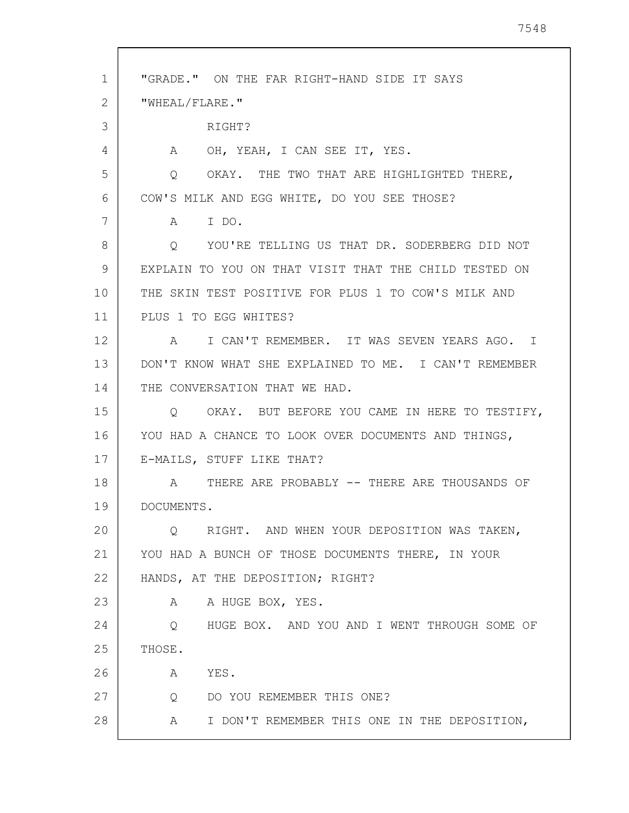| $\mathbf{1}$ | "GRADE." ON THE FAR RIGHT-HAND SIDE IT SAYS                |
|--------------|------------------------------------------------------------|
| 2            | "WHEAL/FLARE."                                             |
| 3            | RIGHT?                                                     |
| 4            | OH, YEAH, I CAN SEE IT, YES.<br>A                          |
| 5            | OKAY. THE TWO THAT ARE HIGHLIGHTED THERE,<br>Q             |
| 6            | COW'S MILK AND EGG WHITE, DO YOU SEE THOSE?                |
| 7            | I DO.<br>A                                                 |
| 8            | YOU'RE TELLING US THAT DR. SODERBERG DID NOT<br>Q          |
| 9            | EXPLAIN TO YOU ON THAT VISIT THAT THE CHILD TESTED ON      |
| 10           | THE SKIN TEST POSITIVE FOR PLUS 1 TO COW'S MILK AND        |
| 11           | PLUS 1 TO EGG WHITES?                                      |
| 12           | I CAN'T REMEMBER. IT WAS SEVEN YEARS AGO. I<br>$\mathsf A$ |
| 13           | DON'T KNOW WHAT SHE EXPLAINED TO ME. I CAN'T REMEMBER      |
| 14           | THE CONVERSATION THAT WE HAD.                              |
| 15           | OKAY. BUT BEFORE YOU CAME IN HERE TO TESTIFY,<br>O         |
| 16           | YOU HAD A CHANCE TO LOOK OVER DOCUMENTS AND THINGS,        |
| 17           | E-MAILS, STUFF LIKE THAT?                                  |
| 18           | THERE ARE PROBABLY -- THERE ARE THOUSANDS OF<br>A          |
| 19           | DOCUMENTS.                                                 |
| 20           | Q RIGHT. AND WHEN YOUR DEPOSITION WAS TAKEN,               |
| 21           | YOU HAD A BUNCH OF THOSE DOCUMENTS THERE, IN YOUR          |
| 22           | HANDS, AT THE DEPOSITION; RIGHT?                           |
| 23           | A HUGE BOX, YES.<br>A                                      |
| 24           | HUGE BOX. AND YOU AND I WENT THROUGH SOME OF<br>Q          |
| 25           | THOSE.                                                     |
| 26           | A<br>YES.                                                  |
| 27           | DO YOU REMEMBER THIS ONE?<br>$Q \qquad \qquad$             |
| 28           | I DON'T REMEMBER THIS ONE IN THE DEPOSITION,<br>A          |
|              |                                                            |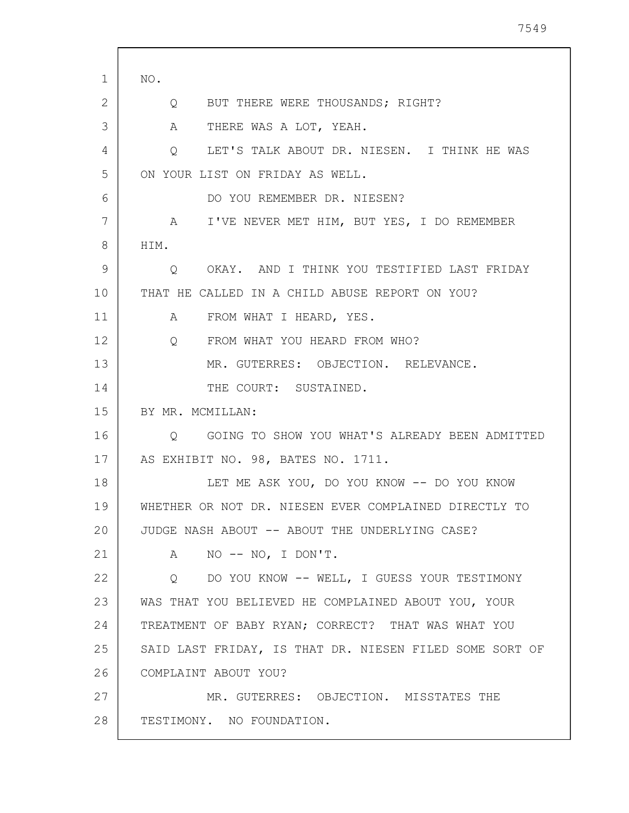| 1               | NO.                                                           |
|-----------------|---------------------------------------------------------------|
| 2               | BUT THERE WERE THOUSANDS; RIGHT?<br>$Q \qquad \qquad$         |
| 3               | THERE WAS A LOT, YEAH.<br>A                                   |
| 4               | LET'S TALK ABOUT DR. NIESEN. I THINK HE WAS<br>$\overline{Q}$ |
| 5               | ON YOUR LIST ON FRIDAY AS WELL.                               |
| 6               | DO YOU REMEMBER DR. NIESEN?                                   |
| 7               | A I'VE NEVER MET HIM, BUT YES, I DO REMEMBER                  |
| 8               | HIM.                                                          |
| 9               | O OKAY. AND I THINK YOU TESTIFIED LAST FRIDAY                 |
| 10 <sub>o</sub> | THAT HE CALLED IN A CHILD ABUSE REPORT ON YOU?                |
| 11              | A FROM WHAT I HEARD, YES.                                     |
| 12              | FROM WHAT YOU HEARD FROM WHO?<br>$Q_{\rm c}$                  |
| 13              | MR. GUTERRES: OBJECTION. RELEVANCE.                           |
| 14              | THE COURT: SUSTAINED.                                         |
| 15              | BY MR. MCMILLAN:                                              |
| 16              | Q GOING TO SHOW YOU WHAT'S ALREADY BEEN ADMITTED              |
| 17              | AS EXHIBIT NO. 98, BATES NO. 1711.                            |
| 18              | LET ME ASK YOU, DO YOU KNOW -- DO YOU KNOW                    |
| 19              | WHETHER OR NOT DR. NIESEN EVER COMPLAINED DIRECTLY TO         |
| 20              | JUDGE NASH ABOUT -- ABOUT THE UNDERLYING CASE?                |
| 21              | NO $--$ NO, I DON'T.<br>A                                     |
| 22              | O DO YOU KNOW -- WELL, I GUESS YOUR TESTIMONY                 |
| 23              | WAS THAT YOU BELIEVED HE COMPLAINED ABOUT YOU, YOUR           |
| 24              | TREATMENT OF BABY RYAN; CORRECT? THAT WAS WHAT YOU            |
| 25              | SAID LAST FRIDAY, IS THAT DR. NIESEN FILED SOME SORT OF       |
| 26              | COMPLAINT ABOUT YOU?                                          |
| 27              | MR. GUTERRES: OBJECTION. MISSTATES THE                        |
| 28              | TESTIMONY. NO FOUNDATION.                                     |
|                 |                                                               |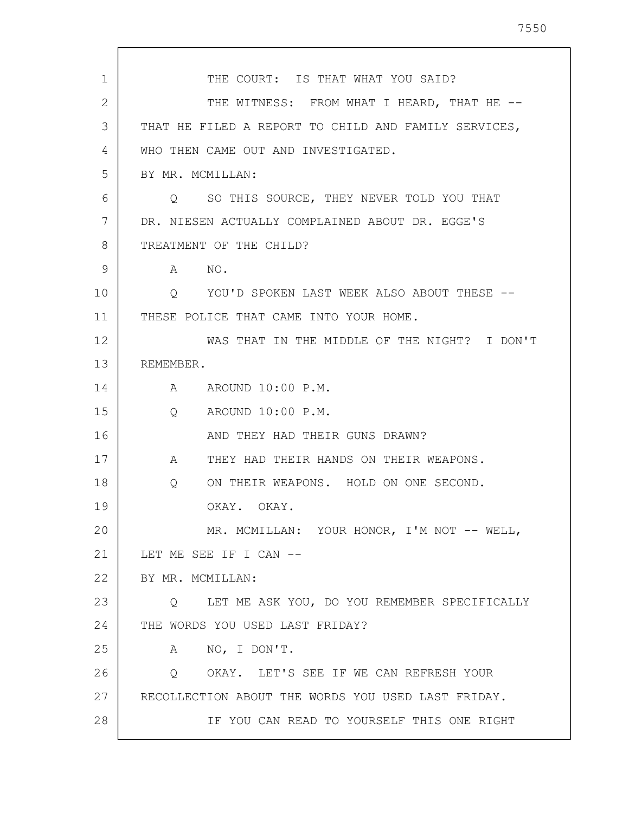1 2 3 4 5 6 7 8 9 10 11 12 13 14 15 16 17 18 19 20 21 22 23 24 25 26 27 28 THE COURT: IS THAT WHAT YOU SAID? THE WITNESS: FROM WHAT I HEARD, THAT HE --THAT HE FILED A REPORT TO CHILD AND FAMILY SERVICES, WHO THEN CAME OUT AND INVESTIGATED. BY MR. MCMILLAN: Q SO THIS SOURCE, THEY NEVER TOLD YOU THAT DR. NIESEN ACTUALLY COMPLAINED ABOUT DR. EGGE'S TREATMENT OF THE CHILD? A NO. Q YOU'D SPOKEN LAST WEEK ALSO ABOUT THESE -- THESE POLICE THAT CAME INTO YOUR HOME. WAS THAT IN THE MIDDLE OF THE NIGHT? I DON'T REMEMBER. A AROUND 10:00 P.M. Q AROUND 10:00 P.M. AND THEY HAD THEIR GUNS DRAWN? A THEY HAD THEIR HANDS ON THEIR WEAPONS. Q ON THEIR WEAPONS. HOLD ON ONE SECOND. OKAY. OKAY. MR. MCMILLAN: YOUR HONOR, I'M NOT -- WELL, LET ME SEE IF I CAN --BY MR. MCMILLAN: Q LET ME ASK YOU, DO YOU REMEMBER SPECIFICALLY THE WORDS YOU USED LAST FRIDAY? A NO, I DON'T. Q OKAY. LET'S SEE IF WE CAN REFRESH YOUR RECOLLECTION ABOUT THE WORDS YOU USED LAST FRIDAY. IF YOU CAN READ TO YOURSELF THIS ONE RIGHT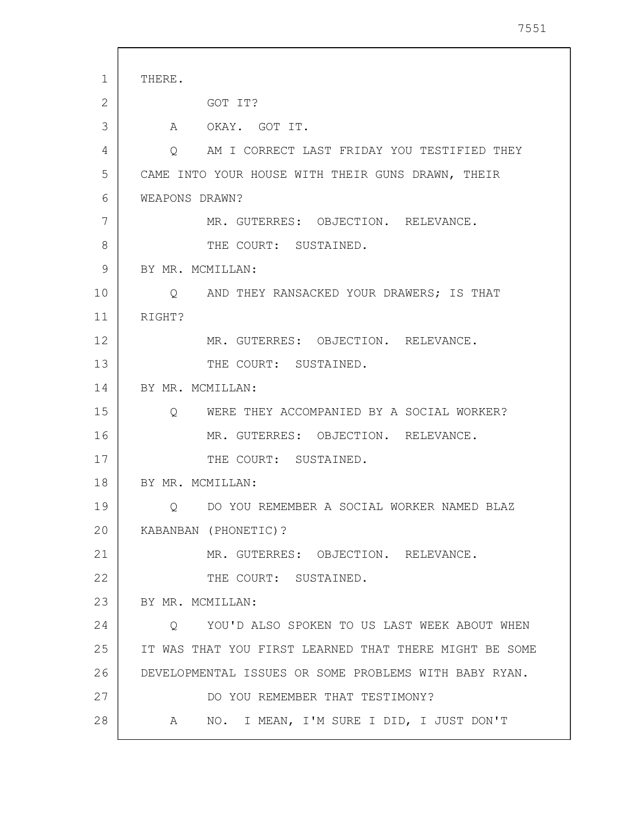1 2 3 4 5 6 7 8 9 10 11 12 13 14 15 16 17 18 19 20 21 22 23 24 25 26 27 28 THERE. GOT IT? A OKAY. GOT IT. Q AM I CORRECT LAST FRIDAY YOU TESTIFIED THEY CAME INTO YOUR HOUSE WITH THEIR GUNS DRAWN, THEIR WEAPONS DRAWN? MR. GUTERRES: OBJECTION. RELEVANCE. THE COURT: SUSTAINED. BY MR. MCMILLAN: Q AND THEY RANSACKED YOUR DRAWERS; IS THAT RIGHT? MR. GUTERRES: OBJECTION. RELEVANCE. THE COURT: SUSTAINED. BY MR. MCMILLAN: Q WERE THEY ACCOMPANIED BY A SOCIAL WORKER? MR. GUTERRES: OBJECTION. RELEVANCE. THE COURT: SUSTAINED. BY MR. MCMILLAN: Q DO YOU REMEMBER A SOCIAL WORKER NAMED BLAZ KABANBAN (PHONETIC)? MR. GUTERRES: OBJECTION. RELEVANCE. THE COURT: SUSTAINED. BY MR. MCMILLAN: Q YOU'D ALSO SPOKEN TO US LAST WEEK ABOUT WHEN IT WAS THAT YOU FIRST LEARNED THAT THERE MIGHT BE SOME DEVELOPMENTAL ISSUES OR SOME PROBLEMS WITH BABY RYAN. DO YOU REMEMBER THAT TESTIMONY? A NO. I MEAN, I'M SURE I DID, I JUST DON'T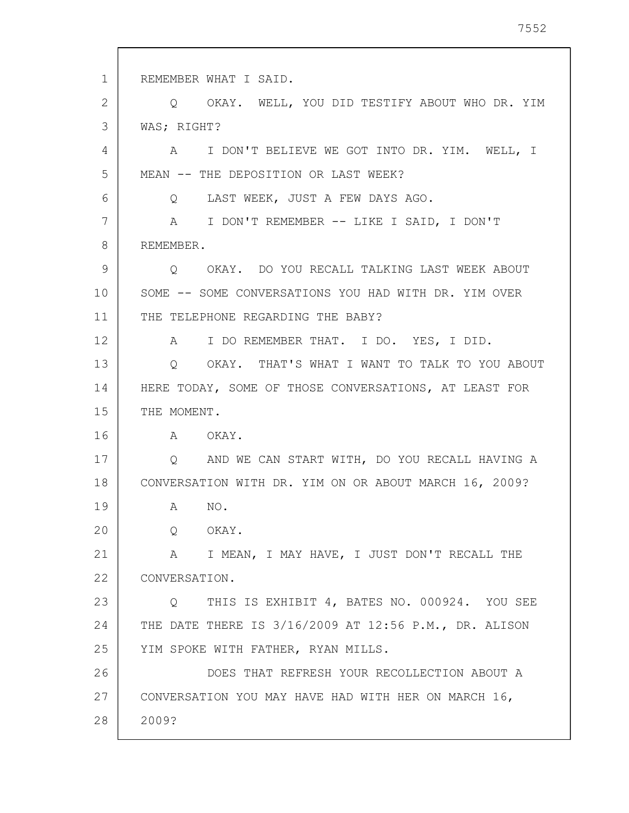1 2 3 4 5 6 7 8 9 10 11 12 13 14 15 16 17 18 19 20 21 22 23 24 25 26 27 28 REMEMBER WHAT I SAID. Q OKAY. WELL, YOU DID TESTIFY ABOUT WHO DR. YIM WAS; RIGHT? A I DON'T BELIEVE WE GOT INTO DR. YIM. WELL, I MEAN -- THE DEPOSITION OR LAST WEEK? Q LAST WEEK, JUST A FEW DAYS AGO. A I DON'T REMEMBER -- LIKE I SAID, I DON'T REMEMBER. Q OKAY. DO YOU RECALL TALKING LAST WEEK ABOUT SOME -- SOME CONVERSATIONS YOU HAD WITH DR. YIM OVER THE TELEPHONE REGARDING THE BABY? A I DO REMEMBER THAT. I DO. YES, I DID. Q OKAY. THAT'S WHAT I WANT TO TALK TO YOU ABOUT HERE TODAY, SOME OF THOSE CONVERSATIONS, AT LEAST FOR THE MOMENT. A OKAY. Q AND WE CAN START WITH, DO YOU RECALL HAVING A CONVERSATION WITH DR. YIM ON OR ABOUT MARCH 16, 2009? A NO. Q OKAY. A I MEAN, I MAY HAVE, I JUST DON'T RECALL THE CONVERSATION. Q THIS IS EXHIBIT 4, BATES NO. 000924. YOU SEE THE DATE THERE IS 3/16/2009 AT 12:56 P.M., DR. ALISON YIM SPOKE WITH FATHER, RYAN MILLS. DOES THAT REFRESH YOUR RECOLLECTION ABOUT A CONVERSATION YOU MAY HAVE HAD WITH HER ON MARCH 16, 2009?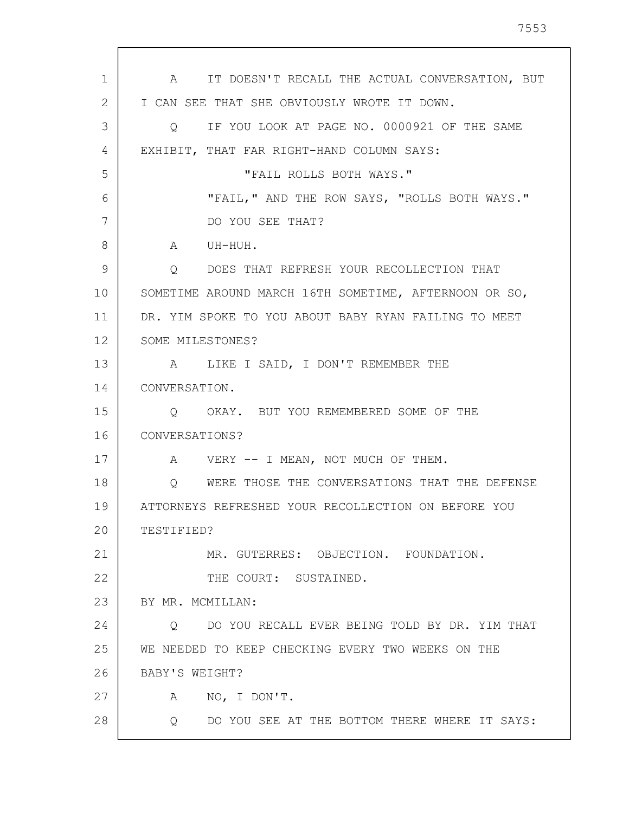1 2 3 4 5 6 7 8 9 10 11 12 13 14 15 16 17 18 19 20 21 22 23 24 25 26 27 28 A IT DOESN'T RECALL THE ACTUAL CONVERSATION, BUT I CAN SEE THAT SHE OBVIOUSLY WROTE IT DOWN. Q IF YOU LOOK AT PAGE NO. 0000921 OF THE SAME EXHIBIT, THAT FAR RIGHT-HAND COLUMN SAYS: "FAIL ROLLS BOTH WAYS." "FAIL," AND THE ROW SAYS, "ROLLS BOTH WAYS." DO YOU SEE THAT? A UH-HUH. Q DOES THAT REFRESH YOUR RECOLLECTION THAT SOMETIME AROUND MARCH 16TH SOMETIME, AFTERNOON OR SO, DR. YIM SPOKE TO YOU ABOUT BABY RYAN FAILING TO MEET SOME MILESTONES? A LIKE I SAID, I DON'T REMEMBER THE CONVERSATION. Q OKAY. BUT YOU REMEMBERED SOME OF THE CONVERSATIONS? A VERY -- I MEAN, NOT MUCH OF THEM. Q WERE THOSE THE CONVERSATIONS THAT THE DEFENSE ATTORNEYS REFRESHED YOUR RECOLLECTION ON BEFORE YOU TESTIFIED? MR. GUTERRES: OBJECTION. FOUNDATION. THE COURT: SUSTAINED. BY MR. MCMILLAN: Q DO YOU RECALL EVER BEING TOLD BY DR. YIM THAT WE NEEDED TO KEEP CHECKING EVERY TWO WEEKS ON THE BABY'S WEIGHT? A NO, I DON'T. Q DO YOU SEE AT THE BOTTOM THERE WHERE IT SAYS:

7553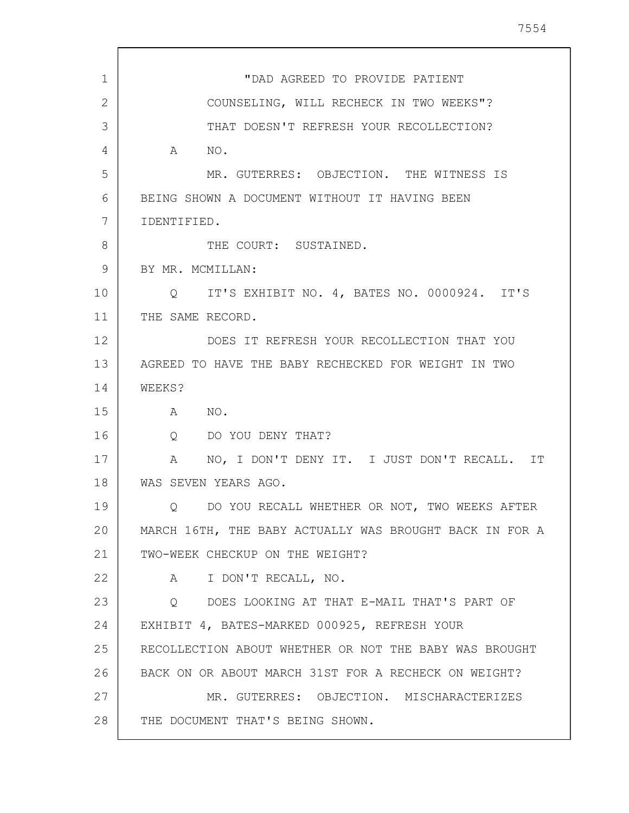| $\mathbf{1}$ | "DAD AGREED TO PROVIDE PATIENT                          |
|--------------|---------------------------------------------------------|
| 2            | COUNSELING, WILL RECHECK IN TWO WEEKS"?                 |
| 3            | THAT DOESN'T REFRESH YOUR RECOLLECTION?                 |
| 4            | A NO.                                                   |
| 5            | MR. GUTERRES: OBJECTION. THE WITNESS IS                 |
| 6            | BEING SHOWN A DOCUMENT WITHOUT IT HAVING BEEN           |
| 7            | IDENTIFIED.                                             |
| 8            | THE COURT: SUSTAINED.                                   |
| 9            | BY MR. MCMILLAN:                                        |
| 10           | Q IT'S EXHIBIT NO. 4, BATES NO. 0000924. IT'S           |
| 11           | THE SAME RECORD.                                        |
| 12           | DOES IT REFRESH YOUR RECOLLECTION THAT YOU              |
| 13           | AGREED TO HAVE THE BABY RECHECKED FOR WEIGHT IN TWO     |
| 14           | WEEKS?                                                  |
| 15           | A NO.                                                   |
| 16           | Q DO YOU DENY THAT?                                     |
| 17           | A NO, I DON'T DENY IT. I JUST DON'T RECALL. IT          |
| 18           | WAS SEVEN YEARS AGO.                                    |
| 19           | DO YOU RECALL WHETHER OR NOT, TWO WEEKS AFTER<br>Q      |
| 20           | MARCH 16TH, THE BABY ACTUALLY WAS BROUGHT BACK IN FOR A |
| 21           | TWO-WEEK CHECKUP ON THE WEIGHT?                         |
| 22           | A I DON'T RECALL, NO.                                   |
| 23           | O DOES LOOKING AT THAT E-MAIL THAT'S PART OF            |
| 24           | EXHIBIT 4, BATES-MARKED 000925, REFRESH YOUR            |
| 25           | RECOLLECTION ABOUT WHETHER OR NOT THE BABY WAS BROUGHT  |
| 26           | BACK ON OR ABOUT MARCH 31ST FOR A RECHECK ON WEIGHT?    |
| 27           | MR. GUTERRES: OBJECTION. MISCHARACTERIZES               |
| 28           | THE DOCUMENT THAT'S BEING SHOWN.                        |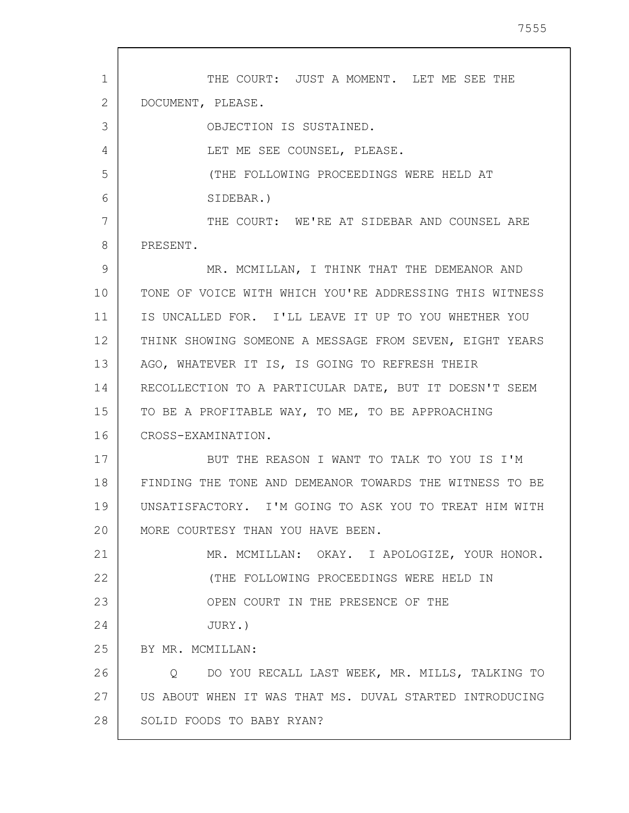1 2 3 4 5 6 7 8 9 10 11 12 13 14 15 16 17 18 19 20 21 22 23 24 25 26 27 28 THE COURT: JUST A MOMENT. LET ME SEE THE DOCUMENT, PLEASE. OBJECTION IS SUSTAINED. LET ME SEE COUNSEL, PLEASE. (THE FOLLOWING PROCEEDINGS WERE HELD AT SIDEBAR.) THE COURT: WE'RE AT SIDEBAR AND COUNSEL ARE PRESENT. MR. MCMILLAN, I THINK THAT THE DEMEANOR AND TONE OF VOICE WITH WHICH YOU'RE ADDRESSING THIS WITNESS IS UNCALLED FOR. I'LL LEAVE IT UP TO YOU WHETHER YOU THINK SHOWING SOMEONE A MESSAGE FROM SEVEN, EIGHT YEARS AGO, WHATEVER IT IS, IS GOING TO REFRESH THEIR RECOLLECTION TO A PARTICULAR DATE, BUT IT DOESN'T SEEM TO BE A PROFITABLE WAY, TO ME, TO BE APPROACHING CROSS-EXAMINATION. BUT THE REASON I WANT TO TALK TO YOU IS I'M FINDING THE TONE AND DEMEANOR TOWARDS THE WITNESS TO BE UNSATISFACTORY. I'M GOING TO ASK YOU TO TREAT HIM WITH MORE COURTESY THAN YOU HAVE BEEN. MR. MCMILLAN: OKAY. I APOLOGIZE, YOUR HONOR. (THE FOLLOWING PROCEEDINGS WERE HELD IN OPEN COURT IN THE PRESENCE OF THE JURY.) BY MR. MCMILLAN: Q DO YOU RECALL LAST WEEK, MR. MILLS, TALKING TO US ABOUT WHEN IT WAS THAT MS. DUVAL STARTED INTRODUCING SOLID FOODS TO BABY RYAN?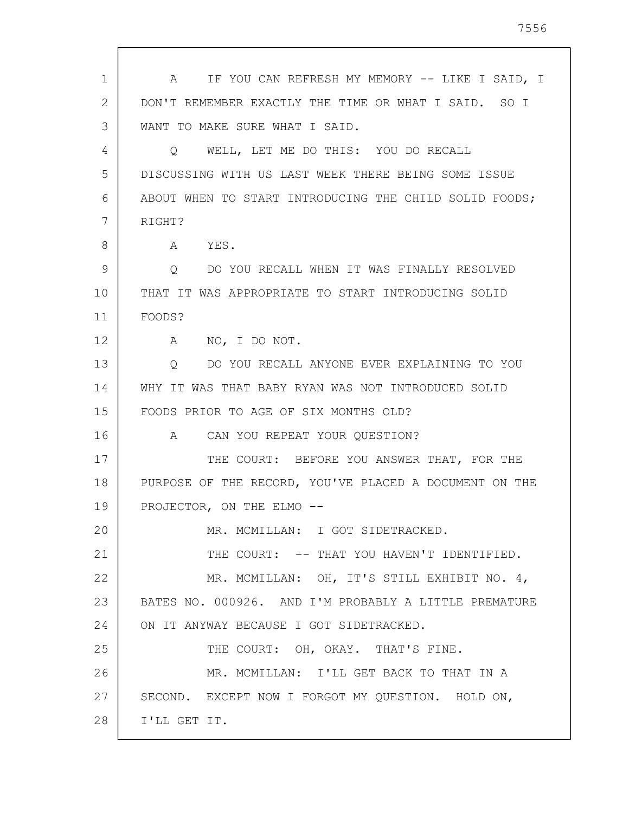| 1  | A IF YOU CAN REFRESH MY MEMORY -- LIKE I SAID, I       |
|----|--------------------------------------------------------|
| 2  | DON'T REMEMBER EXACTLY THE TIME OR WHAT I SAID. SO I   |
| 3  | WANT TO MAKE SURE WHAT I SAID.                         |
| 4  | WELL, LET ME DO THIS: YOU DO RECALL<br>Q               |
| 5  | DISCUSSING WITH US LAST WEEK THERE BEING SOME ISSUE    |
| 6  | ABOUT WHEN TO START INTRODUCING THE CHILD SOLID FOODS; |
| 7  | RIGHT?                                                 |
| 8  | YES.<br>A                                              |
| 9  | DO YOU RECALL WHEN IT WAS FINALLY RESOLVED<br>Q        |
| 10 | THAT IT WAS APPROPRIATE TO START INTRODUCING SOLID     |
| 11 | FOODS?                                                 |
| 12 | NO, I DO NOT.<br>A                                     |
| 13 | DO YOU RECALL ANYONE EVER EXPLAINING TO YOU<br>0       |
| 14 | WHY IT WAS THAT BABY RYAN WAS NOT INTRODUCED SOLID     |
| 15 | FOODS PRIOR TO AGE OF SIX MONTHS OLD?                  |
| 16 | CAN YOU REPEAT YOUR QUESTION?<br>A                     |
| 17 | THE COURT: BEFORE YOU ANSWER THAT, FOR THE             |
| 18 | PURPOSE OF THE RECORD, YOU'VE PLACED A DOCUMENT ON THE |
| 19 | PROJECTOR, ON THE ELMO --                              |
| 20 | MR. MCMILLAN: I GOT SIDETRACKED.                       |
| 21 | THE COURT: -- THAT YOU HAVEN'T IDENTIFIED.             |
| 22 | MR. MCMILLAN: OH, IT'S STILL EXHIBIT NO. 4,            |
| 23 | BATES NO. 000926. AND I'M PROBABLY A LITTLE PREMATURE  |
| 24 | ON IT ANYWAY BECAUSE I GOT SIDETRACKED.                |
| 25 | THE COURT: OH, OKAY. THAT'S FINE.                      |
| 26 | MR. MCMILLAN: I'LL GET BACK TO THAT IN A               |
| 27 | SECOND. EXCEPT NOW I FORGOT MY QUESTION. HOLD ON,      |
| 28 | I'LL GET IT.                                           |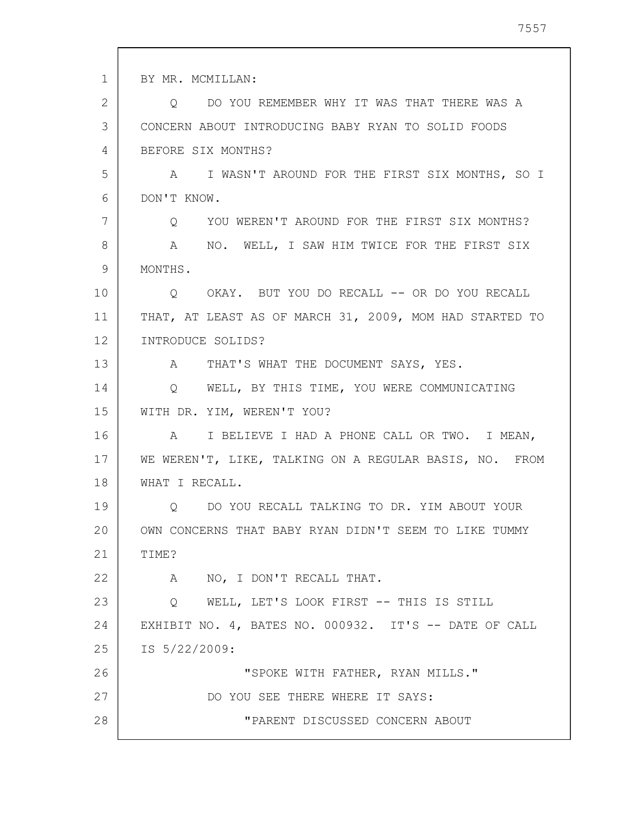1 2 3 4 5 6 7 8 9 10 11 12 13 14 15 16 17 18 19 20 21 22 23 24 25 26 27 28 BY MR. MCMILLAN: Q DO YOU REMEMBER WHY IT WAS THAT THERE WAS A CONCERN ABOUT INTRODUCING BABY RYAN TO SOLID FOODS BEFORE SIX MONTHS? A I WASN'T AROUND FOR THE FIRST SIX MONTHS, SO I DON'T KNOW. Q YOU WEREN'T AROUND FOR THE FIRST SIX MONTHS? A NO. WELL, I SAW HIM TWICE FOR THE FIRST SIX MONTHS. Q OKAY. BUT YOU DO RECALL -- OR DO YOU RECALL THAT, AT LEAST AS OF MARCH 31, 2009, MOM HAD STARTED TO INTRODUCE SOLIDS? A THAT'S WHAT THE DOCUMENT SAYS, YES. Q WELL, BY THIS TIME, YOU WERE COMMUNICATING WITH DR. YIM, WEREN'T YOU? A I BELIEVE I HAD A PHONE CALL OR TWO. I MEAN, WE WEREN'T, LIKE, TALKING ON A REGULAR BASIS, NO. FROM WHAT I RECALL. Q DO YOU RECALL TALKING TO DR. YIM ABOUT YOUR OWN CONCERNS THAT BABY RYAN DIDN'T SEEM TO LIKE TUMMY TIME? A NO, I DON'T RECALL THAT. Q WELL, LET'S LOOK FIRST -- THIS IS STILL EXHIBIT NO. 4, BATES NO. 000932. IT'S -- DATE OF CALL IS 5/22/2009: "SPOKE WITH FATHER, RYAN MILLS." DO YOU SEE THERE WHERE IT SAYS: "PARENT DISCUSSED CONCERN ABOUT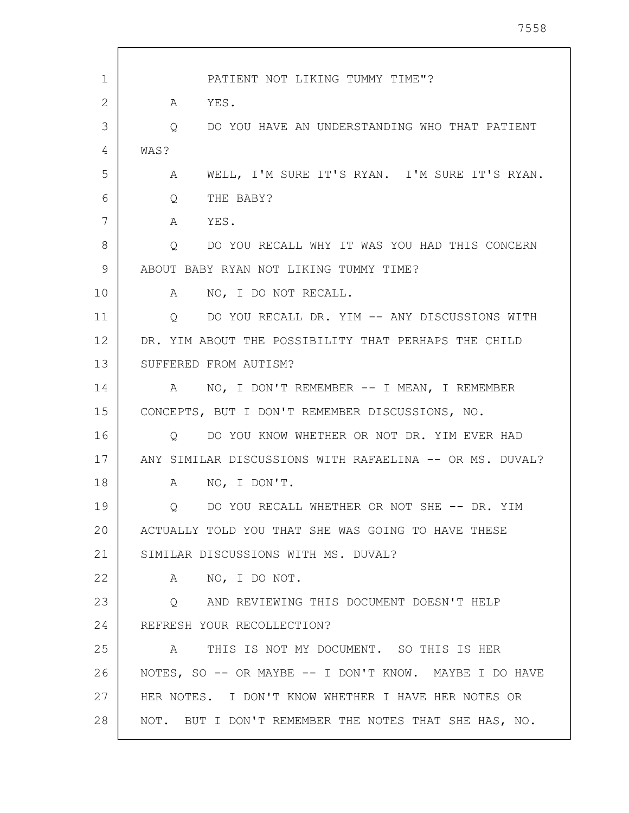| 1  | PATIENT NOT LIKING TUMMY TIME"?                             |
|----|-------------------------------------------------------------|
| 2  | YES.<br>A                                                   |
| 3  | DO YOU HAVE AN UNDERSTANDING WHO THAT PATIENT<br>Q          |
| 4  | WAS?                                                        |
| 5  | WELL, I'M SURE IT'S RYAN. I'M SURE IT'S RYAN.<br>Α          |
| 6  | THE BABY?<br>Q                                              |
| 7  | A<br>YES.                                                   |
| 8  | DO YOU RECALL WHY IT WAS YOU HAD THIS CONCERN<br>$\circ$    |
| 9  | ABOUT BABY RYAN NOT LIKING TUMMY TIME?                      |
| 10 | A NO, I DO NOT RECALL.                                      |
| 11 | Q DO YOU RECALL DR. YIM -- ANY DISCUSSIONS WITH             |
| 12 | DR. YIM ABOUT THE POSSIBILITY THAT PERHAPS THE CHILD        |
| 13 | SUFFERED FROM AUTISM?                                       |
| 14 | NO, I DON'T REMEMBER -- I MEAN, I REMEMBER<br>A             |
| 15 | CONCEPTS, BUT I DON'T REMEMBER DISCUSSIONS, NO.             |
| 16 | Q DO YOU KNOW WHETHER OR NOT DR. YIM EVER HAD               |
| 17 | ANY SIMILAR DISCUSSIONS WITH RAFAELINA -- OR MS. DUVAL?     |
| 18 | NO, I DON'T.<br>A                                           |
| 19 | DO YOU RECALL WHETHER OR NOT SHE -- DR. YIM                 |
| 20 | ACTUALLY TOLD YOU THAT SHE WAS GOING TO HAVE THESE          |
| 21 | SIMILAR DISCUSSIONS WITH MS. DUVAL?                         |
| 22 | NO, I DO NOT.<br>$\mathbb A$                                |
| 23 | Q AND REVIEWING THIS DOCUMENT DOESN'T HELP                  |
| 24 | REFRESH YOUR RECOLLECTION?                                  |
| 25 | THIS IS NOT MY DOCUMENT. SO THIS IS HER<br>$A \quad \alpha$ |
| 26 | NOTES, SO -- OR MAYBE -- I DON'T KNOW. MAYBE I DO HAVE      |
| 27 | HER NOTES. I DON'T KNOW WHETHER I HAVE HER NOTES OR         |
| 28 | NOT. BUT I DON'T REMEMBER THE NOTES THAT SHE HAS, NO.       |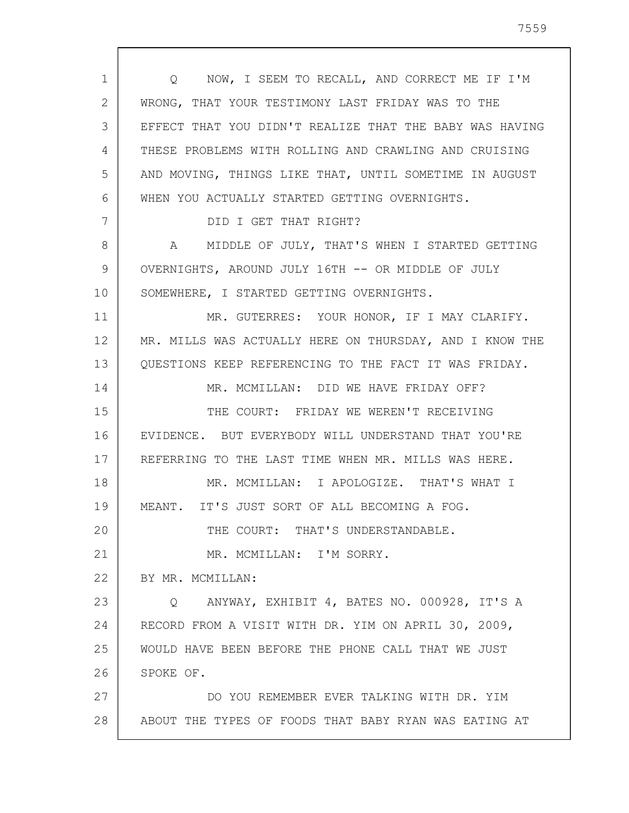1 2 3 4 5 6 7 8 9 10 11 12 13 14 15 16 17 18 19 20 21 22 23 24 25 26 27 28 Q NOW, I SEEM TO RECALL, AND CORRECT ME IF I'M WRONG, THAT YOUR TESTIMONY LAST FRIDAY WAS TO THE EFFECT THAT YOU DIDN'T REALIZE THAT THE BABY WAS HAVING THESE PROBLEMS WITH ROLLING AND CRAWLING AND CRUISING AND MOVING, THINGS LIKE THAT, UNTIL SOMETIME IN AUGUST WHEN YOU ACTUALLY STARTED GETTING OVERNIGHTS. DID I GET THAT RIGHT? A MIDDLE OF JULY, THAT'S WHEN I STARTED GETTING OVERNIGHTS, AROUND JULY 16TH -- OR MIDDLE OF JULY SOMEWHERE, I STARTED GETTING OVERNIGHTS. MR. GUTERRES: YOUR HONOR, IF I MAY CLARIFY. MR. MILLS WAS ACTUALLY HERE ON THURSDAY, AND I KNOW THE QUESTIONS KEEP REFERENCING TO THE FACT IT WAS FRIDAY. MR. MCMILLAN: DID WE HAVE FRIDAY OFF? THE COURT: FRIDAY WE WEREN'T RECEIVING EVIDENCE. BUT EVERYBODY WILL UNDERSTAND THAT YOU'RE REFERRING TO THE LAST TIME WHEN MR. MILLS WAS HERE. MR. MCMILLAN: I APOLOGIZE. THAT'S WHAT I MEANT. IT'S JUST SORT OF ALL BECOMING A FOG. THE COURT: THAT'S UNDERSTANDABLE. MR. MCMILLAN: I'M SORRY. BY MR. MCMILLAN: Q ANYWAY, EXHIBIT 4, BATES NO. 000928, IT'S A RECORD FROM A VISIT WITH DR. YIM ON APRIL 30, 2009, WOULD HAVE BEEN BEFORE THE PHONE CALL THAT WE JUST SPOKE OF. DO YOU REMEMBER EVER TALKING WITH DR. YIM ABOUT THE TYPES OF FOODS THAT BABY RYAN WAS EATING AT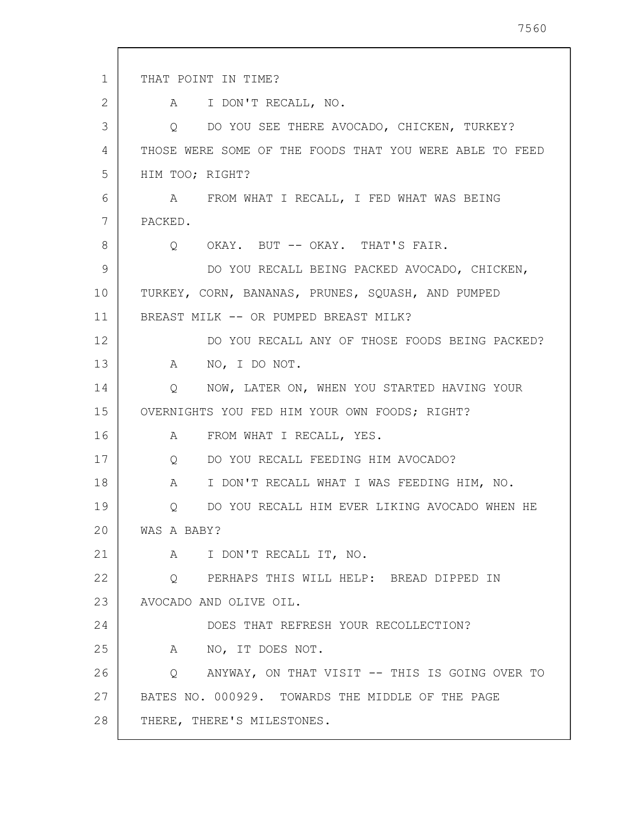1 2 3 4 5 6 7 8 9 10 11 12 13 14 15 16 17 18 19 20 21 22 23 24 25 26 27 28 THAT POINT IN TIME? A I DON'T RECALL, NO. Q DO YOU SEE THERE AVOCADO, CHICKEN, TURKEY? THOSE WERE SOME OF THE FOODS THAT YOU WERE ABLE TO FEED HIM TOO; RIGHT? A FROM WHAT I RECALL, I FED WHAT WAS BEING PACKED. Q OKAY. BUT -- OKAY. THAT'S FAIR. DO YOU RECALL BEING PACKED AVOCADO, CHICKEN, TURKEY, CORN, BANANAS, PRUNES, SQUASH, AND PUMPED BREAST MILK -- OR PUMPED BREAST MILK? DO YOU RECALL ANY OF THOSE FOODS BEING PACKED? A NO, I DO NOT. Q NOW, LATER ON, WHEN YOU STARTED HAVING YOUR OVERNIGHTS YOU FED HIM YOUR OWN FOODS; RIGHT? A FROM WHAT I RECALL, YES. Q DO YOU RECALL FEEDING HIM AVOCADO? A I DON'T RECALL WHAT I WAS FEEDING HIM, NO. Q DO YOU RECALL HIM EVER LIKING AVOCADO WHEN HE WAS A BABY? A I DON'T RECALL IT, NO. Q PERHAPS THIS WILL HELP: BREAD DIPPED IN AVOCADO AND OLIVE OIL. DOES THAT REFRESH YOUR RECOLLECTION? A NO, IT DOES NOT. Q ANYWAY, ON THAT VISIT -- THIS IS GOING OVER TO BATES NO. 000929. TOWARDS THE MIDDLE OF THE PAGE THERE, THERE'S MILESTONES.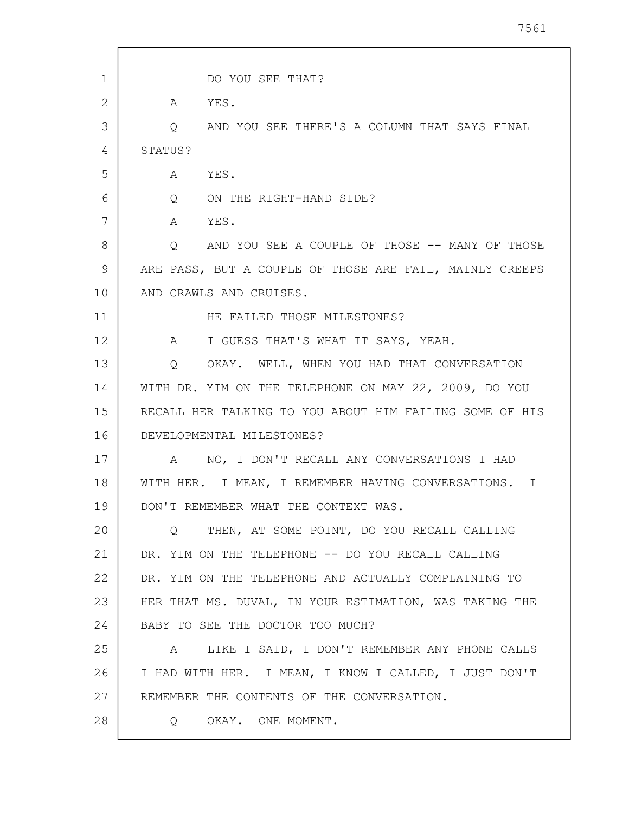| 1  | DO YOU SEE THAT?                                            |
|----|-------------------------------------------------------------|
| 2  | YES.<br>A                                                   |
| 3  | AND YOU SEE THERE'S A COLUMN THAT SAYS FINAL<br>$Q_{\rm c}$ |
| 4  | STATUS?                                                     |
| 5  | YES.<br>A                                                   |
| 6  | $\mathsf{Q}$<br>ON THE RIGHT-HAND SIDE?                     |
| 7  | A<br>YES.                                                   |
| 8  | AND YOU SEE A COUPLE OF THOSE -- MANY OF THOSE<br>$\circ$   |
| 9  | ARE PASS, BUT A COUPLE OF THOSE ARE FAIL, MAINLY CREEPS     |
| 10 | AND CRAWLS AND CRUISES.                                     |
| 11 | HE FAILED THOSE MILESTONES?                                 |
| 12 | I GUESS THAT'S WHAT IT SAYS, YEAH.<br>$\mathbb A$           |
| 13 | OKAY. WELL, WHEN YOU HAD THAT CONVERSATION<br>$\circ$       |
| 14 | WITH DR. YIM ON THE TELEPHONE ON MAY 22, 2009, DO YOU       |
| 15 | RECALL HER TALKING TO YOU ABOUT HIM FAILING SOME OF HIS     |
| 16 | DEVELOPMENTAL MILESTONES?                                   |
| 17 | NO, I DON'T RECALL ANY CONVERSATIONS I HAD<br>A             |
| 18 | WITH HER. I MEAN, I REMEMBER HAVING CONVERSATIONS. I        |
| 19 | DON'T REMEMBER WHAT THE CONTEXT WAS.                        |
| 20 | THEN, AT SOME POINT, DO YOU RECALL CALLING<br>O             |
| 21 | DR. YIM ON THE TELEPHONE -- DO YOU RECALL CALLING           |
| 22 | DR. YIM ON THE TELEPHONE AND ACTUALLY COMPLAINING TO        |
| 23 | HER THAT MS. DUVAL, IN YOUR ESTIMATION, WAS TAKING THE      |
| 24 | BABY TO SEE THE DOCTOR TOO MUCH?                            |
| 25 | LIKE I SAID, I DON'T REMEMBER ANY PHONE CALLS<br>A          |
| 26 | I HAD WITH HER. I MEAN, I KNOW I CALLED, I JUST DON'T       |
| 27 | REMEMBER THE CONTENTS OF THE CONVERSATION.                  |
| 28 | OKAY. ONE MOMENT.<br>Q                                      |
|    |                                                             |

7561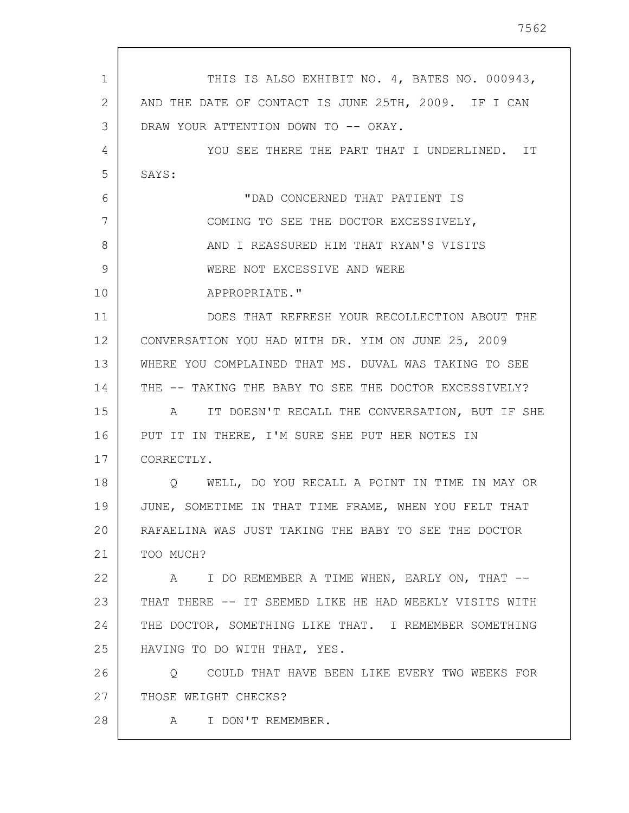| 1  | THIS IS ALSO EXHIBIT NO. 4, BATES NO. 000943,            |
|----|----------------------------------------------------------|
| 2  | AND THE DATE OF CONTACT IS JUNE 25TH, 2009. IF I CAN     |
| 3  | DRAW YOUR ATTENTION DOWN TO -- OKAY.                     |
| 4  | YOU SEE THERE THE PART THAT I UNDERLINED. IT             |
| 5  | SAYS:                                                    |
| 6  | "DAD CONCERNED THAT PATIENT IS                           |
| 7  | COMING TO SEE THE DOCTOR EXCESSIVELY,                    |
| 8  | AND I REASSURED HIM THAT RYAN'S VISITS                   |
| 9  | WERE NOT EXCESSIVE AND WERE                              |
| 10 | APPROPRIATE."                                            |
| 11 | DOES THAT REFRESH YOUR RECOLLECTION ABOUT THE            |
| 12 | CONVERSATION YOU HAD WITH DR. YIM ON JUNE 25, 2009       |
| 13 | WHERE YOU COMPLAINED THAT MS. DUVAL WAS TAKING TO SEE    |
| 14 | THE -- TAKING THE BABY TO SEE THE DOCTOR EXCESSIVELY?    |
| 15 | IT DOESN'T RECALL THE CONVERSATION, BUT IF SHE<br>A      |
| 16 | PUT IT IN THERE, I'M SURE SHE PUT HER NOTES IN           |
| 17 | CORRECTLY.                                               |
| 18 | WELL, DO YOU RECALL A POINT IN TIME IN MAY OR<br>$\circ$ |
| 19 | JUNE, SOMETIME IN THAT TIME FRAME, WHEN YOU FELT THAT    |
| 20 | RAFAELINA WAS JUST TAKING THE BABY TO SEE THE DOCTOR     |
| 21 | TOO MUCH?                                                |
| 22 | A I DO REMEMBER A TIME WHEN, EARLY ON, THAT --           |
| 23 | THAT THERE -- IT SEEMED LIKE HE HAD WEEKLY VISITS WITH   |
| 24 | THE DOCTOR, SOMETHING LIKE THAT. I REMEMBER SOMETHING    |
| 25 | HAVING TO DO WITH THAT, YES.                             |
| 26 | COULD THAT HAVE BEEN LIKE EVERY TWO WEEKS FOR<br>$\circ$ |
| 27 | THOSE WEIGHT CHECKS?                                     |
| 28 | I DON'T REMEMBER.<br>A                                   |
|    |                                                          |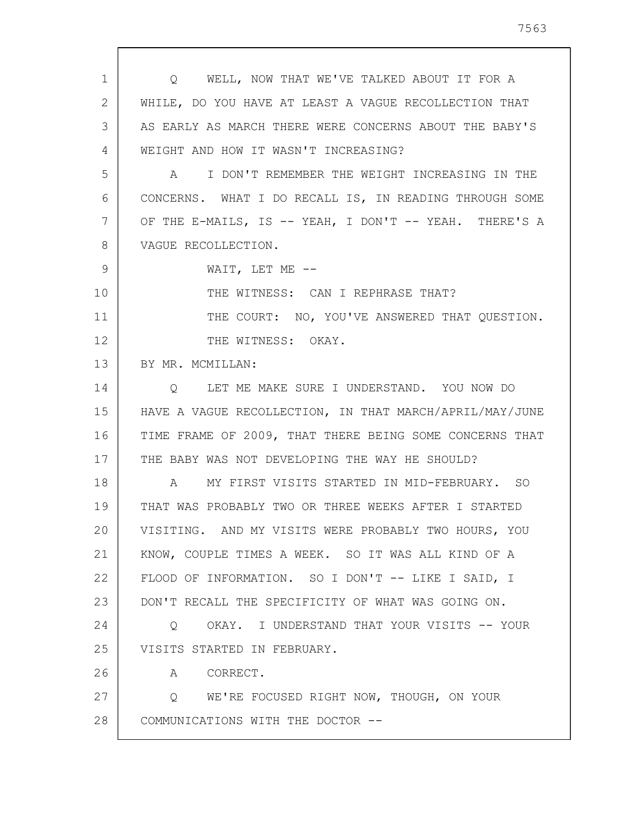1 2 3 4 5 6 7 8 9 10 11 12 13 14 15 16 17 18 19 20 21 22 23 24 25 26 27 28 Q WELL, NOW THAT WE'VE TALKED ABOUT IT FOR A WHILE, DO YOU HAVE AT LEAST A VAGUE RECOLLECTION THAT AS EARLY AS MARCH THERE WERE CONCERNS ABOUT THE BABY'S WEIGHT AND HOW IT WASN'T INCREASING? A I DON'T REMEMBER THE WEIGHT INCREASING IN THE CONCERNS. WHAT I DO RECALL IS, IN READING THROUGH SOME OF THE E-MAILS, IS -- YEAH, I DON'T -- YEAH. THERE'S A VAGUE RECOLLECTION. WAIT, LET ME -- THE WITNESS: CAN I REPHRASE THAT? THE COURT: NO, YOU'VE ANSWERED THAT QUESTION. THE WITNESS: OKAY. BY MR. MCMILLAN: Q LET ME MAKE SURE I UNDERSTAND. YOU NOW DO HAVE A VAGUE RECOLLECTION, IN THAT MARCH/APRIL/MAY/JUNE TIME FRAME OF 2009, THAT THERE BEING SOME CONCERNS THAT THE BABY WAS NOT DEVELOPING THE WAY HE SHOULD? A MY FIRST VISITS STARTED IN MID-FEBRUARY. SO THAT WAS PROBABLY TWO OR THREE WEEKS AFTER I STARTED VISITING. AND MY VISITS WERE PROBABLY TWO HOURS, YOU KNOW, COUPLE TIMES A WEEK. SO IT WAS ALL KIND OF A FLOOD OF INFORMATION. SO I DON'T -- LIKE I SAID, I DON'T RECALL THE SPECIFICITY OF WHAT WAS GOING ON. Q OKAY. I UNDERSTAND THAT YOUR VISITS -- YOUR VISITS STARTED IN FEBRUARY. A CORRECT. Q WE'RE FOCUSED RIGHT NOW, THOUGH, ON YOUR COMMUNICATIONS WITH THE DOCTOR --

7563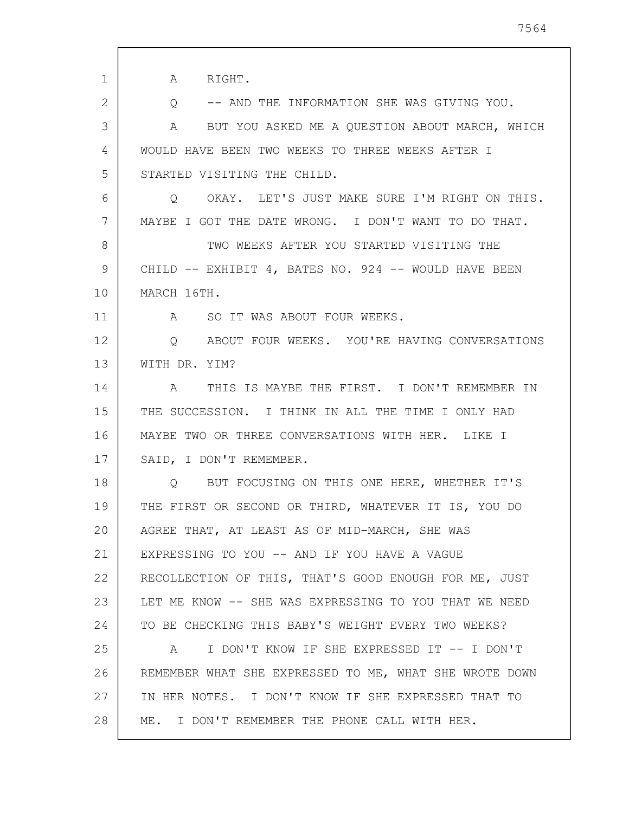| $\mathbf{1}$ | A RIGHT.                                                      |
|--------------|---------------------------------------------------------------|
| 2            | -- AND THE INFORMATION SHE WAS GIVING YOU.<br>Q               |
| 3            | BUT YOU ASKED ME A QUESTION ABOUT MARCH, WHICH<br>$\mathbb A$ |
| 4            | WOULD HAVE BEEN TWO WEEKS TO THREE WEEKS AFTER I              |
| 5            | STARTED VISITING THE CHILD.                                   |
| 6            | OKAY. LET'S JUST MAKE SURE I'M RIGHT ON THIS.<br>$\circ$      |
| 7            | MAYBE I GOT THE DATE WRONG. I DON'T WANT TO DO THAT.          |
| 8            | TWO WEEKS AFTER YOU STARTED VISITING THE                      |
| 9            | CHILD -- EXHIBIT 4, BATES NO. 924 -- WOULD HAVE BEEN          |
| 10           | MARCH 16TH.                                                   |
| 11           | SO IT WAS ABOUT FOUR WEEKS.<br>$\mathbb A$                    |
| 12           | ABOUT FOUR WEEKS. YOU'RE HAVING CONVERSATIONS<br>$\circ$      |
| 13           | WITH DR. YIM?                                                 |
| 14           | THIS IS MAYBE THE FIRST. I DON'T REMEMBER IN<br>A             |
| 15           | THE SUCCESSION. I THINK IN ALL THE TIME I ONLY HAD            |
| 16           | MAYBE TWO OR THREE CONVERSATIONS WITH HER. LIKE I             |
| 17           | SAID, I DON'T REMEMBER.                                       |
| 18           | BUT FOCUSING ON THIS ONE HERE, WHETHER IT'S<br>O              |
| 19           | THE FIRST OR SECOND OR THIRD, WHATEVER IT IS, YOU DO          |
| 20           | AGREE THAT, AT LEAST AS OF MID-MARCH, SHE WAS                 |
| 21           | EXPRESSING TO YOU -- AND IF YOU HAVE A VAGUE                  |
| 22           | RECOLLECTION OF THIS, THAT'S GOOD ENOUGH FOR ME, JUST         |
| 23           | LET ME KNOW -- SHE WAS EXPRESSING TO YOU THAT WE NEED         |
| 24           | TO BE CHECKING THIS BABY'S WEIGHT EVERY TWO WEEKS?            |
| 25           | I DON'T KNOW IF SHE EXPRESSED IT -- I DON'T<br>A              |
| 26           | REMEMBER WHAT SHE EXPRESSED TO ME, WHAT SHE WROTE DOWN        |
| 27           | IN HER NOTES. I DON'T KNOW IF SHE EXPRESSED THAT TO           |
| 28           | ME. I DON'T REMEMBER THE PHONE CALL WITH HER.                 |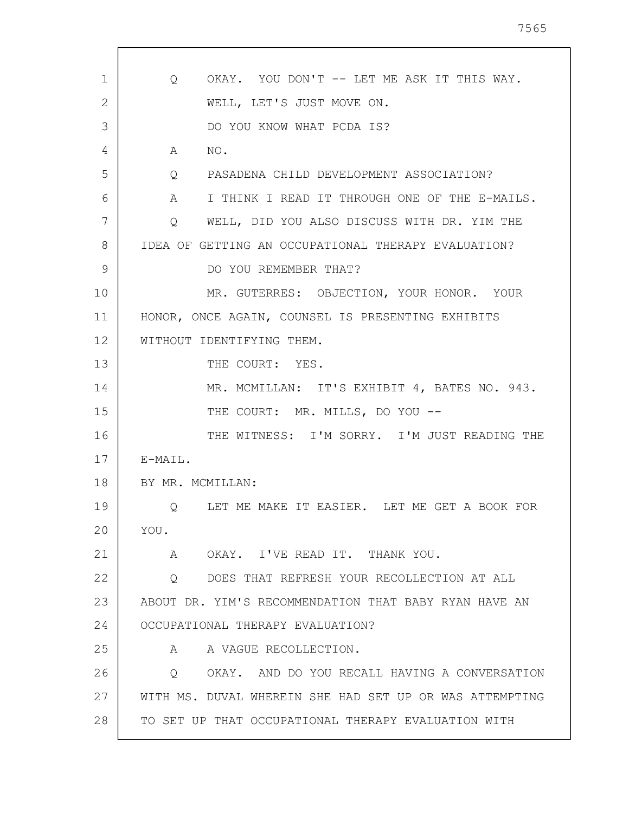| 1  | OKAY. YOU DON'T -- LET ME ASK IT THIS WAY.<br>Q              |
|----|--------------------------------------------------------------|
| 2  | WELL, LET'S JUST MOVE ON.                                    |
| 3  | DO YOU KNOW WHAT PCDA IS?                                    |
| 4  | NO.<br>$\mathbb A$                                           |
| 5  | PASADENA CHILD DEVELOPMENT ASSOCIATION?<br>$Q \qquad \qquad$ |
| 6  | I THINK I READ IT THROUGH ONE OF THE E-MAILS.<br>A           |
| 7  | WELL, DID YOU ALSO DISCUSS WITH DR. YIM THE<br>Q             |
| 8  | IDEA OF GETTING AN OCCUPATIONAL THERAPY EVALUATION?          |
| 9  | DO YOU REMEMBER THAT?                                        |
| 10 | MR. GUTERRES: OBJECTION, YOUR HONOR. YOUR                    |
| 11 | HONOR, ONCE AGAIN, COUNSEL IS PRESENTING EXHIBITS            |
| 12 | WITHOUT IDENTIFYING THEM.                                    |
| 13 | THE COURT: YES.                                              |
| 14 | MR. MCMILLAN: IT'S EXHIBIT 4, BATES NO. 943.                 |
| 15 | THE COURT: MR. MILLS, DO YOU --                              |
| 16 | THE WITNESS: I'M SORRY. I'M JUST READING THE                 |
| 17 | E-MAIL.                                                      |
| 18 | BY MR. MCMILLAN:                                             |
| 19 | Q LET ME MAKE IT EASIER. LET ME GET A BOOK FOR               |
| 20 | YOU.                                                         |
| 21 | OKAY. I'VE READ IT. THANK YOU.<br>A                          |
| 22 | DOES THAT REFRESH YOUR RECOLLECTION AT ALL<br>Q              |
| 23 | ABOUT DR. YIM'S RECOMMENDATION THAT BABY RYAN HAVE AN        |
| 24 | OCCUPATIONAL THERAPY EVALUATION?                             |
| 25 | A VAGUE RECOLLECTION.<br>A                                   |
| 26 | OKAY. AND DO YOU RECALL HAVING A CONVERSATION<br>Q           |
| 27 | WITH MS. DUVAL WHEREIN SHE HAD SET UP OR WAS ATTEMPTING      |
| 28 | TO SET UP THAT OCCUPATIONAL THERAPY EVALUATION WITH          |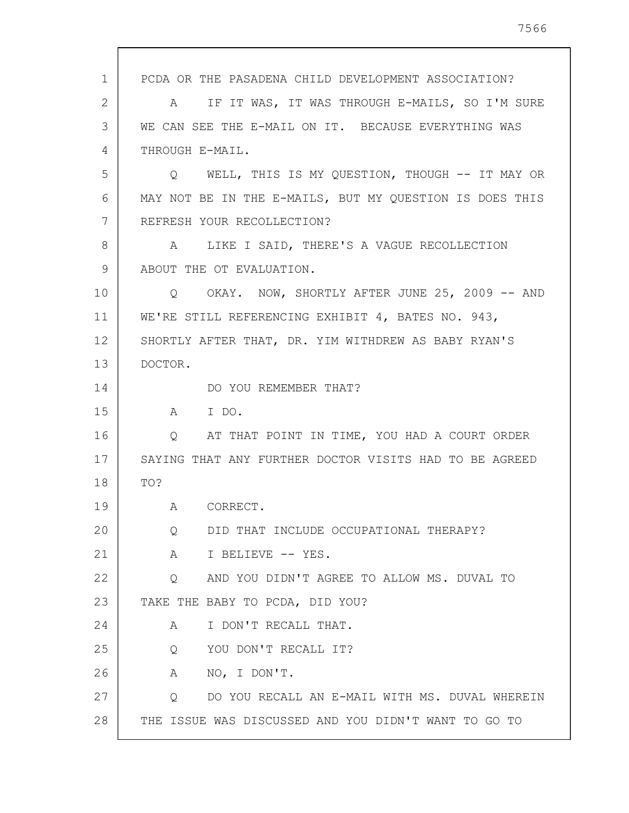1 2 3 4 5 6 7 8 9 10 11 12 13 14 15 16 17 18 19 20 21 22 23 24 25 26 27 28 PCDA OR THE PASADENA CHILD DEVELOPMENT ASSOCIATION? A IF IT WAS, IT WAS THROUGH E-MAILS, SO I'M SURE WE CAN SEE THE E-MAIL ON IT. BECAUSE EVERYTHING WAS THROUGH E-MAIL. Q WELL, THIS IS MY QUESTION, THOUGH -- IT MAY OR MAY NOT BE IN THE E-MAILS, BUT MY QUESTION IS DOES THIS REFRESH YOUR RECOLLECTION? A LIKE I SAID, THERE'S A VAGUE RECOLLECTION ABOUT THE OT EVALUATION. Q OKAY. NOW, SHORTLY AFTER JUNE 25, 2009 -- AND WE'RE STILL REFERENCING EXHIBIT 4, BATES NO. 943, SHORTLY AFTER THAT, DR. YIM WITHDREW AS BABY RYAN'S DOCTOR. DO YOU REMEMBER THAT? A I DO. Q AT THAT POINT IN TIME, YOU HAD A COURT ORDER SAYING THAT ANY FURTHER DOCTOR VISITS HAD TO BE AGREED TO? A CORRECT. Q DID THAT INCLUDE OCCUPATIONAL THERAPY? A I BELIEVE -- YES. Q AND YOU DIDN'T AGREE TO ALLOW MS. DUVAL TO TAKE THE BABY TO PCDA, DID YOU? A I DON'T RECALL THAT. Q YOU DON'T RECALL IT? A NO, I DON'T. Q DO YOU RECALL AN E-MAIL WITH MS. DUVAL WHEREIN THE ISSUE WAS DISCUSSED AND YOU DIDN'T WANT TO GO TO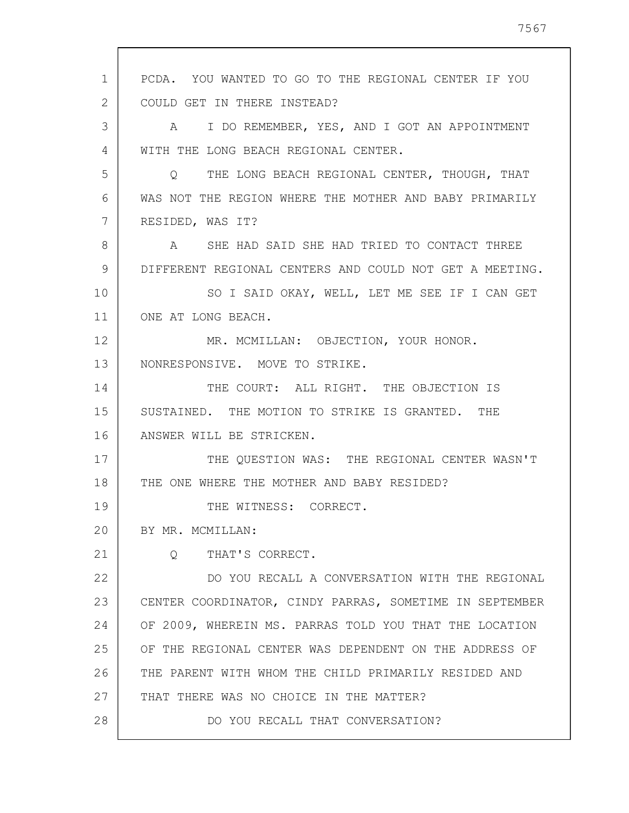1 2 3 4 5 6 7 8 9 10 11 12 13 14 15 16 17 18 19 20 21 22 23 24 25 26 27 28 PCDA. YOU WANTED TO GO TO THE REGIONAL CENTER IF YOU COULD GET IN THERE INSTEAD? A I DO REMEMBER, YES, AND I GOT AN APPOINTMENT WITH THE LONG BEACH REGIONAL CENTER. Q THE LONG BEACH REGIONAL CENTER, THOUGH, THAT WAS NOT THE REGION WHERE THE MOTHER AND BABY PRIMARILY RESIDED, WAS IT? A SHE HAD SAID SHE HAD TRIED TO CONTACT THREE DIFFERENT REGIONAL CENTERS AND COULD NOT GET A MEETING. SO I SAID OKAY, WELL, LET ME SEE IF I CAN GET ONE AT LONG BEACH. MR. MCMILLAN: OBJECTION, YOUR HONOR. NONRESPONSIVE. MOVE TO STRIKE. THE COURT: ALL RIGHT. THE OBJECTION IS SUSTAINED. THE MOTION TO STRIKE IS GRANTED. THE ANSWER WILL BE STRICKEN. THE QUESTION WAS: THE REGIONAL CENTER WASN'T THE ONE WHERE THE MOTHER AND BABY RESIDED? THE WITNESS: CORRECT. BY MR. MCMILLAN: Q THAT'S CORRECT. DO YOU RECALL A CONVERSATION WITH THE REGIONAL CENTER COORDINATOR, CINDY PARRAS, SOMETIME IN SEPTEMBER OF 2009, WHEREIN MS. PARRAS TOLD YOU THAT THE LOCATION OF THE REGIONAL CENTER WAS DEPENDENT ON THE ADDRESS OF THE PARENT WITH WHOM THE CHILD PRIMARILY RESIDED AND THAT THERE WAS NO CHOICE IN THE MATTER? DO YOU RECALL THAT CONVERSATION?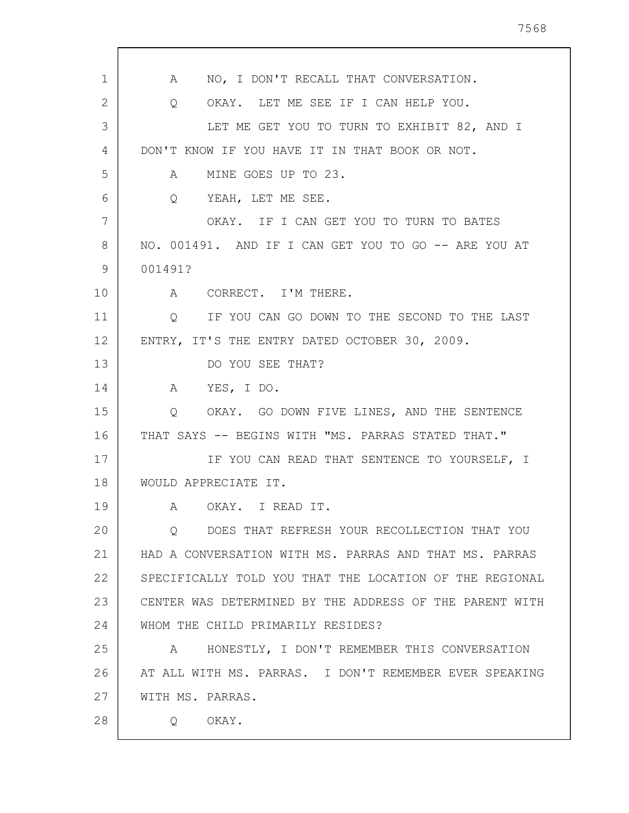7568

| 1  | NO, I DON'T RECALL THAT CONVERSATION.<br>A                        |
|----|-------------------------------------------------------------------|
| 2  | OKAY. LET ME SEE IF I CAN HELP YOU.<br>Q                          |
| 3  | LET ME GET YOU TO TURN TO EXHIBIT 82, AND I                       |
| 4  | DON'T KNOW IF YOU HAVE IT IN THAT BOOK OR NOT.                    |
| 5  | MINE GOES UP TO 23.<br>A                                          |
| 6  | YEAH, LET ME SEE.<br>$\circ$                                      |
| 7  | OKAY. IF I CAN GET YOU TO TURN TO BATES                           |
| 8  | NO. 001491. AND IF I CAN GET YOU TO GO -- ARE YOU AT              |
| 9  | 001491?                                                           |
| 10 | A CORRECT. I'M THERE.                                             |
| 11 | IF YOU CAN GO DOWN TO THE SECOND TO THE LAST<br>$Q \qquad \qquad$ |
| 12 | ENTRY, IT'S THE ENTRY DATED OCTOBER 30, 2009.                     |
| 13 | DO YOU SEE THAT?                                                  |
| 14 | A YES, I DO.                                                      |
| 15 | Q OKAY. GO DOWN FIVE LINES, AND THE SENTENCE                      |
| 16 | THAT SAYS -- BEGINS WITH "MS. PARRAS STATED THAT."                |
| 17 | IF YOU CAN READ THAT SENTENCE TO YOURSELF, I                      |
| 18 | WOULD APPRECIATE IT.                                              |
| 19 | A OKAY. I READ IT.                                                |
| 20 | DOES THAT REFRESH YOUR RECOLLECTION THAT YOU<br>O                 |
| 21 | HAD A CONVERSATION WITH MS. PARRAS AND THAT MS. PARRAS            |
| 22 | SPECIFICALLY TOLD YOU THAT THE LOCATION OF THE REGIONAL           |
| 23 | CENTER WAS DETERMINED BY THE ADDRESS OF THE PARENT WITH           |
| 24 | WHOM THE CHILD PRIMARILY RESIDES?                                 |
| 25 | HONESTLY, I DON'T REMEMBER THIS CONVERSATION<br>A                 |
| 26 | AT ALL WITH MS. PARRAS. I DON'T REMEMBER EVER SPEAKING            |
| 27 | WITH MS. PARRAS.                                                  |
| 28 | OKAY.<br>Q                                                        |
|    |                                                                   |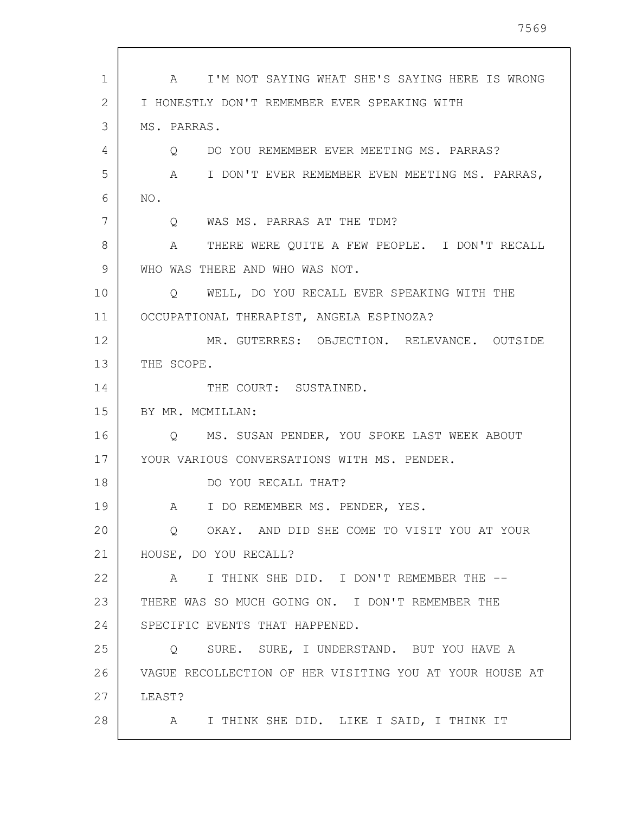| $\mathbf{1}$   | I'M NOT SAYING WHAT SHE'S SAYING HERE IS WRONG<br>$\mathsf A$ |
|----------------|---------------------------------------------------------------|
| $\overline{2}$ | I HONESTLY DON'T REMEMBER EVER SPEAKING WITH                  |
| 3              | MS. PARRAS.                                                   |
| 4              | DO YOU REMEMBER EVER MEETING MS. PARRAS?<br>$\circ$           |
| 5              | A<br>I DON'T EVER REMEMBER EVEN MEETING MS. PARRAS,           |
| 6              | NO.                                                           |
| 7              | Q WAS MS. PARRAS AT THE TDM?                                  |
| 8              | THERE WERE QUITE A FEW PEOPLE. I DON'T RECALL<br>A            |
| 9              | WHO WAS THERE AND WHO WAS NOT.                                |
| 10             | WELL, DO YOU RECALL EVER SPEAKING WITH THE<br>$\circ$         |
| 11             | OCCUPATIONAL THERAPIST, ANGELA ESPINOZA?                      |
| 12             | MR. GUTERRES: OBJECTION. RELEVANCE. OUTSIDE                   |
| 13             | THE SCOPE.                                                    |
| 14             | THE COURT: SUSTAINED.                                         |
| 15             | BY MR. MCMILLAN:                                              |
| 16             | O MS. SUSAN PENDER, YOU SPOKE LAST WEEK ABOUT                 |
| 17             | YOUR VARIOUS CONVERSATIONS WITH MS. PENDER.                   |
| 18             | DO YOU RECALL THAT?                                           |
| 19             | I DO REMEMBER MS. PENDER, YES.<br>A                           |
| 20             | OKAY. AND DID SHE COME TO VISIT YOU AT YOUR<br>Q              |
| 21             | HOUSE, DO YOU RECALL?                                         |
| 22             | I THINK SHE DID. I DON'T REMEMBER THE --<br>A                 |
| 23             | THERE WAS SO MUCH GOING ON. I DON'T REMEMBER THE              |
| 24             | SPECIFIC EVENTS THAT HAPPENED.                                |
| 25             | SURE. SURE, I UNDERSTAND. BUT YOU HAVE A<br>$Q \qquad \qquad$ |
| 26             | VAGUE RECOLLECTION OF HER VISITING YOU AT YOUR HOUSE AT       |
| 27             | LEAST?                                                        |
| 28             | I THINK SHE DID. LIKE I SAID, I THINK IT<br>A                 |
|                |                                                               |

 $\mathsf{l}$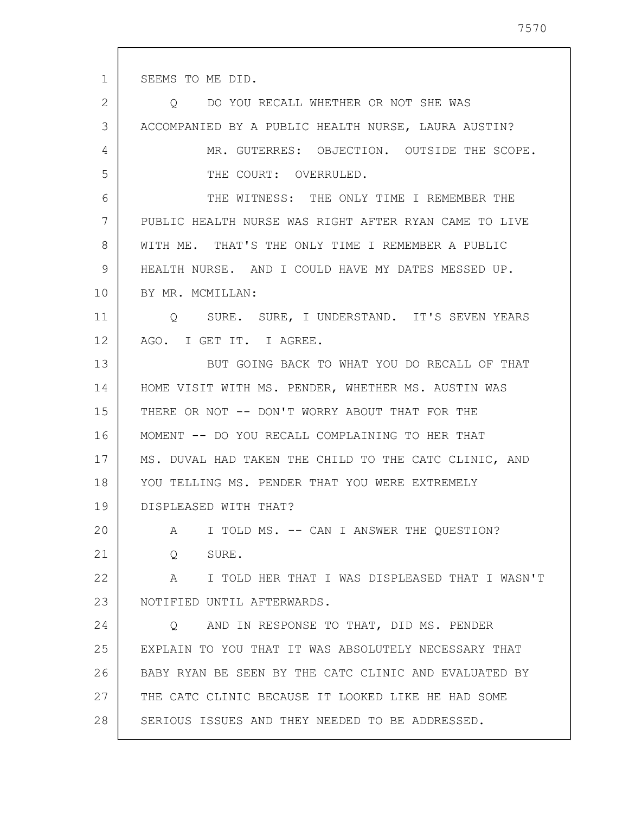SEEMS TO ME DID.

1

2 3 4 5 6 7 8 9 10 11 12 13 14 15 16 17 18 19 20 21 22 23 24 25 26 27 28 Q DO YOU RECALL WHETHER OR NOT SHE WAS ACCOMPANIED BY A PUBLIC HEALTH NURSE, LAURA AUSTIN? MR. GUTERRES: OBJECTION. OUTSIDE THE SCOPE. THE COURT: OVERRULED. THE WITNESS: THE ONLY TIME I REMEMBER THE PUBLIC HEALTH NURSE WAS RIGHT AFTER RYAN CAME TO LIVE WITH ME. THAT'S THE ONLY TIME I REMEMBER A PUBLIC HEALTH NURSE. AND I COULD HAVE MY DATES MESSED UP. BY MR. MCMILLAN: Q SURE. SURE, I UNDERSTAND. IT'S SEVEN YEARS AGO. I GET IT. I AGREE. BUT GOING BACK TO WHAT YOU DO RECALL OF THAT HOME VISIT WITH MS. PENDER, WHETHER MS. AUSTIN WAS THERE OR NOT -- DON'T WORRY ABOUT THAT FOR THE MOMENT -- DO YOU RECALL COMPLAINING TO HER THAT MS. DUVAL HAD TAKEN THE CHILD TO THE CATC CLINIC, AND YOU TELLING MS. PENDER THAT YOU WERE EXTREMELY DISPLEASED WITH THAT? A I TOLD MS. -- CAN I ANSWER THE QUESTION? Q SURE. A I TOLD HER THAT I WAS DISPLEASED THAT I WASN'T NOTIFIED UNTIL AFTERWARDS. Q AND IN RESPONSE TO THAT, DID MS. PENDER EXPLAIN TO YOU THAT IT WAS ABSOLUTELY NECESSARY THAT BABY RYAN BE SEEN BY THE CATC CLINIC AND EVALUATED BY THE CATC CLINIC BECAUSE IT LOOKED LIKE HE HAD SOME SERIOUS ISSUES AND THEY NEEDED TO BE ADDRESSED.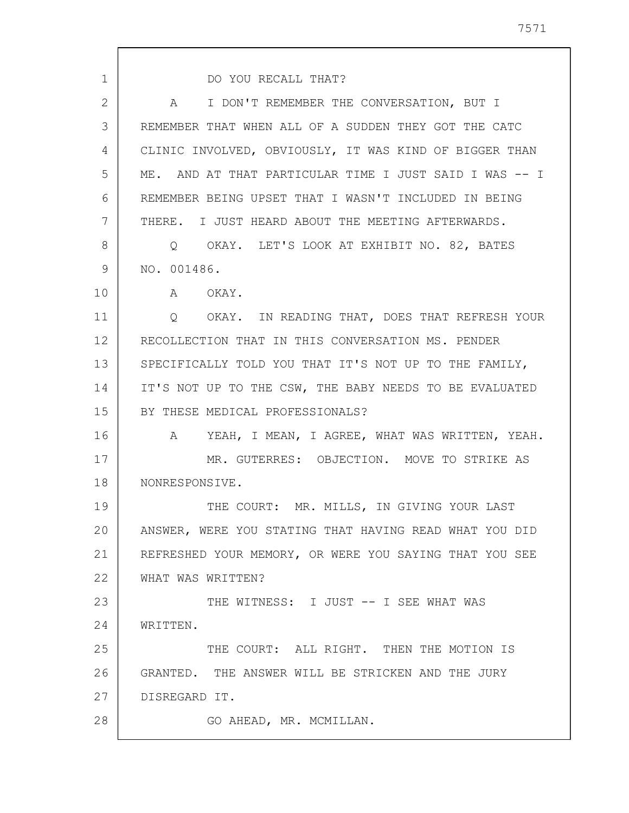| $\mathbf{1}$   | DO YOU RECALL THAT?                                           |
|----------------|---------------------------------------------------------------|
| $\overline{2}$ | I DON'T REMEMBER THE CONVERSATION, BUT I<br>A                 |
| 3              | REMEMBER THAT WHEN ALL OF A SUDDEN THEY GOT THE CATC          |
| 4              | CLINIC INVOLVED, OBVIOUSLY, IT WAS KIND OF BIGGER THAN        |
| 5              | ME. AND AT THAT PARTICULAR TIME I JUST SAID I WAS -- I        |
| 6              | REMEMBER BEING UPSET THAT I WASN'T INCLUDED IN BEING          |
| 7              | THERE. I JUST HEARD ABOUT THE MEETING AFTERWARDS.             |
| 8              | O OKAY. LET'S LOOK AT EXHIBIT NO. 82, BATES                   |
| 9              | NO. 001486.                                                   |
| 10             | A OKAY.                                                       |
| 11             | O OKAY. IN READING THAT, DOES THAT REFRESH YOUR               |
| 12             | RECOLLECTION THAT IN THIS CONVERSATION MS. PENDER             |
| 13             | SPECIFICALLY TOLD YOU THAT IT'S NOT UP TO THE FAMILY,         |
| 14             | IT'S NOT UP TO THE CSW, THE BABY NEEDS TO BE EVALUATED        |
| 15             | BY THESE MEDICAL PROFESSIONALS?                               |
| 16             | YEAH, I MEAN, I AGREE, WHAT WAS WRITTEN, YEAH.<br>$\mathbb A$ |
| 17             | MR. GUTERRES: OBJECTION. MOVE TO STRIKE AS                    |
| 18             | NONRESPONSIVE.                                                |
| 19             | THE COURT: MR. MILLS, IN GIVING YOUR LAST                     |
| 20             | ANSWER, WERE YOU STATING THAT HAVING READ WHAT YOU DID        |
| 21             | REFRESHED YOUR MEMORY, OR WERE YOU SAYING THAT YOU SEE        |
| 22             | WHAT WAS WRITTEN?                                             |
| 23             | THE WITNESS: I JUST -- I SEE WHAT WAS                         |
| 24             | WRITTEN.                                                      |
| 25             | THE COURT: ALL RIGHT. THEN THE MOTION IS                      |
| 26             | GRANTED. THE ANSWER WILL BE STRICKEN AND THE JURY             |
| 27             | DISREGARD IT.                                                 |
| 28             | GO AHEAD, MR. MCMILLAN.                                       |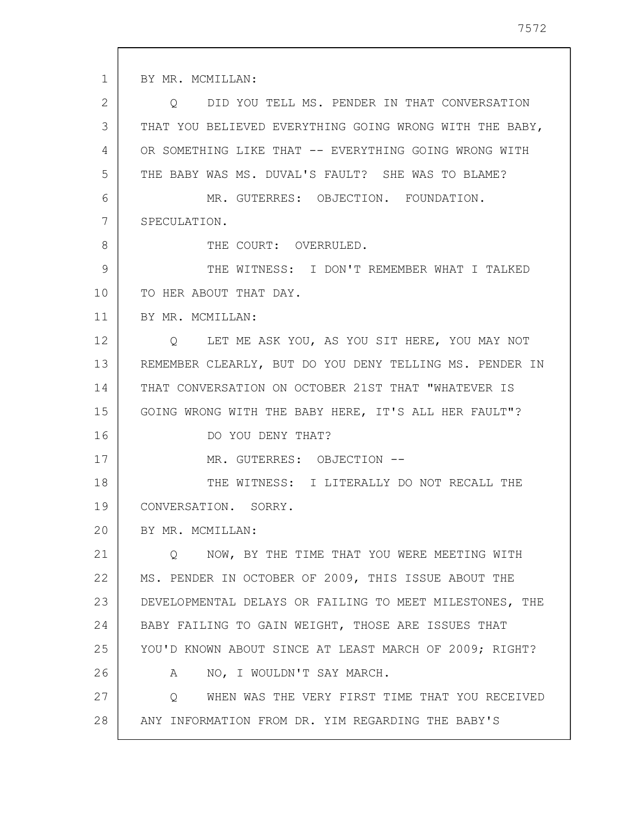1 2 3 4 5 6 7 8 9 10 11 12 13 14 15 16 17 18 19 20 21 22 23 24 25 26 27 28 BY MR. MCMILLAN: Q DID YOU TELL MS. PENDER IN THAT CONVERSATION THAT YOU BELIEVED EVERYTHING GOING WRONG WITH THE BABY, OR SOMETHING LIKE THAT -- EVERYTHING GOING WRONG WITH THE BABY WAS MS. DUVAL'S FAULT? SHE WAS TO BLAME? MR. GUTERRES: OBJECTION. FOUNDATION. SPECULATION. THE COURT: OVERRULED. THE WITNESS: I DON'T REMEMBER WHAT I TALKED TO HER ABOUT THAT DAY. BY MR. MCMILLAN: Q LET ME ASK YOU, AS YOU SIT HERE, YOU MAY NOT REMEMBER CLEARLY, BUT DO YOU DENY TELLING MS. PENDER IN THAT CONVERSATION ON OCTOBER 21ST THAT "WHATEVER IS GOING WRONG WITH THE BABY HERE, IT'S ALL HER FAULT"? DO YOU DENY THAT? MR. GUTERRES: OBJECTION -- THE WITNESS: I LITERALLY DO NOT RECALL THE CONVERSATION. SORRY. BY MR. MCMILLAN: Q NOW, BY THE TIME THAT YOU WERE MEETING WITH MS. PENDER IN OCTOBER OF 2009, THIS ISSUE ABOUT THE DEVELOPMENTAL DELAYS OR FAILING TO MEET MILESTONES, THE BABY FAILING TO GAIN WEIGHT, THOSE ARE ISSUES THAT YOU'D KNOWN ABOUT SINCE AT LEAST MARCH OF 2009; RIGHT? A NO, I WOULDN'T SAY MARCH. Q WHEN WAS THE VERY FIRST TIME THAT YOU RECEIVED ANY INFORMATION FROM DR. YIM REGARDING THE BABY'S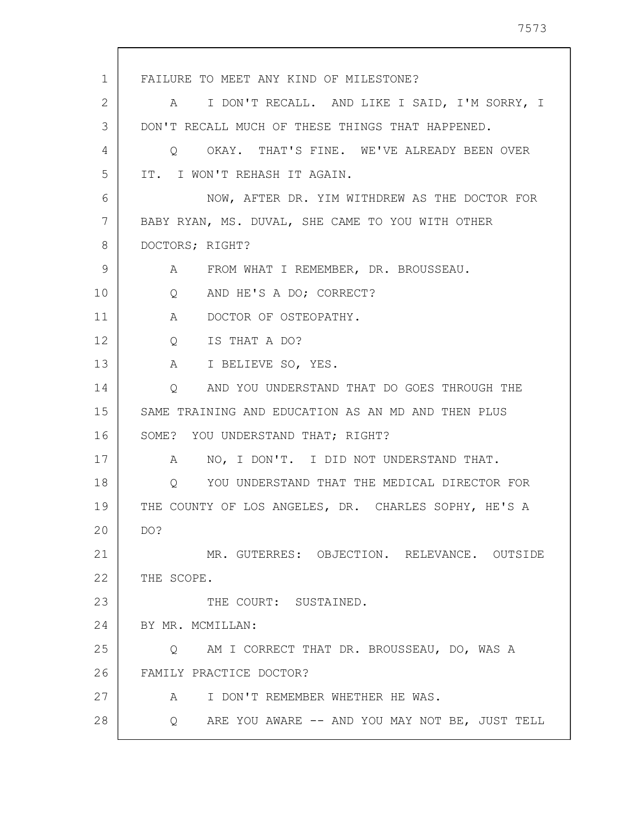1 2 3 4 5 6 7 8 9 10 11 12 13 14 15 16 17 18 19 20 21 22 23 24 25 26 27 28 FAILURE TO MEET ANY KIND OF MILESTONE? A I DON'T RECALL. AND LIKE I SAID, I'M SORRY, I DON'T RECALL MUCH OF THESE THINGS THAT HAPPENED. Q OKAY. THAT'S FINE. WE'VE ALREADY BEEN OVER IT. I WON'T REHASH IT AGAIN. NOW, AFTER DR. YIM WITHDREW AS THE DOCTOR FOR BABY RYAN, MS. DUVAL, SHE CAME TO YOU WITH OTHER DOCTORS; RIGHT? A FROM WHAT I REMEMBER, DR. BROUSSEAU. Q AND HE'S A DO; CORRECT? A DOCTOR OF OSTEOPATHY. Q IS THAT A DO? A I BELIEVE SO, YES. Q AND YOU UNDERSTAND THAT DO GOES THROUGH THE SAME TRAINING AND EDUCATION AS AN MD AND THEN PLUS SOME? YOU UNDERSTAND THAT; RIGHT? A NO, I DON'T. I DID NOT UNDERSTAND THAT. Q YOU UNDERSTAND THAT THE MEDICAL DIRECTOR FOR THE COUNTY OF LOS ANGELES, DR. CHARLES SOPHY, HE'S A DO? MR. GUTERRES: OBJECTION. RELEVANCE. OUTSIDE THE SCOPE. THE COURT: SUSTAINED. BY MR. MCMILLAN: Q AM I CORRECT THAT DR. BROUSSEAU, DO, WAS A FAMILY PRACTICE DOCTOR? A I DON'T REMEMBER WHETHER HE WAS. Q ARE YOU AWARE -- AND YOU MAY NOT BE, JUST TELL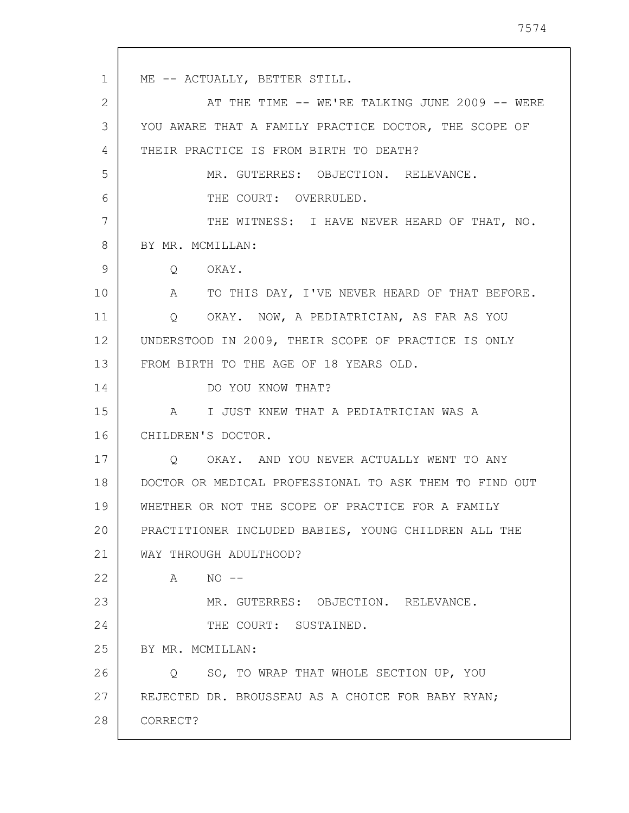1 2 3 4 5 6 7 8 9 10 11 12 13 14 15 16 17 18 19 20 21 22 23 24 25 26 27 28 ME -- ACTUALLY, BETTER STILL. AT THE TIME -- WE'RE TALKING JUNE 2009 -- WERE YOU AWARE THAT A FAMILY PRACTICE DOCTOR, THE SCOPE OF THEIR PRACTICE IS FROM BIRTH TO DEATH? MR. GUTERRES: OBJECTION. RELEVANCE. THE COURT: OVERRULED. THE WITNESS: I HAVE NEVER HEARD OF THAT, NO. BY MR. MCMILLAN: Q OKAY. A TO THIS DAY, I'VE NEVER HEARD OF THAT BEFORE. Q OKAY. NOW, A PEDIATRICIAN, AS FAR AS YOU UNDERSTOOD IN 2009, THEIR SCOPE OF PRACTICE IS ONLY FROM BIRTH TO THE AGE OF 18 YEARS OLD. DO YOU KNOW THAT? A I JUST KNEW THAT A PEDIATRICIAN WAS A CHILDREN'S DOCTOR. Q OKAY. AND YOU NEVER ACTUALLY WENT TO ANY DOCTOR OR MEDICAL PROFESSIONAL TO ASK THEM TO FIND OUT WHETHER OR NOT THE SCOPE OF PRACTICE FOR A FAMILY PRACTITIONER INCLUDED BABIES, YOUNG CHILDREN ALL THE WAY THROUGH ADULTHOOD?  $A \qquad NO \qquad --$ MR. GUTERRES: OBJECTION. RELEVANCE. THE COURT: SUSTAINED. BY MR. MCMILLAN: Q SO, TO WRAP THAT WHOLE SECTION UP, YOU REJECTED DR. BROUSSEAU AS A CHOICE FOR BABY RYAN; CORRECT?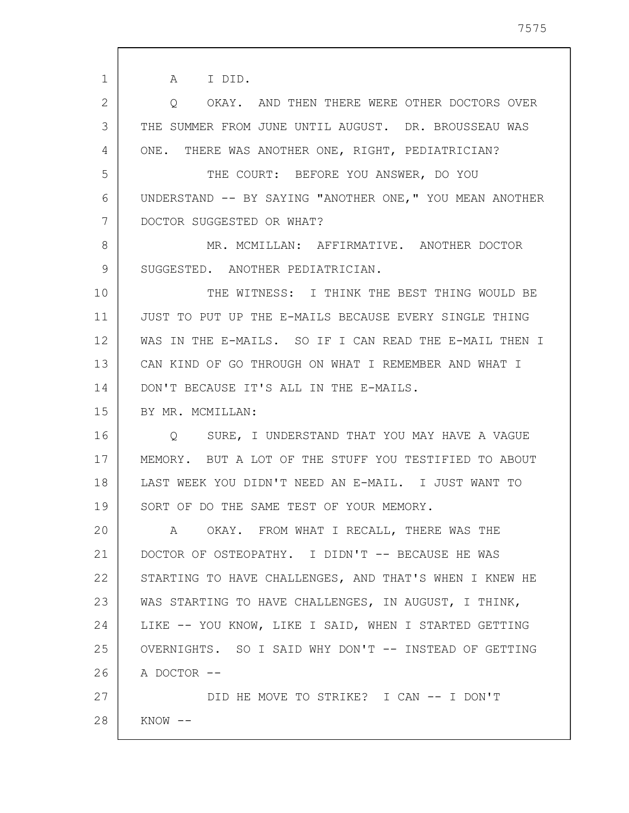1 2 3 4 5 6 7 8 9 10 11 12 13 14 15 16 17 18 19 20 21 22 23 24 25 26 27 28 A I DID. Q OKAY. AND THEN THERE WERE OTHER DOCTORS OVER THE SUMMER FROM JUNE UNTIL AUGUST. DR. BROUSSEAU WAS ONE. THERE WAS ANOTHER ONE, RIGHT, PEDIATRICIAN? THE COURT: BEFORE YOU ANSWER, DO YOU UNDERSTAND -- BY SAYING "ANOTHER ONE," YOU MEAN ANOTHER DOCTOR SUGGESTED OR WHAT? MR. MCMILLAN: AFFIRMATIVE. ANOTHER DOCTOR SUGGESTED. ANOTHER PEDIATRICIAN. THE WITNESS: I THINK THE BEST THING WOULD BE JUST TO PUT UP THE E-MAILS BECAUSE EVERY SINGLE THING WAS IN THE E-MAILS. SO IF I CAN READ THE E-MAIL THEN I CAN KIND OF GO THROUGH ON WHAT I REMEMBER AND WHAT I DON'T BECAUSE IT'S ALL IN THE E-MAILS. BY MR. MCMILLAN: Q SURE, I UNDERSTAND THAT YOU MAY HAVE A VAGUE MEMORY. BUT A LOT OF THE STUFF YOU TESTIFIED TO ABOUT LAST WEEK YOU DIDN'T NEED AN E-MAIL. I JUST WANT TO SORT OF DO THE SAME TEST OF YOUR MEMORY. A OKAY. FROM WHAT I RECALL, THERE WAS THE DOCTOR OF OSTEOPATHY. I DIDN'T -- BECAUSE HE WAS STARTING TO HAVE CHALLENGES, AND THAT'S WHEN I KNEW HE WAS STARTING TO HAVE CHALLENGES, IN AUGUST, I THINK, LIKE -- YOU KNOW, LIKE I SAID, WHEN I STARTED GETTING OVERNIGHTS. SO I SAID WHY DON'T -- INSTEAD OF GETTING A DOCTOR -- DID HE MOVE TO STRIKE? I CAN -- I DON'T  $KNOW$   $--$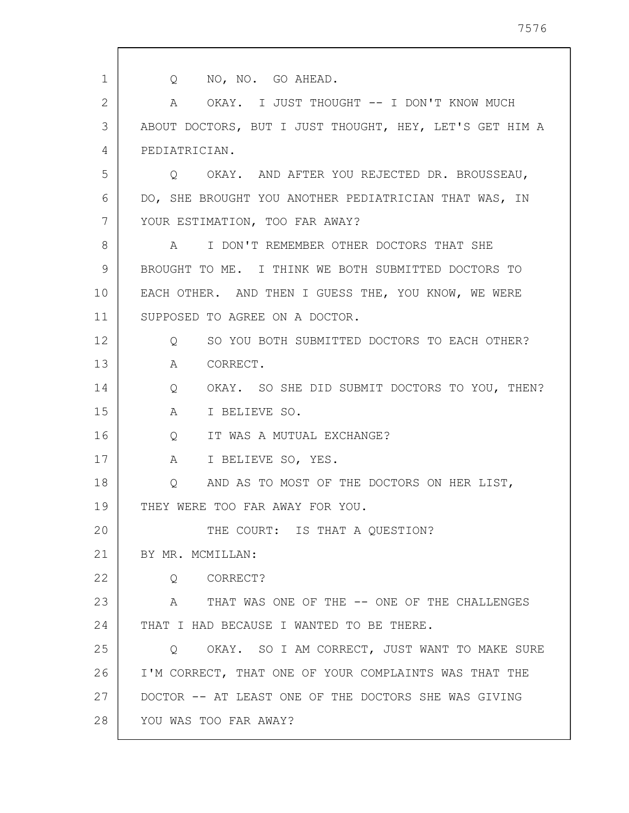1 2 3 4 5 6 7 8 9 10 11 12 13 14 15 16 17 18 19 20 21 22 23 24 25 26 27 28 Q NO, NO. GO AHEAD. A OKAY. I JUST THOUGHT -- I DON'T KNOW MUCH ABOUT DOCTORS, BUT I JUST THOUGHT, HEY, LET'S GET HIM A PEDIATRICIAN. Q OKAY. AND AFTER YOU REJECTED DR. BROUSSEAU, DO, SHE BROUGHT YOU ANOTHER PEDIATRICIAN THAT WAS, IN YOUR ESTIMATION, TOO FAR AWAY? A I DON'T REMEMBER OTHER DOCTORS THAT SHE BROUGHT TO ME. I THINK WE BOTH SUBMITTED DOCTORS TO EACH OTHER. AND THEN I GUESS THE, YOU KNOW, WE WERE SUPPOSED TO AGREE ON A DOCTOR. Q SO YOU BOTH SUBMITTED DOCTORS TO EACH OTHER? A CORRECT. Q OKAY. SO SHE DID SUBMIT DOCTORS TO YOU, THEN? A I BELIEVE SO. Q IT WAS A MUTUAL EXCHANGE? A I BELIEVE SO, YES. Q AND AS TO MOST OF THE DOCTORS ON HER LIST, THEY WERE TOO FAR AWAY FOR YOU. THE COURT: IS THAT A QUESTION? BY MR. MCMILLAN: Q CORRECT? A THAT WAS ONE OF THE -- ONE OF THE CHALLENGES THAT I HAD BECAUSE I WANTED TO BE THERE. Q OKAY. SO I AM CORRECT, JUST WANT TO MAKE SURE I'M CORRECT, THAT ONE OF YOUR COMPLAINTS WAS THAT THE DOCTOR -- AT LEAST ONE OF THE DOCTORS SHE WAS GIVING YOU WAS TOO FAR AWAY?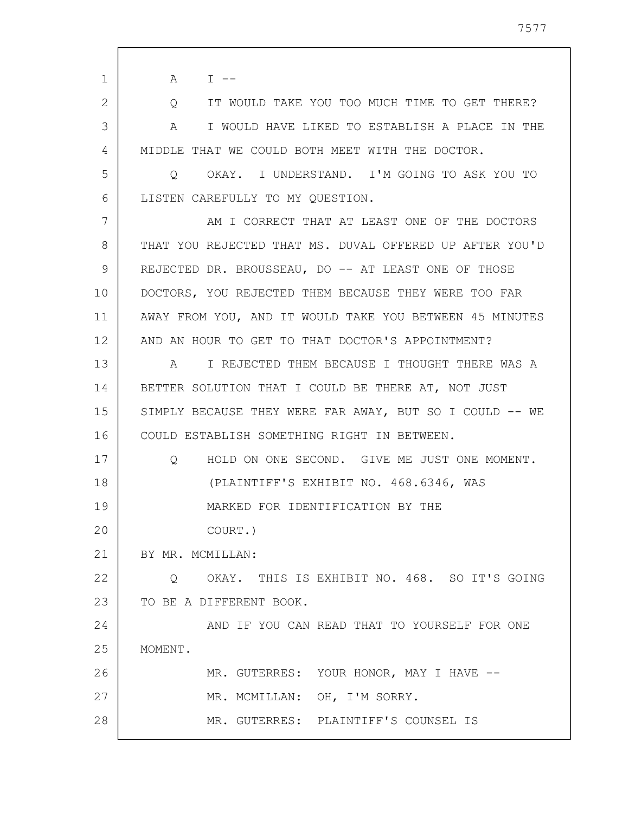| $\mathbf 1$ | A<br>$\mathbb{I}$ $\mathbb{I}$ $\mathbb{I}$                        |
|-------------|--------------------------------------------------------------------|
| 2           | IT WOULD TAKE YOU TOO MUCH TIME TO GET THERE?<br>$Q \qquad \qquad$ |
| 3           | I WOULD HAVE LIKED TO ESTABLISH A PLACE IN THE<br>A                |
| 4           | MIDDLE THAT WE COULD BOTH MEET WITH THE DOCTOR.                    |
| 5           | OKAY. I UNDERSTAND. I'M GOING TO ASK YOU TO<br>Q                   |
| 6           | LISTEN CAREFULLY TO MY QUESTION.                                   |
| 7           | AM I CORRECT THAT AT LEAST ONE OF THE DOCTORS                      |
| 8           | THAT YOU REJECTED THAT MS. DUVAL OFFERED UP AFTER YOU'D            |
| 9           | REJECTED DR. BROUSSEAU, DO -- AT LEAST ONE OF THOSE                |
| 10          | DOCTORS, YOU REJECTED THEM BECAUSE THEY WERE TOO FAR               |
| 11          | AWAY FROM YOU, AND IT WOULD TAKE YOU BETWEEN 45 MINUTES            |
| 12          | AND AN HOUR TO GET TO THAT DOCTOR'S APPOINTMENT?                   |
| 13          | A I REJECTED THEM BECAUSE I THOUGHT THERE WAS A                    |
| 14          | BETTER SOLUTION THAT I COULD BE THERE AT, NOT JUST                 |
| 15          | SIMPLY BECAUSE THEY WERE FAR AWAY, BUT SO I COULD -- WE            |
| 16          | COULD ESTABLISH SOMETHING RIGHT IN BETWEEN.                        |
| 17          | HOLD ON ONE SECOND. GIVE ME JUST ONE MOMENT.<br>$\circ$            |
| 18          | (PLAINTIFF'S EXHIBIT NO. 468.6346, WAS                             |
| 19          | MARKED FOR IDENTIFICATION BY THE                                   |
| 20          | COURT.)                                                            |
| 21          | BY MR. MCMILLAN:                                                   |
| 22          | O OKAY. THIS IS EXHIBIT NO. 468. SO IT'S GOING                     |
| 23          | TO BE A DIFFERENT BOOK.                                            |
| 24          | AND IF YOU CAN READ THAT TO YOURSELF FOR ONE                       |
| 25          | MOMENT.                                                            |
| 26          | MR. GUTERRES: YOUR HONOR, MAY I HAVE --                            |
| 27          | MR. MCMILLAN: OH, I'M SORRY.                                       |
| 28          | MR. GUTERRES: PLAINTIFF'S COUNSEL IS                               |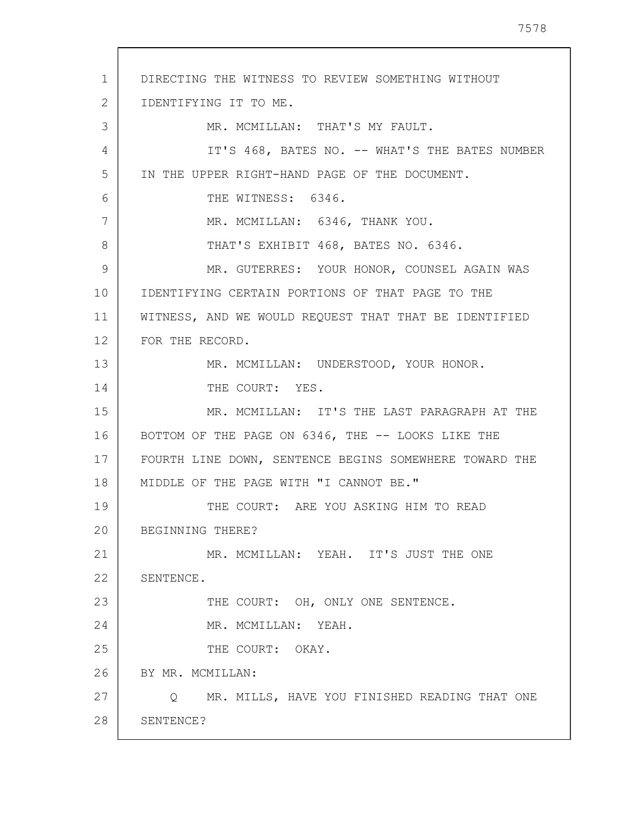1 2 3 4 5 6 7 8 9 10 11 12 13 14 15 16 17 18 19 20 21 22 23 24 25 26 27 28 DIRECTING THE WITNESS TO REVIEW SOMETHING WITHOUT IDENTIFYING IT TO ME. MR. MCMILLAN: THAT'S MY FAULT. IT'S 468, BATES NO. -- WHAT'S THE BATES NUMBER IN THE UPPER RIGHT-HAND PAGE OF THE DOCUMENT. THE WITNESS: 6346. MR. MCMILLAN: 6346, THANK YOU. THAT'S EXHIBIT 468, BATES NO. 6346. MR. GUTERRES: YOUR HONOR, COUNSEL AGAIN WAS IDENTIFYING CERTAIN PORTIONS OF THAT PAGE TO THE WITNESS, AND WE WOULD REQUEST THAT THAT BE IDENTIFIED FOR THE RECORD. MR. MCMILLAN: UNDERSTOOD, YOUR HONOR. THE COURT: YES. MR. MCMILLAN: IT'S THE LAST PARAGRAPH AT THE BOTTOM OF THE PAGE ON 6346, THE -- LOOKS LIKE THE FOURTH LINE DOWN, SENTENCE BEGINS SOMEWHERE TOWARD THE MIDDLE OF THE PAGE WITH "I CANNOT BE." THE COURT: ARE YOU ASKING HIM TO READ BEGINNING THERE? MR. MCMILLAN: YEAH. IT'S JUST THE ONE SENTENCE. THE COURT: OH, ONLY ONE SENTENCE. MR. MCMILLAN: YEAH. THE COURT: OKAY. BY MR. MCMILLAN: Q MR. MILLS, HAVE YOU FINISHED READING THAT ONE SENTENCE?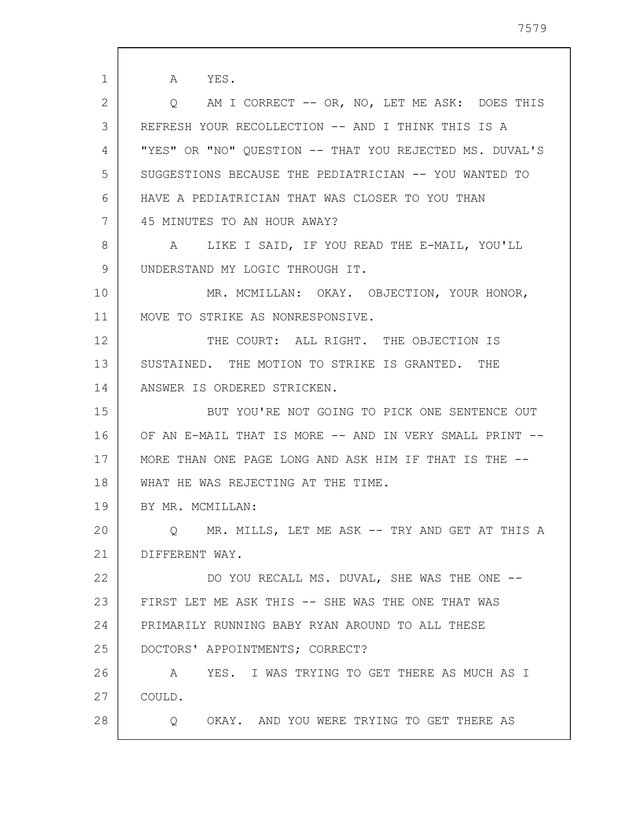1 2 3 4 5 6 7 8 9 10 11 12 13 14 15 16 17 18 19 20 21 22 23 24 25 26 27 28 A YES. Q AM I CORRECT -- OR, NO, LET ME ASK: DOES THIS REFRESH YOUR RECOLLECTION -- AND I THINK THIS IS A "YES" OR "NO" QUESTION -- THAT YOU REJECTED MS. DUVAL'S SUGGESTIONS BECAUSE THE PEDIATRICIAN -- YOU WANTED TO HAVE A PEDIATRICIAN THAT WAS CLOSER TO YOU THAN 45 MINUTES TO AN HOUR AWAY? A LIKE I SAID, IF YOU READ THE E-MAIL, YOU'LL UNDERSTAND MY LOGIC THROUGH IT. MR. MCMILLAN: OKAY. OBJECTION, YOUR HONOR, MOVE TO STRIKE AS NONRESPONSIVE. THE COURT: ALL RIGHT. THE OBJECTION IS SUSTAINED. THE MOTION TO STRIKE IS GRANTED. THE ANSWER IS ORDERED STRICKEN. BUT YOU'RE NOT GOING TO PICK ONE SENTENCE OUT OF AN E-MAIL THAT IS MORE -- AND IN VERY SMALL PRINT -- MORE THAN ONE PAGE LONG AND ASK HIM IF THAT IS THE -- WHAT HE WAS REJECTING AT THE TIME. BY MR. MCMILLAN: Q MR. MILLS, LET ME ASK -- TRY AND GET AT THIS A DIFFERENT WAY. DO YOU RECALL MS. DUVAL, SHE WAS THE ONE -- FIRST LET ME ASK THIS -- SHE WAS THE ONE THAT WAS PRIMARILY RUNNING BABY RYAN AROUND TO ALL THESE DOCTORS' APPOINTMENTS; CORRECT? A YES. I WAS TRYING TO GET THERE AS MUCH AS I COULD. Q OKAY. AND YOU WERE TRYING TO GET THERE AS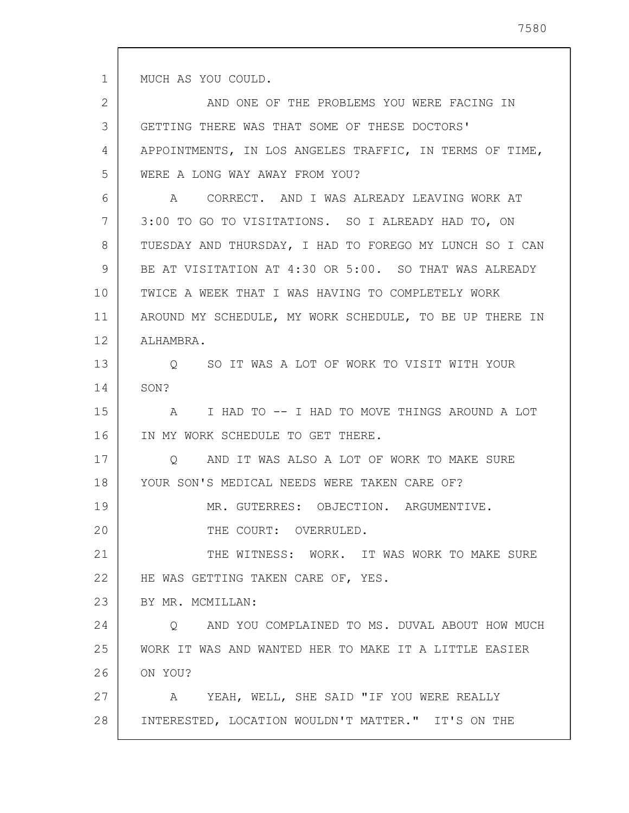MUCH AS YOU COULD.

1

2 3 4 5 6 7 8 9 10 11 12 13 14 15 16 17 18 19 20 21 22 23 24 25 26 27 28 AND ONE OF THE PROBLEMS YOU WERE FACING IN GETTING THERE WAS THAT SOME OF THESE DOCTORS' APPOINTMENTS, IN LOS ANGELES TRAFFIC, IN TERMS OF TIME, WERE A LONG WAY AWAY FROM YOU? A CORRECT. AND I WAS ALREADY LEAVING WORK AT 3:00 TO GO TO VISITATIONS. SO I ALREADY HAD TO, ON TUESDAY AND THURSDAY, I HAD TO FOREGO MY LUNCH SO I CAN BE AT VISITATION AT 4:30 OR 5:00. SO THAT WAS ALREADY TWICE A WEEK THAT I WAS HAVING TO COMPLETELY WORK AROUND MY SCHEDULE, MY WORK SCHEDULE, TO BE UP THERE IN ALHAMBRA. Q SO IT WAS A LOT OF WORK TO VISIT WITH YOUR SON? A I HAD TO -- I HAD TO MOVE THINGS AROUND A LOT IN MY WORK SCHEDULE TO GET THERE. Q AND IT WAS ALSO A LOT OF WORK TO MAKE SURE YOUR SON'S MEDICAL NEEDS WERE TAKEN CARE OF? MR. GUTERRES: OBJECTION. ARGUMENTIVE. THE COURT: OVERRULED. THE WITNESS: WORK. IT WAS WORK TO MAKE SURE HE WAS GETTING TAKEN CARE OF, YES. BY MR. MCMILLAN: Q AND YOU COMPLAINED TO MS. DUVAL ABOUT HOW MUCH WORK IT WAS AND WANTED HER TO MAKE IT A LITTLE EASIER ON YOU? A YEAH, WELL, SHE SAID "IF YOU WERE REALLY INTERESTED, LOCATION WOULDN'T MATTER." IT'S ON THE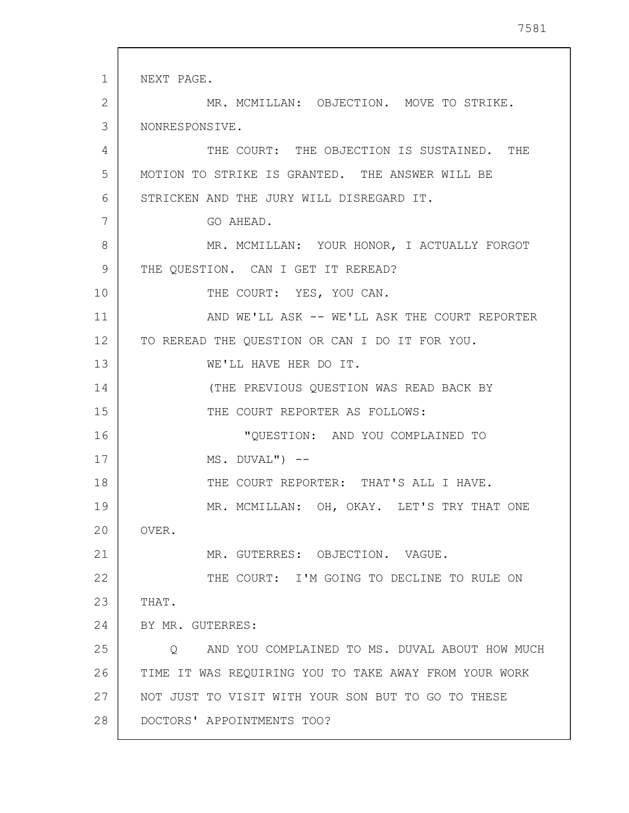1 2 3 4 5 6 7 8 9 10 11 12 13 14 15 16 17 18 19 20 21 22 23 24 25 26 27 28 NEXT PAGE. MR. MCMILLAN: OBJECTION. MOVE TO STRIKE. NONRESPONSIVE. THE COURT: THE OBJECTION IS SUSTAINED. THE MOTION TO STRIKE IS GRANTED. THE ANSWER WILL BE STRICKEN AND THE JURY WILL DISREGARD IT. GO AHEAD. MR. MCMILLAN: YOUR HONOR, I ACTUALLY FORGOT THE OUESTION. CAN I GET IT REREAD? THE COURT: YES, YOU CAN. AND WE'LL ASK -- WE'LL ASK THE COURT REPORTER TO REREAD THE QUESTION OR CAN I DO IT FOR YOU. WE'LL HAVE HER DO IT. (THE PREVIOUS QUESTION WAS READ BACK BY THE COURT REPORTER AS FOLLOWS: "QUESTION: AND YOU COMPLAINED TO  $MS. DUVAL'')$  --THE COURT REPORTER: THAT'S ALL I HAVE. MR. MCMILLAN: OH, OKAY. LET'S TRY THAT ONE OVER. MR. GUTERRES: OBJECTION. VAGUE. THE COURT: I'M GOING TO DECLINE TO RULE ON THAT. BY MR. GUTERRES: Q AND YOU COMPLAINED TO MS. DUVAL ABOUT HOW MUCH TIME IT WAS REQUIRING YOU TO TAKE AWAY FROM YOUR WORK NOT JUST TO VISIT WITH YOUR SON BUT TO GO TO THESE DOCTORS' APPOINTMENTS TOO?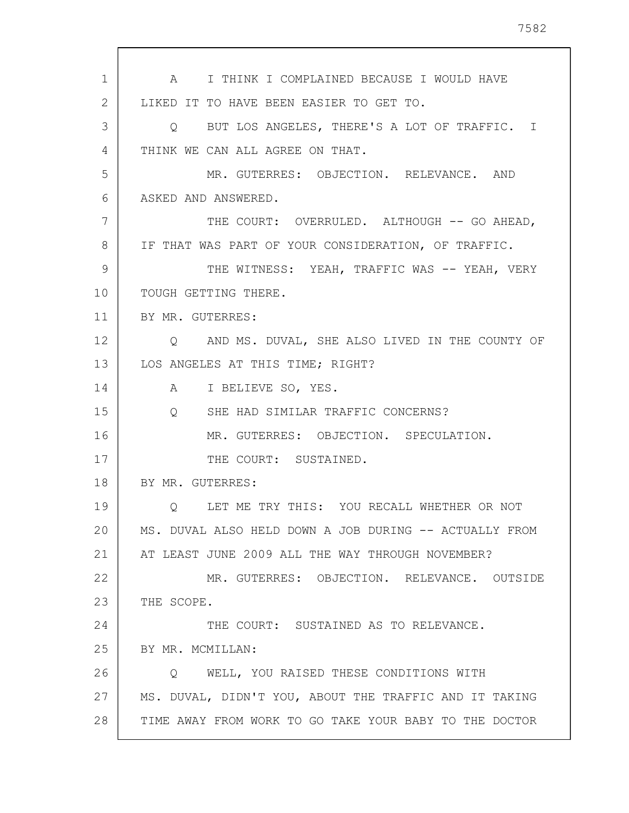| 1              | A I THINK I COMPLAINED BECAUSE I WOULD HAVE            |
|----------------|--------------------------------------------------------|
| $\overline{2}$ | LIKED IT TO HAVE BEEN EASIER TO GET TO.                |
| 3              | Q BUT LOS ANGELES, THERE'S A LOT OF TRAFFIC. I         |
| 4              | THINK WE CAN ALL AGREE ON THAT.                        |
| 5              | MR. GUTERRES: OBJECTION. RELEVANCE. AND                |
| 6              | ASKED AND ANSWERED.                                    |
| 7              | THE COURT: OVERRULED. ALTHOUGH -- GO AHEAD,            |
| 8              | IF THAT WAS PART OF YOUR CONSIDERATION, OF TRAFFIC.    |
| 9              | THE WITNESS: YEAH, TRAFFIC WAS -- YEAH, VERY           |
| 10             | TOUGH GETTING THERE.                                   |
| 11             | BY MR. GUTERRES:                                       |
| 12             | O AND MS. DUVAL, SHE ALSO LIVED IN THE COUNTY OF       |
| 13             | LOS ANGELES AT THIS TIME; RIGHT?                       |
| 14             | A I BELIEVE SO, YES.                                   |
| 15             | SHE HAD SIMILAR TRAFFIC CONCERNS?<br>$Q \qquad \qquad$ |
| 16             | MR. GUTERRES: OBJECTION. SPECULATION.                  |
| 17             | THE COURT: SUSTAINED.                                  |
| 18             | BY MR. GUTERRES:                                       |
| 19             | Q LET ME TRY THIS: YOU RECALL WHETHER OR NOT           |
| 20             | MS. DUVAL ALSO HELD DOWN A JOB DURING -- ACTUALLY FROM |
| 21             | AT LEAST JUNE 2009 ALL THE WAY THROUGH NOVEMBER?       |
| 22             | MR. GUTERRES: OBJECTION. RELEVANCE. OUTSIDE            |
| 23             | THE SCOPE.                                             |
| 24             | THE COURT: SUSTAINED AS TO RELEVANCE.                  |
| 25             | BY MR. MCMILLAN:                                       |
| 26             | Q WELL, YOU RAISED THESE CONDITIONS WITH               |
| 27             | MS. DUVAL, DIDN'T YOU, ABOUT THE TRAFFIC AND IT TAKING |
| 28             | TIME AWAY FROM WORK TO GO TAKE YOUR BABY TO THE DOCTOR |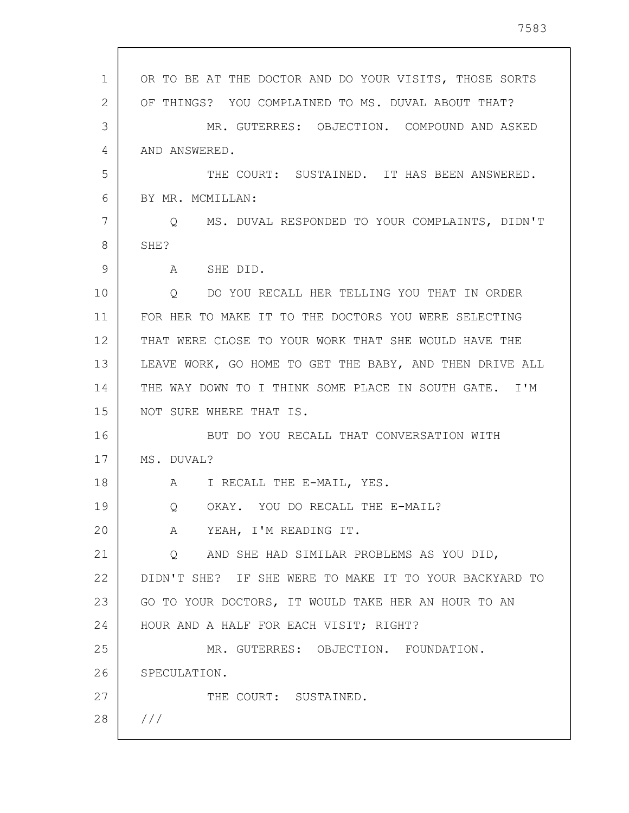| 1  | OR TO BE AT THE DOCTOR AND DO YOUR VISITS, THOSE SORTS    |
|----|-----------------------------------------------------------|
| 2  | OF THINGS? YOU COMPLAINED TO MS. DUVAL ABOUT THAT?        |
| 3  | MR. GUTERRES: OBJECTION. COMPOUND AND ASKED               |
| 4  | AND ANSWERED.                                             |
| 5  | THE COURT: SUSTAINED. IT HAS BEEN ANSWERED.               |
| 6  | BY MR. MCMILLAN:                                          |
| 7  | MS. DUVAL RESPONDED TO YOUR COMPLAINTS, DIDN'T<br>$\circ$ |
| 8  | SHE?                                                      |
| 9  | A SHE DID.                                                |
| 10 | Q DO YOU RECALL HER TELLING YOU THAT IN ORDER             |
| 11 | FOR HER TO MAKE IT TO THE DOCTORS YOU WERE SELECTING      |
| 12 | THAT WERE CLOSE TO YOUR WORK THAT SHE WOULD HAVE THE      |
| 13 | LEAVE WORK, GO HOME TO GET THE BABY, AND THEN DRIVE ALL   |
| 14 | THE WAY DOWN TO I THINK SOME PLACE IN SOUTH GATE. I'M     |
| 15 | NOT SURE WHERE THAT IS.                                   |
| 16 | BUT DO YOU RECALL THAT CONVERSATION WITH                  |
| 17 | MS. DUVAL?                                                |
| 18 | A I RECALL THE E-MAIL, YES.                               |
| 19 | Q OKAY. YOU DO RECALL THE E-MAIL?                         |
| 20 | A YEAH, I'M READING IT.                                   |
| 21 | Q AND SHE HAD SIMILAR PROBLEMS AS YOU DID,                |
| 22 | DIDN'T SHE? IF SHE WERE TO MAKE IT TO YOUR BACKYARD TO    |
| 23 | GO TO YOUR DOCTORS, IT WOULD TAKE HER AN HOUR TO AN       |
| 24 | HOUR AND A HALF FOR EACH VISIT; RIGHT?                    |
| 25 | MR. GUTERRES: OBJECTION. FOUNDATION.                      |
| 26 | SPECULATION.                                              |
| 27 | THE COURT: SUSTAINED.                                     |
| 28 | 111                                                       |
|    |                                                           |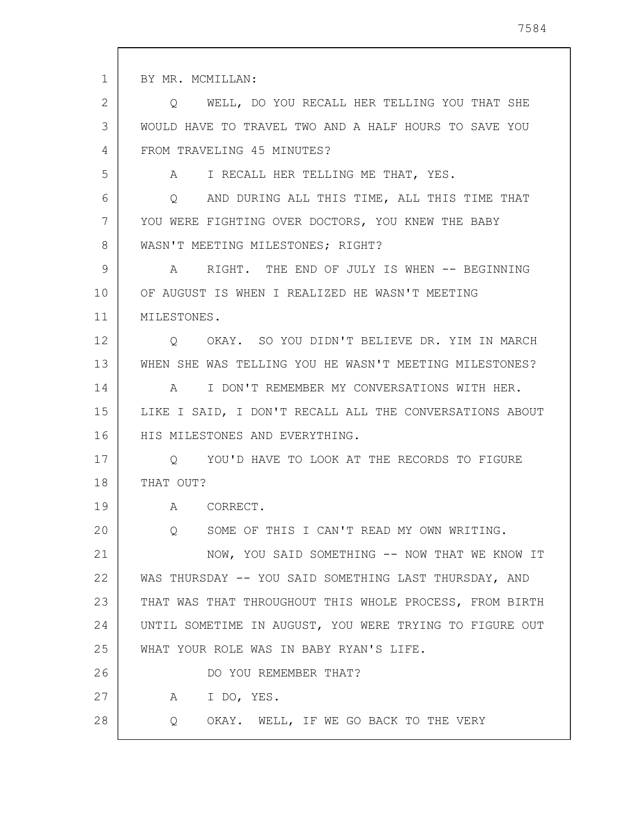1 2 3 4 5 6 7 8 9 10 11 12 13 14 15 16 17 18 19 20 21 22 23 24 25 26 27 28 BY MR. MCMILLAN: Q WELL, DO YOU RECALL HER TELLING YOU THAT SHE WOULD HAVE TO TRAVEL TWO AND A HALF HOURS TO SAVE YOU FROM TRAVELING 45 MINUTES? A I RECALL HER TELLING ME THAT, YES. Q AND DURING ALL THIS TIME, ALL THIS TIME THAT YOU WERE FIGHTING OVER DOCTORS, YOU KNEW THE BABY WASN'T MEETING MILESTONES; RIGHT? A RIGHT. THE END OF JULY IS WHEN -- BEGINNING OF AUGUST IS WHEN I REALIZED HE WASN'T MEETING MILESTONES. Q OKAY. SO YOU DIDN'T BELIEVE DR. YIM IN MARCH WHEN SHE WAS TELLING YOU HE WASN'T MEETING MILESTONES? A I DON'T REMEMBER MY CONVERSATIONS WITH HER. LIKE I SAID, I DON'T RECALL ALL THE CONVERSATIONS ABOUT HIS MILESTONES AND EVERYTHING. Q YOU'D HAVE TO LOOK AT THE RECORDS TO FIGURE THAT OUT? A CORRECT. Q SOME OF THIS I CAN'T READ MY OWN WRITING. NOW, YOU SAID SOMETHING -- NOW THAT WE KNOW IT WAS THURSDAY -- YOU SAID SOMETHING LAST THURSDAY, AND THAT WAS THAT THROUGHOUT THIS WHOLE PROCESS, FROM BIRTH UNTIL SOMETIME IN AUGUST, YOU WERE TRYING TO FIGURE OUT WHAT YOUR ROLE WAS IN BABY RYAN'S LIFE. DO YOU REMEMBER THAT? A I DO, YES. Q OKAY. WELL, IF WE GO BACK TO THE VERY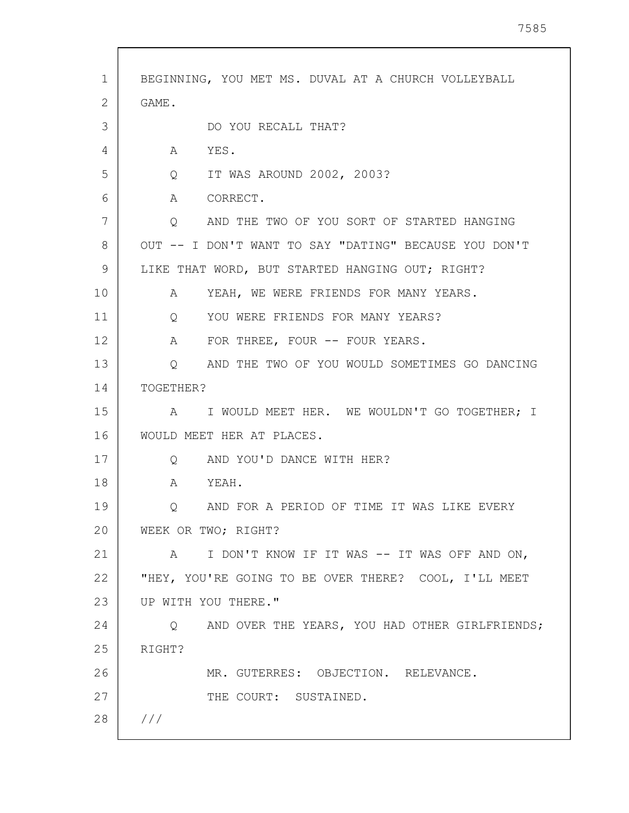| 1  | BEGINNING, YOU MET MS. DUVAL AT A CHURCH VOLLEYBALL         |
|----|-------------------------------------------------------------|
| 2  | GAME.                                                       |
| 3  | DO YOU RECALL THAT?                                         |
| 4  | YES.<br>A                                                   |
| 5  | IT WAS AROUND 2002, 2003?<br>$Q \qquad \qquad$              |
| 6  | CORRECT.<br>A                                               |
| 7  | AND THE TWO OF YOU SORT OF STARTED HANGING<br>$Q_{\rm max}$ |
| 8  | OUT -- I DON'T WANT TO SAY "DATING" BECAUSE YOU DON'T       |
| 9  | LIKE THAT WORD, BUT STARTED HANGING OUT; RIGHT?             |
| 10 | YEAH, WE WERE FRIENDS FOR MANY YEARS.<br>A                  |
| 11 | YOU WERE FRIENDS FOR MANY YEARS?<br>$Q \qquad \qquad$       |
| 12 | FOR THREE, FOUR -- FOUR YEARS.<br>$\mathbf{A}$              |
| 13 | Q AND THE TWO OF YOU WOULD SOMETIMES GO DANCING             |
| 14 | TOGETHER?                                                   |
| 15 | A I WOULD MEET HER. WE WOULDN'T GO TOGETHER; I              |
| 16 | WOULD MEET HER AT PLACES.                                   |
| 17 | AND YOU'D DANCE WITH HER?<br>Q                              |
| 18 | A<br>YEAH.                                                  |
| 19 | AND FOR A PERIOD OF TIME IT WAS LIKE EVERY<br>Q             |
| 20 | WEEK OR TWO; RIGHT?                                         |
| 21 | A I DON'T KNOW IF IT WAS -- IT WAS OFF AND ON,              |
| 22 | "HEY, YOU'RE GOING TO BE OVER THERE? COOL, I'LL MEET        |
| 23 | UP WITH YOU THERE."                                         |
| 24 | Q AND OVER THE YEARS, YOU HAD OTHER GIRLFRIENDS;            |
| 25 | RIGHT?                                                      |
| 26 | MR. GUTERRES: OBJECTION. RELEVANCE.                         |
| 27 | THE COURT: SUSTAINED.                                       |
| 28 | ///                                                         |
|    |                                                             |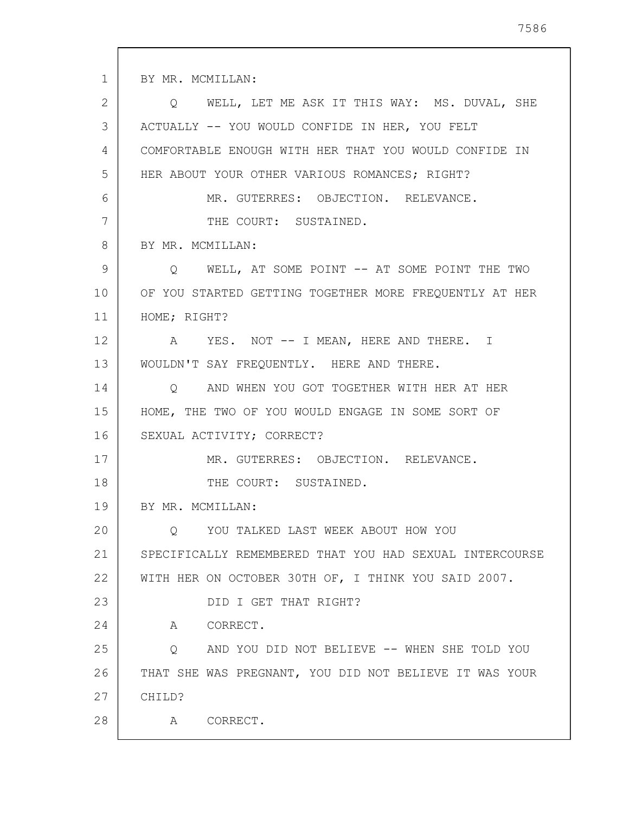1 2 3 4 5 6 7 8 9 10 11 12 13 14 15 16 17 18 19 20 21 22 23 24 25 26 27 28 BY MR. MCMILLAN: Q WELL, LET ME ASK IT THIS WAY: MS. DUVAL, SHE ACTUALLY -- YOU WOULD CONFIDE IN HER, YOU FELT COMFORTABLE ENOUGH WITH HER THAT YOU WOULD CONFIDE IN HER ABOUT YOUR OTHER VARIOUS ROMANCES; RIGHT? MR. GUTERRES: OBJECTION. RELEVANCE. THE COURT: SUSTAINED. BY MR. MCMILLAN: Q WELL, AT SOME POINT -- AT SOME POINT THE TWO OF YOU STARTED GETTING TOGETHER MORE FREQUENTLY AT HER HOME; RIGHT? A YES. NOT -- I MEAN, HERE AND THERE. I WOULDN'T SAY FREQUENTLY. HERE AND THERE. Q AND WHEN YOU GOT TOGETHER WITH HER AT HER HOME, THE TWO OF YOU WOULD ENGAGE IN SOME SORT OF SEXUAL ACTIVITY; CORRECT? MR. GUTERRES: OBJECTION. RELEVANCE. THE COURT: SUSTAINED. BY MR. MCMILLAN: Q YOU TALKED LAST WEEK ABOUT HOW YOU SPECIFICALLY REMEMBERED THAT YOU HAD SEXUAL INTERCOURSE WITH HER ON OCTOBER 30TH OF, I THINK YOU SAID 2007. DID I GET THAT RIGHT? A CORRECT. Q AND YOU DID NOT BELIEVE -- WHEN SHE TOLD YOU THAT SHE WAS PREGNANT, YOU DID NOT BELIEVE IT WAS YOUR CHILD? A CORRECT.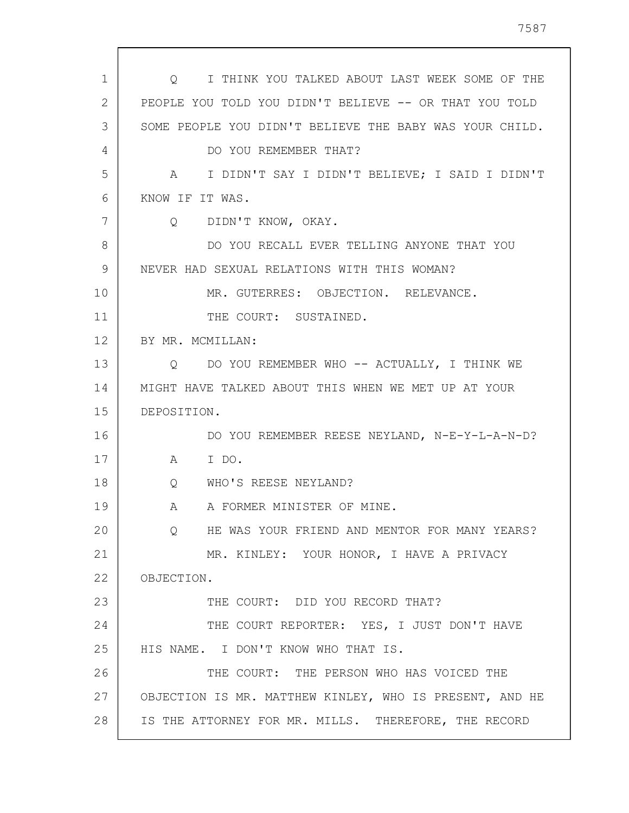| $\mathbf 1$ | Q I THINK YOU TALKED ABOUT LAST WEEK SOME OF THE         |
|-------------|----------------------------------------------------------|
| 2           | PEOPLE YOU TOLD YOU DIDN'T BELIEVE -- OR THAT YOU TOLD   |
| 3           | SOME PEOPLE YOU DIDN'T BELIEVE THE BABY WAS YOUR CHILD.  |
| 4           | DO YOU REMEMBER THAT?                                    |
| 5           | A I DIDN'T SAY I DIDN'T BELIEVE; I SAID I DIDN'T         |
| 6           | KNOW IF IT WAS.                                          |
| 7           | DIDN'T KNOW, OKAY.<br>Q                                  |
| 8           | DO YOU RECALL EVER TELLING ANYONE THAT YOU               |
| 9           | NEVER HAD SEXUAL RELATIONS WITH THIS WOMAN?              |
| 10          | MR. GUTERRES: OBJECTION. RELEVANCE.                      |
| 11          | THE COURT: SUSTAINED.                                    |
| 12          | BY MR. MCMILLAN:                                         |
| 13          | DO YOU REMEMBER WHO -- ACTUALLY, I THINK WE<br>O         |
| 14          | MIGHT HAVE TALKED ABOUT THIS WHEN WE MET UP AT YOUR      |
| 15          | DEPOSITION.                                              |
| 16          | DO YOU REMEMBER REESE NEYLAND, N-E-Y-L-A-N-D?            |
| 17          | I DO.<br>A                                               |
| 18          | WHO'S REESE NEYLAND?<br>Q                                |
| 19          | A FORMER MINISTER OF MINE.<br>A                          |
| 20          | HE WAS YOUR FRIEND AND MENTOR FOR MANY YEARS?<br>$\circ$ |
| 21          | MR. KINLEY: YOUR HONOR, I HAVE A PRIVACY                 |
| 22          | OBJECTION.                                               |
| 23          | THE COURT: DID YOU RECORD THAT?                          |
| 24          | THE COURT REPORTER: YES, I JUST DON'T HAVE               |
| 25          | HIS NAME. I DON'T KNOW WHO THAT IS.                      |
| 26          | THE COURT: THE PERSON WHO HAS VOICED THE                 |
| 27          | OBJECTION IS MR. MATTHEW KINLEY, WHO IS PRESENT, AND HE  |
| 28          | IS THE ATTORNEY FOR MR. MILLS. THEREFORE, THE RECORD     |

 $\mathsf{l}$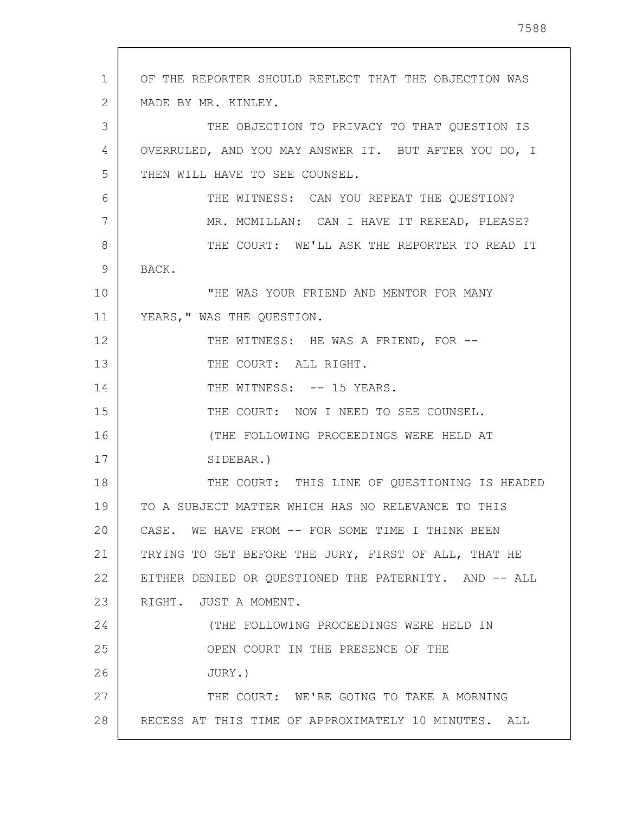| 1  | OF THE REPORTER SHOULD REFLECT THAT THE OBJECTION WAS |
|----|-------------------------------------------------------|
| 2  | MADE BY MR. KINLEY.                                   |
| 3  | THE OBJECTION TO PRIVACY TO THAT QUESTION IS          |
| 4  | OVERRULED, AND YOU MAY ANSWER IT. BUT AFTER YOU DO, I |
| 5  | THEN WILL HAVE TO SEE COUNSEL.                        |
| 6  | THE WITNESS: CAN YOU REPEAT THE QUESTION?             |
| 7  | MR. MCMILLAN: CAN I HAVE IT REREAD, PLEASE?           |
| 8  | THE COURT: WE'LL ASK THE REPORTER TO READ IT          |
| 9  | BACK.                                                 |
| 10 | "HE WAS YOUR FRIEND AND MENTOR FOR MANY               |
| 11 | YEARS, " WAS THE QUESTION.                            |
| 12 | THE WITNESS: HE WAS A FRIEND, FOR --                  |
| 13 | THE COURT: ALL RIGHT.                                 |
| 14 | THE WITNESS: -- 15 YEARS.                             |
| 15 | THE COURT: NOW I NEED TO SEE COUNSEL.                 |
| 16 | (THE FOLLOWING PROCEEDINGS WERE HELD AT               |
| 17 | SIDEBAR.)                                             |
| 18 | THE COURT: THIS LINE OF QUESTIONING IS HEADED         |
| 19 | TO A SUBJECT MATTER WHICH HAS NO RELEVANCE TO THIS    |
| 20 | CASE. WE HAVE FROM -- FOR SOME TIME I THINK BEEN      |
| 21 | TRYING TO GET BEFORE THE JURY, FIRST OF ALL, THAT HE  |
| 22 | EITHER DENIED OR QUESTIONED THE PATERNITY. AND -- ALL |
| 23 | RIGHT. JUST A MOMENT.                                 |
| 24 | (THE FOLLOWING PROCEEDINGS WERE HELD IN               |
| 25 | OPEN COURT IN THE PRESENCE OF THE                     |
| 26 | JURY.)                                                |
| 27 | THE COURT: WE'RE GOING TO TAKE A MORNING              |

RECESS AT THIS TIME OF APPROXIMATELY 10 MINUTES. ALL

28

 $\Gamma$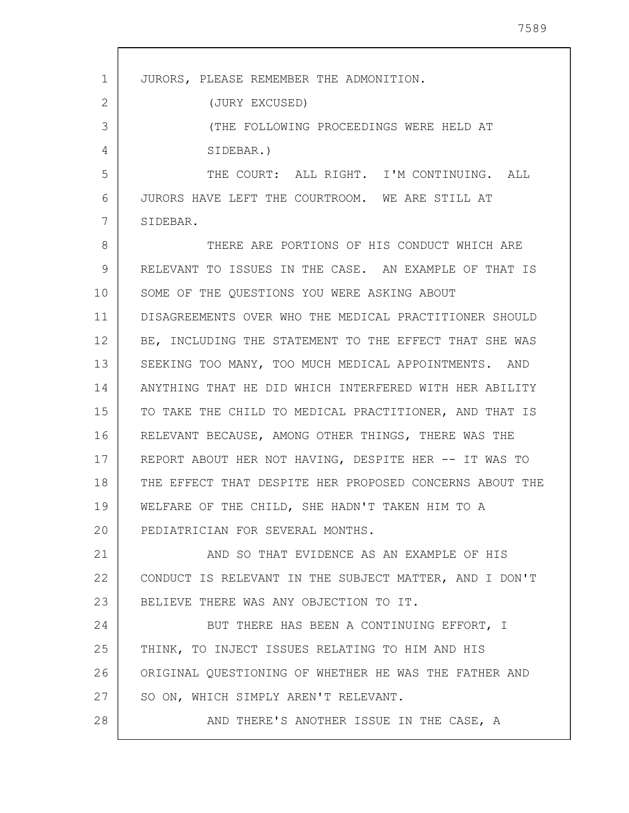| 1  | JURORS, PLEASE REMEMBER THE ADMONITION.                 |
|----|---------------------------------------------------------|
| 2  | (JURY EXCUSED)                                          |
| 3  | (THE FOLLOWING PROCEEDINGS WERE HELD AT                 |
| 4  | SIDEBAR.)                                               |
| 5  | THE COURT: ALL RIGHT. I'M CONTINUING. ALL               |
| 6  | JURORS HAVE LEFT THE COURTROOM. WE ARE STILL AT         |
| 7  | SIDEBAR.                                                |
| 8  | THERE ARE PORTIONS OF HIS CONDUCT WHICH ARE             |
| 9  | RELEVANT TO ISSUES IN THE CASE. AN EXAMPLE OF THAT IS   |
| 10 | SOME OF THE QUESTIONS YOU WERE ASKING ABOUT             |
| 11 | DISAGREEMENTS OVER WHO THE MEDICAL PRACTITIONER SHOULD  |
| 12 | BE, INCLUDING THE STATEMENT TO THE EFFECT THAT SHE WAS  |
| 13 | SEEKING TOO MANY, TOO MUCH MEDICAL APPOINTMENTS. AND    |
| 14 | ANYTHING THAT HE DID WHICH INTERFERED WITH HER ABILITY  |
| 15 | TO TAKE THE CHILD TO MEDICAL PRACTITIONER, AND THAT IS  |
| 16 | RELEVANT BECAUSE, AMONG OTHER THINGS, THERE WAS THE     |
| 17 | REPORT ABOUT HER NOT HAVING, DESPITE HER -- IT WAS TO   |
| 18 | THE EFFECT THAT DESPITE HER PROPOSED CONCERNS ABOUT THE |
| 19 | WELFARE OF THE CHILD, SHE HADN'T TAKEN HIM TO A         |
| 20 | PEDIATRICIAN FOR SEVERAL MONTHS.                        |
| 21 | AND SO THAT EVIDENCE AS AN EXAMPLE OF HIS               |
| 22 | CONDUCT IS RELEVANT IN THE SUBJECT MATTER, AND I DON'T  |
| 23 | BELIEVE THERE WAS ANY OBJECTION TO IT.                  |
| 24 | BUT THERE HAS BEEN A CONTINUING EFFORT, I               |
| 25 | THINK, TO INJECT ISSUES RELATING TO HIM AND HIS         |
| 26 | ORIGINAL QUESTIONING OF WHETHER HE WAS THE FATHER AND   |
| 27 | SO ON, WHICH SIMPLY AREN'T RELEVANT.                    |
| 28 | AND THERE'S ANOTHER ISSUE IN THE CASE, A                |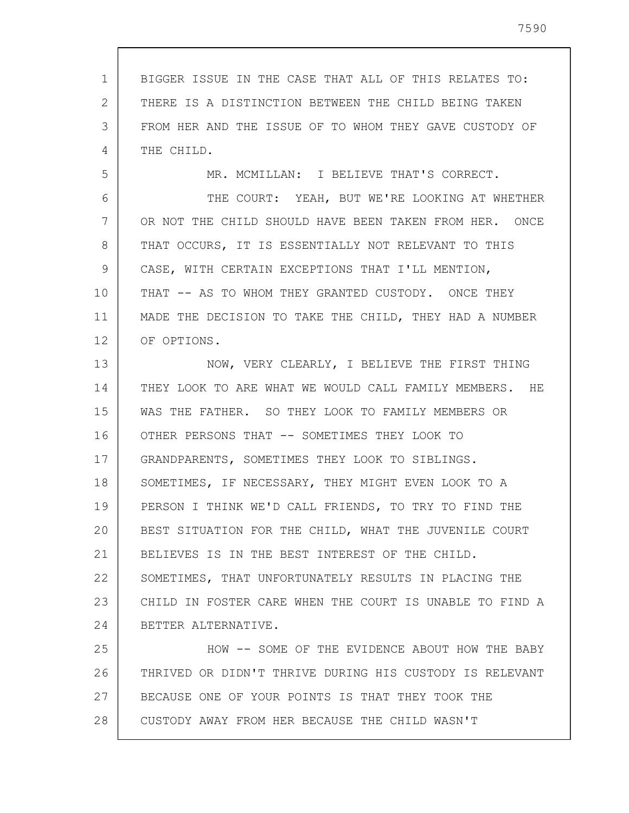1 2 3 4 5 6 7 8 9 10 11 12 13 14 15 16 17 18 19 20 21 22 23 24 25 26 27 28 BIGGER ISSUE IN THE CASE THAT ALL OF THIS RELATES TO: THERE IS A DISTINCTION BETWEEN THE CHILD BEING TAKEN FROM HER AND THE ISSUE OF TO WHOM THEY GAVE CUSTODY OF THE CHILD. MR. MCMILLAN: I BELIEVE THAT'S CORRECT. THE COURT: YEAH, BUT WE'RE LOOKING AT WHETHER OR NOT THE CHILD SHOULD HAVE BEEN TAKEN FROM HER. ONCE THAT OCCURS, IT IS ESSENTIALLY NOT RELEVANT TO THIS CASE, WITH CERTAIN EXCEPTIONS THAT I'LL MENTION, THAT -- AS TO WHOM THEY GRANTED CUSTODY. ONCE THEY MADE THE DECISION TO TAKE THE CHILD, THEY HAD A NUMBER OF OPTIONS. NOW, VERY CLEARLY, I BELIEVE THE FIRST THING THEY LOOK TO ARE WHAT WE WOULD CALL FAMILY MEMBERS. HE WAS THE FATHER. SO THEY LOOK TO FAMILY MEMBERS OR OTHER PERSONS THAT -- SOMETIMES THEY LOOK TO GRANDPARENTS, SOMETIMES THEY LOOK TO SIBLINGS. SOMETIMES, IF NECESSARY, THEY MIGHT EVEN LOOK TO A PERSON I THINK WE'D CALL FRIENDS, TO TRY TO FIND THE BEST SITUATION FOR THE CHILD, WHAT THE JUVENILE COURT BELIEVES IS IN THE BEST INTEREST OF THE CHILD. SOMETIMES, THAT UNFORTUNATELY RESULTS IN PLACING THE CHILD IN FOSTER CARE WHEN THE COURT IS UNABLE TO FIND A BETTER ALTERNATIVE. HOW -- SOME OF THE EVIDENCE ABOUT HOW THE BABY THRIVED OR DIDN'T THRIVE DURING HIS CUSTODY IS RELEVANT BECAUSE ONE OF YOUR POINTS IS THAT THEY TOOK THE CUSTODY AWAY FROM HER BECAUSE THE CHILD WASN'T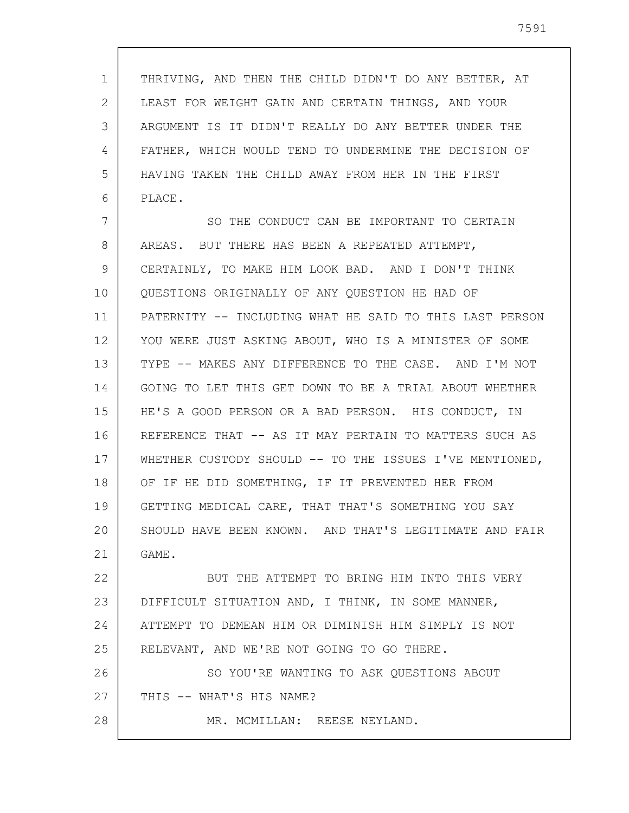1 2 3 4 5 6 THRIVING, AND THEN THE CHILD DIDN'T DO ANY BETTER, AT LEAST FOR WEIGHT GAIN AND CERTAIN THINGS, AND YOUR ARGUMENT IS IT DIDN'T REALLY DO ANY BETTER UNDER THE FATHER, WHICH WOULD TEND TO UNDERMINE THE DECISION OF HAVING TAKEN THE CHILD AWAY FROM HER IN THE FIRST PLACE.

7 8 9 10 11 12 13 14 15 16 17 18 19 20 21 SO THE CONDUCT CAN BE IMPORTANT TO CERTAIN AREAS. BUT THERE HAS BEEN A REPEATED ATTEMPT, CERTAINLY, TO MAKE HIM LOOK BAD. AND I DON'T THINK QUESTIONS ORIGINALLY OF ANY QUESTION HE HAD OF PATERNITY -- INCLUDING WHAT HE SAID TO THIS LAST PERSON YOU WERE JUST ASKING ABOUT, WHO IS A MINISTER OF SOME TYPE -- MAKES ANY DIFFERENCE TO THE CASE. AND I'M NOT GOING TO LET THIS GET DOWN TO BE A TRIAL ABOUT WHETHER HE'S A GOOD PERSON OR A BAD PERSON. HIS CONDUCT, IN REFERENCE THAT -- AS IT MAY PERTAIN TO MATTERS SUCH AS WHETHER CUSTODY SHOULD -- TO THE ISSUES I'VE MENTIONED, OF IF HE DID SOMETHING, IF IT PREVENTED HER FROM GETTING MEDICAL CARE, THAT THAT'S SOMETHING YOU SAY SHOULD HAVE BEEN KNOWN. AND THAT'S LEGITIMATE AND FAIR GAME.

22 23 24 25 26 27 BUT THE ATTEMPT TO BRING HIM INTO THIS VERY DIFFICULT SITUATION AND, I THINK, IN SOME MANNER, ATTEMPT TO DEMEAN HIM OR DIMINISH HIM SIMPLY IS NOT RELEVANT, AND WE'RE NOT GOING TO GO THERE. SO YOU'RE WANTING TO ASK QUESTIONS ABOUT THIS -- WHAT'S HIS NAME?

MR. MCMILLAN: REESE NEYLAND.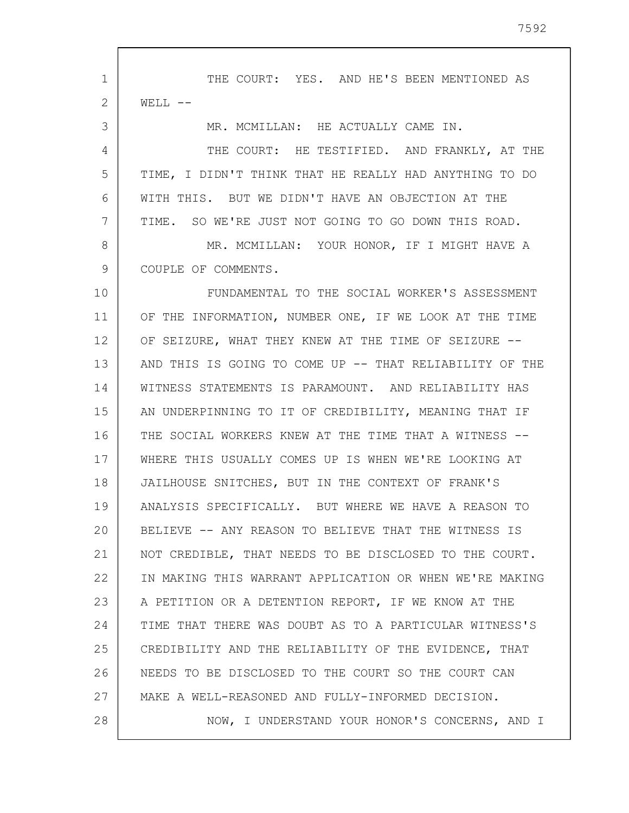1 2 3 4 5 6 7 8 9 10 11 12 13 14 15 16 17 18 19 20 21 22 23 24 25 26 27 28 THE COURT: YES. AND HE'S BEEN MENTIONED AS  $WELL$   $--$ MR. MCMILLAN: HE ACTUALLY CAME IN. THE COURT: HE TESTIFIED. AND FRANKLY, AT THE TIME, I DIDN'T THINK THAT HE REALLY HAD ANYTHING TO DO WITH THIS. BUT WE DIDN'T HAVE AN OBJECTION AT THE TIME. SO WE'RE JUST NOT GOING TO GO DOWN THIS ROAD. MR. MCMILLAN: YOUR HONOR, IF I MIGHT HAVE A COUPLE OF COMMENTS. FUNDAMENTAL TO THE SOCIAL WORKER'S ASSESSMENT OF THE INFORMATION, NUMBER ONE, IF WE LOOK AT THE TIME OF SEIZURE, WHAT THEY KNEW AT THE TIME OF SEIZURE -- AND THIS IS GOING TO COME UP -- THAT RELIABILITY OF THE WITNESS STATEMENTS IS PARAMOUNT. AND RELIABILITY HAS AN UNDERPINNING TO IT OF CREDIBILITY, MEANING THAT IF THE SOCIAL WORKERS KNEW AT THE TIME THAT A WITNESS --WHERE THIS USUALLY COMES UP IS WHEN WE'RE LOOKING AT JAILHOUSE SNITCHES, BUT IN THE CONTEXT OF FRANK'S ANALYSIS SPECIFICALLY. BUT WHERE WE HAVE A REASON TO BELIEVE -- ANY REASON TO BELIEVE THAT THE WITNESS IS NOT CREDIBLE, THAT NEEDS TO BE DISCLOSED TO THE COURT. IN MAKING THIS WARRANT APPLICATION OR WHEN WE'RE MAKING A PETITION OR A DETENTION REPORT, IF WE KNOW AT THE TIME THAT THERE WAS DOUBT AS TO A PARTICULAR WITNESS'S CREDIBILITY AND THE RELIABILITY OF THE EVIDENCE, THAT NEEDS TO BE DISCLOSED TO THE COURT SO THE COURT CAN MAKE A WELL-REASONED AND FULLY-INFORMED DECISION. NOW, I UNDERSTAND YOUR HONOR'S CONCERNS, AND I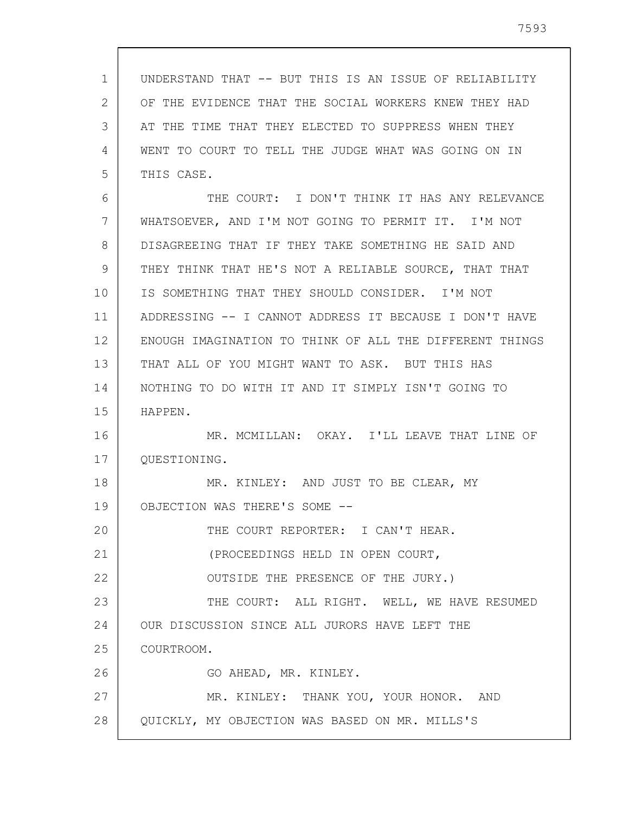| 1  | UNDERSTAND THAT -- BUT THIS IS AN ISSUE OF RELIABILITY  |
|----|---------------------------------------------------------|
| 2  | OF THE EVIDENCE THAT THE SOCIAL WORKERS KNEW THEY HAD   |
| 3  | AT THE TIME THAT THEY ELECTED TO SUPPRESS WHEN THEY     |
| 4  | WENT TO COURT TO TELL THE JUDGE WHAT WAS GOING ON IN    |
| 5  | THIS CASE.                                              |
| 6  | THE COURT: I DON'T THINK IT HAS ANY RELEVANCE           |
| 7  | WHATSOEVER, AND I'M NOT GOING TO PERMIT IT. I'M NOT     |
| 8  | DISAGREEING THAT IF THEY TAKE SOMETHING HE SAID AND     |
| 9  | THEY THINK THAT HE'S NOT A RELIABLE SOURCE, THAT THAT   |
| 10 | IS SOMETHING THAT THEY SHOULD CONSIDER. I'M NOT         |
| 11 | ADDRESSING -- I CANNOT ADDRESS IT BECAUSE I DON'T HAVE  |
| 12 | ENOUGH IMAGINATION TO THINK OF ALL THE DIFFERENT THINGS |
| 13 | THAT ALL OF YOU MIGHT WANT TO ASK. BUT THIS HAS         |
| 14 | NOTHING TO DO WITH IT AND IT SIMPLY ISN'T GOING TO      |
| 15 | HAPPEN.                                                 |
| 16 | MR. MCMILLAN: OKAY. I'LL LEAVE THAT LINE OF             |
| 17 | QUESTIONING.                                            |
| 18 | MR. KINLEY: AND JUST TO BE CLEAR, MY                    |
| 19 | OBJECTION WAS THERE'S SOME                              |
| 20 | THE COURT REPORTER: I CAN'T HEAR.                       |
| 21 | (PROCEEDINGS HELD IN OPEN COURT,                        |
| 22 | OUTSIDE THE PRESENCE OF THE JURY.)                      |
| 23 | THE COURT: ALL RIGHT. WELL, WE HAVE RESUMED             |
| 24 | OUR DISCUSSION SINCE ALL JURORS HAVE LEFT THE           |
| 25 | COURTROOM.                                              |
| 26 | GO AHEAD, MR. KINLEY.                                   |
| 27 | MR. KINLEY: THANK YOU, YOUR HONOR. AND                  |
| 28 | QUICKLY, MY OBJECTION WAS BASED ON MR. MILLS'S          |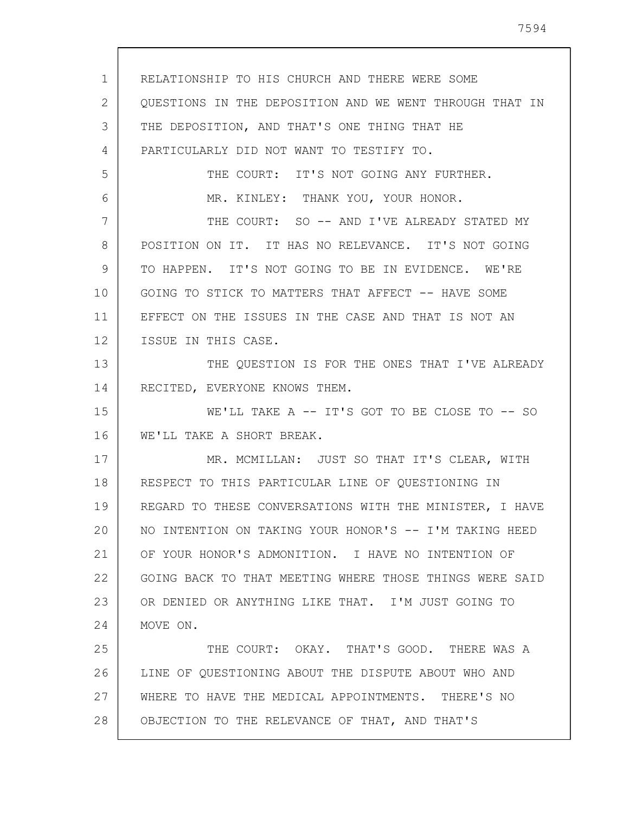1 2 3 4 5 6 7 8 9 10 11 12 13 14 15 16 17 18 19 20 21 22 23 24 25 26 27 28 RELATIONSHIP TO HIS CHURCH AND THERE WERE SOME QUESTIONS IN THE DEPOSITION AND WE WENT THROUGH THAT IN THE DEPOSITION, AND THAT'S ONE THING THAT HE PARTICULARLY DID NOT WANT TO TESTIFY TO. THE COURT: IT'S NOT GOING ANY FURTHER. MR. KINLEY: THANK YOU, YOUR HONOR. THE COURT: SO -- AND I'VE ALREADY STATED MY POSITION ON IT. IT HAS NO RELEVANCE. IT'S NOT GOING TO HAPPEN. IT'S NOT GOING TO BE IN EVIDENCE. WE'RE GOING TO STICK TO MATTERS THAT AFFECT -- HAVE SOME EFFECT ON THE ISSUES IN THE CASE AND THAT IS NOT AN ISSUE IN THIS CASE. THE QUESTION IS FOR THE ONES THAT I'VE ALREADY RECITED, EVERYONE KNOWS THEM. WE'LL TAKE A -- IT'S GOT TO BE CLOSE TO -- SO WE'LL TAKE A SHORT BREAK. MR. MCMILLAN: JUST SO THAT IT'S CLEAR, WITH RESPECT TO THIS PARTICULAR LINE OF QUESTIONING IN REGARD TO THESE CONVERSATIONS WITH THE MINISTER, I HAVE NO INTENTION ON TAKING YOUR HONOR'S -- I'M TAKING HEED OF YOUR HONOR'S ADMONITION. I HAVE NO INTENTION OF GOING BACK TO THAT MEETING WHERE THOSE THINGS WERE SAID OR DENIED OR ANYTHING LIKE THAT. I'M JUST GOING TO MOVE ON. THE COURT: OKAY. THAT'S GOOD. THERE WAS A LINE OF QUESTIONING ABOUT THE DISPUTE ABOUT WHO AND WHERE TO HAVE THE MEDICAL APPOINTMENTS. THERE'S NO OBJECTION TO THE RELEVANCE OF THAT, AND THAT'S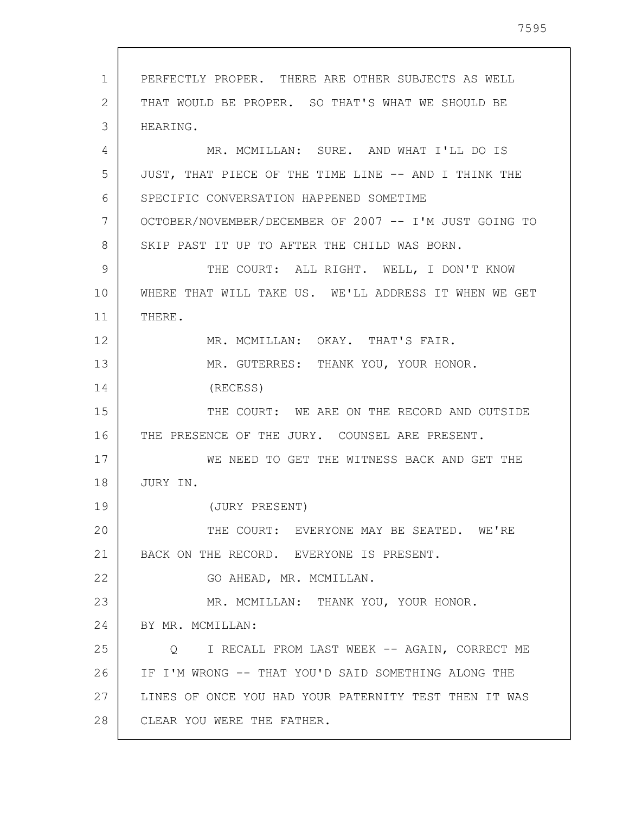1 2 3 4 5 6 7 8 9 10 11 12 13 14 15 16 17 18 19 20 21 22 23 24 25 26 27 28 PERFECTLY PROPER. THERE ARE OTHER SUBJECTS AS WELL THAT WOULD BE PROPER. SO THAT'S WHAT WE SHOULD BE HEARING. MR. MCMILLAN: SURE. AND WHAT I'LL DO IS JUST, THAT PIECE OF THE TIME LINE -- AND I THINK THE SPECIFIC CONVERSATION HAPPENED SOMETIME OCTOBER/NOVEMBER/DECEMBER OF 2007 -- I'M JUST GOING TO SKIP PAST IT UP TO AFTER THE CHILD WAS BORN. THE COURT: ALL RIGHT. WELL, I DON'T KNOW WHERE THAT WILL TAKE US. WE'LL ADDRESS IT WHEN WE GET THERE. MR. MCMILLAN: OKAY. THAT'S FAIR. MR. GUTERRES: THANK YOU, YOUR HONOR. (RECESS) THE COURT: WE ARE ON THE RECORD AND OUTSIDE THE PRESENCE OF THE JURY. COUNSEL ARE PRESENT. WE NEED TO GET THE WITNESS BACK AND GET THE JURY IN. (JURY PRESENT) THE COURT: EVERYONE MAY BE SEATED. WE'RE BACK ON THE RECORD. EVERYONE IS PRESENT. GO AHEAD, MR. MCMILLAN. MR. MCMILLAN: THANK YOU, YOUR HONOR. BY MR. MCMILLAN: Q I RECALL FROM LAST WEEK -- AGAIN, CORRECT ME IF I'M WRONG -- THAT YOU'D SAID SOMETHING ALONG THE LINES OF ONCE YOU HAD YOUR PATERNITY TEST THEN IT WAS CLEAR YOU WERE THE FATHER.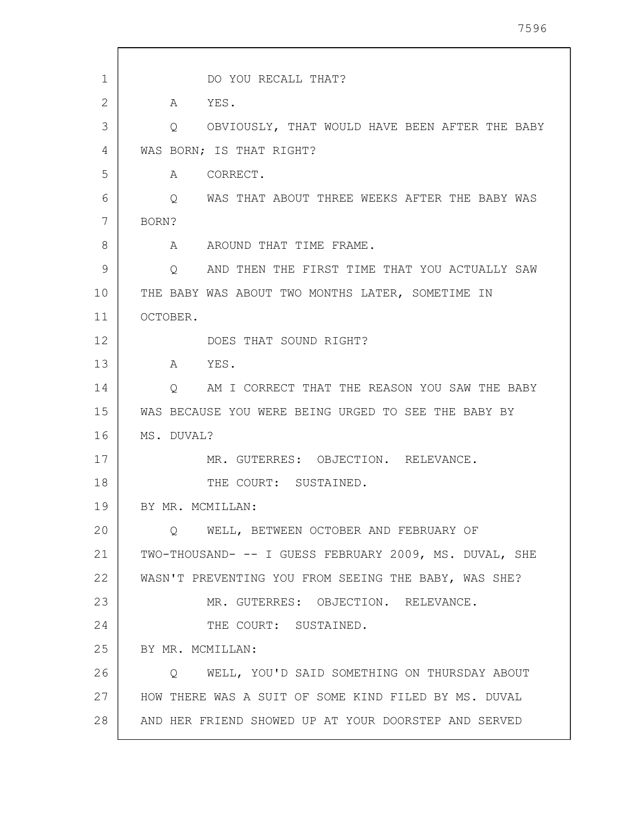| $\mathbf{1}$ | DO YOU RECALL THAT?                                    |
|--------------|--------------------------------------------------------|
| 2            | A YES.                                                 |
| 3            | OBVIOUSLY, THAT WOULD HAVE BEEN AFTER THE BABY<br>Q.   |
| 4            | WAS BORN; IS THAT RIGHT?                               |
| 5            | CORRECT.<br>A                                          |
| 6            | WAS THAT ABOUT THREE WEEKS AFTER THE BABY WAS<br>Q     |
| 7            | BORN?                                                  |
| 8            | A AROUND THAT TIME FRAME.                              |
| 9            | AND THEN THE FIRST TIME THAT YOU ACTUALLY SAW<br>Q.    |
| 10           | THE BABY WAS ABOUT TWO MONTHS LATER, SOMETIME IN       |
| 11           | OCTOBER.                                               |
| 12           | DOES THAT SOUND RIGHT?                                 |
| 13           | A YES.                                                 |
| 14           | Q AM I CORRECT THAT THE REASON YOU SAW THE BABY        |
| 15           | WAS BECAUSE YOU WERE BEING URGED TO SEE THE BABY BY    |
| 16           | MS. DUVAL?                                             |
| 17           | MR. GUTERRES: OBJECTION. RELEVANCE.                    |
| 18           | THE COURT: SUSTAINED.                                  |
| 19           | BY MR. MCMILLAN:                                       |
| 20           | O WELL, BETWEEN OCTOBER AND FEBRUARY OF                |
| 21           | TWO-THOUSAND- -- I GUESS FEBRUARY 2009, MS. DUVAL, SHE |
| 22           | WASN'T PREVENTING YOU FROM SEEING THE BABY, WAS SHE?   |
| 23           | MR. GUTERRES: OBJECTION. RELEVANCE.                    |
| 24           | THE COURT: SUSTAINED.                                  |
| 25           | BY MR. MCMILLAN:                                       |
| 26           | WELL, YOU'D SAID SOMETHING ON THURSDAY ABOUT<br>O      |
| 27           | HOW THERE WAS A SUIT OF SOME KIND FILED BY MS. DUVAL   |
| 28           | AND HER FRIEND SHOWED UP AT YOUR DOORSTEP AND SERVED   |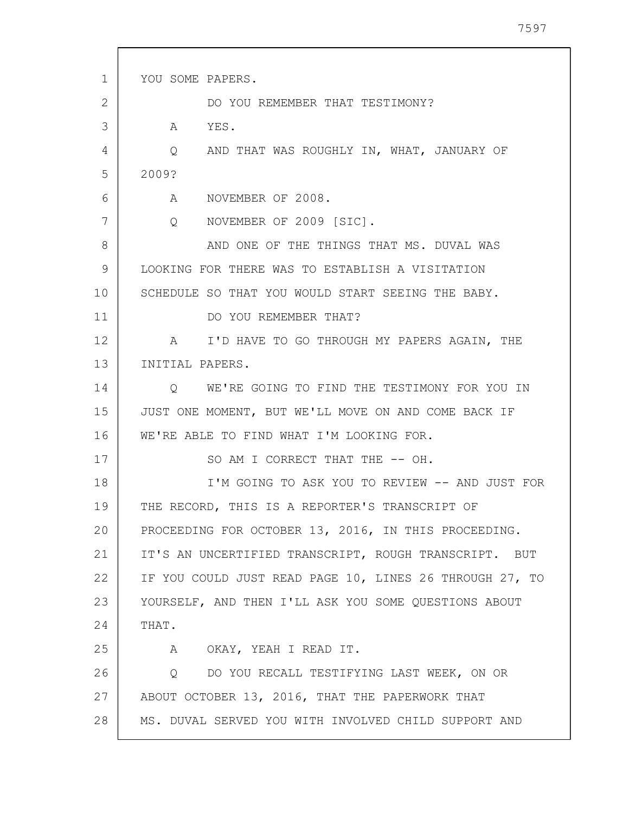| $\mathbf{1}$ | YOU SOME PAPERS.                                                                           |
|--------------|--------------------------------------------------------------------------------------------|
| 2            | DO YOU REMEMBER THAT TESTIMONY?                                                            |
| 3            | A<br>YES.                                                                                  |
| 4            | AND THAT WAS ROUGHLY IN, WHAT, JANUARY OF<br>Q                                             |
| 5            | 2009?                                                                                      |
| 6            | A NOVEMBER OF 2008.                                                                        |
| 7            | $Q \left( \begin{array}{cc} 0 & 0 \\ 0 & 0 \end{array} \right)$<br>NOVEMBER OF 2009 [SIC]. |
| 8            | AND ONE OF THE THINGS THAT MS. DUVAL WAS                                                   |
| 9            | LOOKING FOR THERE WAS TO ESTABLISH A VISITATION                                            |
| 10           | SCHEDULE SO THAT YOU WOULD START SEEING THE BABY.                                          |
| 11           | DO YOU REMEMBER THAT?                                                                      |
| 12           | I'D HAVE TO GO THROUGH MY PAPERS AGAIN, THE<br>$\lambda$                                   |
| 13           | INITIAL PAPERS.                                                                            |
| 14           | Q WE'RE GOING TO FIND THE TESTIMONY FOR YOU IN                                             |
| 15           | JUST ONE MOMENT, BUT WE'LL MOVE ON AND COME BACK IF                                        |
| 16           | WE'RE ABLE TO FIND WHAT I'M LOOKING FOR.                                                   |
| 17           | SO AM I CORRECT THAT THE -- OH.                                                            |
| 18           | I'M GOING TO ASK YOU TO REVIEW -- AND JUST FOR                                             |
| 19           | THE RECORD, THIS IS A REPORTER'S TRANSCRIPT OF                                             |
| 20           | PROCEEDING FOR OCTOBER 13, 2016, IN THIS PROCEEDING.                                       |
| 21           | IT'S AN UNCERTIFIED TRANSCRIPT, ROUGH TRANSCRIPT. BUT                                      |
| 22           | IF YOU COULD JUST READ PAGE 10, LINES 26 THROUGH 27, TO                                    |
| 23           | YOURSELF, AND THEN I'LL ASK YOU SOME QUESTIONS ABOUT                                       |
| 24           | THAT.                                                                                      |
| 25           | A OKAY, YEAH I READ IT.                                                                    |
| 26           | Q DO YOU RECALL TESTIFYING LAST WEEK, ON OR                                                |
| 27           | ABOUT OCTOBER 13, 2016, THAT THE PAPERWORK THAT                                            |
| 28           | MS. DUVAL SERVED YOU WITH INVOLVED CHILD SUPPORT AND                                       |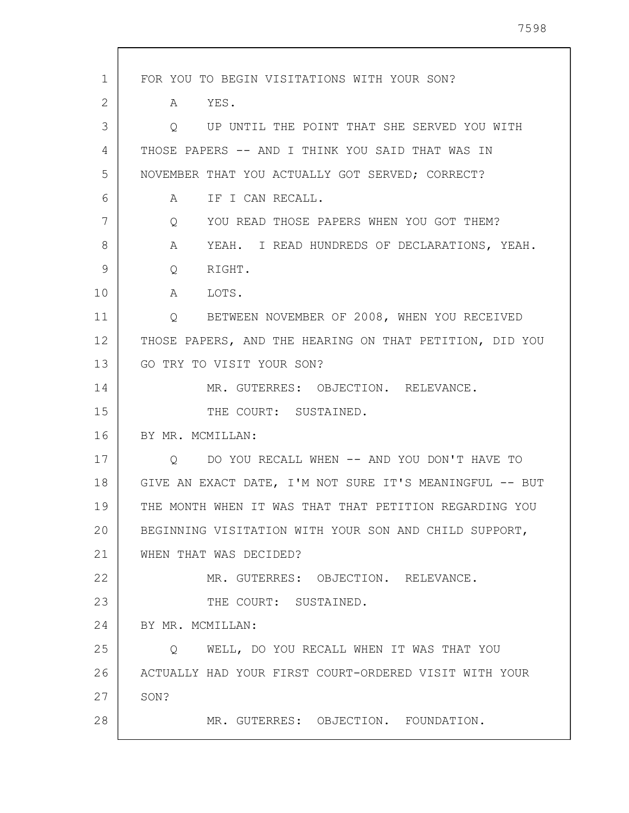| 1  | FOR YOU TO BEGIN VISITATIONS WITH YOUR SON?                   |
|----|---------------------------------------------------------------|
| 2  | YES.<br>A                                                     |
| 3  | UP UNTIL THE POINT THAT SHE SERVED YOU WITH<br>Q              |
| 4  | THOSE PAPERS -- AND I THINK YOU SAID THAT WAS IN              |
| 5  | NOVEMBER THAT YOU ACTUALLY GOT SERVED; CORRECT?               |
| 6  | IF I CAN RECALL.<br>A                                         |
| 7  | YOU READ THOSE PAPERS WHEN YOU GOT THEM?<br>$Q \qquad \qquad$ |
| 8  | YEAH. I READ HUNDREDS OF DECLARATIONS, YEAH.<br>A             |
| 9  | $Q \qquad \qquad$<br>RIGHT.                                   |
| 10 | A<br>LOTS.                                                    |
| 11 | Q BETWEEN NOVEMBER OF 2008, WHEN YOU RECEIVED                 |
| 12 | THOSE PAPERS, AND THE HEARING ON THAT PETITION, DID YOU       |
| 13 | GO TRY TO VISIT YOUR SON?                                     |
| 14 | MR. GUTERRES: OBJECTION. RELEVANCE.                           |
| 15 | THE COURT: SUSTAINED.                                         |
| 16 | BY MR. MCMILLAN:                                              |
| 17 | DO YOU RECALL WHEN -- AND YOU DON'T HAVE TO<br>Q              |
| 18 | GIVE AN EXACT DATE, I'M NOT SURE IT'S MEANINGFUL -- BUT       |
| 19 | THE MONTH WHEN IT WAS THAT THAT PETITION REGARDING YOU        |
| 20 | BEGINNING VISITATION WITH YOUR SON AND CHILD SUPPORT,         |
| 21 | WHEN THAT WAS DECIDED?                                        |
| 22 | MR. GUTERRES: OBJECTION. RELEVANCE.                           |
| 23 | THE COURT: SUSTAINED.                                         |
| 24 | BY MR. MCMILLAN:                                              |
| 25 | WELL, DO YOU RECALL WHEN IT WAS THAT YOU<br>O                 |
| 26 | ACTUALLY HAD YOUR FIRST COURT-ORDERED VISIT WITH YOUR         |
| 27 | SON?                                                          |
| 28 | MR. GUTERRES: OBJECTION. FOUNDATION.                          |
|    |                                                               |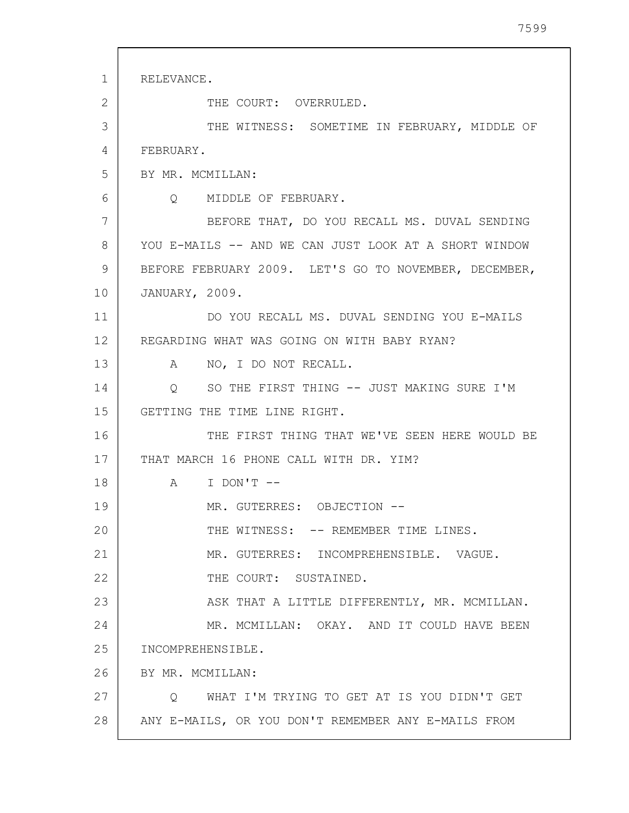| $\mathbf{1}$ | RELEVANCE.                                            |
|--------------|-------------------------------------------------------|
| 2            | THE COURT: OVERRULED.                                 |
| 3            | THE WITNESS: SOMETIME IN FEBRUARY, MIDDLE OF          |
| 4            | FEBRUARY.                                             |
| 5            | BY MR. MCMILLAN:                                      |
| 6            | Q MIDDLE OF FEBRUARY.                                 |
| 7            | BEFORE THAT, DO YOU RECALL MS. DUVAL SENDING          |
| 8            | YOU E-MAILS -- AND WE CAN JUST LOOK AT A SHORT WINDOW |
| 9            | BEFORE FEBRUARY 2009. LET'S GO TO NOVEMBER, DECEMBER, |
| 10           | JANUARY, 2009.                                        |
| 11           | DO YOU RECALL MS. DUVAL SENDING YOU E-MAILS           |
| 12           | REGARDING WHAT WAS GOING ON WITH BABY RYAN?           |
| 13           | A NO, I DO NOT RECALL.                                |
| 14           | Q SO THE FIRST THING -- JUST MAKING SURE I'M          |
| 15           | GETTING THE TIME LINE RIGHT.                          |
| 16           | THE FIRST THING THAT WE'VE SEEN HERE WOULD BE         |
| 17           | THAT MARCH 16 PHONE CALL WITH DR. YIM?                |
| 18           | I DON'T --<br>A                                       |
| 19           | MR. GUTERRES: OBJECTION --                            |
| 20           | THE WITNESS: -- REMEMBER TIME LINES.                  |
| 21           | MR. GUTERRES: INCOMPREHENSIBLE. VAGUE.                |
| 22           | THE COURT: SUSTAINED.                                 |
| 23           | ASK THAT A LITTLE DIFFERENTLY, MR. MCMILLAN.          |
| 24           | MR. MCMILLAN: OKAY. AND IT COULD HAVE BEEN            |
| 25           | INCOMPREHENSIBLE.                                     |
| 26           | BY MR. MCMILLAN:                                      |
| 27           | O WHAT I'M TRYING TO GET AT IS YOU DIDN'T GET         |
| 28           | ANY E-MAILS, OR YOU DON'T REMEMBER ANY E-MAILS FROM   |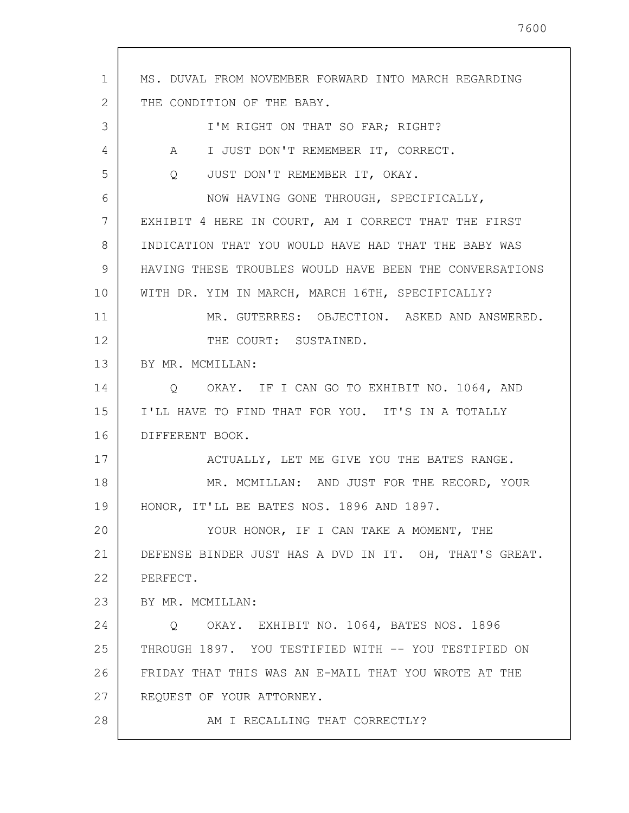1 2 3 4 5 6 7 8 9 10 11 12 13 14 15 16 17 18 19 20 21 22 23 24 25 26 27 28 MS. DUVAL FROM NOVEMBER FORWARD INTO MARCH REGARDING THE CONDITION OF THE BABY. I'M RIGHT ON THAT SO FAR; RIGHT? A I JUST DON'T REMEMBER IT, CORRECT. Q JUST DON'T REMEMBER IT, OKAY. NOW HAVING GONE THROUGH, SPECIFICALLY, EXHIBIT 4 HERE IN COURT, AM I CORRECT THAT THE FIRST INDICATION THAT YOU WOULD HAVE HAD THAT THE BABY WAS HAVING THESE TROUBLES WOULD HAVE BEEN THE CONVERSATIONS WITH DR. YIM IN MARCH, MARCH 16TH, SPECIFICALLY? MR. GUTERRES: OBJECTION. ASKED AND ANSWERED. THE COURT: SUSTAINED. BY MR. MCMILLAN: Q OKAY. IF I CAN GO TO EXHIBIT NO. 1064, AND I'LL HAVE TO FIND THAT FOR YOU. IT'S IN A TOTALLY DIFFERENT BOOK. ACTUALLY, LET ME GIVE YOU THE BATES RANGE. MR. MCMILLAN: AND JUST FOR THE RECORD, YOUR HONOR, IT'LL BE BATES NOS. 1896 AND 1897. YOUR HONOR, IF I CAN TAKE A MOMENT, THE DEFENSE BINDER JUST HAS A DVD IN IT. OH, THAT'S GREAT. PERFECT. BY MR. MCMILLAN: Q OKAY. EXHIBIT NO. 1064, BATES NOS. 1896 THROUGH 1897. YOU TESTIFIED WITH -- YOU TESTIFIED ON FRIDAY THAT THIS WAS AN E-MAIL THAT YOU WROTE AT THE REQUEST OF YOUR ATTORNEY. AM I RECALLING THAT CORRECTLY?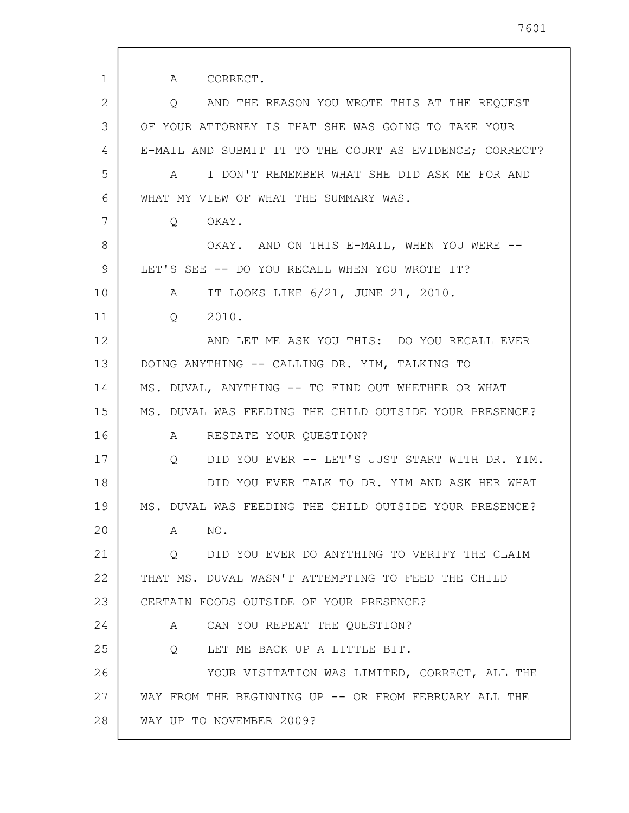1 2 3 4 5 6 7 8 9 10 11 12 13 14 15 16 17 18 19 20 21 22 23 24 25 26 27 28 A CORRECT. Q AND THE REASON YOU WROTE THIS AT THE REQUEST OF YOUR ATTORNEY IS THAT SHE WAS GOING TO TAKE YOUR E-MAIL AND SUBMIT IT TO THE COURT AS EVIDENCE; CORRECT? A I DON'T REMEMBER WHAT SHE DID ASK ME FOR AND WHAT MY VIEW OF WHAT THE SUMMARY WAS. Q OKAY. OKAY. AND ON THIS E-MAIL, WHEN YOU WERE -- LET'S SEE -- DO YOU RECALL WHEN YOU WROTE IT? A IT LOOKS LIKE 6/21, JUNE 21, 2010. Q 2010. AND LET ME ASK YOU THIS: DO YOU RECALL EVER DOING ANYTHING -- CALLING DR. YIM, TALKING TO MS. DUVAL, ANYTHING -- TO FIND OUT WHETHER OR WHAT MS. DUVAL WAS FEEDING THE CHILD OUTSIDE YOUR PRESENCE? A RESTATE YOUR QUESTION? Q DID YOU EVER -- LET'S JUST START WITH DR. YIM. DID YOU EVER TALK TO DR. YIM AND ASK HER WHAT MS. DUVAL WAS FEEDING THE CHILD OUTSIDE YOUR PRESENCE? A NO. Q DID YOU EVER DO ANYTHING TO VERIFY THE CLAIM THAT MS. DUVAL WASN'T ATTEMPTING TO FEED THE CHILD CERTAIN FOODS OUTSIDE OF YOUR PRESENCE? A CAN YOU REPEAT THE QUESTION? Q LET ME BACK UP A LITTLE BIT. YOUR VISITATION WAS LIMITED, CORRECT, ALL THE WAY FROM THE BEGINNING UP -- OR FROM FEBRUARY ALL THE WAY UP TO NOVEMBER 2009?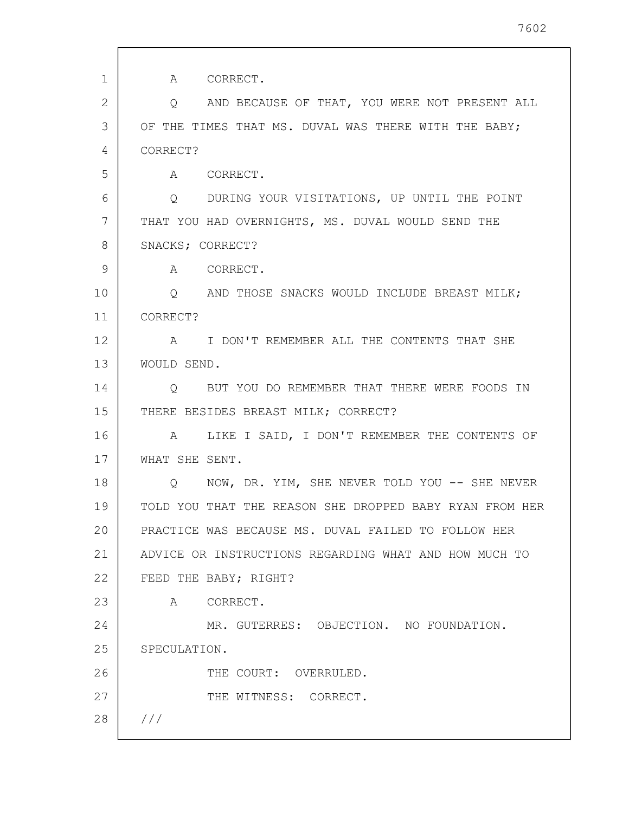| $\mathbf{1}$ | A<br>CORRECT.                                           |
|--------------|---------------------------------------------------------|
| 2            | AND BECAUSE OF THAT, YOU WERE NOT PRESENT ALL<br>Q      |
| 3            | OF THE TIMES THAT MS. DUVAL WAS THERE WITH THE BABY;    |
| 4            | CORRECT?                                                |
| 5            | A CORRECT.                                              |
| 6            | Q DURING YOUR VISITATIONS, UP UNTIL THE POINT           |
| 7            | THAT YOU HAD OVERNIGHTS, MS. DUVAL WOULD SEND THE       |
| 8            | SNACKS; CORRECT?                                        |
| 9            | A CORRECT.                                              |
| 10           | O AND THOSE SNACKS WOULD INCLUDE BREAST MILK;           |
| 11           | CORRECT?                                                |
| 12           | I DON'T REMEMBER ALL THE CONTENTS THAT SHE<br>A         |
| 13           | WOULD SEND.                                             |
| 14           | BUT YOU DO REMEMBER THAT THERE WERE FOODS IN<br>Q       |
| 15           | THERE BESIDES BREAST MILK; CORRECT?                     |
| 16           | LIKE I SAID, I DON'T REMEMBER THE CONTENTS OF<br>A      |
| 17           | WHAT SHE SENT.                                          |
| 18           | NOW, DR. YIM, SHE NEVER TOLD YOU -- SHE NEVER<br>Q      |
| 19           | TOLD YOU THAT THE REASON SHE DROPPED BABY RYAN FROM HER |
| 20           | PRACTICE WAS BECAUSE MS. DUVAL FAILED TO FOLLOW HER     |
| 21           | ADVICE OR INSTRUCTIONS REGARDING WHAT AND HOW MUCH TO   |
| 22           | FEED THE BABY; RIGHT?                                   |
| 23           | A CORRECT.                                              |
| 24           | MR. GUTERRES: OBJECTION. NO FOUNDATION.                 |
| 25           | SPECULATION.                                            |
| 26           | THE COURT: OVERRULED.                                   |
| 27           | THE WITNESS: CORRECT.                                   |
| 28           | //                                                      |
|              |                                                         |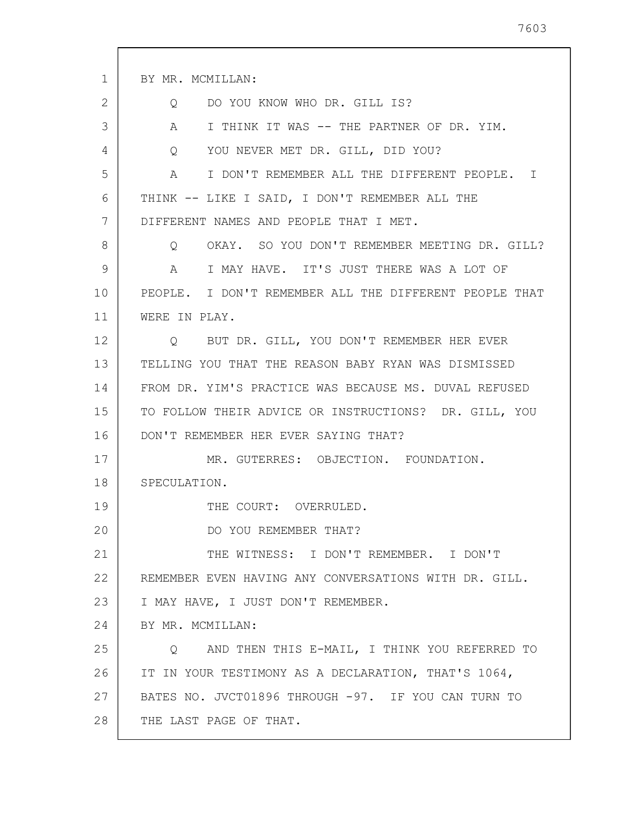| 1  | BY MR. MCMILLAN:                                            |
|----|-------------------------------------------------------------|
| 2  | DO YOU KNOW WHO DR. GILL IS?<br>Q                           |
| 3  | A<br>I THINK IT WAS -- THE PARTNER OF DR. YIM.              |
| 4  | YOU NEVER MET DR. GILL, DID YOU?<br>$Q \qquad \qquad$       |
| 5  | $\mathbb A$<br>I DON'T REMEMBER ALL THE DIFFERENT PEOPLE. I |
| 6  | THINK -- LIKE I SAID, I DON'T REMEMBER ALL THE              |
| 7  | DIFFERENT NAMES AND PEOPLE THAT I MET.                      |
| 8  | OKAY. SO YOU DON'T REMEMBER MEETING DR. GILL?<br>$\circ$    |
| 9  | I MAY HAVE. IT'S JUST THERE WAS A LOT OF<br>A               |
| 10 | PEOPLE. I DON'T REMEMBER ALL THE DIFFERENT PEOPLE THAT      |
| 11 | WERE IN PLAY.                                               |
| 12 | BUT DR. GILL, YOU DON'T REMEMBER HER EVER<br>$\circ$        |
| 13 | TELLING YOU THAT THE REASON BABY RYAN WAS DISMISSED         |
| 14 | FROM DR. YIM'S PRACTICE WAS BECAUSE MS. DUVAL REFUSED       |
| 15 | TO FOLLOW THEIR ADVICE OR INSTRUCTIONS? DR. GILL, YOU       |
| 16 | DON'T REMEMBER HER EVER SAYING THAT?                        |
| 17 | MR. GUTERRES: OBJECTION. FOUNDATION.                        |
| 18 | SPECULATION.                                                |
| 19 | THE COURT: OVERRULED.                                       |
| 20 | DO YOU REMEMBER THAT?                                       |
| 21 | THE WITNESS: I DON'T REMEMBER. I DON'T                      |
| 22 | REMEMBER EVEN HAVING ANY CONVERSATIONS WITH DR. GILL.       |
| 23 | I MAY HAVE, I JUST DON'T REMEMBER.                          |
| 24 | BY MR. MCMILLAN:                                            |
| 25 | Q AND THEN THIS E-MAIL, I THINK YOU REFERRED TO             |
| 26 | IT IN YOUR TESTIMONY AS A DECLARATION, THAT'S 1064,         |
| 27 | BATES NO. JVCT01896 THROUGH -97. IF YOU CAN TURN TO         |
| 28 | THE LAST PAGE OF THAT.                                      |
|    |                                                             |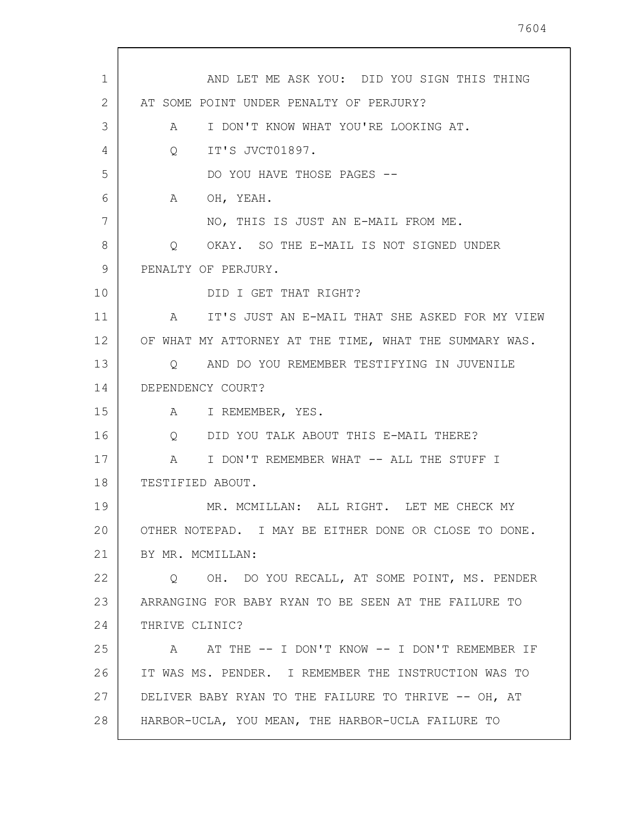| AND LET ME ASK YOU: DID YOU SIGN THIS THING<br>1<br>2<br>AT SOME POINT UNDER PENALTY OF PERJURY?<br>3<br>I DON'T KNOW WHAT YOU'RE LOOKING AT.<br>A<br>IT'S JVCT01897.<br>4<br>$Q_{\rm c}$<br>5<br>DO YOU HAVE THOSE PAGES --<br>6<br>OH, YEAH.<br>A<br>7<br>NO, THIS IS JUST AN E-MAIL FROM ME.<br>8<br>OKAY. SO THE E-MAIL IS NOT SIGNED UNDER<br>Q<br>9<br>PENALTY OF PERJURY.<br>10<br>DID I GET THAT RIGHT?<br>11<br>A IT'S JUST AN E-MAIL THAT SHE ASKED FOR MY VIEW<br>12<br>OF WHAT MY ATTORNEY AT THE TIME, WHAT THE SUMMARY WAS.<br>13<br>Q AND DO YOU REMEMBER TESTIFYING IN JUVENILE<br>14<br>DEPENDENCY COURT?<br>15<br>A I REMEMBER, YES.<br>16<br>DID YOU TALK ABOUT THIS E-MAIL THERE?<br>Q<br>17<br>I DON'T REMEMBER WHAT -- ALL THE STUFF I<br>$\mathbb A$<br>18<br>TESTIFIED ABOUT.<br>19<br>MR. MCMILLAN: ALL RIGHT. LET ME CHECK MY<br>20<br>OTHER NOTEPAD. I MAY BE EITHER DONE OR CLOSE TO DONE.<br>21<br>BY MR. MCMILLAN:<br>22<br>Q OH. DO YOU RECALL, AT SOME POINT, MS. PENDER<br>23<br>ARRANGING FOR BABY RYAN TO BE SEEN AT THE FAILURE TO<br>24<br>THRIVE CLINIC?<br>25<br>A AT THE -- I DON'T KNOW -- I DON'T REMEMBER IF<br>26<br>IT WAS MS. PENDER. I REMEMBER THE INSTRUCTION WAS TO<br>27<br>DELIVER BABY RYAN TO THE FAILURE TO THRIVE -- OH, AT<br>28<br>HARBOR-UCLA, YOU MEAN, THE HARBOR-UCLA FAILURE TO |  |
|------------------------------------------------------------------------------------------------------------------------------------------------------------------------------------------------------------------------------------------------------------------------------------------------------------------------------------------------------------------------------------------------------------------------------------------------------------------------------------------------------------------------------------------------------------------------------------------------------------------------------------------------------------------------------------------------------------------------------------------------------------------------------------------------------------------------------------------------------------------------------------------------------------------------------------------------------------------------------------------------------------------------------------------------------------------------------------------------------------------------------------------------------------------------------------------------------------------------------------------------------------------------------------------------------------------------------------------------|--|
|                                                                                                                                                                                                                                                                                                                                                                                                                                                                                                                                                                                                                                                                                                                                                                                                                                                                                                                                                                                                                                                                                                                                                                                                                                                                                                                                                |  |
|                                                                                                                                                                                                                                                                                                                                                                                                                                                                                                                                                                                                                                                                                                                                                                                                                                                                                                                                                                                                                                                                                                                                                                                                                                                                                                                                                |  |
|                                                                                                                                                                                                                                                                                                                                                                                                                                                                                                                                                                                                                                                                                                                                                                                                                                                                                                                                                                                                                                                                                                                                                                                                                                                                                                                                                |  |
|                                                                                                                                                                                                                                                                                                                                                                                                                                                                                                                                                                                                                                                                                                                                                                                                                                                                                                                                                                                                                                                                                                                                                                                                                                                                                                                                                |  |
|                                                                                                                                                                                                                                                                                                                                                                                                                                                                                                                                                                                                                                                                                                                                                                                                                                                                                                                                                                                                                                                                                                                                                                                                                                                                                                                                                |  |
|                                                                                                                                                                                                                                                                                                                                                                                                                                                                                                                                                                                                                                                                                                                                                                                                                                                                                                                                                                                                                                                                                                                                                                                                                                                                                                                                                |  |
|                                                                                                                                                                                                                                                                                                                                                                                                                                                                                                                                                                                                                                                                                                                                                                                                                                                                                                                                                                                                                                                                                                                                                                                                                                                                                                                                                |  |
|                                                                                                                                                                                                                                                                                                                                                                                                                                                                                                                                                                                                                                                                                                                                                                                                                                                                                                                                                                                                                                                                                                                                                                                                                                                                                                                                                |  |
|                                                                                                                                                                                                                                                                                                                                                                                                                                                                                                                                                                                                                                                                                                                                                                                                                                                                                                                                                                                                                                                                                                                                                                                                                                                                                                                                                |  |
|                                                                                                                                                                                                                                                                                                                                                                                                                                                                                                                                                                                                                                                                                                                                                                                                                                                                                                                                                                                                                                                                                                                                                                                                                                                                                                                                                |  |
|                                                                                                                                                                                                                                                                                                                                                                                                                                                                                                                                                                                                                                                                                                                                                                                                                                                                                                                                                                                                                                                                                                                                                                                                                                                                                                                                                |  |
|                                                                                                                                                                                                                                                                                                                                                                                                                                                                                                                                                                                                                                                                                                                                                                                                                                                                                                                                                                                                                                                                                                                                                                                                                                                                                                                                                |  |
|                                                                                                                                                                                                                                                                                                                                                                                                                                                                                                                                                                                                                                                                                                                                                                                                                                                                                                                                                                                                                                                                                                                                                                                                                                                                                                                                                |  |
|                                                                                                                                                                                                                                                                                                                                                                                                                                                                                                                                                                                                                                                                                                                                                                                                                                                                                                                                                                                                                                                                                                                                                                                                                                                                                                                                                |  |
|                                                                                                                                                                                                                                                                                                                                                                                                                                                                                                                                                                                                                                                                                                                                                                                                                                                                                                                                                                                                                                                                                                                                                                                                                                                                                                                                                |  |
|                                                                                                                                                                                                                                                                                                                                                                                                                                                                                                                                                                                                                                                                                                                                                                                                                                                                                                                                                                                                                                                                                                                                                                                                                                                                                                                                                |  |
|                                                                                                                                                                                                                                                                                                                                                                                                                                                                                                                                                                                                                                                                                                                                                                                                                                                                                                                                                                                                                                                                                                                                                                                                                                                                                                                                                |  |
|                                                                                                                                                                                                                                                                                                                                                                                                                                                                                                                                                                                                                                                                                                                                                                                                                                                                                                                                                                                                                                                                                                                                                                                                                                                                                                                                                |  |
|                                                                                                                                                                                                                                                                                                                                                                                                                                                                                                                                                                                                                                                                                                                                                                                                                                                                                                                                                                                                                                                                                                                                                                                                                                                                                                                                                |  |
|                                                                                                                                                                                                                                                                                                                                                                                                                                                                                                                                                                                                                                                                                                                                                                                                                                                                                                                                                                                                                                                                                                                                                                                                                                                                                                                                                |  |
|                                                                                                                                                                                                                                                                                                                                                                                                                                                                                                                                                                                                                                                                                                                                                                                                                                                                                                                                                                                                                                                                                                                                                                                                                                                                                                                                                |  |
|                                                                                                                                                                                                                                                                                                                                                                                                                                                                                                                                                                                                                                                                                                                                                                                                                                                                                                                                                                                                                                                                                                                                                                                                                                                                                                                                                |  |
|                                                                                                                                                                                                                                                                                                                                                                                                                                                                                                                                                                                                                                                                                                                                                                                                                                                                                                                                                                                                                                                                                                                                                                                                                                                                                                                                                |  |
|                                                                                                                                                                                                                                                                                                                                                                                                                                                                                                                                                                                                                                                                                                                                                                                                                                                                                                                                                                                                                                                                                                                                                                                                                                                                                                                                                |  |
|                                                                                                                                                                                                                                                                                                                                                                                                                                                                                                                                                                                                                                                                                                                                                                                                                                                                                                                                                                                                                                                                                                                                                                                                                                                                                                                                                |  |
|                                                                                                                                                                                                                                                                                                                                                                                                                                                                                                                                                                                                                                                                                                                                                                                                                                                                                                                                                                                                                                                                                                                                                                                                                                                                                                                                                |  |
|                                                                                                                                                                                                                                                                                                                                                                                                                                                                                                                                                                                                                                                                                                                                                                                                                                                                                                                                                                                                                                                                                                                                                                                                                                                                                                                                                |  |
|                                                                                                                                                                                                                                                                                                                                                                                                                                                                                                                                                                                                                                                                                                                                                                                                                                                                                                                                                                                                                                                                                                                                                                                                                                                                                                                                                |  |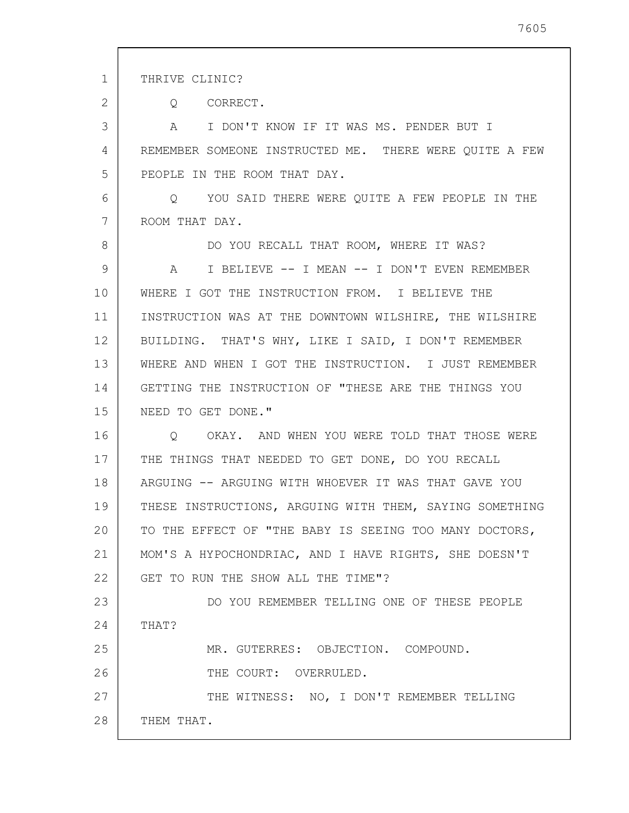1 2 3 4 5 6 7 8 9 10 11 12 13 14 15 16 17 18 19 20 21 22 23 24 25 26 27 28 THRIVE CLINIC? Q CORRECT. A I DON'T KNOW IF IT WAS MS. PENDER BUT I REMEMBER SOMEONE INSTRUCTED ME. THERE WERE QUITE A FEW PEOPLE IN THE ROOM THAT DAY. Q YOU SAID THERE WERE QUITE A FEW PEOPLE IN THE ROOM THAT DAY. DO YOU RECALL THAT ROOM, WHERE IT WAS? A I BELIEVE -- I MEAN -- I DON'T EVEN REMEMBER WHERE I GOT THE INSTRUCTION FROM. I BELIEVE THE INSTRUCTION WAS AT THE DOWNTOWN WILSHIRE, THE WILSHIRE BUILDING. THAT'S WHY, LIKE I SAID, I DON'T REMEMBER WHERE AND WHEN I GOT THE INSTRUCTION. I JUST REMEMBER GETTING THE INSTRUCTION OF "THESE ARE THE THINGS YOU NEED TO GET DONE." Q OKAY. AND WHEN YOU WERE TOLD THAT THOSE WERE THE THINGS THAT NEEDED TO GET DONE, DO YOU RECALL ARGUING -- ARGUING WITH WHOEVER IT WAS THAT GAVE YOU THESE INSTRUCTIONS, ARGUING WITH THEM, SAYING SOMETHING TO THE EFFECT OF "THE BABY IS SEEING TOO MANY DOCTORS, MOM'S A HYPOCHONDRIAC, AND I HAVE RIGHTS, SHE DOESN'T GET TO RUN THE SHOW ALL THE TIME"? DO YOU REMEMBER TELLING ONE OF THESE PEOPLE THAT? MR. GUTERRES: OBJECTION. COMPOUND. THE COURT: OVERRULED. THE WITNESS: NO, I DON'T REMEMBER TELLING THEM THAT.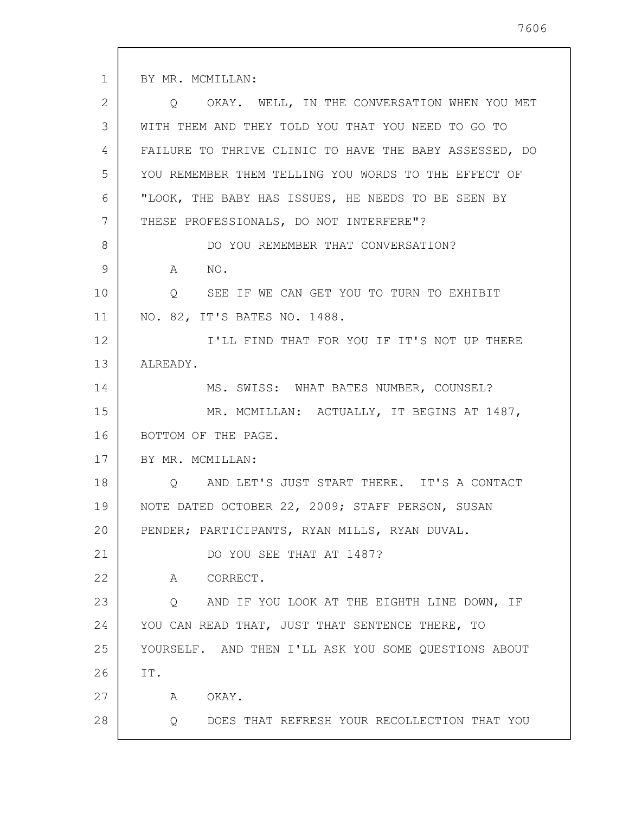1 2 3 4 5 6 7 8 9 10 11 12 13 14 15 16 17 18 19 20 21 22 23 24 25 26 27 28 BY MR. MCMILLAN: Q OKAY. WELL, IN THE CONVERSATION WHEN YOU MET WITH THEM AND THEY TOLD YOU THAT YOU NEED TO GO TO FAILURE TO THRIVE CLINIC TO HAVE THE BABY ASSESSED, DO YOU REMEMBER THEM TELLING YOU WORDS TO THE EFFECT OF "LOOK, THE BABY HAS ISSUES, HE NEEDS TO BE SEEN BY THESE PROFESSIONALS, DO NOT INTERFERE"? DO YOU REMEMBER THAT CONVERSATION? A NO. Q SEE IF WE CAN GET YOU TO TURN TO EXHIBIT NO. 82, IT'S BATES NO. 1488. I'LL FIND THAT FOR YOU IF IT'S NOT UP THERE ALREADY. MS. SWISS: WHAT BATES NUMBER, COUNSEL? MR. MCMILLAN: ACTUALLY, IT BEGINS AT 1487, BOTTOM OF THE PAGE. BY MR. MCMILLAN: Q AND LET'S JUST START THERE. IT'S A CONTACT NOTE DATED OCTOBER 22, 2009; STAFF PERSON, SUSAN PENDER; PARTICIPANTS, RYAN MILLS, RYAN DUVAL. DO YOU SEE THAT AT 1487? A CORRECT. Q AND IF YOU LOOK AT THE EIGHTH LINE DOWN, IF YOU CAN READ THAT, JUST THAT SENTENCE THERE, TO YOURSELF. AND THEN I'LL ASK YOU SOME QUESTIONS ABOUT IT. A OKAY. Q DOES THAT REFRESH YOUR RECOLLECTION THAT YOU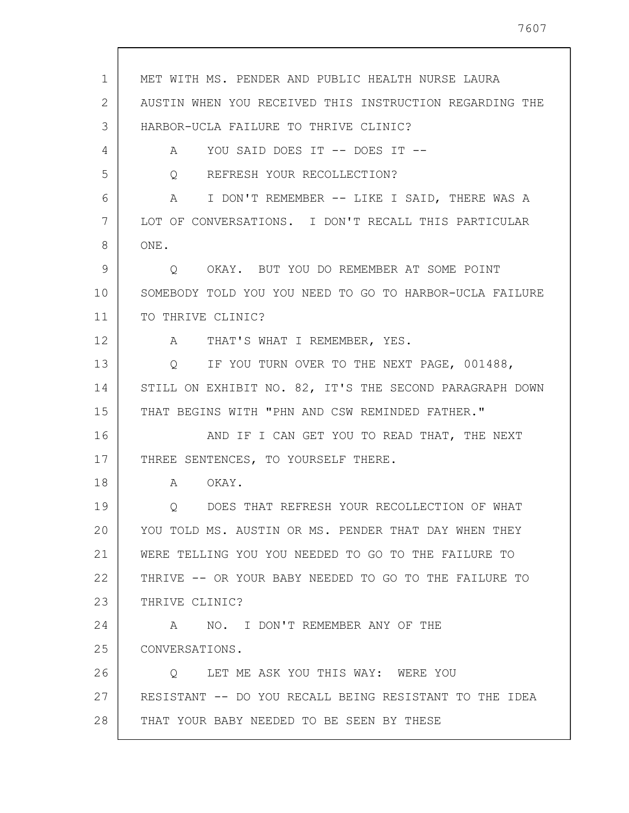MET WITH MS. PENDER AND PUBLIC HEALTH NURSE LAURA AUSTIN WHEN YOU RECEIVED THIS INSTRUCTION REGARDING THE HARBOR-UCLA FAILURE TO THRIVE CLINIC? A YOU SAID DOES IT -- DOES IT -- Q REFRESH YOUR RECOLLECTION? A I DON'T REMEMBER -- LIKE I SAID, THERE WAS A LOT OF CONVERSATIONS. I DON'T RECALL THIS PARTICULAR Q OKAY. BUT YOU DO REMEMBER AT SOME POINT SOMEBODY TOLD YOU YOU NEED TO GO TO HARBOR-UCLA FAILURE TO THRIVE CLINIC? A THAT'S WHAT I REMEMBER, YES. Q IF YOU TURN OVER TO THE NEXT PAGE, 001488, STILL ON EXHIBIT NO. 82, IT'S THE SECOND PARAGRAPH DOWN THAT BEGINS WITH "PHN AND CSW REMINDED FATHER." AND IF I CAN GET YOU TO READ THAT, THE NEXT THREE SENTENCES, TO YOURSELF THERE.

A OKAY.

1

2

3

4

5

6

7

8

ONE.

9

10

11

12

13

14

15

16

17

18

19 20 21 22 23 Q DOES THAT REFRESH YOUR RECOLLECTION OF WHAT YOU TOLD MS. AUSTIN OR MS. PENDER THAT DAY WHEN THEY WERE TELLING YOU YOU NEEDED TO GO TO THE FAILURE TO THRIVE -- OR YOUR BABY NEEDED TO GO TO THE FAILURE TO THRIVE CLINIC?

24 25 26 A NO. I DON'T REMEMBER ANY OF THE CONVERSATIONS. Q LET ME ASK YOU THIS WAY: WERE YOU

27 RESISTANT -- DO YOU RECALL BEING RESISTANT TO THE IDEA

28 THAT YOUR BABY NEEDED TO BE SEEN BY THESE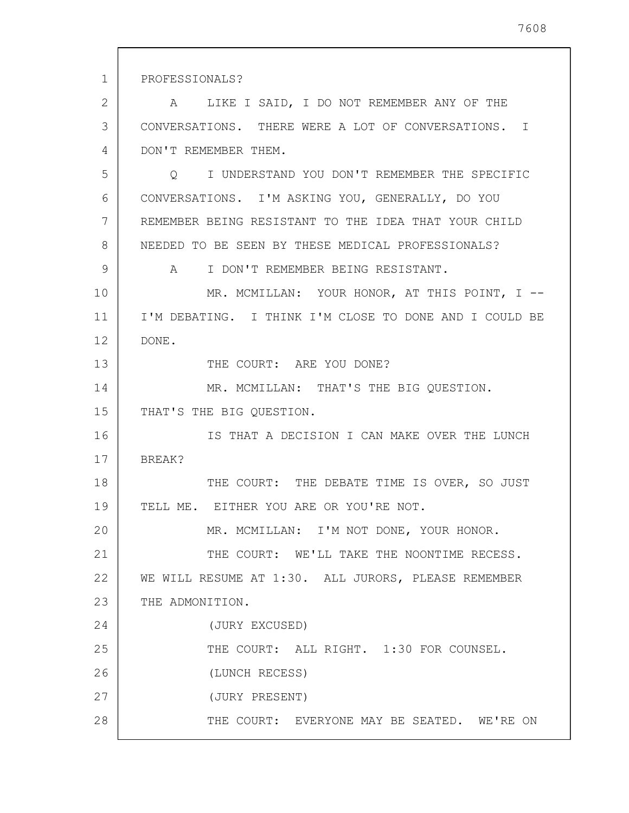1 2 3 4 5 6 7 8 9 10 11 12 13 14 15 16 17 18 19 20 21 22 23 24 25 26 27 28 PROFESSIONALS? A LIKE I SAID, I DO NOT REMEMBER ANY OF THE CONVERSATIONS. THERE WERE A LOT OF CONVERSATIONS. I DON'T REMEMBER THEM. Q I UNDERSTAND YOU DON'T REMEMBER THE SPECIFIC CONVERSATIONS. I'M ASKING YOU, GENERALLY, DO YOU REMEMBER BEING RESISTANT TO THE IDEA THAT YOUR CHILD NEEDED TO BE SEEN BY THESE MEDICAL PROFESSIONALS? A I DON'T REMEMBER BEING RESISTANT. MR. MCMILLAN: YOUR HONOR, AT THIS POINT, I -- I'M DEBATING. I THINK I'M CLOSE TO DONE AND I COULD BE DONE. THE COURT: ARE YOU DONE? MR. MCMILLAN: THAT'S THE BIG QUESTION. THAT'S THE BIG QUESTION. IS THAT A DECISION I CAN MAKE OVER THE LUNCH BREAK? THE COURT: THE DEBATE TIME IS OVER, SO JUST TELL ME. EITHER YOU ARE OR YOU'RE NOT. MR. MCMILLAN: I'M NOT DONE, YOUR HONOR. THE COURT: WE'LL TAKE THE NOONTIME RECESS. WE WILL RESUME AT 1:30. ALL JURORS, PLEASE REMEMBER THE ADMONITION. (JURY EXCUSED) THE COURT: ALL RIGHT. 1:30 FOR COUNSEL. (LUNCH RECESS) (JURY PRESENT) THE COURT: EVERYONE MAY BE SEATED. WE'RE ON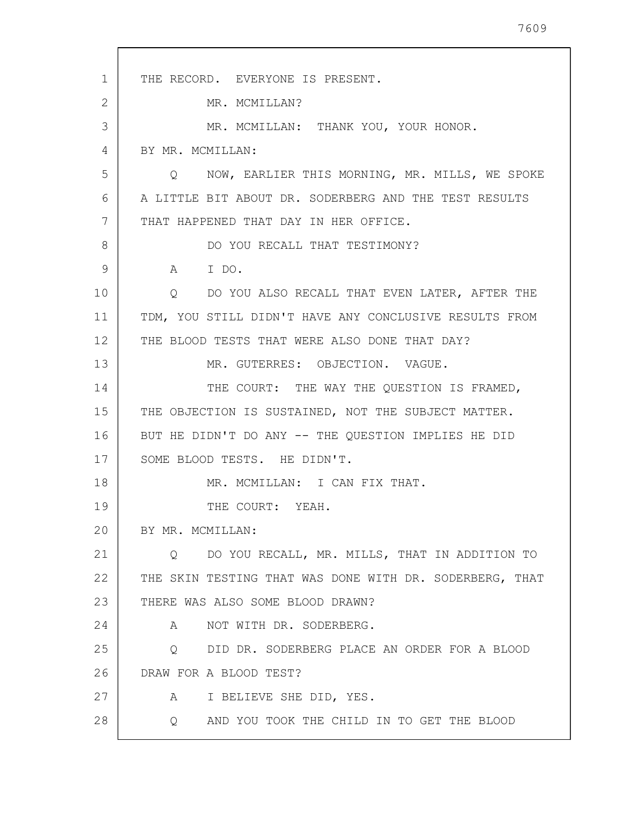1 2 3 4 5 6 7 8 9 10 11 12 13 14 15 16 17 18 19 20 21 22 23 24 25 26 27 28 THE RECORD. EVERYONE IS PRESENT. MR. MCMILLAN? MR. MCMILLAN: THANK YOU, YOUR HONOR. BY MR. MCMILLAN: Q NOW, EARLIER THIS MORNING, MR. MILLS, WE SPOKE A LITTLE BIT ABOUT DR. SODERBERG AND THE TEST RESULTS THAT HAPPENED THAT DAY IN HER OFFICE. DO YOU RECALL THAT TESTIMONY? A I DO. Q DO YOU ALSO RECALL THAT EVEN LATER, AFTER THE TDM, YOU STILL DIDN'T HAVE ANY CONCLUSIVE RESULTS FROM THE BLOOD TESTS THAT WERE ALSO DONE THAT DAY? MR. GUTERRES: OBJECTION. VAGUE. THE COURT: THE WAY THE QUESTION IS FRAMED, THE OBJECTION IS SUSTAINED, NOT THE SUBJECT MATTER. BUT HE DIDN'T DO ANY -- THE QUESTION IMPLIES HE DID SOME BLOOD TESTS. HE DIDN'T. MR. MCMILLAN: I CAN FIX THAT. THE COURT: YEAH. BY MR. MCMILLAN: Q DO YOU RECALL, MR. MILLS, THAT IN ADDITION TO THE SKIN TESTING THAT WAS DONE WITH DR. SODERBERG, THAT THERE WAS ALSO SOME BLOOD DRAWN? A NOT WITH DR. SODERBERG. Q DID DR. SODERBERG PLACE AN ORDER FOR A BLOOD DRAW FOR A BLOOD TEST? A I BELIEVE SHE DID, YES. Q AND YOU TOOK THE CHILD IN TO GET THE BLOOD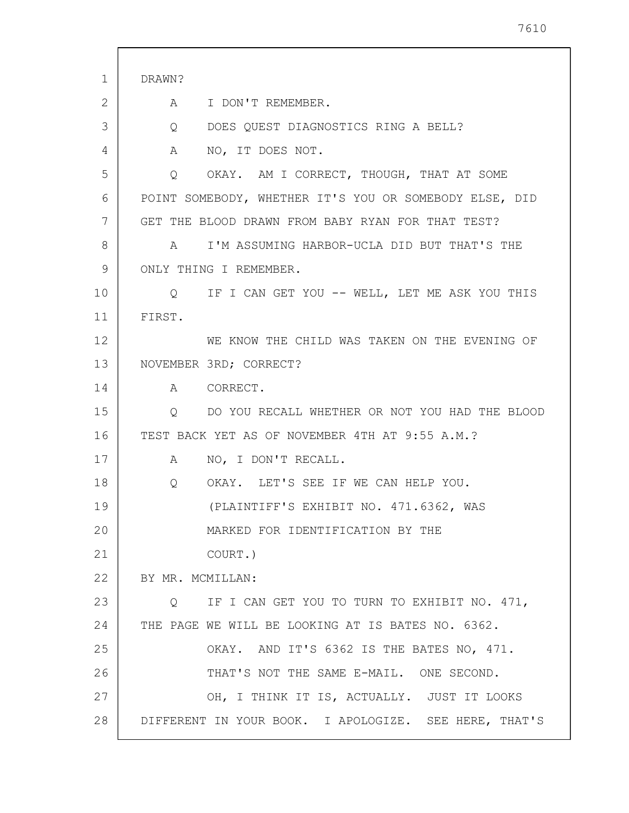| 1  | DRAWN?                                                        |
|----|---------------------------------------------------------------|
| 2  | A I DON'T REMEMBER.                                           |
| 3  | DOES QUEST DIAGNOSTICS RING A BELL?<br>Q                      |
| 4  | NO, IT DOES NOT.<br>A                                         |
| 5  | OKAY. AM I CORRECT, THOUGH, THAT AT SOME<br>$Q \qquad \qquad$ |
| 6  | POINT SOMEBODY, WHETHER IT'S YOU OR SOMEBODY ELSE, DID        |
| 7  | GET THE BLOOD DRAWN FROM BABY RYAN FOR THAT TEST?             |
| 8  | I'M ASSUMING HARBOR-UCLA DID BUT THAT'S THE<br>$\mathbb A$    |
| 9  | ONLY THING I REMEMBER.                                        |
| 10 | Q IF I CAN GET YOU -- WELL, LET ME ASK YOU THIS               |
| 11 | FIRST.                                                        |
| 12 | WE KNOW THE CHILD WAS TAKEN ON THE EVENING OF                 |
| 13 | NOVEMBER 3RD; CORRECT?                                        |
| 14 | A CORRECT.                                                    |
| 15 | DO YOU RECALL WHETHER OR NOT YOU HAD THE BLOOD<br>Q           |
| 16 | TEST BACK YET AS OF NOVEMBER 4TH AT 9:55 A.M.?                |
| 17 | NO, I DON'T RECALL.<br>A                                      |
| 18 | OKAY. LET'S SEE IF WE CAN HELP YOU.<br>Q                      |
| 19 | (PLAINTIFF'S EXHIBIT NO. 471.6362, WAS                        |
| 20 | MARKED FOR IDENTIFICATION BY THE                              |
| 21 | COURT.)                                                       |
| 22 | BY MR. MCMILLAN:                                              |
| 23 | Q IF I CAN GET YOU TO TURN TO EXHIBIT NO. 471,                |
| 24 | THE PAGE WE WILL BE LOOKING AT IS BATES NO. 6362.             |
| 25 | OKAY. AND IT'S 6362 IS THE BATES NO, 471.                     |
| 26 | THAT'S NOT THE SAME E-MAIL. ONE SECOND.                       |
| 27 | OH, I THINK IT IS, ACTUALLY. JUST IT LOOKS                    |
| 28 | DIFFERENT IN YOUR BOOK. I APOLOGIZE. SEE HERE, THAT'S         |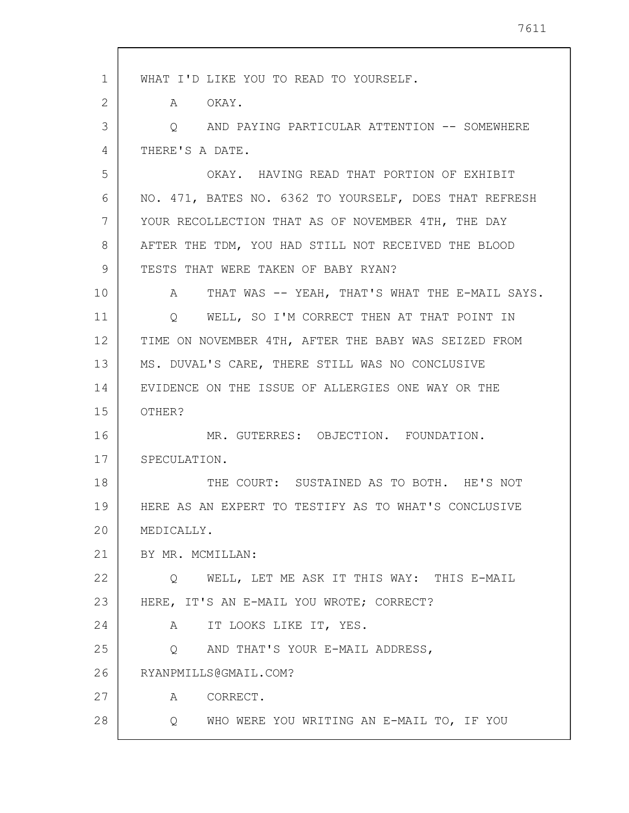| $\mathbf{1}$ | WHAT I'D LIKE YOU TO READ TO YOURSELF.                 |
|--------------|--------------------------------------------------------|
| 2            | A OKAY.                                                |
| 3            | O AND PAYING PARTICULAR ATTENTION -- SOMEWHERE         |
| 4            | THERE'S A DATE.                                        |
| 5            | OKAY. HAVING READ THAT PORTION OF EXHIBIT              |
| 6            | NO. 471, BATES NO. 6362 TO YOURSELF, DOES THAT REFRESH |
| 7            | YOUR RECOLLECTION THAT AS OF NOVEMBER 4TH, THE DAY     |
| 8            | AFTER THE TDM, YOU HAD STILL NOT RECEIVED THE BLOOD    |
| 9            | TESTS THAT WERE TAKEN OF BABY RYAN?                    |
| 10           | A THAT WAS -- YEAH, THAT'S WHAT THE E-MAIL SAYS.       |
| 11           | Q WELL, SO I'M CORRECT THEN AT THAT POINT IN           |
| 12           | TIME ON NOVEMBER 4TH, AFTER THE BABY WAS SEIZED FROM   |
| 13           | MS. DUVAL'S CARE, THERE STILL WAS NO CONCLUSIVE        |
| 14           | EVIDENCE ON THE ISSUE OF ALLERGIES ONE WAY OR THE      |
| 15           | OTHER?                                                 |
| 16           | MR. GUTERRES: OBJECTION. FOUNDATION.                   |
| 17           | SPECULATION.                                           |
| 18           | THE COURT: SUSTAINED AS TO BOTH. HE'S NOT              |
| 19           | HERE AS AN EXPERT TO TESTIFY AS TO WHAT'S CONCLUSIVE   |
| 20           | MEDICALLY.                                             |
| 21           | BY MR. MCMILLAN:                                       |
| 22           | Q WELL, LET ME ASK IT THIS WAY: THIS E-MAIL            |
| 23           | HERE, IT'S AN E-MAIL YOU WROTE; CORRECT?               |
| 24           | A IT LOOKS LIKE IT, YES.                               |
| 25           | AND THAT'S YOUR E-MAIL ADDRESS,<br>$Q \qquad \qquad$   |
| 26           | RYANPMILLS@GMAIL.COM?                                  |
| 27           | A CORRECT.                                             |
| 28           | Q WHO WERE YOU WRITING AN E-MAIL TO, IF YOU            |
|              |                                                        |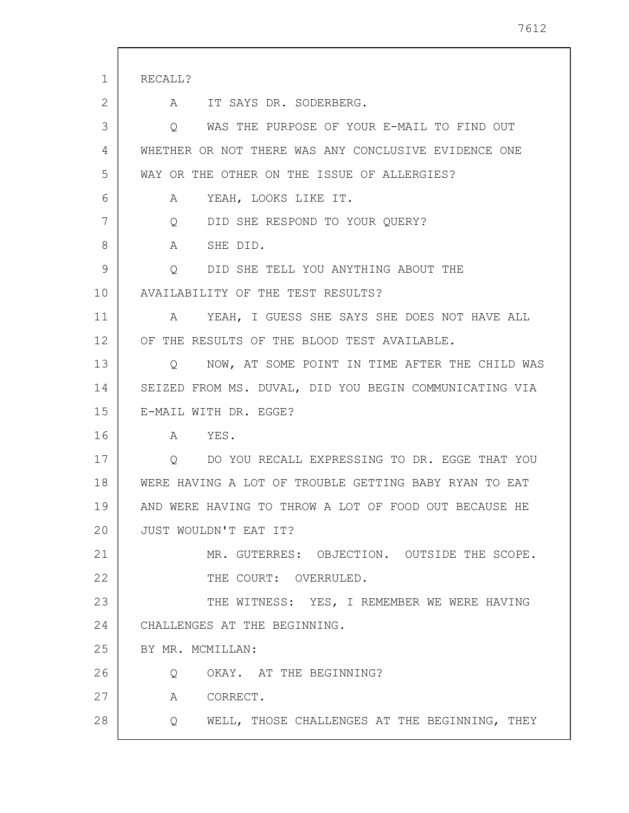| 1  | RECALL?                                                   |
|----|-----------------------------------------------------------|
| 2  | IT SAYS DR. SODERBERG.<br>A                               |
| 3  | WAS THE PURPOSE OF YOUR E-MAIL TO FIND OUT<br>Q           |
| 4  | WHETHER OR NOT THERE WAS ANY CONCLUSIVE EVIDENCE ONE      |
| 5  | WAY OR THE OTHER ON THE ISSUE OF ALLERGIES?               |
| 6  | YEAH, LOOKS LIKE IT.<br>A                                 |
| 7  | DID SHE RESPOND TO YOUR QUERY?<br>Q                       |
| 8  | SHE DID.<br>A                                             |
| 9  | Q DID SHE TELL YOU ANYTHING ABOUT THE                     |
| 10 | AVAILABILITY OF THE TEST RESULTS?                         |
| 11 | A YEAH, I GUESS SHE SAYS SHE DOES NOT HAVE ALL            |
| 12 | OF THE RESULTS OF THE BLOOD TEST AVAILABLE.               |
| 13 | NOW, AT SOME POINT IN TIME AFTER THE CHILD WAS<br>$\circ$ |
| 14 | SEIZED FROM MS. DUVAL, DID YOU BEGIN COMMUNICATING VIA    |
| 15 | E-MAIL WITH DR. EGGE?                                     |
| 16 | YES.<br>A                                                 |
| 17 | DO YOU RECALL EXPRESSING TO DR. EGGE THAT YOU<br>Q        |
| 18 | WERE HAVING A LOT OF TROUBLE GETTING BABY RYAN TO EAT     |
| 19 | AND WERE HAVING TO THROW A LOT OF FOOD OUT BECAUSE HE     |
| 20 | JUST WOULDN'T EAT IT?                                     |
| 21 | MR. GUTERRES: OBJECTION. OUTSIDE THE SCOPE.               |
| 22 | THE COURT: OVERRULED.                                     |
| 23 | THE WITNESS: YES, I REMEMBER WE WERE HAVING               |
| 24 | CHALLENGES AT THE BEGINNING.                              |
| 25 | BY MR. MCMILLAN:                                          |
| 26 | OKAY. AT THE BEGINNING?<br>Q                              |
| 27 | A CORRECT.                                                |
| 28 | Q WELL, THOSE CHALLENGES AT THE BEGINNING, THEY           |

 $\overline{\phantom{a}}$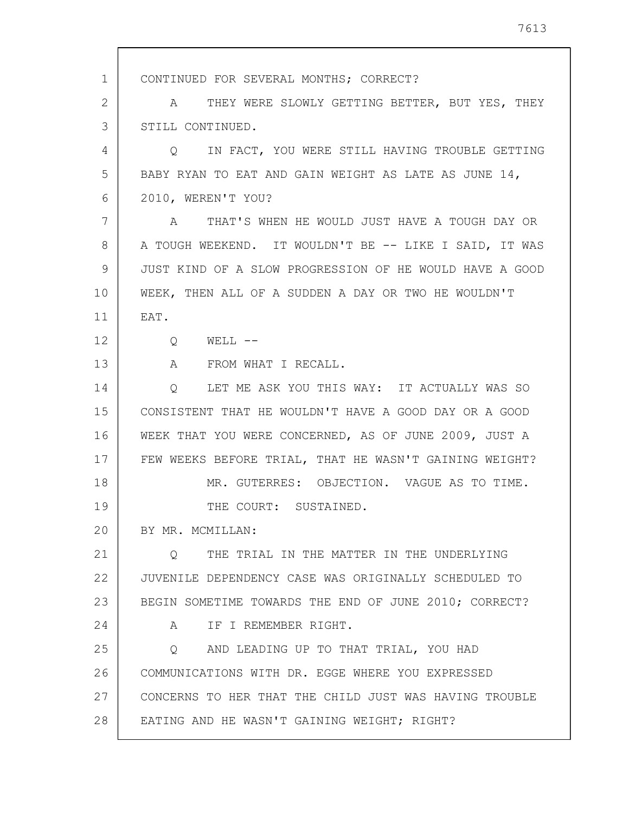1 2 3 4 5 6 7 8 9 10 11 12 13 14 15 16 17 18 19 20 21 22 23 24 25 26 27 28 CONTINUED FOR SEVERAL MONTHS; CORRECT? A THEY WERE SLOWLY GETTING BETTER, BUT YES, THEY STILL CONTINUED. Q IN FACT, YOU WERE STILL HAVING TROUBLE GETTING BABY RYAN TO EAT AND GAIN WEIGHT AS LATE AS JUNE 14, 2010, WEREN'T YOU? A THAT'S WHEN HE WOULD JUST HAVE A TOUGH DAY OR A TOUGH WEEKEND. IT WOULDN'T BE -- LIKE I SAID, IT WAS JUST KIND OF A SLOW PROGRESSION OF HE WOULD HAVE A GOOD WEEK, THEN ALL OF A SUDDEN A DAY OR TWO HE WOULDN'T EAT. Q WELL -- A FROM WHAT I RECALL. Q LET ME ASK YOU THIS WAY: IT ACTUALLY WAS SO CONSISTENT THAT HE WOULDN'T HAVE A GOOD DAY OR A GOOD WEEK THAT YOU WERE CONCERNED, AS OF JUNE 2009, JUST A FEW WEEKS BEFORE TRIAL, THAT HE WASN'T GAINING WEIGHT? MR. GUTERRES: OBJECTION. VAGUE AS TO TIME. THE COURT: SUSTAINED. BY MR. MCMILLAN: Q THE TRIAL IN THE MATTER IN THE UNDERLYING JUVENILE DEPENDENCY CASE WAS ORIGINALLY SCHEDULED TO BEGIN SOMETIME TOWARDS THE END OF JUNE 2010; CORRECT? A IF I REMEMBER RIGHT. Q AND LEADING UP TO THAT TRIAL, YOU HAD COMMUNICATIONS WITH DR. EGGE WHERE YOU EXPRESSED CONCERNS TO HER THAT THE CHILD JUST WAS HAVING TROUBLE EATING AND HE WASN'T GAINING WEIGHT; RIGHT?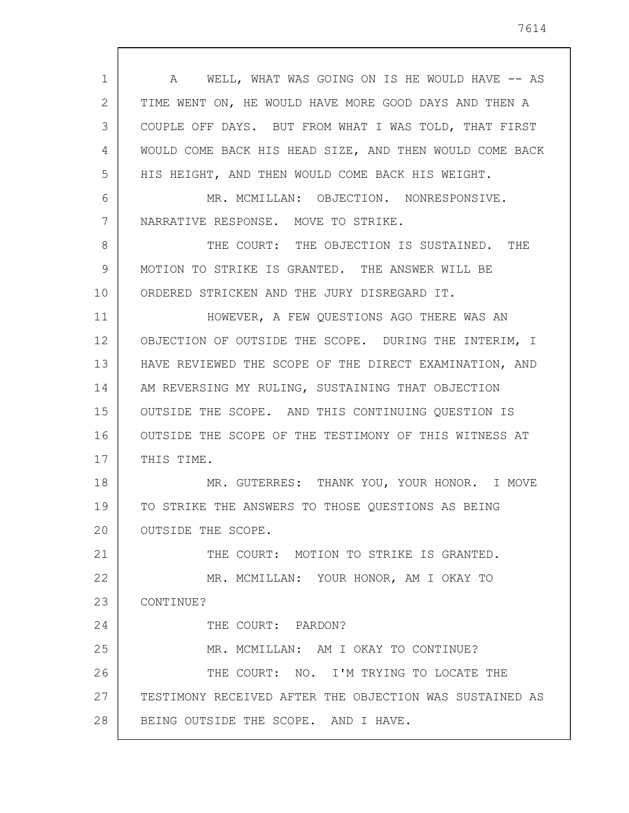| $\mathbf 1$ | A WELL, WHAT WAS GOING ON IS HE WOULD HAVE -- AS        |
|-------------|---------------------------------------------------------|
| 2           | TIME WENT ON, HE WOULD HAVE MORE GOOD DAYS AND THEN A   |
| 3           | COUPLE OFF DAYS. BUT FROM WHAT I WAS TOLD, THAT FIRST   |
| 4           | WOULD COME BACK HIS HEAD SIZE, AND THEN WOULD COME BACK |
| 5           | HIS HEIGHT, AND THEN WOULD COME BACK HIS WEIGHT.        |
| 6           | MR. MCMILLAN: OBJECTION. NONRESPONSIVE.                 |
| 7           | NARRATIVE RESPONSE. MOVE TO STRIKE.                     |
| 8           | THE COURT: THE OBJECTION IS SUSTAINED. THE              |
| 9           | MOTION TO STRIKE IS GRANTED. THE ANSWER WILL BE         |
| 10          | ORDERED STRICKEN AND THE JURY DISREGARD IT.             |
| 11          | HOWEVER, A FEW QUESTIONS AGO THERE WAS AN               |
| 12          | OBJECTION OF OUTSIDE THE SCOPE. DURING THE INTERIM, I   |
| 13          | HAVE REVIEWED THE SCOPE OF THE DIRECT EXAMINATION, AND  |
| 14          | AM REVERSING MY RULING, SUSTAINING THAT OBJECTION       |
| 15          | OUTSIDE THE SCOPE. AND THIS CONTINUING QUESTION IS      |
| 16          | OUTSIDE THE SCOPE OF THE TESTIMONY OF THIS WITNESS AT   |
| 17          | THIS TIME.                                              |
| 18          | MR. GUTERRES: THANK YOU, YOUR HONOR. I MOVE             |
| 19          | TO STRIKE THE ANSWERS TO THOSE QUESTIONS AS BEING       |
| 20          | OUTSIDE THE SCOPE.                                      |
| 21          | THE COURT: MOTION TO STRIKE IS GRANTED.                 |
| 22          | MR. MCMILLAN: YOUR HONOR, AM I OKAY TO                  |
| 23          | CONTINUE?                                               |
| 24          | THE COURT: PARDON?                                      |
| 25          | MR. MCMILLAN: AM I OKAY TO CONTINUE?                    |
| 26          | THE COURT: NO. I'M TRYING TO LOCATE THE                 |
| 27          | TESTIMONY RECEIVED AFTER THE OBJECTION WAS SUSTAINED AS |
| 28          | BEING OUTSIDE THE SCOPE. AND I HAVE.                    |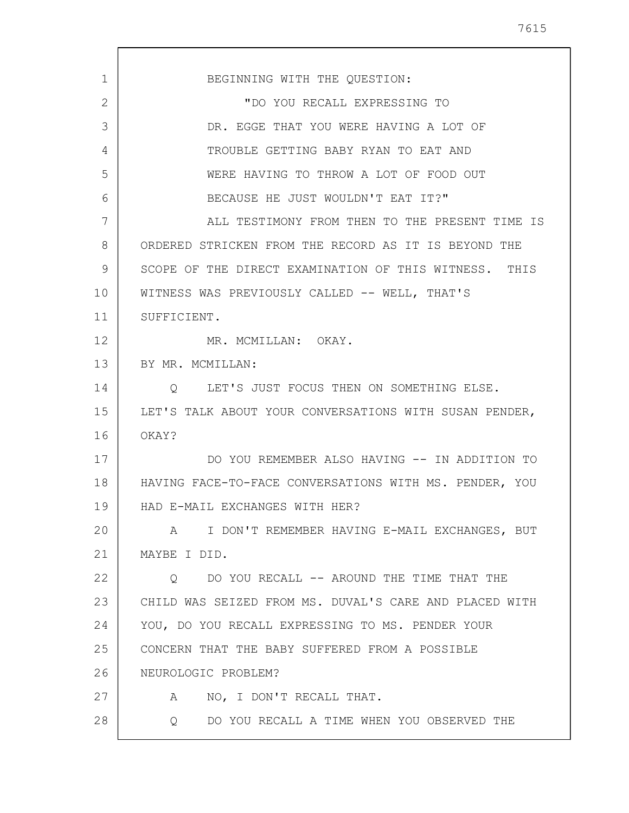1 2 3 4 5 6 7 8 9 10 11 12 13 14 15 16 17 18 19 20 21 22 23 24 25 26 27 28 BEGINNING WITH THE QUESTION: "DO YOU RECALL EXPRESSING TO DR. EGGE THAT YOU WERE HAVING A LOT OF TROUBLE GETTING BABY RYAN TO EAT AND WERE HAVING TO THROW A LOT OF FOOD OUT BECAUSE HE JUST WOULDN'T EAT IT?" ALL TESTIMONY FROM THEN TO THE PRESENT TIME IS ORDERED STRICKEN FROM THE RECORD AS IT IS BEYOND THE SCOPE OF THE DIRECT EXAMINATION OF THIS WITNESS. THIS WITNESS WAS PREVIOUSLY CALLED -- WELL, THAT'S SUFFICIENT. MR. MCMILLAN: OKAY. BY MR. MCMILLAN: Q LET'S JUST FOCUS THEN ON SOMETHING ELSE. LET'S TALK ABOUT YOUR CONVERSATIONS WITH SUSAN PENDER, OKAY? DO YOU REMEMBER ALSO HAVING -- IN ADDITION TO HAVING FACE-TO-FACE CONVERSATIONS WITH MS. PENDER, YOU HAD E-MAIL EXCHANGES WITH HER? A I DON'T REMEMBER HAVING E-MAIL EXCHANGES, BUT MAYBE I DID. Q DO YOU RECALL -- AROUND THE TIME THAT THE CHILD WAS SEIZED FROM MS. DUVAL'S CARE AND PLACED WITH YOU, DO YOU RECALL EXPRESSING TO MS. PENDER YOUR CONCERN THAT THE BABY SUFFERED FROM A POSSIBLE NEUROLOGIC PROBLEM? A NO, I DON'T RECALL THAT. Q DO YOU RECALL A TIME WHEN YOU OBSERVED THE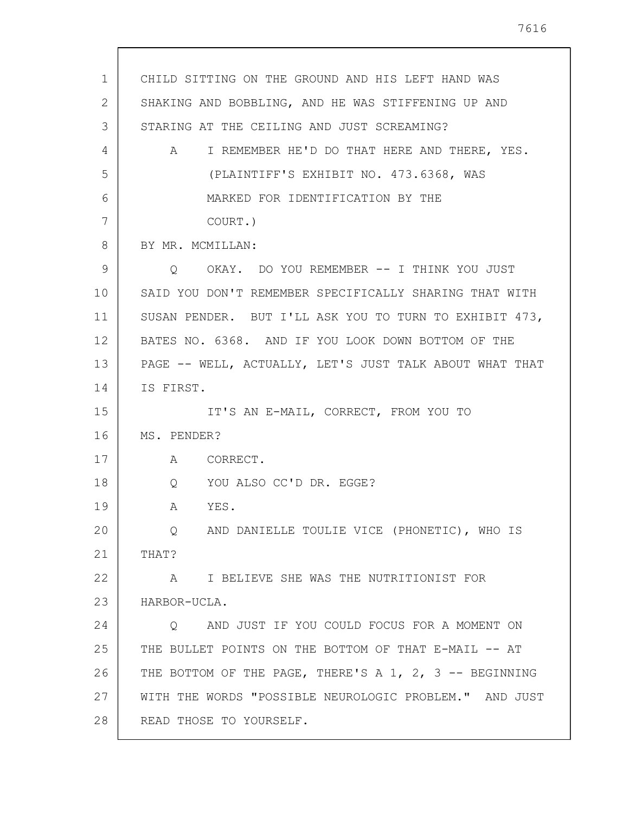| 1  | CHILD SITTING ON THE GROUND AND HIS LEFT HAND WAS       |
|----|---------------------------------------------------------|
| 2  | SHAKING AND BOBBLING, AND HE WAS STIFFENING UP AND      |
| 3  | STARING AT THE CEILING AND JUST SCREAMING?              |
| 4  | A I REMEMBER HE'D DO THAT HERE AND THERE, YES.          |
| 5  | (PLAINTIFF'S EXHIBIT NO. 473.6368, WAS                  |
| 6  | MARKED FOR IDENTIFICATION BY THE                        |
| 7  | COURT.)                                                 |
| 8  | BY MR. MCMILLAN:                                        |
| 9  | O OKAY. DO YOU REMEMBER -- I THINK YOU JUST             |
| 10 | SAID YOU DON'T REMEMBER SPECIFICALLY SHARING THAT WITH  |
| 11 | SUSAN PENDER. BUT I'LL ASK YOU TO TURN TO EXHIBIT 473,  |
| 12 | BATES NO. 6368. AND IF YOU LOOK DOWN BOTTOM OF THE      |
| 13 | PAGE -- WELL, ACTUALLY, LET'S JUST TALK ABOUT WHAT THAT |
| 14 | IS FIRST.                                               |
| 15 | IT'S AN E-MAIL, CORRECT, FROM YOU TO                    |
| 16 | MS. PENDER?                                             |
| 17 | A CORRECT.                                              |
| 18 | Q YOU ALSO CC'D DR. EGGE?                               |
| 19 | YES.<br>A                                               |
| 20 | AND DANIELLE TOULIE VICE (PHONETIC), WHO IS<br>$\circ$  |
| 21 | THAT?                                                   |
| 22 | I BELIEVE SHE WAS THE NUTRITIONIST FOR<br>$\mathbb A$   |
| 23 | HARBOR-UCLA.                                            |
| 24 | AND JUST IF YOU COULD FOCUS FOR A MOMENT ON<br>$\circ$  |
| 25 | THE BULLET POINTS ON THE BOTTOM OF THAT E-MAIL -- AT    |
| 26 | THE BOTTOM OF THE PAGE, THERE'S A 1, 2, 3 -- BEGINNING  |
| 27 | WITH THE WORDS "POSSIBLE NEUROLOGIC PROBLEM." AND JUST  |
| 28 | READ THOSE TO YOURSELF.                                 |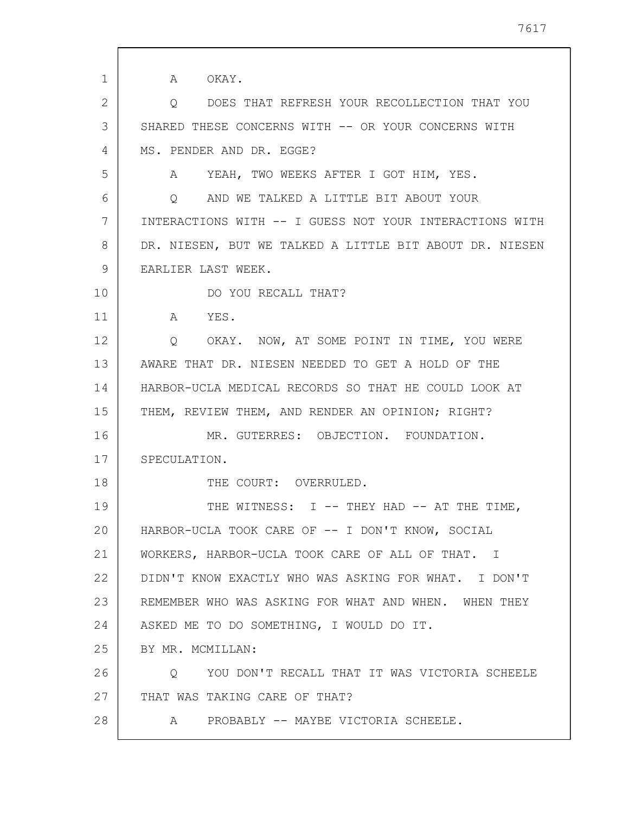| 1<br>2<br>3 | A OKAY.<br>DOES THAT REFRESH YOUR RECOLLECTION THAT YOU<br>Q<br>SHARED THESE CONCERNS WITH -- OR YOUR CONCERNS WITH |
|-------------|---------------------------------------------------------------------------------------------------------------------|
|             |                                                                                                                     |
|             |                                                                                                                     |
|             |                                                                                                                     |
|             |                                                                                                                     |
| 4           | MS. PENDER AND DR. EGGE?                                                                                            |
| 5           | A YEAH, TWO WEEKS AFTER I GOT HIM, YES.                                                                             |
| 6           | AND WE TALKED A LITTLE BIT ABOUT YOUR<br>$\circ$                                                                    |
| 7           | INTERACTIONS WITH -- I GUESS NOT YOUR INTERACTIONS WITH                                                             |
| 8           | DR. NIESEN, BUT WE TALKED A LITTLE BIT ABOUT DR. NIESEN                                                             |
| 9           | EARLIER LAST WEEK.                                                                                                  |
| 10          | DO YOU RECALL THAT?                                                                                                 |
| 11          | A YES.                                                                                                              |
| 12          | OKAY. NOW, AT SOME POINT IN TIME, YOU WERE<br>$\circ$                                                               |
| 13          | AWARE THAT DR. NIESEN NEEDED TO GET A HOLD OF THE                                                                   |
| 14          | HARBOR-UCLA MEDICAL RECORDS SO THAT HE COULD LOOK AT                                                                |
| 15          | THEM, REVIEW THEM, AND RENDER AN OPINION; RIGHT?                                                                    |
| 16          | MR. GUTERRES: OBJECTION. FOUNDATION.                                                                                |
| 17          | SPECULATION.                                                                                                        |
| 18          | THE COURT: OVERRULED.                                                                                               |
| 19          | THE WITNESS: I -- THEY HAD -- AT THE TIME,                                                                          |
| 20          | HARBOR-UCLA TOOK CARE OF -- I DON'T KNOW, SOCIAL                                                                    |
| 21          | WORKERS, HARBOR-UCLA TOOK CARE OF ALL OF THAT. I                                                                    |
| 22          | DIDN'T KNOW EXACTLY WHO WAS ASKING FOR WHAT. I DON'T                                                                |
| 23          | REMEMBER WHO WAS ASKING FOR WHAT AND WHEN. WHEN THEY                                                                |
| 24          | ASKED ME TO DO SOMETHING, I WOULD DO IT.                                                                            |
| 25          | BY MR. MCMILLAN:                                                                                                    |
| 26          | YOU DON'T RECALL THAT IT WAS VICTORIA SCHEELE<br>$\circ$                                                            |
| 27          | THAT WAS TAKING CARE OF THAT?                                                                                       |
| 28          | A PROBABLY -- MAYBE VICTORIA SCHEELE.                                                                               |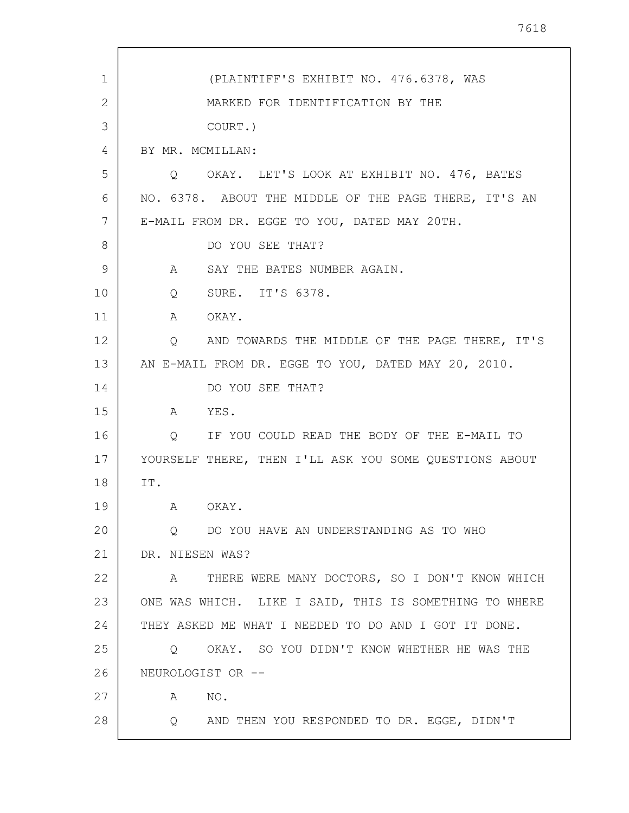| 1  | (PLAINTIFF'S EXHIBIT NO. 476.6378, WAS                              |
|----|---------------------------------------------------------------------|
| 2  | MARKED FOR IDENTIFICATION BY THE                                    |
| 3  | COURT.)                                                             |
| 4  | BY MR. MCMILLAN:                                                    |
| 5  | Q OKAY. LET'S LOOK AT EXHIBIT NO. 476, BATES                        |
| 6  | NO. 6378. ABOUT THE MIDDLE OF THE PAGE THERE, IT'S AN               |
| 7  | E-MAIL FROM DR. EGGE TO YOU, DATED MAY 20TH.                        |
| 8  | DO YOU SEE THAT?                                                    |
| 9  | SAY THE BATES NUMBER AGAIN.<br>A                                    |
| 10 | SURE. IT'S 6378.<br>$Q \qquad \qquad$                               |
| 11 | OKAY.<br>$\mathbf{A}$                                               |
| 12 | AND TOWARDS THE MIDDLE OF THE PAGE THERE, IT'S<br>$Q \qquad \qquad$ |
| 13 | AN E-MAIL FROM DR. EGGE TO YOU, DATED MAY 20, 2010.                 |
| 14 | DO YOU SEE THAT?                                                    |
| 15 | YES.<br>A                                                           |
| 16 | IF YOU COULD READ THE BODY OF THE E-MAIL TO<br>$Q \qquad \qquad$    |
| 17 | YOURSELF THERE, THEN I'LL ASK YOU SOME QUESTIONS ABOUT              |
| 18 | IT.                                                                 |
| 19 | A OKAY.                                                             |
| 20 | Q DO YOU HAVE AN UNDERSTANDING AS TO WHO                            |
| 21 | DR. NIESEN WAS?                                                     |
| 22 | THERE WERE MANY DOCTORS, SO I DON'T KNOW WHICH<br>A                 |
| 23 | ONE WAS WHICH. LIKE I SAID, THIS IS SOMETHING TO WHERE              |
| 24 | THEY ASKED ME WHAT I NEEDED TO DO AND I GOT IT DONE.                |
| 25 | OKAY. SO YOU DIDN'T KNOW WHETHER HE WAS THE<br>$\circ$              |
| 26 | NEUROLOGIST OR --                                                   |
| 27 | NO.<br>A                                                            |
| 28 | AND THEN YOU RESPONDED TO DR. EGGE, DIDN'T<br>$Q_{\rm max}$         |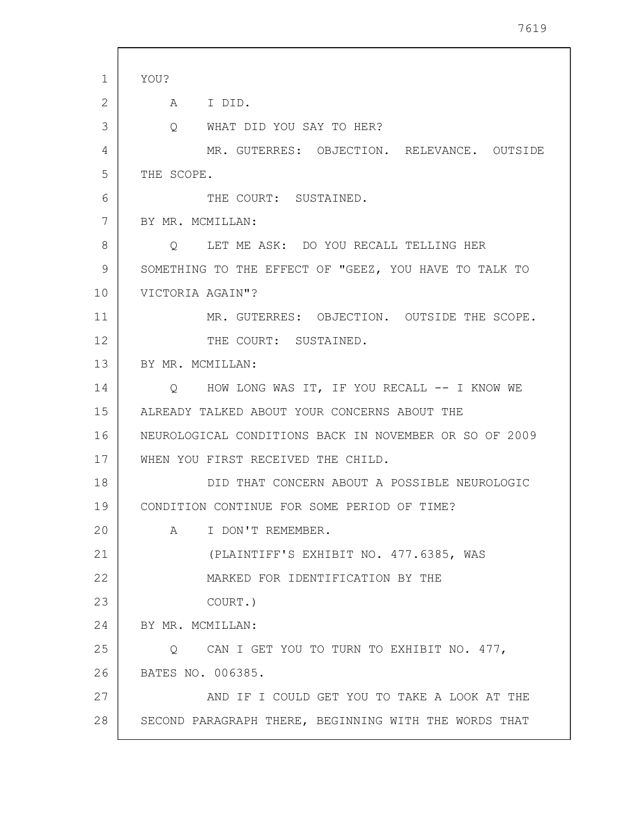| $\mathbf{1}$ | YOU?                                                   |
|--------------|--------------------------------------------------------|
| 2            | A I DID.                                               |
| 3            | WHAT DID YOU SAY TO HER?<br>$Q_{\rm c}$                |
| 4            | MR. GUTERRES: OBJECTION. RELEVANCE. OUTSIDE            |
| 5            | THE SCOPE.                                             |
| 6            | THE COURT: SUSTAINED.                                  |
| 7            | BY MR. MCMILLAN:                                       |
| 8            | LET ME ASK: DO YOU RECALL TELLING HER<br>$\circ$       |
| 9            | SOMETHING TO THE EFFECT OF "GEEZ, YOU HAVE TO TALK TO  |
| 10           | VICTORIA AGAIN"?                                       |
| 11           | MR. GUTERRES: OBJECTION. OUTSIDE THE SCOPE.            |
| 12           | THE COURT: SUSTAINED.                                  |
| 13           | BY MR. MCMILLAN:                                       |
| 14           | Q HOW LONG WAS IT, IF YOU RECALL -- I KNOW WE          |
| 15           | ALREADY TALKED ABOUT YOUR CONCERNS ABOUT THE           |
| 16           | NEUROLOGICAL CONDITIONS BACK IN NOVEMBER OR SO OF 2009 |
| 17           | WHEN YOU FIRST RECEIVED THE CHILD.                     |
| 18           | DID THAT CONCERN ABOUT A POSSIBLE NEUROLOGIC           |
| 19           | CONDITION CONTINUE FOR SOME PERIOD OF TIME?            |
| 20           | I DON'T REMEMBER.<br>A                                 |
| 21           | (PLAINTIFF'S EXHIBIT NO. 477.6385, WAS                 |
| 22           | MARKED FOR IDENTIFICATION BY THE                       |
| 23           | COURT.)                                                |
| 24           | BY MR. MCMILLAN:                                       |
| 25           | Q CAN I GET YOU TO TURN TO EXHIBIT NO. 477,            |
| 26           | BATES NO. 006385.                                      |
| 27           | AND IF I COULD GET YOU TO TAKE A LOOK AT THE           |
| 28           | SECOND PARAGRAPH THERE, BEGINNING WITH THE WORDS THAT  |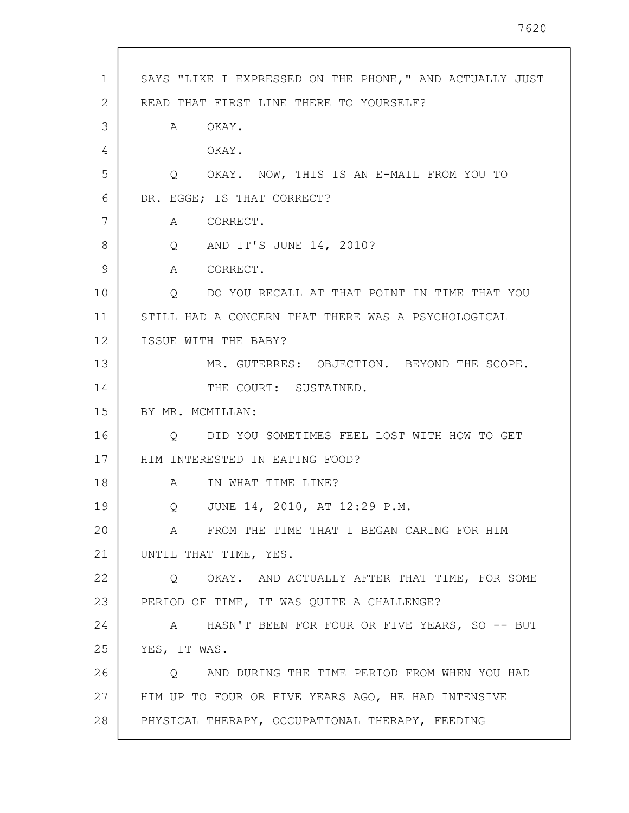| $\mathbf{1}$ | SAYS "LIKE I EXPRESSED ON THE PHONE," AND ACTUALLY JUST |
|--------------|---------------------------------------------------------|
| 2            | READ THAT FIRST LINE THERE TO YOURSELF?                 |
| 3            | OKAY.<br>A                                              |
| 4            | OKAY.                                                   |
| 5            | Q OKAY. NOW, THIS IS AN E-MAIL FROM YOU TO              |
| 6            | DR. EGGE; IS THAT CORRECT?                              |
| 7            | A CORRECT.                                              |
| 8            | Q AND IT'S JUNE 14, 2010?                               |
| 9            | A CORRECT.                                              |
| 10           | DO YOU RECALL AT THAT POINT IN TIME THAT YOU<br>Q       |
| 11           | STILL HAD A CONCERN THAT THERE WAS A PSYCHOLOGICAL      |
| 12           | ISSUE WITH THE BABY?                                    |
| 13           | MR. GUTERRES: OBJECTION. BEYOND THE SCOPE.              |
| 14           | THE COURT: SUSTAINED.                                   |
| 15           | BY MR. MCMILLAN:                                        |
| 16           | Q DID YOU SOMETIMES FEEL LOST WITH HOW TO GET           |
| 17           | HIM INTERESTED IN EATING FOOD?                          |
| 18           | A IN WHAT TIME LINE?                                    |
| 19           | Q JUNE 14, 2010, AT 12:29 P.M.                          |
| 20           | FROM THE TIME THAT I BEGAN CARING FOR HIM<br>A          |
| 21           | UNTIL THAT TIME, YES.                                   |
| 22           | OKAY. AND ACTUALLY AFTER THAT TIME, FOR SOME<br>$\circ$ |
| 23           | PERIOD OF TIME, IT WAS QUITE A CHALLENGE?               |
| 24           | A HASN'T BEEN FOR FOUR OR FIVE YEARS, SO -- BUT         |
| 25           | YES, IT WAS.                                            |
| 26           | AND DURING THE TIME PERIOD FROM WHEN YOU HAD<br>$\circ$ |
| 27           | HIM UP TO FOUR OR FIVE YEARS AGO, HE HAD INTENSIVE      |
| 28           | PHYSICAL THERAPY, OCCUPATIONAL THERAPY, FEEDING         |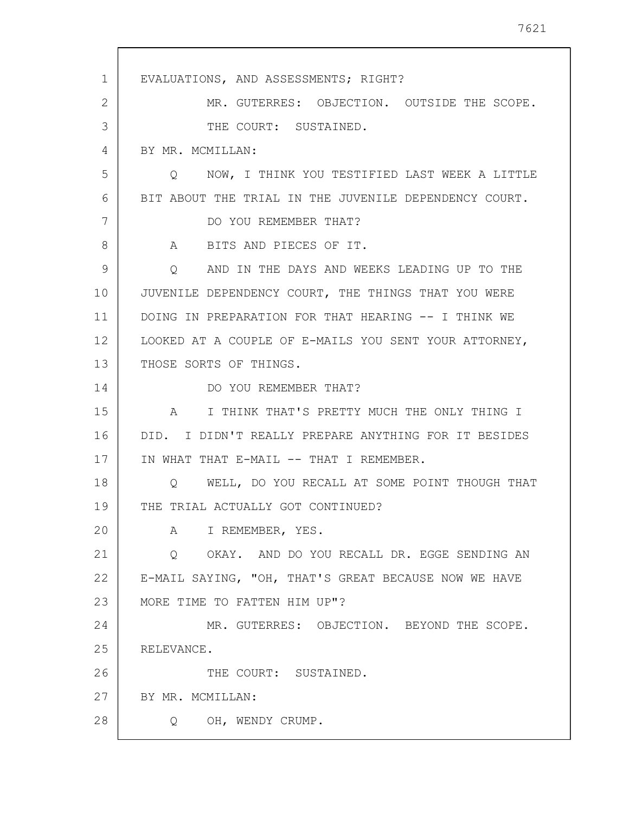1 2 3 4 5 6 7 8 9 10 11 12 13 14 15 16 17 18 19 20 21 22 23 24 25 26 27 28 EVALUATIONS, AND ASSESSMENTS; RIGHT? MR. GUTERRES: OBJECTION. OUTSIDE THE SCOPE. THE COURT: SUSTAINED. BY MR. MCMILLAN: Q NOW, I THINK YOU TESTIFIED LAST WEEK A LITTLE BIT ABOUT THE TRIAL IN THE JUVENILE DEPENDENCY COURT. DO YOU REMEMBER THAT? A BITS AND PIECES OF IT. Q AND IN THE DAYS AND WEEKS LEADING UP TO THE JUVENILE DEPENDENCY COURT, THE THINGS THAT YOU WERE DOING IN PREPARATION FOR THAT HEARING -- I THINK WE LOOKED AT A COUPLE OF E-MAILS YOU SENT YOUR ATTORNEY, THOSE SORTS OF THINGS. DO YOU REMEMBER THAT? A I THINK THAT'S PRETTY MUCH THE ONLY THING I DID. I DIDN'T REALLY PREPARE ANYTHING FOR IT BESIDES IN WHAT THAT E-MAIL -- THAT I REMEMBER. Q WELL, DO YOU RECALL AT SOME POINT THOUGH THAT THE TRIAL ACTUALLY GOT CONTINUED? A I REMEMBER, YES. Q OKAY. AND DO YOU RECALL DR. EGGE SENDING AN E-MAIL SAYING, "OH, THAT'S GREAT BECAUSE NOW WE HAVE MORE TIME TO FATTEN HIM UP"? MR. GUTERRES: OBJECTION. BEYOND THE SCOPE. RELEVANCE. THE COURT: SUSTAINED. BY MR. MCMILLAN: Q OH, WENDY CRUMP.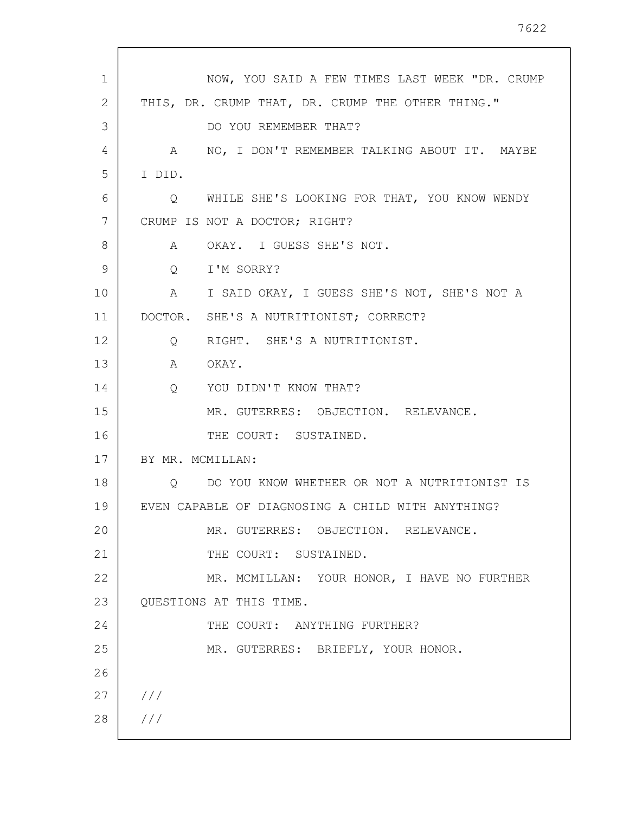| $\mathbf{1}$ | NOW, YOU SAID A FEW TIMES LAST WEEK "DR. CRUMP    |
|--------------|---------------------------------------------------|
| 2            | THIS, DR. CRUMP THAT, DR. CRUMP THE OTHER THING." |
| 3            | DO YOU REMEMBER THAT?                             |
| 4            | A NO, I DON'T REMEMBER TALKING ABOUT IT. MAYBE    |
| 5            | I DID.                                            |
| 6            | WHILE SHE'S LOOKING FOR THAT, YOU KNOW WENDY<br>Q |
| 7            | CRUMP IS NOT A DOCTOR; RIGHT?                     |
| 8            | OKAY. I GUESS SHE'S NOT.<br>A                     |
| 9            | Q I'M SORRY?                                      |
| 10           | A I SAID OKAY, I GUESS SHE'S NOT, SHE'S NOT A     |
| 11           | DOCTOR. SHE'S A NUTRITIONIST; CORRECT?            |
| 12           | RIGHT. SHE'S A NUTRITIONIST.<br>$Q \qquad \qquad$ |
| 13           | A OKAY.                                           |
| 14           | Q YOU DIDN'T KNOW THAT?                           |
| 15           | MR. GUTERRES: OBJECTION. RELEVANCE.               |
| 16           | THE COURT: SUSTAINED.                             |
| 17           | BY MR. MCMILLAN:                                  |
| 18           | DO YOU KNOW WHETHER OR NOT A NUTRITIONIST IS<br>O |
| 19           | EVEN CAPABLE OF DIAGNOSING A CHILD WITH ANYTHING? |
| 20           | MR. GUTERRES: OBJECTION. RELEVANCE.               |
| 21           | THE COURT: SUSTAINED.                             |
| 22           | MR. MCMILLAN: YOUR HONOR, I HAVE NO FURTHER       |
| 23           | QUESTIONS AT THIS TIME.                           |
| 24           | THE COURT: ANYTHING FURTHER?                      |
| 25           | MR. GUTERRES: BRIEFLY, YOUR HONOR.                |
| 26           |                                                   |
| 27           | 111                                               |
| 28           | 111                                               |
|              |                                                   |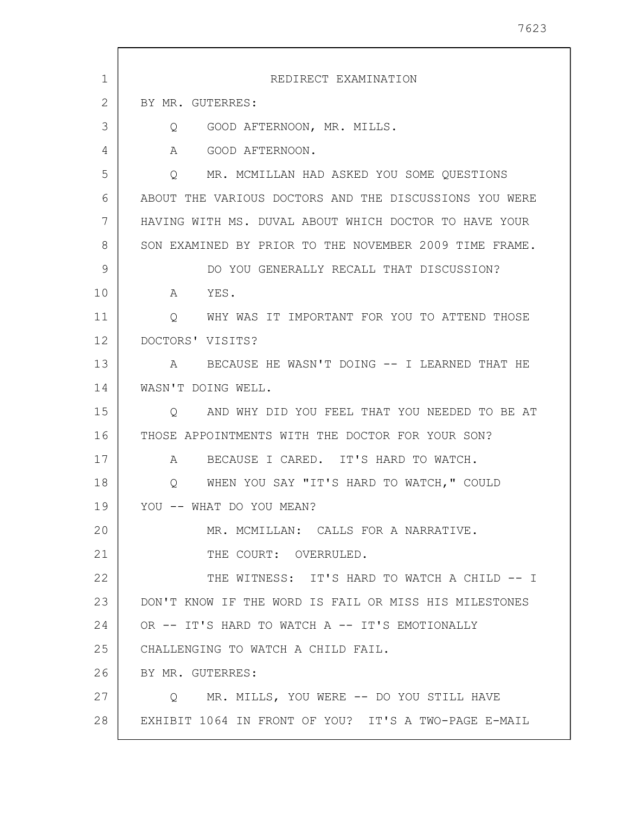1 2 3 4 5 6 7 8 9 10 11 12 13 14 15 16 17 18 19 20 21 22 23 24 25 26 27 28 REDIRECT EXAMINATION BY MR. GUTERRES: Q GOOD AFTERNOON, MR. MILLS. A GOOD AFTERNOON. Q MR. MCMILLAN HAD ASKED YOU SOME QUESTIONS ABOUT THE VARIOUS DOCTORS AND THE DISCUSSIONS YOU WERE HAVING WITH MS. DUVAL ABOUT WHICH DOCTOR TO HAVE YOUR SON EXAMINED BY PRIOR TO THE NOVEMBER 2009 TIME FRAME. DO YOU GENERALLY RECALL THAT DISCUSSION? A YES. Q WHY WAS IT IMPORTANT FOR YOU TO ATTEND THOSE DOCTORS' VISITS? A BECAUSE HE WASN'T DOING -- I LEARNED THAT HE WASN'T DOING WELL. Q AND WHY DID YOU FEEL THAT YOU NEEDED TO BE AT THOSE APPOINTMENTS WITH THE DOCTOR FOR YOUR SON? A BECAUSE I CARED. IT'S HARD TO WATCH. Q WHEN YOU SAY "IT'S HARD TO WATCH," COULD YOU -- WHAT DO YOU MEAN? MR. MCMILLAN: CALLS FOR A NARRATIVE. THE COURT: OVERRULED. THE WITNESS: IT'S HARD TO WATCH A CHILD -- I DON'T KNOW IF THE WORD IS FAIL OR MISS HIS MILESTONES OR -- IT'S HARD TO WATCH A -- IT'S EMOTIONALLY CHALLENGING TO WATCH A CHILD FAIL. BY MR. GUTERRES: Q MR. MILLS, YOU WERE -- DO YOU STILL HAVE EXHIBIT 1064 IN FRONT OF YOU? IT'S A TWO-PAGE E-MAIL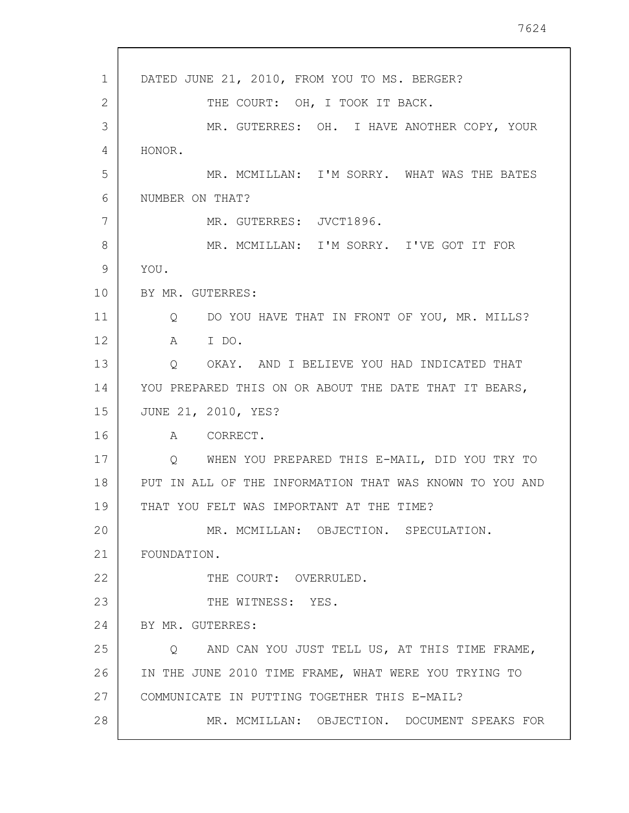1 2 3 4 5 6 7 8 9 10 11 12 13 14 15 16 17 18 19 20 21 22 23 24 25 26 27 28 DATED JUNE 21, 2010, FROM YOU TO MS. BERGER? THE COURT: OH, I TOOK IT BACK. MR. GUTERRES: OH. I HAVE ANOTHER COPY, YOUR HONOR. MR. MCMILLAN: I'M SORRY. WHAT WAS THE BATES NUMBER ON THAT? MR. GUTERRES: JVCT1896. MR. MCMILLAN: I'M SORRY. I'VE GOT IT FOR YOU. BY MR. GUTERRES: Q DO YOU HAVE THAT IN FRONT OF YOU, MR. MILLS? A I DO. Q OKAY. AND I BELIEVE YOU HAD INDICATED THAT YOU PREPARED THIS ON OR ABOUT THE DATE THAT IT BEARS, JUNE 21, 2010, YES? A CORRECT. Q WHEN YOU PREPARED THIS E-MAIL, DID YOU TRY TO PUT IN ALL OF THE INFORMATION THAT WAS KNOWN TO YOU AND THAT YOU FELT WAS IMPORTANT AT THE TIME? MR. MCMILLAN: OBJECTION. SPECULATION. FOUNDATION. THE COURT: OVERRULED. THE WITNESS: YES. BY MR. GUTERRES: Q AND CAN YOU JUST TELL US, AT THIS TIME FRAME, IN THE JUNE 2010 TIME FRAME, WHAT WERE YOU TRYING TO COMMUNICATE IN PUTTING TOGETHER THIS E-MAIL? MR. MCMILLAN: OBJECTION. DOCUMENT SPEAKS FOR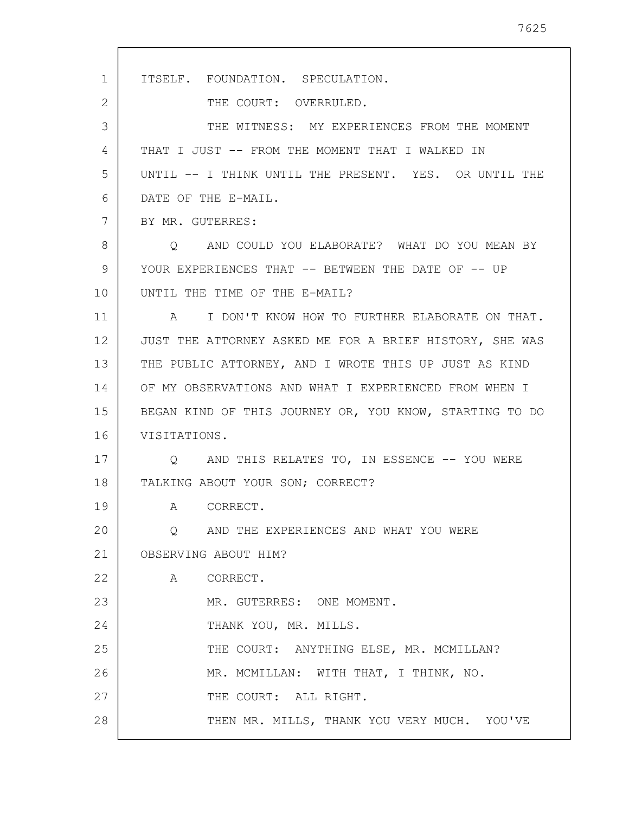1 2 3 4 5 6 7 8 9 10 11 12 13 14 15 16 17 18 19 20 21 22 23 24 25 26 27 28 ITSELF. FOUNDATION. SPECULATION. THE COURT: OVERRULED. THE WITNESS: MY EXPERIENCES FROM THE MOMENT THAT I JUST -- FROM THE MOMENT THAT I WALKED IN UNTIL -- I THINK UNTIL THE PRESENT. YES. OR UNTIL THE DATE OF THE E-MAIL. BY MR. GUTERRES: Q AND COULD YOU ELABORATE? WHAT DO YOU MEAN BY YOUR EXPERIENCES THAT -- BETWEEN THE DATE OF -- UP UNTIL THE TIME OF THE E-MAIL? A I DON'T KNOW HOW TO FURTHER ELABORATE ON THAT. JUST THE ATTORNEY ASKED ME FOR A BRIEF HISTORY, SHE WAS THE PUBLIC ATTORNEY, AND I WROTE THIS UP JUST AS KIND OF MY OBSERVATIONS AND WHAT I EXPERIENCED FROM WHEN I BEGAN KIND OF THIS JOURNEY OR, YOU KNOW, STARTING TO DO VISITATIONS. Q AND THIS RELATES TO, IN ESSENCE -- YOU WERE TALKING ABOUT YOUR SON; CORRECT? A CORRECT. Q AND THE EXPERIENCES AND WHAT YOU WERE OBSERVING ABOUT HIM? A CORRECT. MR. GUTERRES: ONE MOMENT. THANK YOU, MR. MILLS. THE COURT: ANYTHING ELSE, MR. MCMILLAN? MR. MCMILLAN: WITH THAT, I THINK, NO. THE COURT: ALL RIGHT. THEN MR. MILLS, THANK YOU VERY MUCH. YOU'VE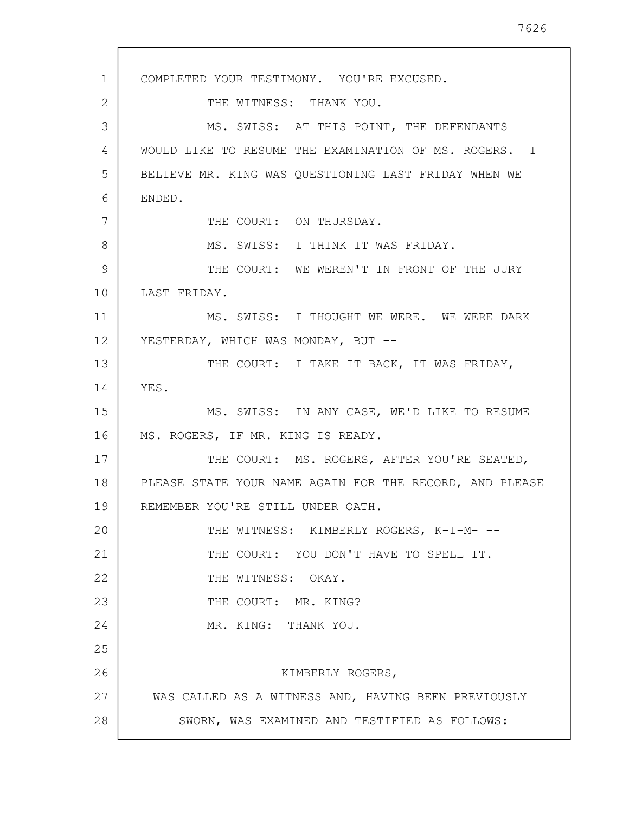1 2 3 4 5 6 7 8 9 10 11 12 13 14 15 16 17 18 19 20 21 22 23 24 25 26 27 28 COMPLETED YOUR TESTIMONY. YOU'RE EXCUSED. THE WITNESS: THANK YOU. MS. SWISS: AT THIS POINT, THE DEFENDANTS WOULD LIKE TO RESUME THE EXAMINATION OF MS. ROGERS. I BELIEVE MR. KING WAS QUESTIONING LAST FRIDAY WHEN WE ENDED. THE COURT: ON THURSDAY. MS. SWISS: I THINK IT WAS FRIDAY. THE COURT: WE WEREN'T IN FRONT OF THE JURY LAST FRIDAY. MS. SWISS: I THOUGHT WE WERE. WE WERE DARK YESTERDAY, WHICH WAS MONDAY, BUT --THE COURT: I TAKE IT BACK, IT WAS FRIDAY, YES. MS. SWISS: IN ANY CASE, WE'D LIKE TO RESUME MS. ROGERS, IF MR. KING IS READY. THE COURT: MS. ROGERS, AFTER YOU'RE SEATED, PLEASE STATE YOUR NAME AGAIN FOR THE RECORD, AND PLEASE REMEMBER YOU'RE STILL UNDER OATH. THE WITNESS: KIMBERLY ROGERS, K-I-M- --THE COURT: YOU DON'T HAVE TO SPELL IT. THE WITNESS: OKAY. THE COURT: MR. KING? MR. KING: THANK YOU. KIMBERLY ROGERS, WAS CALLED AS A WITNESS AND, HAVING BEEN PREVIOUSLY SWORN, WAS EXAMINED AND TESTIFIED AS FOLLOWS: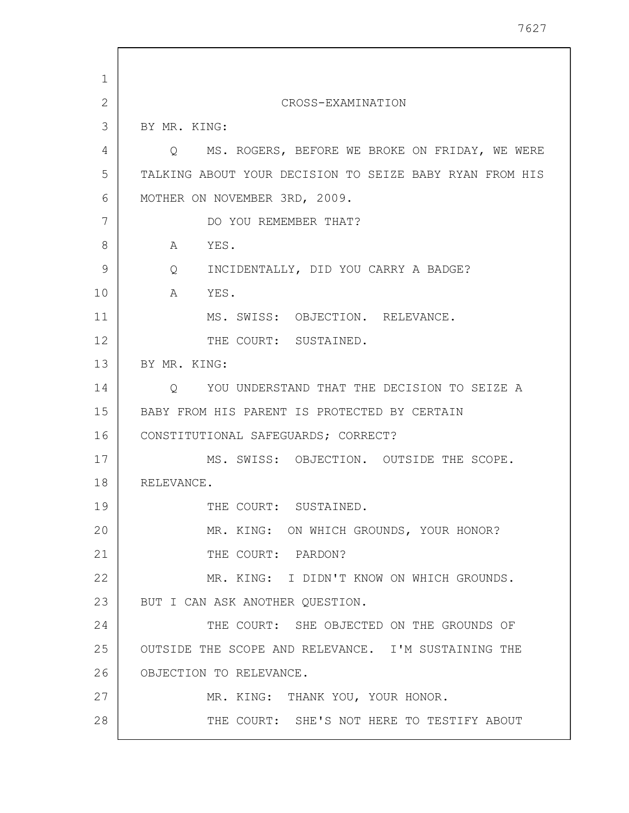1 2 3 4 5 6 7 8 9 10 11 12 13 14 15 16 17 18 19 20 21 22 23 24 25 26 27 28 CROSS-EXAMINATION BY MR. KING: Q MS. ROGERS, BEFORE WE BROKE ON FRIDAY, WE WERE TALKING ABOUT YOUR DECISION TO SEIZE BABY RYAN FROM HIS MOTHER ON NOVEMBER 3RD, 2009. DO YOU REMEMBER THAT? A YES. Q INCIDENTALLY, DID YOU CARRY A BADGE? A YES. MS. SWISS: OBJECTION. RELEVANCE. THE COURT: SUSTAINED. BY MR. KING: Q YOU UNDERSTAND THAT THE DECISION TO SEIZE A BABY FROM HIS PARENT IS PROTECTED BY CERTAIN CONSTITUTIONAL SAFEGUARDS; CORRECT? MS. SWISS: OBJECTION. OUTSIDE THE SCOPE. RELEVANCE. THE COURT: SUSTAINED. MR. KING: ON WHICH GROUNDS, YOUR HONOR? THE COURT: PARDON? MR. KING: I DIDN'T KNOW ON WHICH GROUNDS. BUT I CAN ASK ANOTHER QUESTION. THE COURT: SHE OBJECTED ON THE GROUNDS OF OUTSIDE THE SCOPE AND RELEVANCE. I'M SUSTAINING THE OBJECTION TO RELEVANCE. MR. KING: THANK YOU, YOUR HONOR. THE COURT: SHE'S NOT HERE TO TESTIFY ABOUT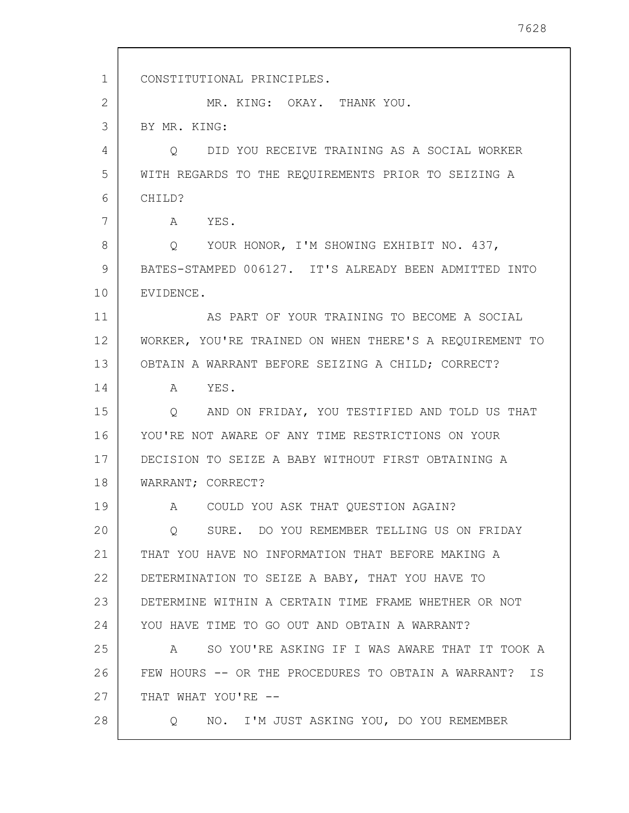1 2 3 4 5 6 7 8 9 10 11 12 13 14 15 16 17 18 19 20 21 22 23 24 25 26 27 28 CONSTITUTIONAL PRINCIPLES. MR. KING: OKAY. THANK YOU. BY MR. KING: Q DID YOU RECEIVE TRAINING AS A SOCIAL WORKER WITH REGARDS TO THE REQUIREMENTS PRIOR TO SEIZING A CHILD? A YES. Q YOUR HONOR, I'M SHOWING EXHIBIT NO. 437, BATES-STAMPED 006127. IT'S ALREADY BEEN ADMITTED INTO EVIDENCE. AS PART OF YOUR TRAINING TO BECOME A SOCIAL WORKER, YOU'RE TRAINED ON WHEN THERE'S A REQUIREMENT TO OBTAIN A WARRANT BEFORE SEIZING A CHILD; CORRECT? A YES. Q AND ON FRIDAY, YOU TESTIFIED AND TOLD US THAT YOU'RE NOT AWARE OF ANY TIME RESTRICTIONS ON YOUR DECISION TO SEIZE A BABY WITHOUT FIRST OBTAINING A WARRANT; CORRECT? A COULD YOU ASK THAT QUESTION AGAIN? Q SURE. DO YOU REMEMBER TELLING US ON FRIDAY THAT YOU HAVE NO INFORMATION THAT BEFORE MAKING A DETERMINATION TO SEIZE A BABY, THAT YOU HAVE TO DETERMINE WITHIN A CERTAIN TIME FRAME WHETHER OR NOT YOU HAVE TIME TO GO OUT AND OBTAIN A WARRANT? A SO YOU'RE ASKING IF I WAS AWARE THAT IT TOOK A FEW HOURS -- OR THE PROCEDURES TO OBTAIN A WARRANT? IS THAT WHAT YOU'RE -- Q NO. I'M JUST ASKING YOU, DO YOU REMEMBER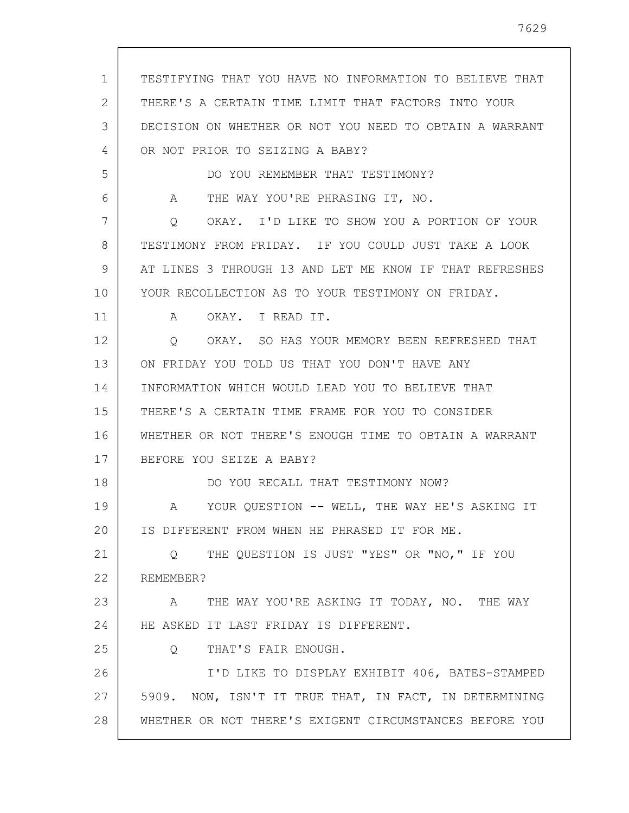1 2 3 4 5 6 7 8 9 10 11 12 13 14 15 16 17 18 19 20 21 22 23 24 25 26 27 28 TESTIFYING THAT YOU HAVE NO INFORMATION TO BELIEVE THAT THERE'S A CERTAIN TIME LIMIT THAT FACTORS INTO YOUR DECISION ON WHETHER OR NOT YOU NEED TO OBTAIN A WARRANT OR NOT PRIOR TO SEIZING A BABY? DO YOU REMEMBER THAT TESTIMONY? A THE WAY YOU'RE PHRASING IT, NO. Q OKAY. I'D LIKE TO SHOW YOU A PORTION OF YOUR TESTIMONY FROM FRIDAY. IF YOU COULD JUST TAKE A LOOK AT LINES 3 THROUGH 13 AND LET ME KNOW IF THAT REFRESHES YOUR RECOLLECTION AS TO YOUR TESTIMONY ON FRIDAY. A OKAY. I READ IT. Q OKAY. SO HAS YOUR MEMORY BEEN REFRESHED THAT ON FRIDAY YOU TOLD US THAT YOU DON'T HAVE ANY INFORMATION WHICH WOULD LEAD YOU TO BELIEVE THAT THERE'S A CERTAIN TIME FRAME FOR YOU TO CONSIDER WHETHER OR NOT THERE'S ENOUGH TIME TO OBTAIN A WARRANT BEFORE YOU SEIZE A BABY? DO YOU RECALL THAT TESTIMONY NOW? A YOUR QUESTION -- WELL, THE WAY HE'S ASKING IT IS DIFFERENT FROM WHEN HE PHRASED IT FOR ME. Q THE QUESTION IS JUST "YES" OR "NO," IF YOU REMEMBER? A THE WAY YOU'RE ASKING IT TODAY, NO. THE WAY HE ASKED IT LAST FRIDAY IS DIFFERENT. Q THAT'S FAIR ENOUGH. I'D LIKE TO DISPLAY EXHIBIT 406, BATES-STAMPED 5909. NOW, ISN'T IT TRUE THAT, IN FACT, IN DETERMINING WHETHER OR NOT THERE'S EXIGENT CIRCUMSTANCES BEFORE YOU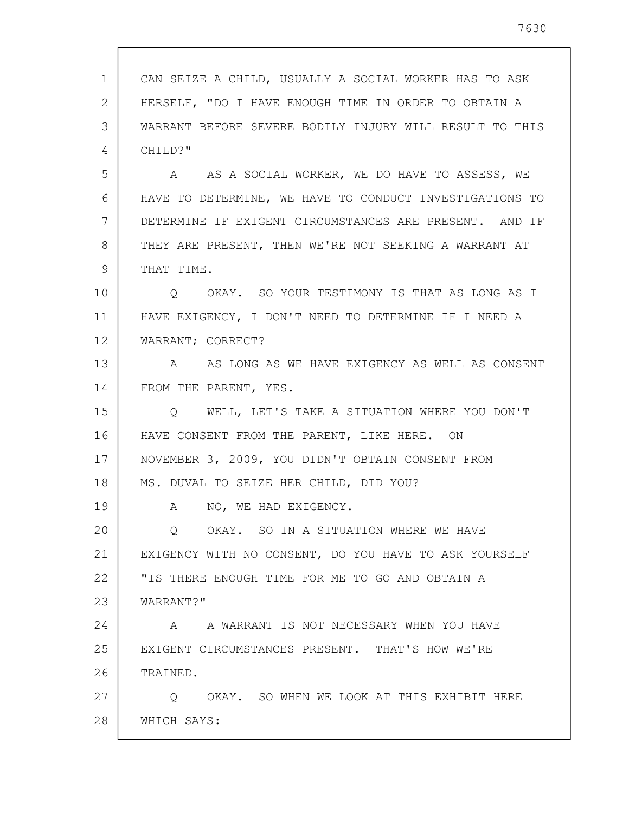1 2 3 4 5 6 7 8 9 10 11 12 13 14 15 16 17 18 19 20 21 22 23 24 25 26 27 28 CAN SEIZE A CHILD, USUALLY A SOCIAL WORKER HAS TO ASK HERSELF, "DO I HAVE ENOUGH TIME IN ORDER TO OBTAIN A WARRANT BEFORE SEVERE BODILY INJURY WILL RESULT TO THIS CHILD?" A AS A SOCIAL WORKER, WE DO HAVE TO ASSESS, WE HAVE TO DETERMINE, WE HAVE TO CONDUCT INVESTIGATIONS TO DETERMINE IF EXIGENT CIRCUMSTANCES ARE PRESENT. AND IF THEY ARE PRESENT, THEN WE'RE NOT SEEKING A WARRANT AT THAT TIME. Q OKAY. SO YOUR TESTIMONY IS THAT AS LONG AS I HAVE EXIGENCY, I DON'T NEED TO DETERMINE IF I NEED A WARRANT; CORRECT? A AS LONG AS WE HAVE EXIGENCY AS WELL AS CONSENT FROM THE PARENT, YES. Q WELL, LET'S TAKE A SITUATION WHERE YOU DON'T HAVE CONSENT FROM THE PARENT, LIKE HERE. ON NOVEMBER 3, 2009, YOU DIDN'T OBTAIN CONSENT FROM MS. DUVAL TO SEIZE HER CHILD, DID YOU? A NO, WE HAD EXIGENCY. Q OKAY. SO IN A SITUATION WHERE WE HAVE EXIGENCY WITH NO CONSENT, DO YOU HAVE TO ASK YOURSELF "IS THERE ENOUGH TIME FOR ME TO GO AND OBTAIN A WARRANT?" A A WARRANT IS NOT NECESSARY WHEN YOU HAVE EXIGENT CIRCUMSTANCES PRESENT. THAT'S HOW WE'RE TRAINED. Q OKAY. SO WHEN WE LOOK AT THIS EXHIBIT HERE WHICH SAYS: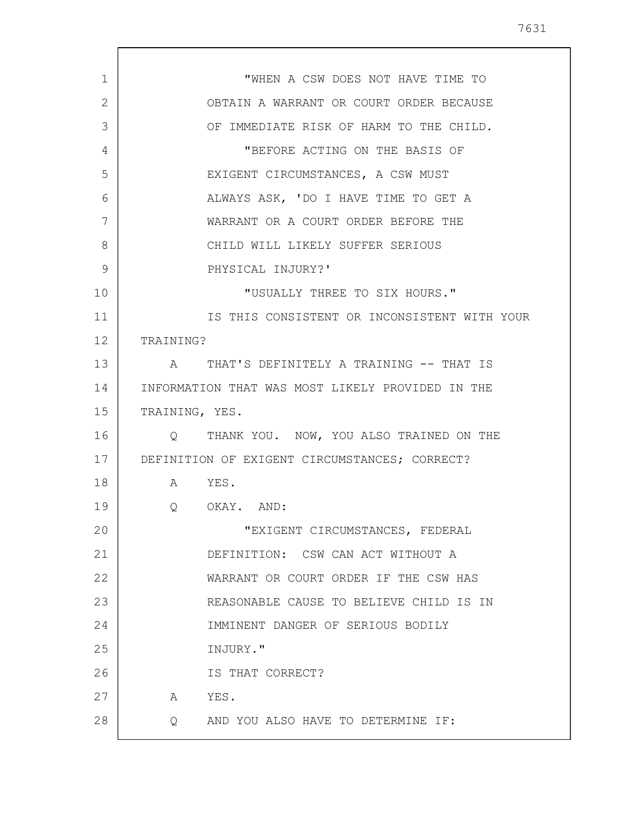1 2 3 4 5 6 7 8 9 10 11 12 13 14 15 16 17 18 19 20 21 22 23 24 25 26 27 28 "WHEN A CSW DOES NOT HAVE TIME TO OBTAIN A WARRANT OR COURT ORDER BECAUSE OF IMMEDIATE RISK OF HARM TO THE CHILD. "BEFORE ACTING ON THE BASIS OF EXIGENT CIRCUMSTANCES, A CSW MUST ALWAYS ASK, 'DO I HAVE TIME TO GET A WARRANT OR A COURT ORDER BEFORE THE CHILD WILL LIKELY SUFFER SERIOUS PHYSICAL INJURY?' "USUALLY THREE TO SIX HOURS." IS THIS CONSISTENT OR INCONSISTENT WITH YOUR TRAINING? A THAT'S DEFINITELY A TRAINING -- THAT IS INFORMATION THAT WAS MOST LIKELY PROVIDED IN THE TRAINING, YES. Q THANK YOU. NOW, YOU ALSO TRAINED ON THE DEFINITION OF EXIGENT CIRCUMSTANCES; CORRECT? A YES. Q OKAY. AND: "EXIGENT CIRCUMSTANCES, FEDERAL DEFINITION: CSW CAN ACT WITHOUT A WARRANT OR COURT ORDER IF THE CSW HAS REASONABLE CAUSE TO BELIEVE CHILD IS IN IMMINENT DANGER OF SERIOUS BODILY INJURY." IS THAT CORRECT? A YES. Q AND YOU ALSO HAVE TO DETERMINE IF: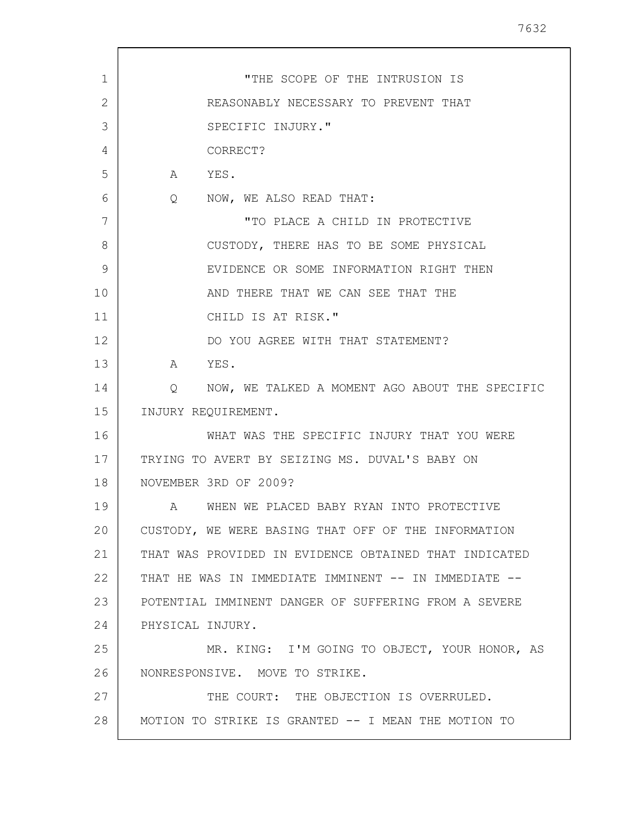| 1  | "THE SCOPE OF THE INTRUSION IS                        |
|----|-------------------------------------------------------|
| 2  | REASONABLY NECESSARY TO PREVENT THAT                  |
| 3  | SPECIFIC INJURY."                                     |
| 4  | CORRECT?                                              |
| 5  | $\mathbb A$<br>YES.                                   |
| 6  | NOW, WE ALSO READ THAT:<br>$Q \qquad \qquad$          |
| 7  | "TO PLACE A CHILD IN PROTECTIVE                       |
| 8  | CUSTODY, THERE HAS TO BE SOME PHYSICAL                |
| 9  | EVIDENCE OR SOME INFORMATION RIGHT THEN               |
| 10 | AND THERE THAT WE CAN SEE THAT THE                    |
| 11 | CHILD IS AT RISK."                                    |
| 12 | DO YOU AGREE WITH THAT STATEMENT?                     |
| 13 | A<br>YES.                                             |
| 14 | NOW, WE TALKED A MOMENT AGO ABOUT THE SPECIFIC<br>Q   |
| 15 | INJURY REQUIREMENT.                                   |
| 16 | WHAT WAS THE SPECIFIC INJURY THAT YOU WERE            |
| 17 | TRYING TO AVERT BY SEIZING MS. DUVAL'S BABY ON        |
| 18 | NOVEMBER 3RD OF 2009?                                 |
| 19 | WHEN WE PLACED BABY RYAN INTO PROTECTIVE              |
| 20 | CUSTODY, WE WERE BASING THAT OFF OF THE INFORMATION   |
| 21 | THAT WAS PROVIDED IN EVIDENCE OBTAINED THAT INDICATED |
| 22 | THAT HE WAS IN IMMEDIATE IMMINENT -- IN IMMEDIATE --  |
| 23 | POTENTIAL IMMINENT DANGER OF SUFFERING FROM A SEVERE  |
| 24 | PHYSICAL INJURY.                                      |
| 25 | MR. KING: I'M GOING TO OBJECT, YOUR HONOR, AS         |
| 26 | NONRESPONSIVE. MOVE TO STRIKE.                        |
| 27 | THE COURT: THE OBJECTION IS OVERRULED.                |
| 28 | MOTION TO STRIKE IS GRANTED -- I MEAN THE MOTION TO   |
|    |                                                       |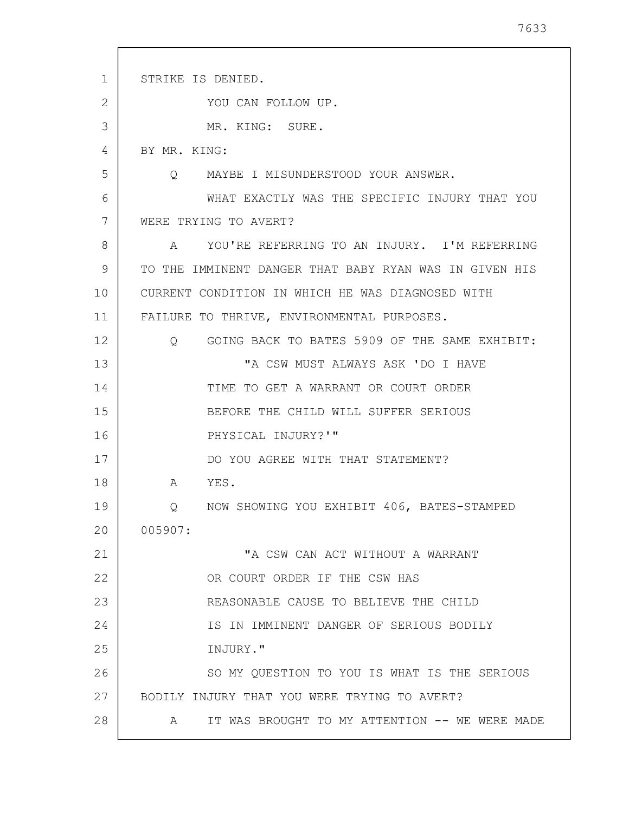| $\mathbf 1$ | STRIKE IS DENIED.                                           |
|-------------|-------------------------------------------------------------|
| 2           | YOU CAN FOLLOW UP.                                          |
| 3           | MR. KING: SURE.                                             |
| 4           | BY MR. KING:                                                |
| 5           | MAYBE I MISUNDERSTOOD YOUR ANSWER.<br>O                     |
| 6           | WHAT EXACTLY WAS THE SPECIFIC INJURY THAT YOU               |
| 7           | WERE TRYING TO AVERT?                                       |
| 8           | YOU'RE REFERRING TO AN INJURY. I'M REFERRING<br>$\mathbb A$ |
| 9           | TO THE IMMINENT DANGER THAT BABY RYAN WAS IN GIVEN HIS      |
| 10          | CURRENT CONDITION IN WHICH HE WAS DIAGNOSED WITH            |
| 11          | FAILURE TO THRIVE, ENVIRONMENTAL PURPOSES.                  |
| 12          | GOING BACK TO BATES 5909 OF THE SAME EXHIBIT:<br>Q          |
| 13          | "A CSW MUST ALWAYS ASK 'DO I HAVE                           |
| 14          | TIME TO GET A WARRANT OR COURT ORDER                        |
| 15          | BEFORE THE CHILD WILL SUFFER SERIOUS                        |
| 16          | PHYSICAL INJURY?'"                                          |
| 17          | DO YOU AGREE WITH THAT STATEMENT?                           |
| 18          | A<br>YES.                                                   |
| 19          | NOW SHOWING YOU EXHIBIT 406, BATES-STAMPED<br>Q             |
| 20          | 005907:                                                     |
| 21          | "A CSW CAN ACT WITHOUT A WARRANT                            |
| 22          | OR COURT ORDER IF THE CSW HAS                               |
| 23          | REASONABLE CAUSE TO BELIEVE THE CHILD                       |
| 24          | IS IN IMMINENT DANGER OF SERIOUS BODILY                     |
| 25          | INJURY."                                                    |
| 26          | SO MY QUESTION TO YOU IS WHAT IS THE SERIOUS                |
| 27          | BODILY INJURY THAT YOU WERE TRYING TO AVERT?                |
| 28          | IT WAS BROUGHT TO MY ATTENTION -- WE WERE MADE<br>A         |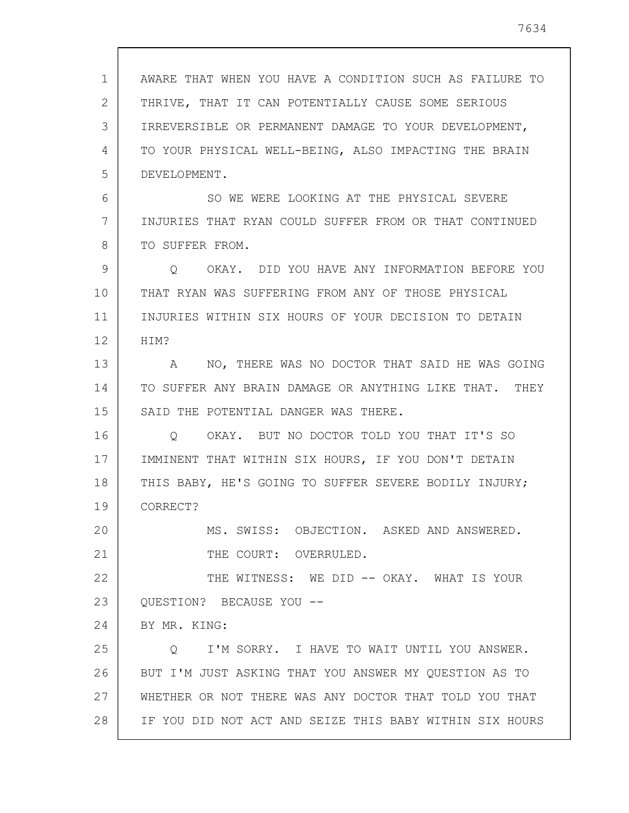| $\mathbf{1}$ | AWARE THAT WHEN YOU HAVE A CONDITION SUCH AS FAILURE TO      |
|--------------|--------------------------------------------------------------|
| 2            | THRIVE, THAT IT CAN POTENTIALLY CAUSE SOME SERIOUS           |
| 3            | IRREVERSIBLE OR PERMANENT DAMAGE TO YOUR DEVELOPMENT,        |
| 4            | TO YOUR PHYSICAL WELL-BEING, ALSO IMPACTING THE BRAIN        |
| 5            | DEVELOPMENT.                                                 |
| 6            | SO WE WERE LOOKING AT THE PHYSICAL SEVERE                    |
| 7            | INJURIES THAT RYAN COULD SUFFER FROM OR THAT CONTINUED       |
| 8            | TO SUFFER FROM.                                              |
| 9            | OKAY. DID YOU HAVE ANY INFORMATION BEFORE YOU<br>Q           |
| 10           | THAT RYAN WAS SUFFERING FROM ANY OF THOSE PHYSICAL           |
| 11           | INJURIES WITHIN SIX HOURS OF YOUR DECISION TO DETAIN         |
| 12           | HIM?                                                         |
| 13           | NO, THERE WAS NO DOCTOR THAT SAID HE WAS GOING<br>A          |
| 14           | TO SUFFER ANY BRAIN DAMAGE OR ANYTHING LIKE THAT. THEY       |
| 15           | SAID THE POTENTIAL DANGER WAS THERE.                         |
| 16           | OKAY. BUT NO DOCTOR TOLD YOU THAT IT'S SO<br>$\circ$         |
| 17           | IMMINENT THAT WITHIN SIX HOURS, IF YOU DON'T DETAIN          |
| 18           | THIS BABY, HE'S GOING TO SUFFER SEVERE BODILY INJURY;        |
| 19           | CORRECT?                                                     |
| 20           | MS. SWISS: OBJECTION. ASKED AND ANSWERED.                    |
| 21           | THE COURT: OVERRULED.                                        |
| 22           | THE WITNESS: WE DID -- OKAY. WHAT IS YOUR                    |
| 23           | QUESTION? BECAUSE YOU --                                     |
| 24           | BY MR. KING:                                                 |
| 25           | I'M SORRY. I HAVE TO WAIT UNTIL YOU ANSWER.<br>$Q_{\rm max}$ |
| 26           | BUT I'M JUST ASKING THAT YOU ANSWER MY QUESTION AS TO        |
| 27           | WHETHER OR NOT THERE WAS ANY DOCTOR THAT TOLD YOU THAT       |
| 28           | IF YOU DID NOT ACT AND SEIZE THIS BABY WITHIN SIX HOURS      |

 $\sqrt{ }$ 

 $\overline{\phantom{a}}$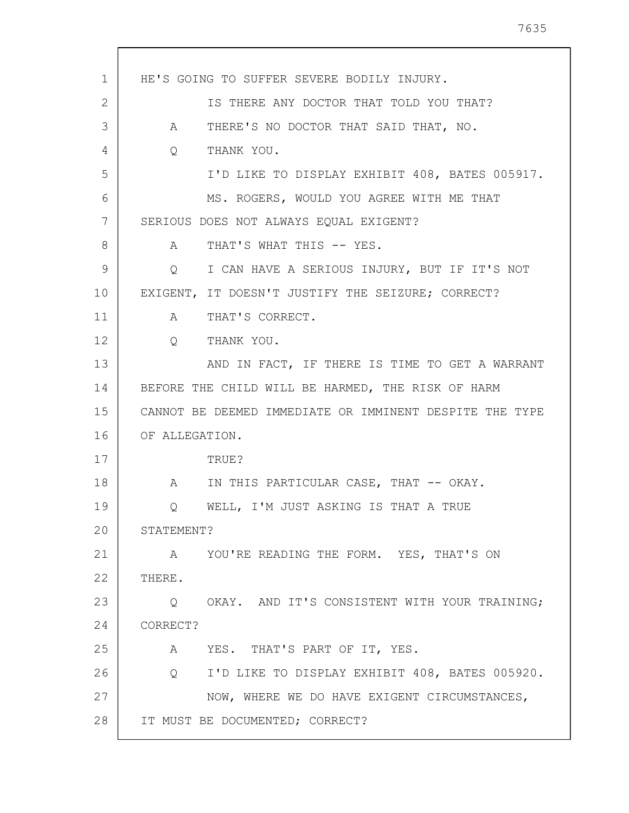| $\mathbf{1}$ | HE'S GOING TO SUFFER SEVERE BODILY INJURY.                        |
|--------------|-------------------------------------------------------------------|
| 2            | IS THERE ANY DOCTOR THAT TOLD YOU THAT?                           |
|              |                                                                   |
| 3            | THERE'S NO DOCTOR THAT SAID THAT, NO.<br>A                        |
| 4            | THANK YOU.<br>$Q \qquad \qquad$                                   |
| 5            | I'D LIKE TO DISPLAY EXHIBIT 408, BATES 005917.                    |
| 6            | MS. ROGERS, WOULD YOU AGREE WITH ME THAT                          |
| 7            | SERIOUS DOES NOT ALWAYS EQUAL EXIGENT?                            |
| 8            | THAT'S WHAT THIS -- YES.<br>$\mathbb A$                           |
| 9            | I CAN HAVE A SERIOUS INJURY, BUT IF IT'S NOT<br>$Q \qquad \qquad$ |
| 10           | EXIGENT, IT DOESN'T JUSTIFY THE SEIZURE; CORRECT?                 |
| 11           | THAT'S CORRECT.<br>A                                              |
| 12           | $Q_{\rm max}$<br>THANK YOU.                                       |
| 13           | AND IN FACT, IF THERE IS TIME TO GET A WARRANT                    |
| 14           | BEFORE THE CHILD WILL BE HARMED, THE RISK OF HARM                 |
| 15           | CANNOT BE DEEMED IMMEDIATE OR IMMINENT DESPITE THE TYPE           |
| 16           | OF ALLEGATION.                                                    |
| 17           | TRUE?                                                             |
| 18           | IN THIS PARTICULAR CASE, THAT -- OKAY.<br>A                       |
| 19           | Q WELL, I'M JUST ASKING IS THAT A TRUE                            |
| 20           | STATEMENT?                                                        |
| 21           | A YOU'RE READING THE FORM. YES, THAT'S ON                         |
| 22           | THERE.                                                            |
| 23           | Q OKAY. AND IT'S CONSISTENT WITH YOUR TRAINING;                   |
| 24           | CORRECT?                                                          |
| 25           | A YES. THAT'S PART OF IT, YES.                                    |
| 26           | I'D LIKE TO DISPLAY EXHIBIT 408, BATES 005920.<br>$Q_{\rm max}$   |
| 27           | NOW, WHERE WE DO HAVE EXIGENT CIRCUMSTANCES,                      |
| 28           | IT MUST BE DOCUMENTED; CORRECT?                                   |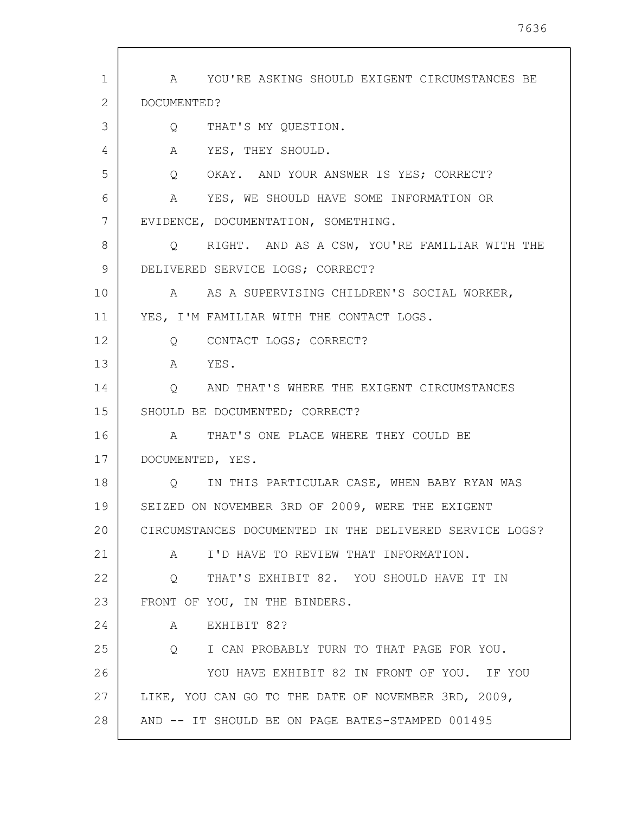1 2 3 4 5 6 7 8 9 10 11 12 13 14 15 16 17 18 19 20 21 22 23 24 25 26 27 28 A YOU'RE ASKING SHOULD EXIGENT CIRCUMSTANCES BE DOCUMENTED? Q THAT'S MY QUESTION. A YES, THEY SHOULD. Q OKAY. AND YOUR ANSWER IS YES; CORRECT? A YES, WE SHOULD HAVE SOME INFORMATION OR EVIDENCE, DOCUMENTATION, SOMETHING. Q RIGHT. AND AS A CSW, YOU'RE FAMILIAR WITH THE DELIVERED SERVICE LOGS; CORRECT? A AS A SUPERVISING CHILDREN'S SOCIAL WORKER, YES, I'M FAMILIAR WITH THE CONTACT LOGS. Q CONTACT LOGS; CORRECT? A YES. Q AND THAT'S WHERE THE EXIGENT CIRCUMSTANCES SHOULD BE DOCUMENTED; CORRECT? A THAT'S ONE PLACE WHERE THEY COULD BE DOCUMENTED, YES. Q IN THIS PARTICULAR CASE, WHEN BABY RYAN WAS SEIZED ON NOVEMBER 3RD OF 2009, WERE THE EXIGENT CIRCUMSTANCES DOCUMENTED IN THE DELIVERED SERVICE LOGS? A I'D HAVE TO REVIEW THAT INFORMATION. Q THAT'S EXHIBIT 82. YOU SHOULD HAVE IT IN FRONT OF YOU, IN THE BINDERS. A EXHIBIT 82? Q I CAN PROBABLY TURN TO THAT PAGE FOR YOU. YOU HAVE EXHIBIT 82 IN FRONT OF YOU. IF YOU LIKE, YOU CAN GO TO THE DATE OF NOVEMBER 3RD, 2009, AND -- IT SHOULD BE ON PAGE BATES-STAMPED 001495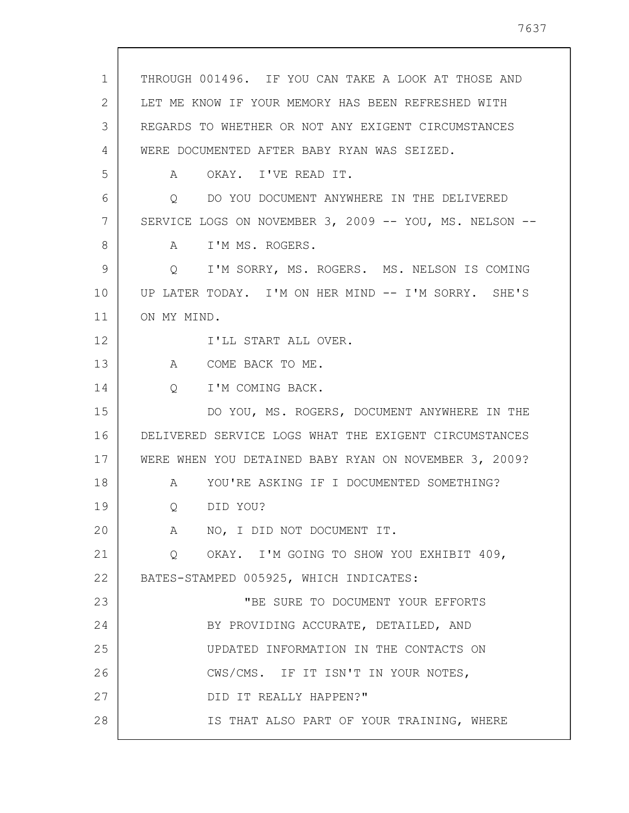1 2 3 4 5 6 7 8 9 10 11 12 13 14 15 16 17 18 19 20 21 22 23 24 25 26 27 28 THROUGH 001496. IF YOU CAN TAKE A LOOK AT THOSE AND LET ME KNOW IF YOUR MEMORY HAS BEEN REFRESHED WITH REGARDS TO WHETHER OR NOT ANY EXIGENT CIRCUMSTANCES WERE DOCUMENTED AFTER BABY RYAN WAS SEIZED. A OKAY. I'VE READ IT. Q DO YOU DOCUMENT ANYWHERE IN THE DELIVERED SERVICE LOGS ON NOVEMBER 3, 2009 -- YOU, MS. NELSON --A I'M MS. ROGERS. Q I'M SORRY, MS. ROGERS. MS. NELSON IS COMING UP LATER TODAY. I'M ON HER MIND -- I'M SORRY. SHE'S ON MY MIND. I'LL START ALL OVER. A COME BACK TO ME. Q I'M COMING BACK. DO YOU, MS. ROGERS, DOCUMENT ANYWHERE IN THE DELIVERED SERVICE LOGS WHAT THE EXIGENT CIRCUMSTANCES WERE WHEN YOU DETAINED BABY RYAN ON NOVEMBER 3, 2009? A YOU'RE ASKING IF I DOCUMENTED SOMETHING? Q DID YOU? A NO, I DID NOT DOCUMENT IT. Q OKAY. I'M GOING TO SHOW YOU EXHIBIT 409, BATES-STAMPED 005925, WHICH INDICATES: "BE SURE TO DOCUMENT YOUR EFFORTS BY PROVIDING ACCURATE, DETAILED, AND UPDATED INFORMATION IN THE CONTACTS ON CWS/CMS. IF IT ISN'T IN YOUR NOTES, DID IT REALLY HAPPEN?" IS THAT ALSO PART OF YOUR TRAINING, WHERE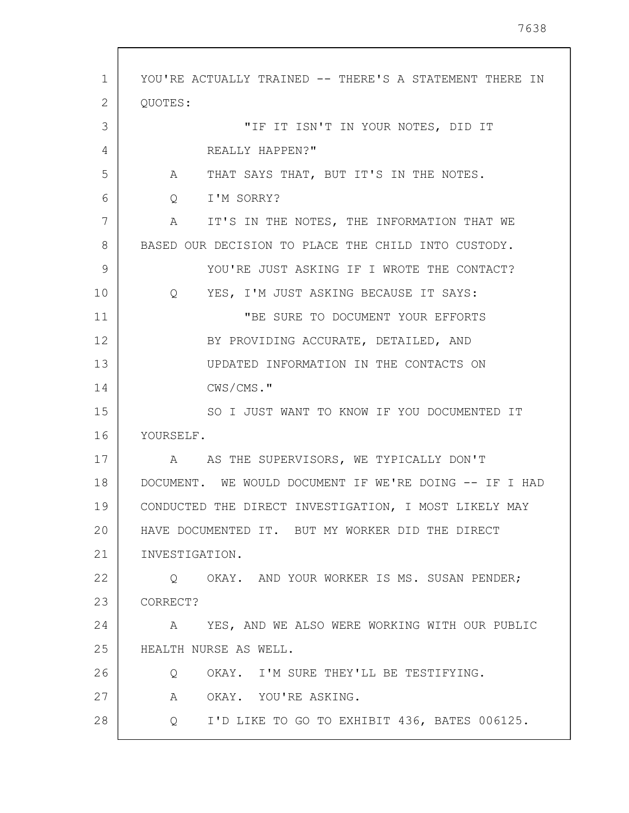1 2 3 4 5 6 7 8 9 10 11 12 13 14 15 16 17 18 19 20 21 22 23 24 25 26 27 28 YOU'RE ACTUALLY TRAINED -- THERE'S A STATEMENT THERE IN QUOTES: "IF IT ISN'T IN YOUR NOTES, DID IT REALLY HAPPEN?" A THAT SAYS THAT, BUT IT'S IN THE NOTES. Q I'M SORRY? A IT'S IN THE NOTES, THE INFORMATION THAT WE BASED OUR DECISION TO PLACE THE CHILD INTO CUSTODY. YOU'RE JUST ASKING IF I WROTE THE CONTACT? Q YES, I'M JUST ASKING BECAUSE IT SAYS: "BE SURE TO DOCUMENT YOUR EFFORTS BY PROVIDING ACCURATE, DETAILED, AND UPDATED INFORMATION IN THE CONTACTS ON CWS/CMS." SO I JUST WANT TO KNOW IF YOU DOCUMENTED IT YOURSELF. A AS THE SUPERVISORS, WE TYPICALLY DON'T DOCUMENT. WE WOULD DOCUMENT IF WE'RE DOING -- IF I HAD CONDUCTED THE DIRECT INVESTIGATION, I MOST LIKELY MAY HAVE DOCUMENTED IT. BUT MY WORKER DID THE DIRECT INVESTIGATION. Q OKAY. AND YOUR WORKER IS MS. SUSAN PENDER; CORRECT? A YES, AND WE ALSO WERE WORKING WITH OUR PUBLIC HEALTH NURSE AS WELL. Q OKAY. I'M SURE THEY'LL BE TESTIFYING. A OKAY. YOU'RE ASKING. Q I'D LIKE TO GO TO EXHIBIT 436, BATES 006125.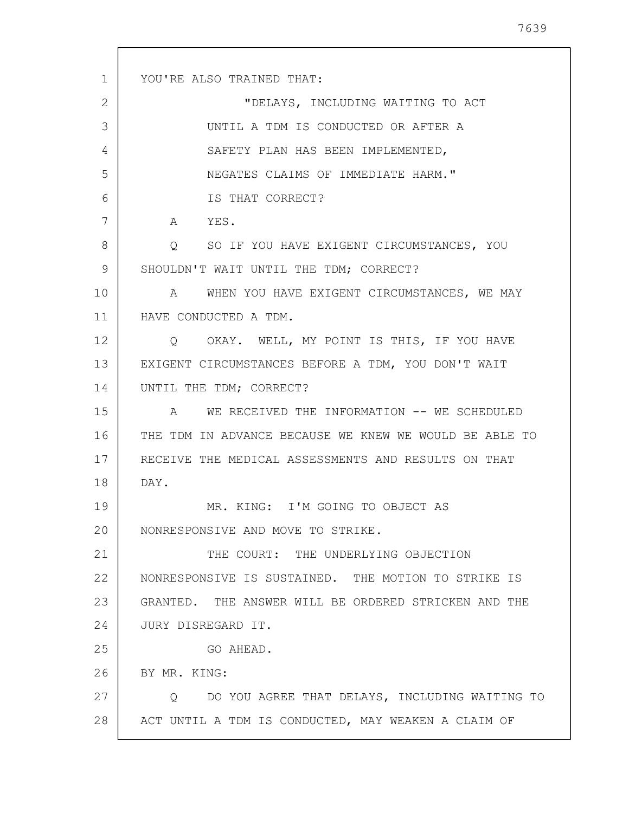1 2 3 4 5 6 7 8 9 10 11 12 13 14 15 16 17 18 19 20 21 22 23 24 25 26 27 28 YOU'RE ALSO TRAINED THAT: "DELAYS, INCLUDING WAITING TO ACT UNTIL A TDM IS CONDUCTED OR AFTER A SAFETY PLAN HAS BEEN IMPLEMENTED, NEGATES CLAIMS OF IMMEDIATE HARM." IS THAT CORRECT? A YES. Q SO IF YOU HAVE EXIGENT CIRCUMSTANCES, YOU SHOULDN'T WAIT UNTIL THE TDM; CORRECT? A WHEN YOU HAVE EXIGENT CIRCUMSTANCES, WE MAY HAVE CONDUCTED A TDM. Q OKAY. WELL, MY POINT IS THIS, IF YOU HAVE EXIGENT CIRCUMSTANCES BEFORE A TDM, YOU DON'T WAIT UNTIL THE TDM; CORRECT? A WE RECEIVED THE INFORMATION -- WE SCHEDULED THE TDM IN ADVANCE BECAUSE WE KNEW WE WOULD BE ABLE TO RECEIVE THE MEDICAL ASSESSMENTS AND RESULTS ON THAT DAY. MR. KING: I'M GOING TO OBJECT AS NONRESPONSIVE AND MOVE TO STRIKE. THE COURT: THE UNDERLYING OBJECTION NONRESPONSIVE IS SUSTAINED. THE MOTION TO STRIKE IS GRANTED. THE ANSWER WILL BE ORDERED STRICKEN AND THE JURY DISREGARD IT. GO AHEAD. BY MR. KING: Q DO YOU AGREE THAT DELAYS, INCLUDING WAITING TO ACT UNTIL A TDM IS CONDUCTED, MAY WEAKEN A CLAIM OF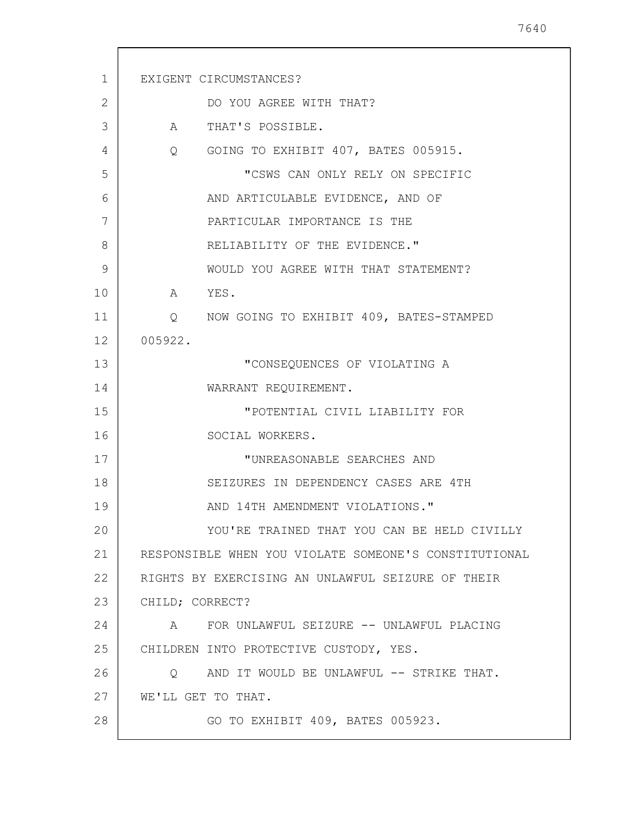| $\mathbf{1}$ | EXIGENT CIRCUMSTANCES?                                |
|--------------|-------------------------------------------------------|
|              |                                                       |
| 2            | DO YOU AGREE WITH THAT?                               |
| 3            | A THAT'S POSSIBLE.                                    |
| 4            | Q GOING TO EXHIBIT 407, BATES 005915.                 |
| 5            | "CSWS CAN ONLY RELY ON SPECIFIC                       |
| 6            | AND ARTICULABLE EVIDENCE, AND OF                      |
| 7            | PARTICULAR IMPORTANCE IS THE                          |
| 8            | RELIABILITY OF THE EVIDENCE."                         |
| 9            | WOULD YOU AGREE WITH THAT STATEMENT?                  |
| 10           | A YES.                                                |
| 11           | Q NOW GOING TO EXHIBIT 409, BATES-STAMPED             |
| 12           | 005922.                                               |
| 13           | "CONSEQUENCES OF VIOLATING A                          |
| 14           | WARRANT REQUIREMENT.                                  |
| 15           | "POTENTIAL CIVIL LIABILITY FOR                        |
| 16           | SOCIAL WORKERS.                                       |
| 17           | "UNREASONABLE SEARCHES AND                            |
| 18           | SEIZURES IN DEPENDENCY CASES ARE 4TH                  |
| 19           | AND 14TH AMENDMENT VIOLATIONS."                       |
| 20           | YOU'RE TRAINED THAT YOU CAN BE HELD CIVILLY           |
| 21           | RESPONSIBLE WHEN YOU VIOLATE SOMEONE'S CONSTITUTIONAL |
| 22           | RIGHTS BY EXERCISING AN UNLAWFUL SEIZURE OF THEIR     |
| 23           | CHILD; CORRECT?                                       |
| 24           | A FOR UNLAWFUL SEIZURE -- UNLAWFUL PLACING            |
| 25           | CHILDREN INTO PROTECTIVE CUSTODY, YES.                |
| 26           | AND IT WOULD BE UNLAWFUL -- STRIKE THAT.<br>$\circ$   |
| 27           | WE'LL GET TO THAT.                                    |
| 28           | GO TO EXHIBIT 409, BATES 005923.                      |
|              |                                                       |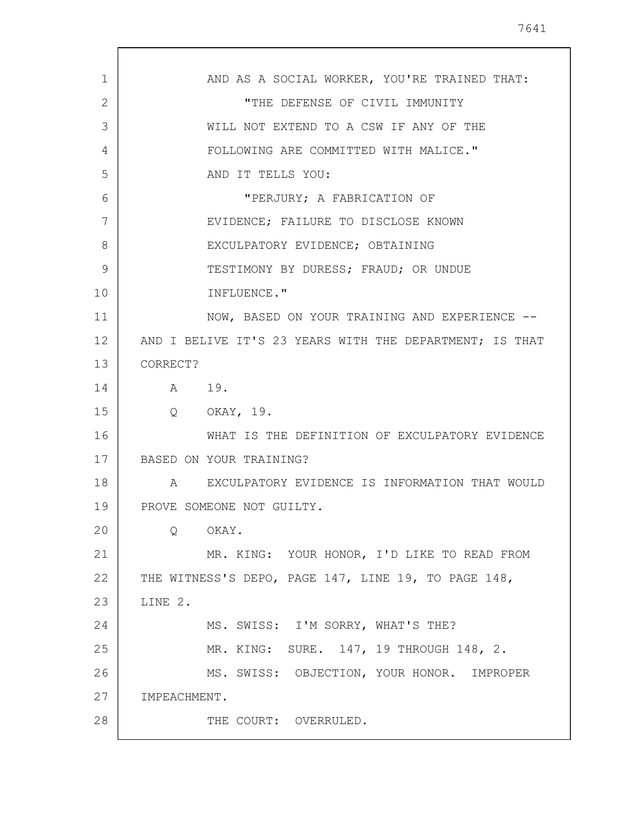| 1  | AND AS A SOCIAL WORKER, YOU'RE TRAINED THAT:            |
|----|---------------------------------------------------------|
| 2  | "THE DEFENSE OF CIVIL IMMUNITY                          |
| 3  | WILL NOT EXTEND TO A CSW IF ANY OF THE                  |
| 4  | FOLLOWING ARE COMMITTED WITH MALICE."                   |
| 5  | AND IT TELLS YOU:                                       |
| 6  | "PERJURY; A FABRICATION OF                              |
| 7  | EVIDENCE; FAILURE TO DISCLOSE KNOWN                     |
| 8  | EXCULPATORY EVIDENCE; OBTAINING                         |
| 9  | TESTIMONY BY DURESS; FRAUD; OR UNDUE                    |
| 10 | INFLUENCE."                                             |
| 11 | NOW, BASED ON YOUR TRAINING AND EXPERIENCE --           |
| 12 | AND I BELIVE IT'S 23 YEARS WITH THE DEPARTMENT; IS THAT |
| 13 | CORRECT?                                                |
| 14 | A 19.                                                   |
| 15 | Q OKAY, 19.                                             |
| 16 | WHAT IS THE DEFINITION OF EXCULPATORY EVIDENCE          |
| 17 | BASED ON YOUR TRAINING?                                 |
| 18 | A EXCULPATORY EVIDENCE IS INFORMATION THAT WOULD        |
| 19 | PROVE SOMEONE NOT GUILTY.                               |
| 20 | Q<br>OKAY.                                              |
| 21 | MR. KING: YOUR HONOR, I'D LIKE TO READ FROM             |
| 22 | THE WITNESS'S DEPO, PAGE 147, LINE 19, TO PAGE 148,     |
| 23 | LINE 2.                                                 |
| 24 | MS. SWISS: I'M SORRY, WHAT'S THE?                       |
| 25 | MR. KING: SURE. 147, 19 THROUGH 148, 2.                 |
| 26 | MS. SWISS: OBJECTION, YOUR HONOR. IMPROPER              |
| 27 | IMPEACHMENT.                                            |
| 28 | THE COURT: OVERRULED.                                   |
|    |                                                         |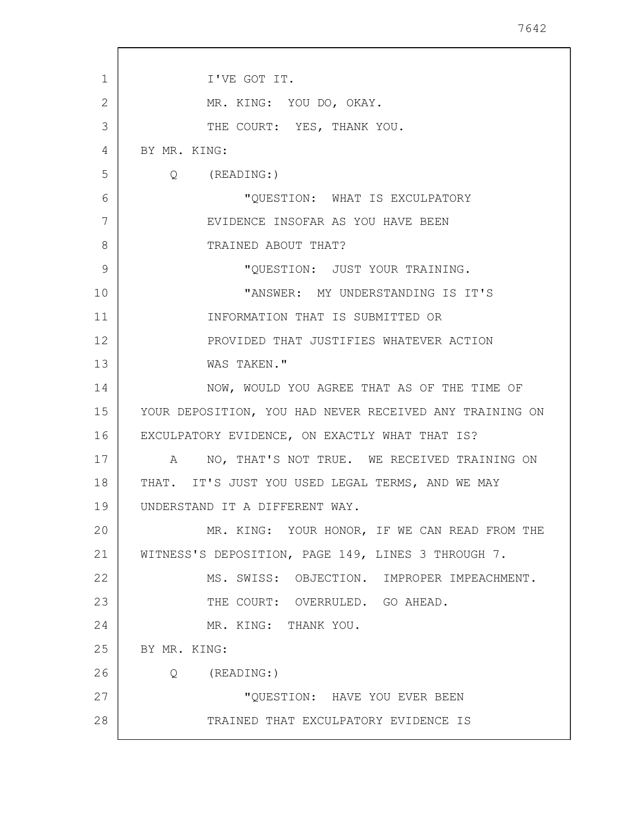| 1  | I'VE GOT IT.                                            |
|----|---------------------------------------------------------|
| 2  | MR. KING: YOU DO, OKAY.                                 |
| 3  | THE COURT: YES, THANK YOU.                              |
| 4  | BY MR. KING:                                            |
| 5  | $Q$ (READING:)                                          |
| 6  | "QUESTION: WHAT IS EXCULPATORY                          |
| 7  | EVIDENCE INSOFAR AS YOU HAVE BEEN                       |
| 8  | TRAINED ABOUT THAT?                                     |
| 9  | "QUESTION: JUST YOUR TRAINING.                          |
| 10 | "ANSWER: MY UNDERSTANDING IS IT'S                       |
| 11 | INFORMATION THAT IS SUBMITTED OR                        |
| 12 | PROVIDED THAT JUSTIFIES WHATEVER ACTION                 |
| 13 | WAS TAKEN."                                             |
| 14 | NOW, WOULD YOU AGREE THAT AS OF THE TIME OF             |
| 15 | YOUR DEPOSITION, YOU HAD NEVER RECEIVED ANY TRAINING ON |
| 16 | EXCULPATORY EVIDENCE, ON EXACTLY WHAT THAT IS?          |
| 17 | A NO, THAT'S NOT TRUE. WE RECEIVED TRAINING ON          |
| 18 | THAT. IT'S JUST YOU USED LEGAL TERMS, AND WE MAY        |
| 19 | UNDERSTAND IT A DIFFERENT WAY.                          |
| 20 | MR. KING: YOUR HONOR, IF WE CAN READ FROM THE           |
| 21 | WITNESS'S DEPOSITION, PAGE 149, LINES 3 THROUGH 7.      |
| 22 | MS. SWISS: OBJECTION. IMPROPER IMPEACHMENT.             |
| 23 | THE COURT: OVERRULED. GO AHEAD.                         |
| 24 | MR. KING: THANK YOU.                                    |
| 25 | BY MR. KING:                                            |
| 26 | (READING:)<br>$\circ$                                   |
| 27 | "QUESTION: HAVE YOU EVER BEEN                           |
| 28 | TRAINED THAT EXCULPATORY EVIDENCE IS                    |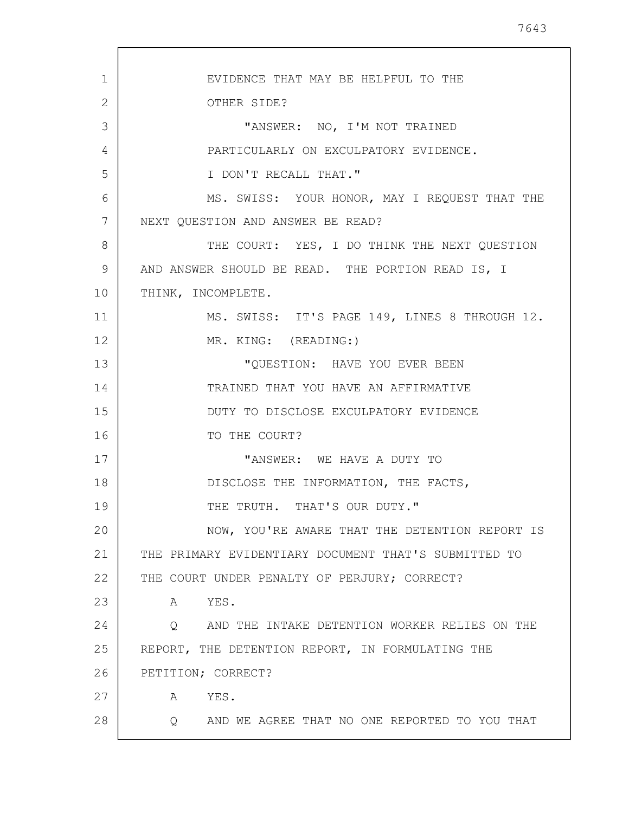1 2 3 4 5 6 7 8 9 10 11 12 13 14 15 16 17 18 19 20 21 22 23 24 25 26 27 28 EVIDENCE THAT MAY BE HELPFUL TO THE OTHER SIDE? "ANSWER: NO, I'M NOT TRAINED PARTICULARLY ON EXCULPATORY EVIDENCE. I DON'T RECALL THAT." MS. SWISS: YOUR HONOR, MAY I REQUEST THAT THE NEXT QUESTION AND ANSWER BE READ? THE COURT: YES, I DO THINK THE NEXT QUESTION AND ANSWER SHOULD BE READ. THE PORTION READ IS, I THINK, INCOMPLETE. MS. SWISS: IT'S PAGE 149, LINES 8 THROUGH 12. MR. KING: (READING:) "QUESTION: HAVE YOU EVER BEEN TRAINED THAT YOU HAVE AN AFFIRMATIVE DUTY TO DISCLOSE EXCULPATORY EVIDENCE TO THE COURT? "ANSWER: WE HAVE A DUTY TO DISCLOSE THE INFORMATION, THE FACTS, THE TRUTH. THAT'S OUR DUTY." NOW, YOU'RE AWARE THAT THE DETENTION REPORT IS THE PRIMARY EVIDENTIARY DOCUMENT THAT'S SUBMITTED TO THE COURT UNDER PENALTY OF PERJURY; CORRECT? A YES. Q AND THE INTAKE DETENTION WORKER RELIES ON THE REPORT, THE DETENTION REPORT, IN FORMULATING THE PETITION; CORRECT? A YES. Q AND WE AGREE THAT NO ONE REPORTED TO YOU THAT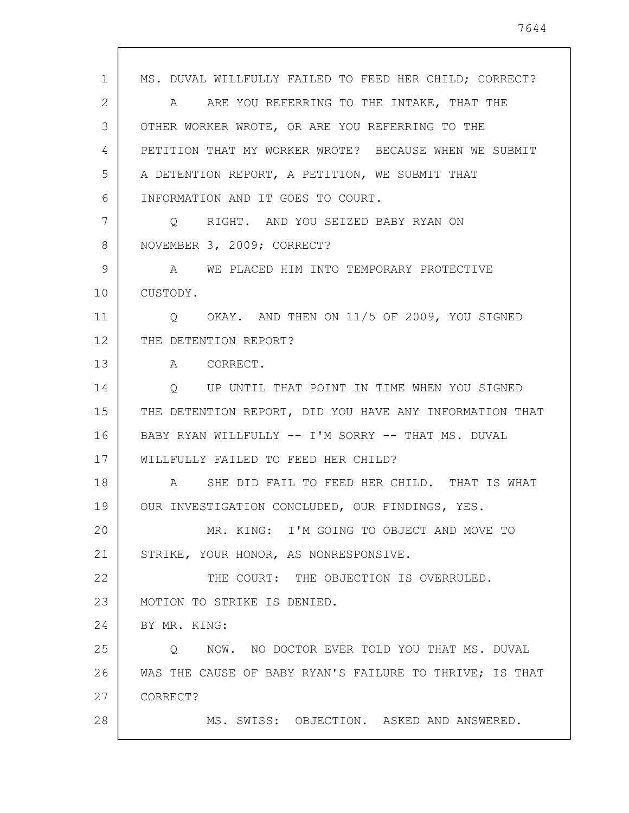1 2 3 4 5 6 7 8 9 10 11 12 13 14 15 16 17 18 19 20 21 22 23 24 25 26 27 28 MS. DUVAL WILLFULLY FAILED TO FEED HER CHILD; CORRECT? A ARE YOU REFERRING TO THE INTAKE, THAT THE OTHER WORKER WROTE, OR ARE YOU REFERRING TO THE PETITION THAT MY WORKER WROTE? BECAUSE WHEN WE SUBMIT A DETENTION REPORT, A PETITION, WE SUBMIT THAT INFORMATION AND IT GOES TO COURT. Q RIGHT. AND YOU SEIZED BABY RYAN ON NOVEMBER 3, 2009; CORRECT? A WE PLACED HIM INTO TEMPORARY PROTECTIVE CUSTODY. Q OKAY. AND THEN ON 11/5 OF 2009, YOU SIGNED THE DETENTION REPORT? A CORRECT. Q UP UNTIL THAT POINT IN TIME WHEN YOU SIGNED THE DETENTION REPORT, DID YOU HAVE ANY INFORMATION THAT BABY RYAN WILLFULLY -- I'M SORRY -- THAT MS. DUVAL WILLFULLY FAILED TO FEED HER CHILD? A SHE DID FAIL TO FEED HER CHILD. THAT IS WHAT OUR INVESTIGATION CONCLUDED, OUR FINDINGS, YES. MR. KING: I'M GOING TO OBJECT AND MOVE TO STRIKE, YOUR HONOR, AS NONRESPONSIVE. THE COURT: THE OBJECTION IS OVERRULED. MOTION TO STRIKE IS DENIED. BY MR. KING: Q NOW. NO DOCTOR EVER TOLD YOU THAT MS. DUVAL WAS THE CAUSE OF BABY RYAN'S FAILURE TO THRIVE; IS THAT CORRECT? MS. SWISS: OBJECTION. ASKED AND ANSWERED.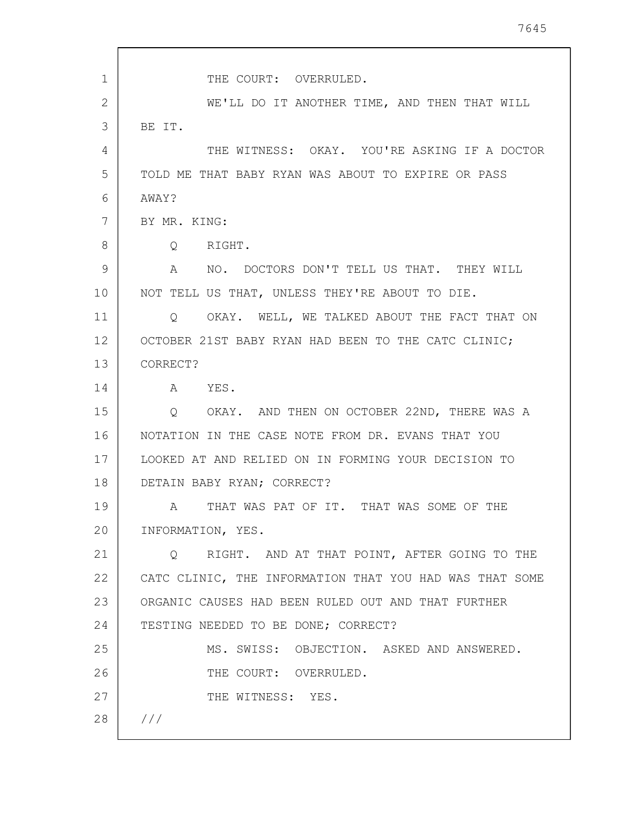1 2 3 4 5 6 7 8 9 10 11 12 13 14 15 16 17 18 19 20 21 22 23 24 25 26 27 28 /// THE COURT: OVERRULED. WE'LL DO IT ANOTHER TIME, AND THEN THAT WILL BE IT. THE WITNESS: OKAY. YOU'RE ASKING IF A DOCTOR TOLD ME THAT BABY RYAN WAS ABOUT TO EXPIRE OR PASS AWAY? BY MR. KING: Q RIGHT. A NO. DOCTORS DON'T TELL US THAT. THEY WILL NOT TELL US THAT, UNLESS THEY'RE ABOUT TO DIE. Q OKAY. WELL, WE TALKED ABOUT THE FACT THAT ON OCTOBER 21ST BABY RYAN HAD BEEN TO THE CATC CLINIC; CORRECT? A YES. Q OKAY. AND THEN ON OCTOBER 22ND, THERE WAS A NOTATION IN THE CASE NOTE FROM DR. EVANS THAT YOU LOOKED AT AND RELIED ON IN FORMING YOUR DECISION TO DETAIN BABY RYAN; CORRECT? A THAT WAS PAT OF IT. THAT WAS SOME OF THE INFORMATION, YES. Q RIGHT. AND AT THAT POINT, AFTER GOING TO THE CATC CLINIC, THE INFORMATION THAT YOU HAD WAS THAT SOME ORGANIC CAUSES HAD BEEN RULED OUT AND THAT FURTHER TESTING NEEDED TO BE DONE; CORRECT? MS. SWISS: OBJECTION. ASKED AND ANSWERED. THE COURT: OVERRULED. THE WITNESS: YES.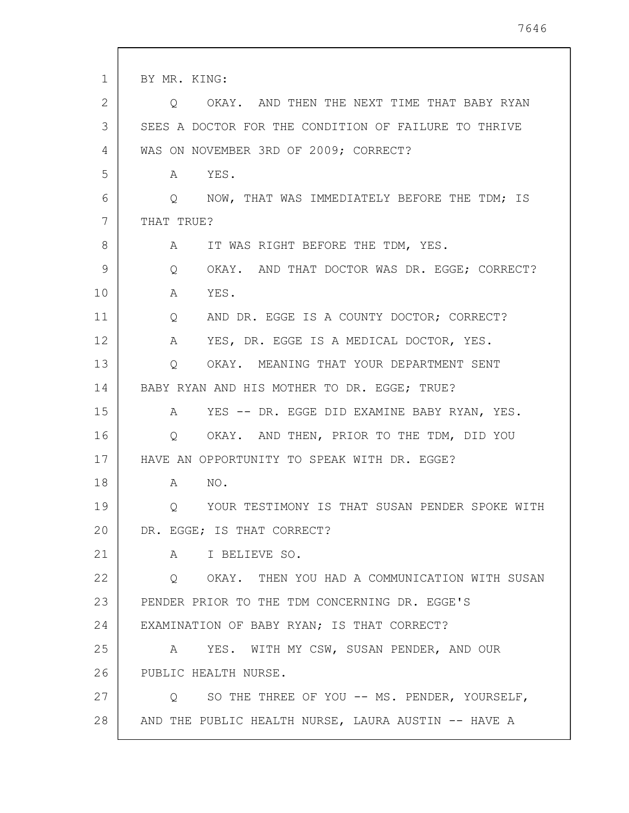| 1  | BY MR. KING:                                         |
|----|------------------------------------------------------|
| 2  | OKAY. AND THEN THE NEXT TIME THAT BABY RYAN<br>Q.    |
| 3  | SEES A DOCTOR FOR THE CONDITION OF FAILURE TO THRIVE |
| 4  | WAS ON NOVEMBER 3RD OF 2009; CORRECT?                |
| 5  | YES.<br>A                                            |
| 6  | Q NOW, THAT WAS IMMEDIATELY BEFORE THE TDM; IS       |
| 7  | THAT TRUE?                                           |
| 8  | IT WAS RIGHT BEFORE THE TDM, YES.<br>A               |
| 9  | OKAY. AND THAT DOCTOR WAS DR. EGGE; CORRECT?<br>Q    |
| 10 | YES.<br>A                                            |
| 11 | AND DR. EGGE IS A COUNTY DOCTOR; CORRECT?<br>Q       |
| 12 | YES, DR. EGGE IS A MEDICAL DOCTOR, YES.<br>A         |
| 13 | OKAY. MEANING THAT YOUR DEPARTMENT SENT<br>Q         |
| 14 | BABY RYAN AND HIS MOTHER TO DR. EGGE; TRUE?          |
| 15 | A YES -- DR. EGGE DID EXAMINE BABY RYAN, YES.        |
| 16 | Q OKAY. AND THEN, PRIOR TO THE TDM, DID YOU          |
| 17 | HAVE AN OPPORTUNITY TO SPEAK WITH DR. EGGE?          |
| 18 | NO.<br>A                                             |
| 19 | YOUR TESTIMONY IS THAT SUSAN PENDER SPOKE WITH<br>Q  |
| 20 | DR. EGGE; IS THAT CORRECT?                           |
| 21 | A I BELIEVE SO.                                      |
| 22 | Q OKAY. THEN YOU HAD A COMMUNICATION WITH SUSAN      |
| 23 | PENDER PRIOR TO THE TDM CONCERNING DR. EGGE'S        |
| 24 | EXAMINATION OF BABY RYAN; IS THAT CORRECT?           |
| 25 | YES. WITH MY CSW, SUSAN PENDER, AND OUR<br>A         |
| 26 | PUBLIC HEALTH NURSE.                                 |
| 27 | Q SO THE THREE OF YOU -- MS. PENDER, YOURSELF,       |
| 28 | AND THE PUBLIC HEALTH NURSE, LAURA AUSTIN -- HAVE A  |
|    |                                                      |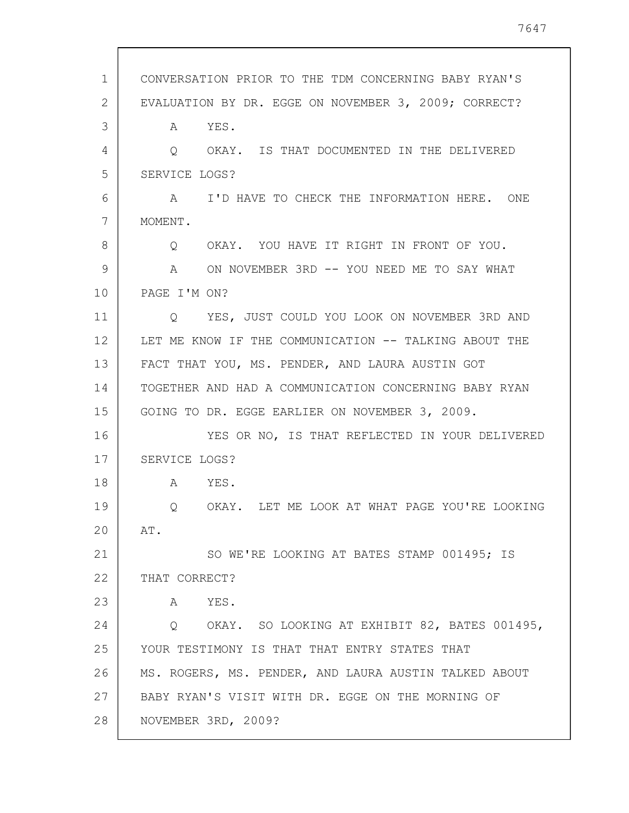| 1  | CONVERSATION PRIOR TO THE TDM CONCERNING BABY RYAN'S  |
|----|-------------------------------------------------------|
| 2  | EVALUATION BY DR. EGGE ON NOVEMBER 3, 2009; CORRECT?  |
| 3  | A YES.                                                |
| 4  | OKAY. IS THAT DOCUMENTED IN THE DELIVERED<br>$\circ$  |
| 5  | SERVICE LOGS?                                         |
| 6  | A I'D HAVE TO CHECK THE INFORMATION HERE. ONE         |
| 7  | MOMENT.                                               |
| 8  | Q OKAY. YOU HAVE IT RIGHT IN FRONT OF YOU.            |
| 9  | A ON NOVEMBER 3RD -- YOU NEED ME TO SAY WHAT          |
| 10 | PAGE I'M ON?                                          |
| 11 | YES, JUST COULD YOU LOOK ON NOVEMBER 3RD AND<br>O.    |
| 12 | LET ME KNOW IF THE COMMUNICATION -- TALKING ABOUT THE |
| 13 | FACT THAT YOU, MS. PENDER, AND LAURA AUSTIN GOT       |
| 14 | TOGETHER AND HAD A COMMUNICATION CONCERNING BABY RYAN |
| 15 | GOING TO DR. EGGE EARLIER ON NOVEMBER 3, 2009.        |
| 16 | YES OR NO, IS THAT REFLECTED IN YOUR DELIVERED        |
| 17 | SERVICE LOGS?                                         |
| 18 | A YES.                                                |
| 19 | Q OKAY. LET ME LOOK AT WHAT PAGE YOU'RE LOOKING       |
| 20 | AT.                                                   |
| 21 | SO WE'RE LOOKING AT BATES STAMP 001495; IS            |
| 22 | THAT CORRECT?                                         |
| 23 | YES.<br>A                                             |
| 24 | Q OKAY. SO LOOKING AT EXHIBIT 82, BATES 001495,       |
| 25 | YOUR TESTIMONY IS THAT THAT ENTRY STATES THAT         |
| 26 | MS. ROGERS, MS. PENDER, AND LAURA AUSTIN TALKED ABOUT |
| 27 | BABY RYAN'S VISIT WITH DR. EGGE ON THE MORNING OF     |
| 28 | NOVEMBER 3RD, 2009?                                   |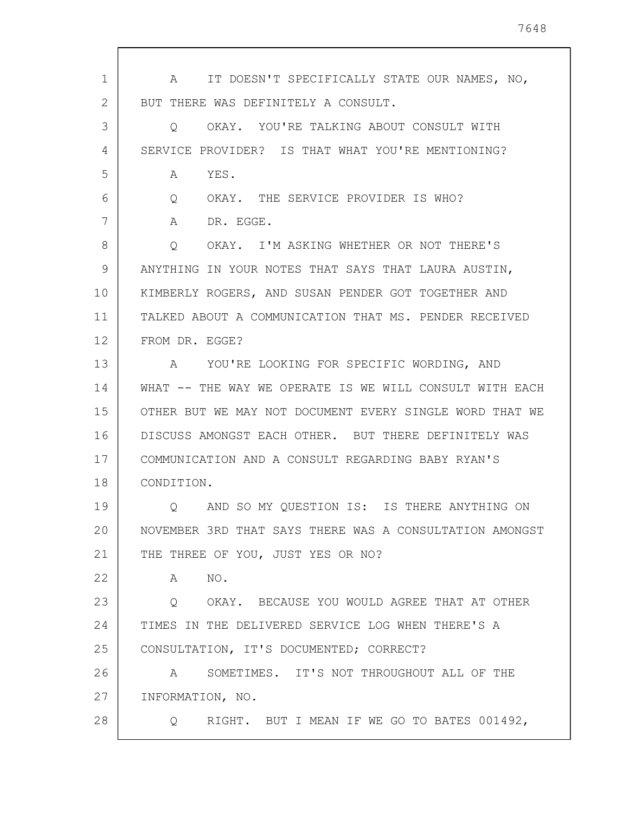| 1              | IT DOESN'T SPECIFICALLY STATE OUR NAMES, NO,<br>$\mathbb A$ |
|----------------|-------------------------------------------------------------|
| $\overline{2}$ | BUT THERE WAS DEFINITELY A CONSULT.                         |
| 3              | OKAY. YOU'RE TALKING ABOUT CONSULT WITH<br>$\circ$          |
| 4              | SERVICE PROVIDER? IS THAT WHAT YOU'RE MENTIONING?           |
| 5              | YES.<br>A                                                   |
| 6              | OKAY. THE SERVICE PROVIDER IS WHO?<br>Q                     |
| 7              | A<br>DR. EGGE.                                              |
| 8              | OKAY. I'M ASKING WHETHER OR NOT THERE'S<br>Q                |
| 9              | ANYTHING IN YOUR NOTES THAT SAYS THAT LAURA AUSTIN,         |
| 10             | KIMBERLY ROGERS, AND SUSAN PENDER GOT TOGETHER AND          |
| 11             | TALKED ABOUT A COMMUNICATION THAT MS. PENDER RECEIVED       |
| 12             | FROM DR. EGGE?                                              |
| 13             | A YOU'RE LOOKING FOR SPECIFIC WORDING, AND                  |
| 14             | WHAT -- THE WAY WE OPERATE IS WE WILL CONSULT WITH EACH     |
| 15             | OTHER BUT WE MAY NOT DOCUMENT EVERY SINGLE WORD THAT WE     |
| 16             | DISCUSS AMONGST EACH OTHER. BUT THERE DEFINITELY WAS        |
| 17             | COMMUNICATION AND A CONSULT REGARDING BABY RYAN'S           |
| 18             | CONDITION.                                                  |
| 19             | AND SO MY QUESTION IS: IS THERE ANYTHING ON                 |
| 20             | NOVEMBER 3RD THAT SAYS THERE WAS A CONSULTATION AMONGST     |
| 21             | THE THREE OF YOU, JUST YES OR NO?                           |
| 22             | NO.<br>A                                                    |
| 23             | OKAY. BECAUSE YOU WOULD AGREE THAT AT OTHER<br>Q            |
| 24             | TIMES IN THE DELIVERED SERVICE LOG WHEN THERE'S A           |
| 25             | CONSULTATION, IT'S DOCUMENTED; CORRECT?                     |
| 26             | SOMETIMES. IT'S NOT THROUGHOUT ALL OF THE<br>$\mathbb A$    |
| 27             | INFORMATION, NO.                                            |
| 28             | RIGHT. BUT I MEAN IF WE GO TO BATES 001492,<br>Q            |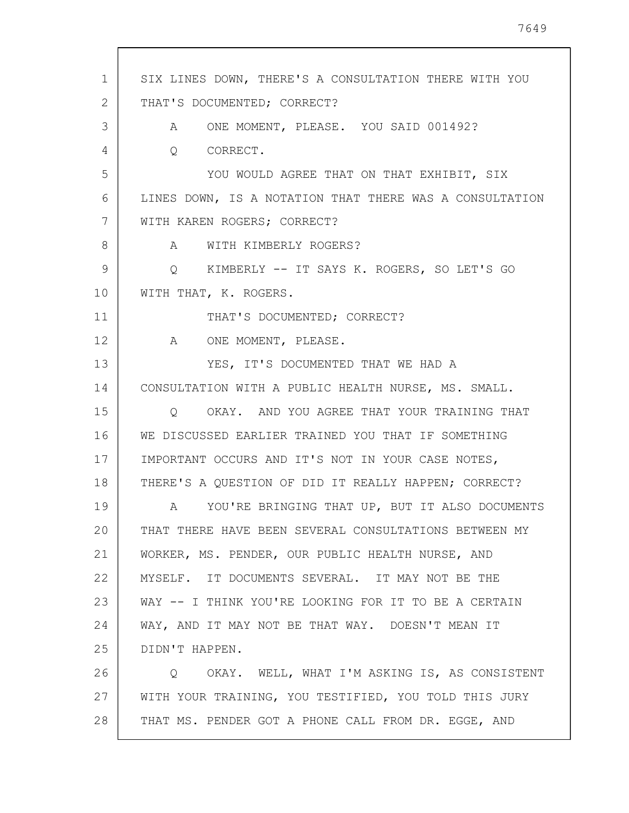| $\mathbf{1}$ | SIX LINES DOWN, THERE'S A CONSULTATION THERE WITH YOU   |
|--------------|---------------------------------------------------------|
| 2            | THAT'S DOCUMENTED; CORRECT?                             |
| 3            | A ONE MOMENT, PLEASE. YOU SAID 001492?                  |
| 4            | CORRECT.<br>$Q_{\rm c}$                                 |
| 5            | YOU WOULD AGREE THAT ON THAT EXHIBIT, SIX               |
| 6            | LINES DOWN, IS A NOTATION THAT THERE WAS A CONSULTATION |
| 7            | WITH KAREN ROGERS; CORRECT?                             |
| 8            | WITH KIMBERLY ROGERS?<br>$\mathbf{A}$                   |
| 9            | Q KIMBERLY -- IT SAYS K. ROGERS, SO LET'S GO            |
| 10           | WITH THAT, K. ROGERS.                                   |
| 11           | THAT'S DOCUMENTED; CORRECT?                             |
| 12           | A<br>ONE MOMENT, PLEASE.                                |
| 13           | YES, IT'S DOCUMENTED THAT WE HAD A                      |
| 14           | CONSULTATION WITH A PUBLIC HEALTH NURSE, MS. SMALL.     |
| 15           | O OKAY. AND YOU AGREE THAT YOUR TRAINING THAT           |
| 16           | WE DISCUSSED EARLIER TRAINED YOU THAT IF SOMETHING      |
| 17           | IMPORTANT OCCURS AND IT'S NOT IN YOUR CASE NOTES,       |
| 18           | THERE'S A QUESTION OF DID IT REALLY HAPPEN; CORRECT?    |
| 19           | A YOU'RE BRINGING THAT UP, BUT IT ALSO DOCUMENTS        |
| 20           | THAT THERE HAVE BEEN SEVERAL CONSULTATIONS BETWEEN MY   |
| 21           | WORKER, MS. PENDER, OUR PUBLIC HEALTH NURSE, AND        |
| 22           | MYSELF. IT DOCUMENTS SEVERAL. IT MAY NOT BE THE         |
| 23           | WAY -- I THINK YOU'RE LOOKING FOR IT TO BE A CERTAIN    |
| 24           | WAY, AND IT MAY NOT BE THAT WAY. DOESN'T MEAN IT        |
| 25           | DIDN'T HAPPEN.                                          |
| 26           | OKAY. WELL, WHAT I'M ASKING IS, AS CONSISTENT<br>Q      |
| 27           | WITH YOUR TRAINING, YOU TESTIFIED, YOU TOLD THIS JURY   |
| 28           | THAT MS. PENDER GOT A PHONE CALL FROM DR. EGGE, AND     |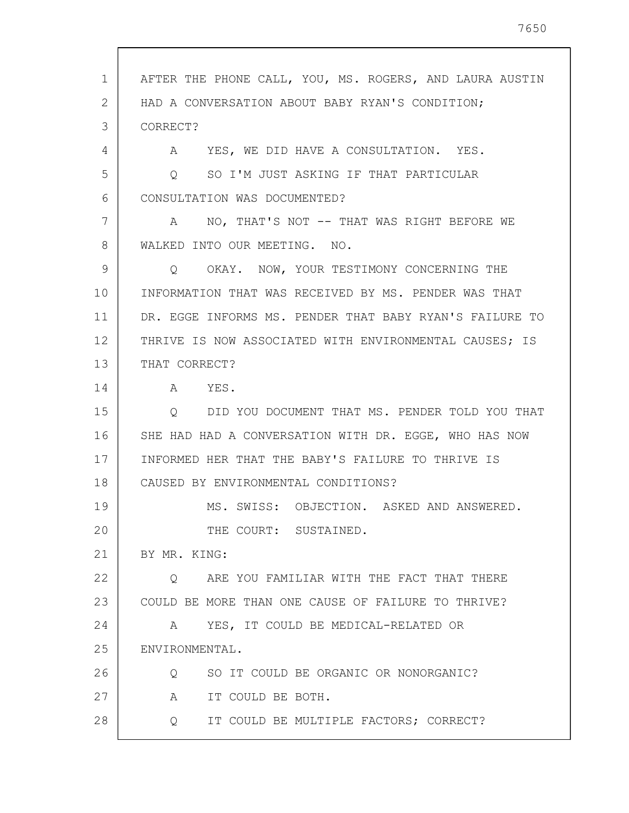1 2 3 4 5 6 7 8 9 10 11 12 13 14 15 16 17 18 19 20 21 22 23 24 25 26 27 28 AFTER THE PHONE CALL, YOU, MS. ROGERS, AND LAURA AUSTIN HAD A CONVERSATION ABOUT BABY RYAN'S CONDITION; CORRECT? A YES, WE DID HAVE A CONSULTATION. YES. Q SO I'M JUST ASKING IF THAT PARTICULAR CONSULTATION WAS DOCUMENTED? A NO, THAT'S NOT -- THAT WAS RIGHT BEFORE WE WALKED INTO OUR MEETING. NO. Q OKAY. NOW, YOUR TESTIMONY CONCERNING THE INFORMATION THAT WAS RECEIVED BY MS. PENDER WAS THAT DR. EGGE INFORMS MS. PENDER THAT BABY RYAN'S FAILURE TO THRIVE IS NOW ASSOCIATED WITH ENVIRONMENTAL CAUSES; IS THAT CORRECT? A YES. Q DID YOU DOCUMENT THAT MS. PENDER TOLD YOU THAT SHE HAD HAD A CONVERSATION WITH DR. EGGE, WHO HAS NOW INFORMED HER THAT THE BABY'S FAILURE TO THRIVE IS CAUSED BY ENVIRONMENTAL CONDITIONS? MS. SWISS: OBJECTION. ASKED AND ANSWERED. THE COURT: SUSTAINED. BY MR. KING: Q ARE YOU FAMILIAR WITH THE FACT THAT THERE COULD BE MORE THAN ONE CAUSE OF FAILURE TO THRIVE? A YES, IT COULD BE MEDICAL-RELATED OR ENVIRONMENTAL. Q SO IT COULD BE ORGANIC OR NONORGANIC? A IT COULD BE BOTH. Q IT COULD BE MULTIPLE FACTORS; CORRECT?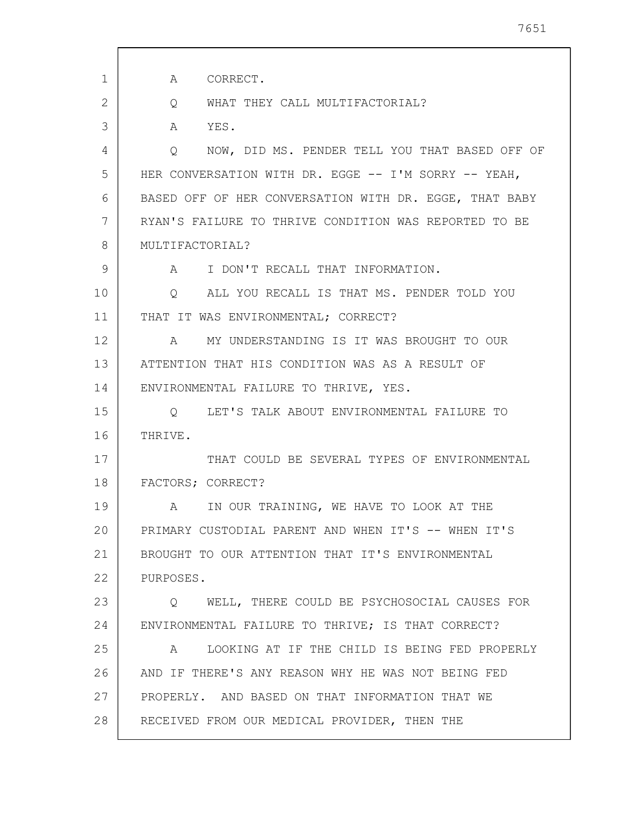| $\mathbf 1$ | A<br>CORRECT.                                                |
|-------------|--------------------------------------------------------------|
| 2           | WHAT THEY CALL MULTIFACTORIAL?<br>Q                          |
| 3           | A<br>YES.                                                    |
| 4           | NOW, DID MS. PENDER TELL YOU THAT BASED OFF OF<br>$\circ$    |
| 5           | HER CONVERSATION WITH DR. EGGE -- I'M SORRY -- YEAH,         |
| 6           | BASED OFF OF HER CONVERSATION WITH DR. EGGE, THAT BABY       |
| 7           | RYAN'S FAILURE TO THRIVE CONDITION WAS REPORTED TO BE        |
| 8           | MULTIFACTORIAL?                                              |
| 9           | A I DON'T RECALL THAT INFORMATION.                           |
| 10          | ALL YOU RECALL IS THAT MS. PENDER TOLD YOU<br>$\overline{Q}$ |
| 11          | THAT IT WAS ENVIRONMENTAL; CORRECT?                          |
| 12          | MY UNDERSTANDING IS IT WAS BROUGHT TO OUR<br>$\mathbb A$     |
| 13          | ATTENTION THAT HIS CONDITION WAS AS A RESULT OF              |
| 14          | ENVIRONMENTAL FAILURE TO THRIVE, YES.                        |
| 15          | Q LET'S TALK ABOUT ENVIRONMENTAL FAILURE TO                  |
| 16          | THRIVE.                                                      |
| 17          | THAT COULD BE SEVERAL TYPES OF ENVIRONMENTAL                 |
| 18          | FACTORS; CORRECT?                                            |
| 19          | A IN OUR TRAINING, WE HAVE TO LOOK AT THE                    |
| 20          | PRIMARY CUSTODIAL PARENT AND WHEN IT'S -- WHEN IT'S          |
| 21          | BROUGHT TO OUR ATTENTION THAT IT'S ENVIRONMENTAL             |
| 22          | PURPOSES.                                                    |
| 23          | O WELL, THERE COULD BE PSYCHOSOCIAL CAUSES FOR               |
| 24          | ENVIRONMENTAL FAILURE TO THRIVE; IS THAT CORRECT?            |
| 25          | LOOKING AT IF THE CHILD IS BEING FED PROPERLY<br>A           |
| 26          | AND IF THERE'S ANY REASON WHY HE WAS NOT BEING FED           |
| 27          | PROPERLY. AND BASED ON THAT INFORMATION THAT WE              |
| 28          | RECEIVED FROM OUR MEDICAL PROVIDER, THEN THE                 |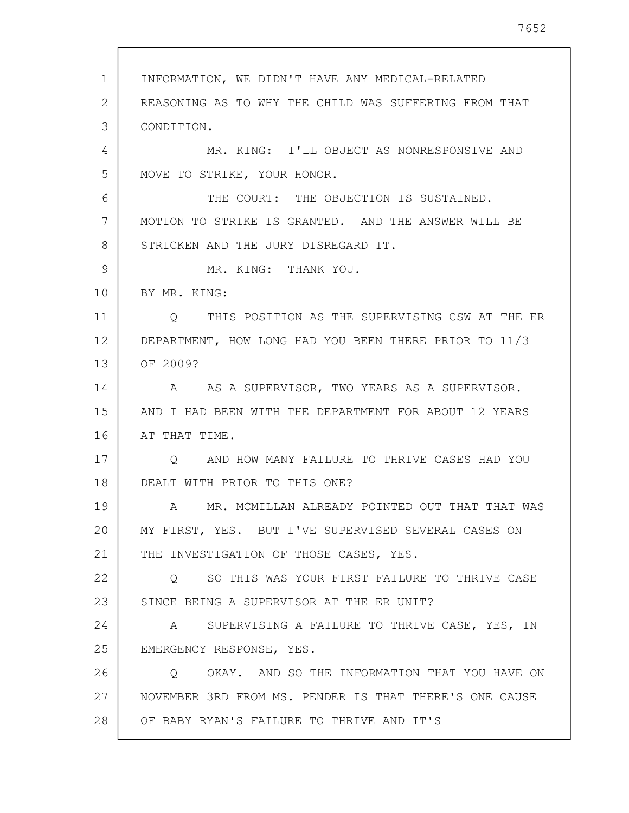1 2 3 4 5 6 7 8 9 10 11 12 13 14 15 16 17 18 19 20 21 22 23 24 25 26 27 28 INFORMATION, WE DIDN'T HAVE ANY MEDICAL-RELATED REASONING AS TO WHY THE CHILD WAS SUFFERING FROM THAT CONDITION. MR. KING: I'LL OBJECT AS NONRESPONSIVE AND MOVE TO STRIKE, YOUR HONOR. THE COURT: THE OBJECTION IS SUSTAINED. MOTION TO STRIKE IS GRANTED. AND THE ANSWER WILL BE STRICKEN AND THE JURY DISREGARD IT. MR. KING: THANK YOU. BY MR. KING: Q THIS POSITION AS THE SUPERVISING CSW AT THE ER DEPARTMENT, HOW LONG HAD YOU BEEN THERE PRIOR TO 11/3 OF 2009? A AS A SUPERVISOR, TWO YEARS AS A SUPERVISOR. AND I HAD BEEN WITH THE DEPARTMENT FOR ABOUT 12 YEARS AT THAT TIME. Q AND HOW MANY FAILURE TO THRIVE CASES HAD YOU DEALT WITH PRIOR TO THIS ONE? A MR. MCMILLAN ALREADY POINTED OUT THAT THAT WAS MY FIRST, YES. BUT I'VE SUPERVISED SEVERAL CASES ON THE INVESTIGATION OF THOSE CASES, YES. Q SO THIS WAS YOUR FIRST FAILURE TO THRIVE CASE SINCE BEING A SUPERVISOR AT THE ER UNIT? A SUPERVISING A FAILURE TO THRIVE CASE, YES, IN EMERGENCY RESPONSE, YES. Q OKAY. AND SO THE INFORMATION THAT YOU HAVE ON NOVEMBER 3RD FROM MS. PENDER IS THAT THERE'S ONE CAUSE OF BABY RYAN'S FAILURE TO THRIVE AND IT'S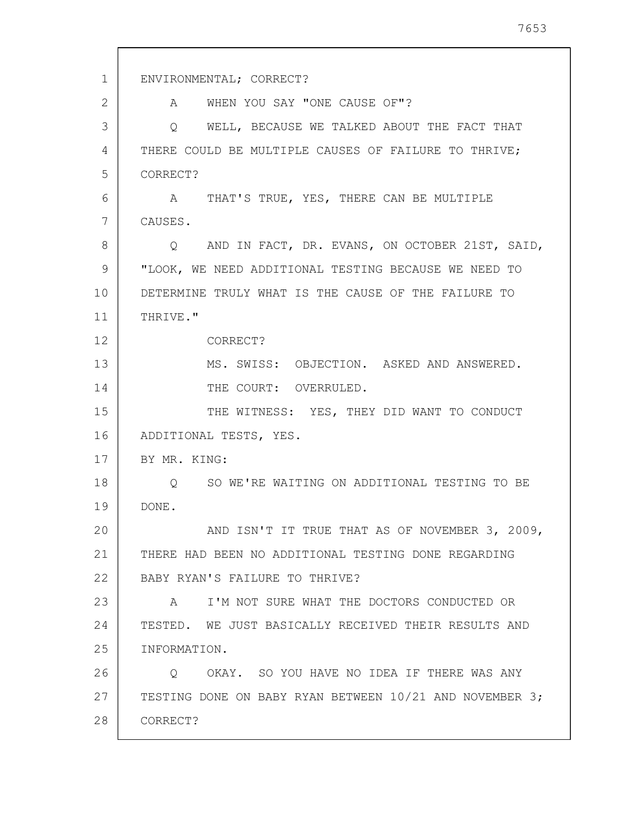1 2 3 4 5 6 7 8 9 10 11 12 13 14 15 16 17 18 19 20 21 22 23 24 25 26 27 28 ENVIRONMENTAL; CORRECT? A WHEN YOU SAY "ONE CAUSE OF"? Q WELL, BECAUSE WE TALKED ABOUT THE FACT THAT THERE COULD BE MULTIPLE CAUSES OF FAILURE TO THRIVE; CORRECT? A THAT'S TRUE, YES, THERE CAN BE MULTIPLE CAUSES. Q AND IN FACT, DR. EVANS, ON OCTOBER 21ST, SAID, "LOOK, WE NEED ADDITIONAL TESTING BECAUSE WE NEED TO DETERMINE TRULY WHAT IS THE CAUSE OF THE FAILURE TO THRIVE." CORRECT? MS. SWISS: OBJECTION. ASKED AND ANSWERED. THE COURT: OVERRULED. THE WITNESS: YES, THEY DID WANT TO CONDUCT ADDITIONAL TESTS, YES. BY MR. KING: Q SO WE'RE WAITING ON ADDITIONAL TESTING TO BE DONE. AND ISN'T IT TRUE THAT AS OF NOVEMBER 3, 2009, THERE HAD BEEN NO ADDITIONAL TESTING DONE REGARDING BABY RYAN'S FAILURE TO THRIVE? A I'M NOT SURE WHAT THE DOCTORS CONDUCTED OR TESTED. WE JUST BASICALLY RECEIVED THEIR RESULTS AND INFORMATION. Q OKAY. SO YOU HAVE NO IDEA IF THERE WAS ANY TESTING DONE ON BABY RYAN BETWEEN 10/21 AND NOVEMBER 3; CORRECT?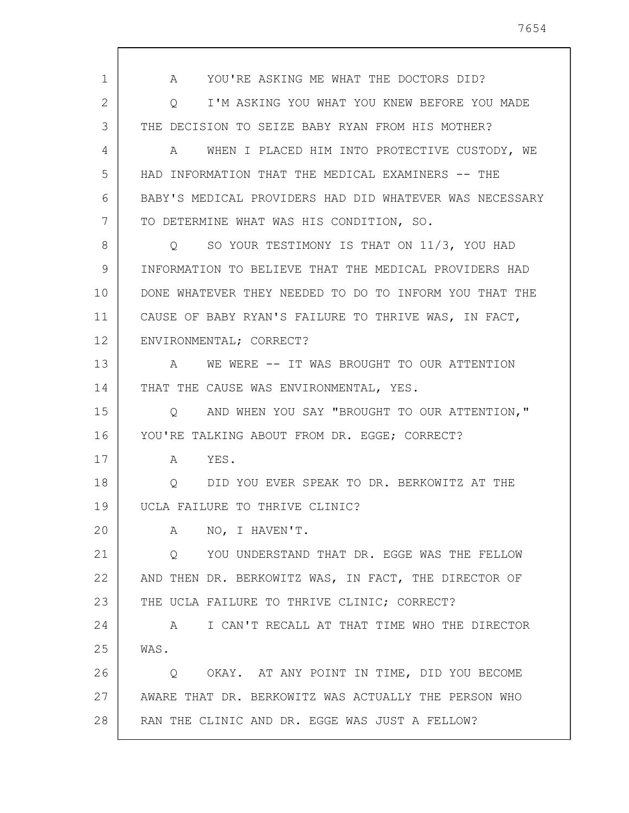1 2 3 4 5 6 7 8 9 10 11 12 13 14 15 16 17 18 19 20 21 22 23 24 25 26 27 28 A YOU'RE ASKING ME WHAT THE DOCTORS DID? Q I'M ASKING YOU WHAT YOU KNEW BEFORE YOU MADE THE DECISION TO SEIZE BABY RYAN FROM HIS MOTHER? A WHEN I PLACED HIM INTO PROTECTIVE CUSTODY, WE HAD INFORMATION THAT THE MEDICAL EXAMINERS -- THE BABY'S MEDICAL PROVIDERS HAD DID WHATEVER WAS NECESSARY TO DETERMINE WHAT WAS HIS CONDITION, SO. Q SO YOUR TESTIMONY IS THAT ON 11/3, YOU HAD INFORMATION TO BELIEVE THAT THE MEDICAL PROVIDERS HAD DONE WHATEVER THEY NEEDED TO DO TO INFORM YOU THAT THE CAUSE OF BABY RYAN'S FAILURE TO THRIVE WAS, IN FACT, ENVIRONMENTAL; CORRECT? A WE WERE -- IT WAS BROUGHT TO OUR ATTENTION THAT THE CAUSE WAS ENVIRONMENTAL, YES. Q AND WHEN YOU SAY "BROUGHT TO OUR ATTENTION," YOU'RE TALKING ABOUT FROM DR. EGGE; CORRECT? A YES. Q DID YOU EVER SPEAK TO DR. BERKOWITZ AT THE UCLA FAILURE TO THRIVE CLINIC? A NO, I HAVEN'T. Q YOU UNDERSTAND THAT DR. EGGE WAS THE FELLOW AND THEN DR. BERKOWITZ WAS, IN FACT, THE DIRECTOR OF THE UCLA FAILURE TO THRIVE CLINIC; CORRECT? A I CAN'T RECALL AT THAT TIME WHO THE DIRECTOR WAS. Q OKAY. AT ANY POINT IN TIME, DID YOU BECOME AWARE THAT DR. BERKOWITZ WAS ACTUALLY THE PERSON WHO RAN THE CLINIC AND DR. EGGE WAS JUST A FELLOW?

7654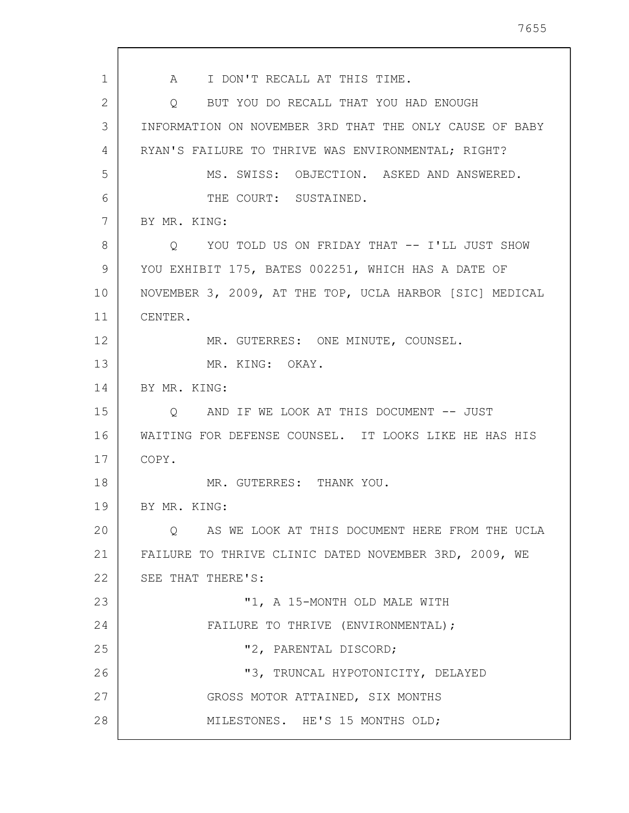1 2 3 4 5 6 7 8 9 10 11 12 13 14 15 16 17 18 19 20 21 22 23 24 25 26 27 28 A I DON'T RECALL AT THIS TIME. Q BUT YOU DO RECALL THAT YOU HAD ENOUGH INFORMATION ON NOVEMBER 3RD THAT THE ONLY CAUSE OF BABY RYAN'S FAILURE TO THRIVE WAS ENVIRONMENTAL; RIGHT? MS. SWISS: OBJECTION. ASKED AND ANSWERED. THE COURT: SUSTAINED. BY MR. KING: Q YOU TOLD US ON FRIDAY THAT -- I'LL JUST SHOW YOU EXHIBIT 175, BATES 002251, WHICH HAS A DATE OF NOVEMBER 3, 2009, AT THE TOP, UCLA HARBOR [SIC] MEDICAL CENTER. MR. GUTERRES: ONE MINUTE, COUNSEL. MR. KING: OKAY. BY MR. KING: Q AND IF WE LOOK AT THIS DOCUMENT -- JUST WAITING FOR DEFENSE COUNSEL. IT LOOKS LIKE HE HAS HIS COPY. MR. GUTERRES: THANK YOU. BY MR. KING: Q AS WE LOOK AT THIS DOCUMENT HERE FROM THE UCLA FAILURE TO THRIVE CLINIC DATED NOVEMBER 3RD, 2009, WE SEE THAT THERE'S: "1, A 15-MONTH OLD MALE WITH FAILURE TO THRIVE (ENVIRONMENTAL); "2, PARENTAL DISCORD; "3, TRUNCAL HYPOTONICITY, DELAYED GROSS MOTOR ATTAINED, SIX MONTHS MILESTONES. HE'S 15 MONTHS OLD;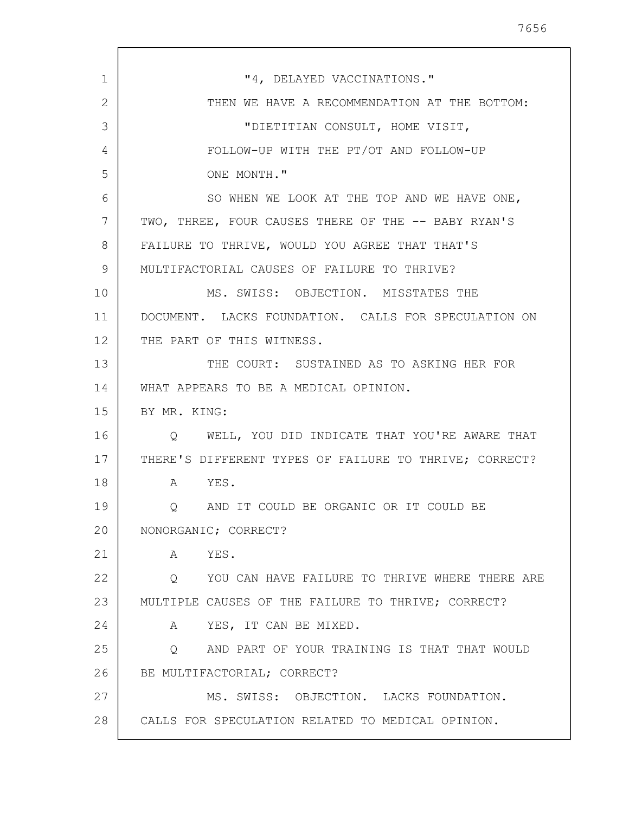| $\mathbf{1}$ | "4, DELAYED VACCINATIONS."                                        |
|--------------|-------------------------------------------------------------------|
| 2            | THEN WE HAVE A RECOMMENDATION AT THE BOTTOM:                      |
| 3            | "DIETITIAN CONSULT, HOME VISIT,                                   |
| 4            | FOLLOW-UP WITH THE PT/OT AND FOLLOW-UP                            |
| 5            | ONE MONTH."                                                       |
| 6            | SO WHEN WE LOOK AT THE TOP AND WE HAVE ONE,                       |
| 7            | TWO, THREE, FOUR CAUSES THERE OF THE -- BABY RYAN'S               |
| 8            | FAILURE TO THRIVE, WOULD YOU AGREE THAT THAT'S                    |
| 9            | MULTIFACTORIAL CAUSES OF FAILURE TO THRIVE?                       |
| 10           | MS. SWISS: OBJECTION. MISSTATES THE                               |
| 11           | DOCUMENT. LACKS FOUNDATION. CALLS FOR SPECULATION ON              |
| 12           | THE PART OF THIS WITNESS.                                         |
| 13           | THE COURT: SUSTAINED AS TO ASKING HER FOR                         |
| 14           | WHAT APPEARS TO BE A MEDICAL OPINION.                             |
| 15           | BY MR. KING:                                                      |
| 16           | Q WELL, YOU DID INDICATE THAT YOU'RE AWARE THAT                   |
| 17           | THERE'S DIFFERENT TYPES OF FAILURE TO THRIVE; CORRECT?            |
| 18           | A YES.                                                            |
| 19           | AND IT COULD BE ORGANIC OR IT COULD BE                            |
| 20           | NONORGANIC; CORRECT?                                              |
| 21           | YES.<br>$A \quad \alpha$                                          |
| 22           | Q YOU CAN HAVE FAILURE TO THRIVE WHERE THERE ARE                  |
| 23           | MULTIPLE CAUSES OF THE FAILURE TO THRIVE; CORRECT?                |
| 24           | A YES, IT CAN BE MIXED.                                           |
| 25           | AND PART OF YOUR TRAINING IS THAT THAT WOULD<br>$Q \qquad \qquad$ |
| 26           | BE MULTIFACTORIAL; CORRECT?                                       |
| 27           | MS. SWISS: OBJECTION. LACKS FOUNDATION.                           |
| 28           | CALLS FOR SPECULATION RELATED TO MEDICAL OPINION.                 |
|              |                                                                   |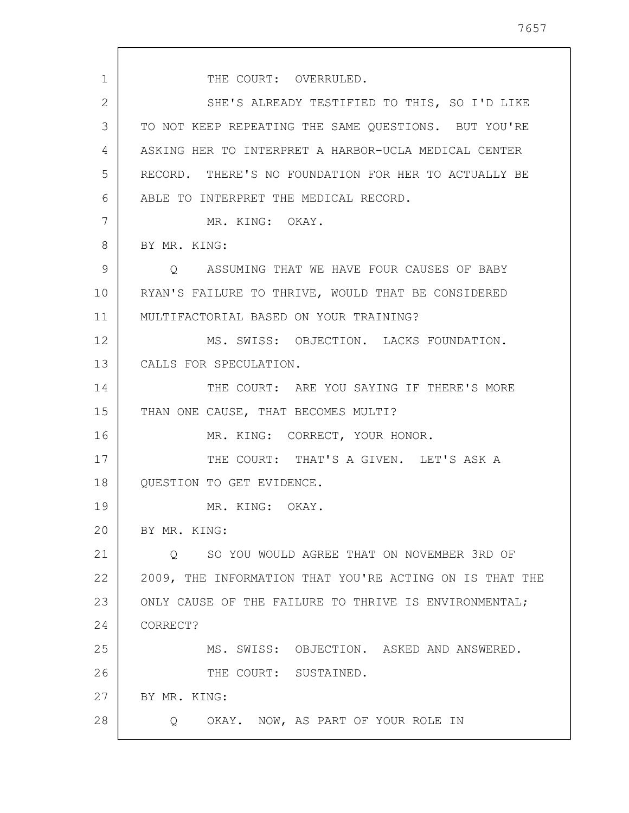1 2 3 4 5 6 7 8 9 10 11 12 13 14 15 16 17 18 19 20 21 22 23 24 25 26 27 28 THE COURT: OVERRULED. SHE'S ALREADY TESTIFIED TO THIS, SO I'D LIKE TO NOT KEEP REPEATING THE SAME QUESTIONS. BUT YOU'RE ASKING HER TO INTERPRET A HARBOR-UCLA MEDICAL CENTER RECORD. THERE'S NO FOUNDATION FOR HER TO ACTUALLY BE ABLE TO INTERPRET THE MEDICAL RECORD. MR. KING: OKAY. BY MR. KING: Q ASSUMING THAT WE HAVE FOUR CAUSES OF BABY RYAN'S FAILURE TO THRIVE, WOULD THAT BE CONSIDERED MULTIFACTORIAL BASED ON YOUR TRAINING? MS. SWISS: OBJECTION. LACKS FOUNDATION. CALLS FOR SPECULATION. THE COURT: ARE YOU SAYING IF THERE'S MORE THAN ONE CAUSE, THAT BECOMES MULTI? MR. KING: CORRECT, YOUR HONOR. THE COURT: THAT'S A GIVEN. LET'S ASK A QUESTION TO GET EVIDENCE. MR. KING: OKAY. BY MR. KING: Q SO YOU WOULD AGREE THAT ON NOVEMBER 3RD OF 2009, THE INFORMATION THAT YOU'RE ACTING ON IS THAT THE ONLY CAUSE OF THE FAILURE TO THRIVE IS ENVIRONMENTAL; CORRECT? MS. SWISS: OBJECTION. ASKED AND ANSWERED. THE COURT: SUSTAINED. BY MR. KING: Q OKAY. NOW, AS PART OF YOUR ROLE IN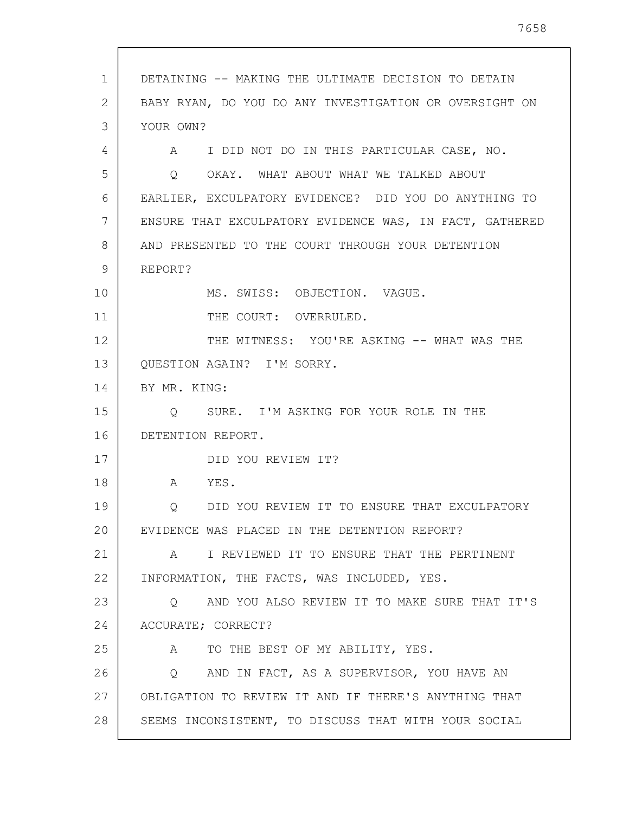| 1  | DETAINING -- MAKING THE ULTIMATE DECISION TO DETAIN      |
|----|----------------------------------------------------------|
| 2  | BABY RYAN, DO YOU DO ANY INVESTIGATION OR OVERSIGHT ON   |
| 3  | YOUR OWN?                                                |
| 4  | A I DID NOT DO IN THIS PARTICULAR CASE, NO.              |
| 5  | OKAY. WHAT ABOUT WHAT WE TALKED ABOUT<br>Q               |
| 6  | EARLIER, EXCULPATORY EVIDENCE? DID YOU DO ANYTHING TO    |
| 7  | ENSURE THAT EXCULPATORY EVIDENCE WAS, IN FACT, GATHERED  |
| 8  | AND PRESENTED TO THE COURT THROUGH YOUR DETENTION        |
| 9  | REPORT?                                                  |
| 10 | MS. SWISS: OBJECTION. VAGUE.                             |
| 11 | THE COURT: OVERRULED.                                    |
| 12 | THE WITNESS: YOU'RE ASKING -- WHAT WAS THE               |
| 13 | QUESTION AGAIN? I'M SORRY.                               |
| 14 | BY MR. KING:                                             |
| 15 | Q SURE. I'M ASKING FOR YOUR ROLE IN THE                  |
| 16 | DETENTION REPORT.                                        |
| 17 | DID YOU REVIEW IT?                                       |
| 18 | A YES.                                                   |
| 19 | DID YOU REVIEW IT TO ENSURE THAT EXCULPATORY<br>Q        |
| 20 | EVIDENCE WAS PLACED IN THE DETENTION REPORT?             |
| 21 | A I REVIEWED IT TO ENSURE THAT THE PERTINENT             |
| 22 | INFORMATION, THE FACTS, WAS INCLUDED, YES.               |
| 23 | AND YOU ALSO REVIEW IT TO MAKE SURE THAT IT'S<br>$\circ$ |
| 24 | ACCURATE; CORRECT?                                       |
| 25 | TO THE BEST OF MY ABILITY, YES.<br>A                     |
| 26 | AND IN FACT, AS A SUPERVISOR, YOU HAVE AN<br>Q           |
| 27 | OBLIGATION TO REVIEW IT AND IF THERE'S ANYTHING THAT     |
| 28 | SEEMS INCONSISTENT, TO DISCUSS THAT WITH YOUR SOCIAL     |
|    |                                                          |

 $\sqrt{ }$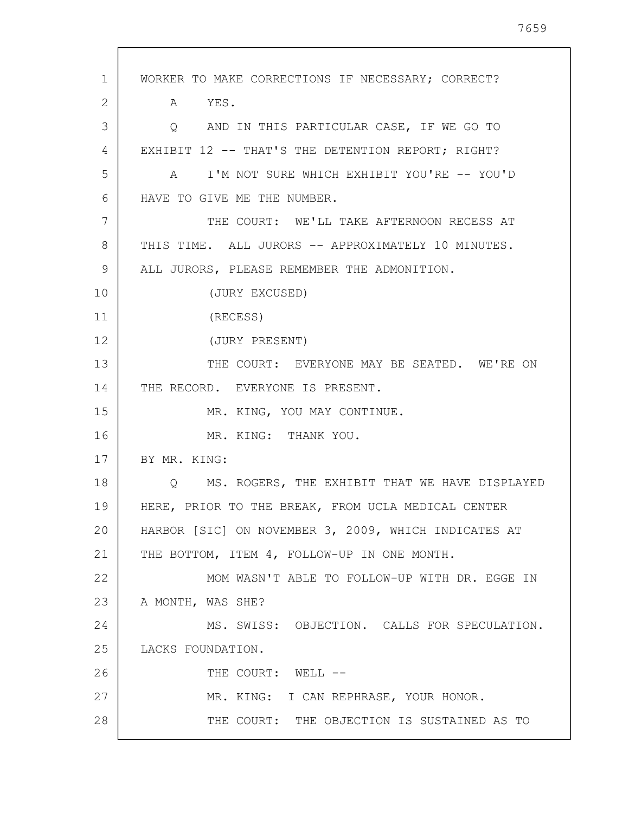1 2 3 4 5 6 7 8 9 10 11 12 13 14 15 16 17 18 19 20 21 22 23 24 25 26 27 28 WORKER TO MAKE CORRECTIONS IF NECESSARY; CORRECT? A YES. Q AND IN THIS PARTICULAR CASE, IF WE GO TO EXHIBIT 12 -- THAT'S THE DETENTION REPORT; RIGHT? A I'M NOT SURE WHICH EXHIBIT YOU'RE -- YOU'D HAVE TO GIVE ME THE NUMBER. THE COURT: WE'LL TAKE AFTERNOON RECESS AT THIS TIME. ALL JURORS -- APPROXIMATELY 10 MINUTES. ALL JURORS, PLEASE REMEMBER THE ADMONITION. (JURY EXCUSED) (RECESS) (JURY PRESENT) THE COURT: EVERYONE MAY BE SEATED. WE'RE ON THE RECORD. EVERYONE IS PRESENT. MR. KING, YOU MAY CONTINUE. MR. KING: THANK YOU. BY MR. KING: Q MS. ROGERS, THE EXHIBIT THAT WE HAVE DISPLAYED HERE, PRIOR TO THE BREAK, FROM UCLA MEDICAL CENTER HARBOR [SIC] ON NOVEMBER 3, 2009, WHICH INDICATES AT THE BOTTOM, ITEM 4, FOLLOW-UP IN ONE MONTH. MOM WASN'T ABLE TO FOLLOW-UP WITH DR. EGGE IN A MONTH, WAS SHE? MS. SWISS: OBJECTION. CALLS FOR SPECULATION. LACKS FOUNDATION. THE COURT: WELL --MR. KING: I CAN REPHRASE, YOUR HONOR. THE COURT: THE OBJECTION IS SUSTAINED AS TO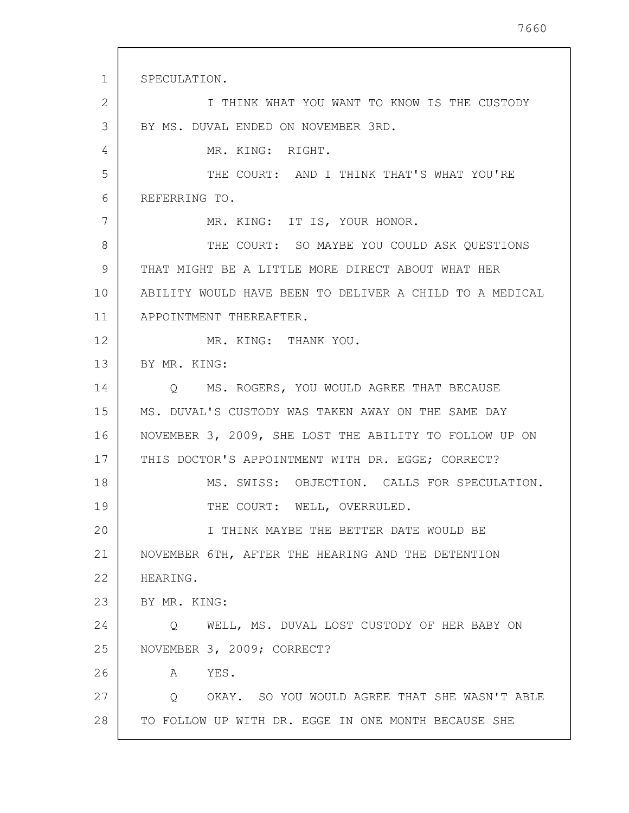1 2 3 4 5 6 7 8 9 10 11 12 13 14 15 16 17 18 19 20 21 22 23 24 25 26 27 28 SPECULATION. I THINK WHAT YOU WANT TO KNOW IS THE CUSTODY BY MS. DUVAL ENDED ON NOVEMBER 3RD. MR. KING: RIGHT. THE COURT: AND I THINK THAT'S WHAT YOU'RE REFERRING TO. MR. KING: IT IS, YOUR HONOR. THE COURT: SO MAYBE YOU COULD ASK QUESTIONS THAT MIGHT BE A LITTLE MORE DIRECT ABOUT WHAT HER ABILITY WOULD HAVE BEEN TO DELIVER A CHILD TO A MEDICAL APPOINTMENT THEREAFTER. MR. KING: THANK YOU. BY MR. KING: Q MS. ROGERS, YOU WOULD AGREE THAT BECAUSE MS. DUVAL'S CUSTODY WAS TAKEN AWAY ON THE SAME DAY NOVEMBER 3, 2009, SHE LOST THE ABILITY TO FOLLOW UP ON THIS DOCTOR'S APPOINTMENT WITH DR. EGGE; CORRECT? MS. SWISS: OBJECTION. CALLS FOR SPECULATION. THE COURT: WELL, OVERRULED. I THINK MAYBE THE BETTER DATE WOULD BE NOVEMBER 6TH, AFTER THE HEARING AND THE DETENTION HEARING. BY MR. KING: Q WELL, MS. DUVAL LOST CUSTODY OF HER BABY ON NOVEMBER 3, 2009; CORRECT? A YES. Q OKAY. SO YOU WOULD AGREE THAT SHE WASN'T ABLE TO FOLLOW UP WITH DR. EGGE IN ONE MONTH BECAUSE SHE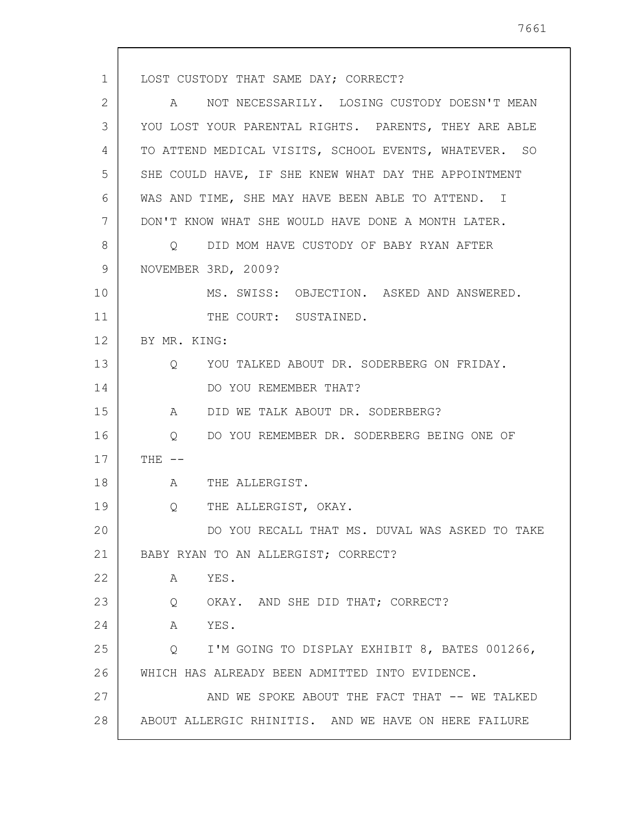1 2 3 4 5 6 7 8 9 10 11 12 13 14 15 16 17 18 19 20 21 22 23 24 25 26 27 28 LOST CUSTODY THAT SAME DAY; CORRECT? A NOT NECESSARILY. LOSING CUSTODY DOESN'T MEAN YOU LOST YOUR PARENTAL RIGHTS. PARENTS, THEY ARE ABLE TO ATTEND MEDICAL VISITS, SCHOOL EVENTS, WHATEVER. SO SHE COULD HAVE, IF SHE KNEW WHAT DAY THE APPOINTMENT WAS AND TIME, SHE MAY HAVE BEEN ABLE TO ATTEND. I DON'T KNOW WHAT SHE WOULD HAVE DONE A MONTH LATER. Q DID MOM HAVE CUSTODY OF BABY RYAN AFTER NOVEMBER 3RD, 2009? MS. SWISS: OBJECTION. ASKED AND ANSWERED. THE COURT: SUSTAINED. BY MR. KING: Q YOU TALKED ABOUT DR. SODERBERG ON FRIDAY. DO YOU REMEMBER THAT? A DID WE TALK ABOUT DR. SODERBERG? Q DO YOU REMEMBER DR. SODERBERG BEING ONE OF THE  $--$ A THE ALLERGIST. Q THE ALLERGIST, OKAY. DO YOU RECALL THAT MS. DUVAL WAS ASKED TO TAKE BABY RYAN TO AN ALLERGIST; CORRECT? A YES. Q OKAY. AND SHE DID THAT; CORRECT? A YES. Q I'M GOING TO DISPLAY EXHIBIT 8, BATES 001266, WHICH HAS ALREADY BEEN ADMITTED INTO EVIDENCE. AND WE SPOKE ABOUT THE FACT THAT -- WE TALKED ABOUT ALLERGIC RHINITIS. AND WE HAVE ON HERE FAILURE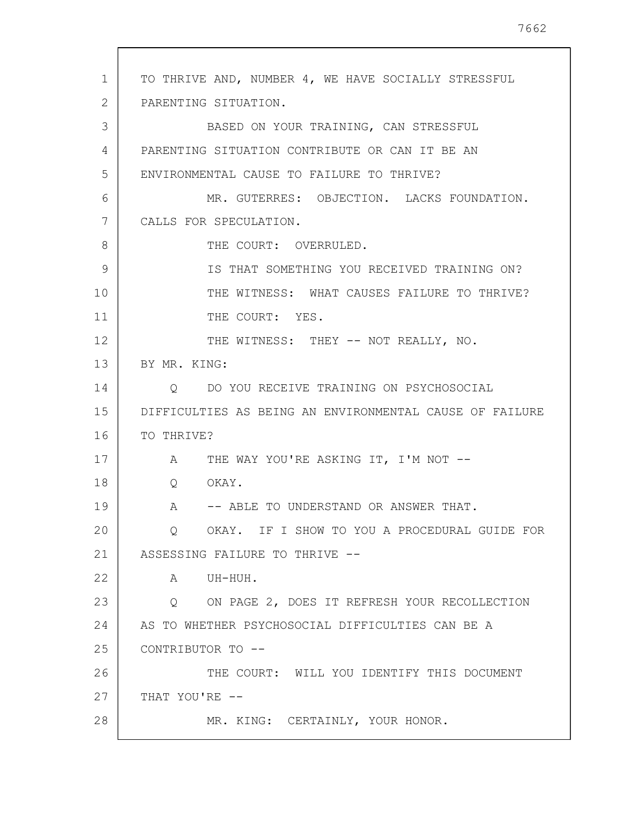1 2 3 4 5 6 7 8 9 10 11 12 13 14 15 16 17 18 19 20 21 22 23 24 25 26 27 28 TO THRIVE AND, NUMBER 4, WE HAVE SOCIALLY STRESSFUL PARENTING SITUATION. BASED ON YOUR TRAINING, CAN STRESSFUL PARENTING SITUATION CONTRIBUTE OR CAN IT BE AN ENVIRONMENTAL CAUSE TO FAILURE TO THRIVE? MR. GUTERRES: OBJECTION. LACKS FOUNDATION. CALLS FOR SPECULATION. THE COURT: OVERRULED. IS THAT SOMETHING YOU RECEIVED TRAINING ON? THE WITNESS: WHAT CAUSES FAILURE TO THRIVE? THE COURT: YES. THE WITNESS: THEY -- NOT REALLY, NO. BY MR. KING: Q DO YOU RECEIVE TRAINING ON PSYCHOSOCIAL DIFFICULTIES AS BEING AN ENVIRONMENTAL CAUSE OF FAILURE TO THRIVE? A THE WAY YOU'RE ASKING IT, I'M NOT --Q OKAY. A -- ABLE TO UNDERSTAND OR ANSWER THAT. Q OKAY. IF I SHOW TO YOU A PROCEDURAL GUIDE FOR ASSESSING FAILURE TO THRIVE -- A UH-HUH. Q ON PAGE 2, DOES IT REFRESH YOUR RECOLLECTION AS TO WHETHER PSYCHOSOCIAL DIFFICULTIES CAN BE A CONTRIBUTOR TO -- THE COURT: WILL YOU IDENTIFY THIS DOCUMENT THAT YOU'RE -- MR. KING: CERTAINLY, YOUR HONOR.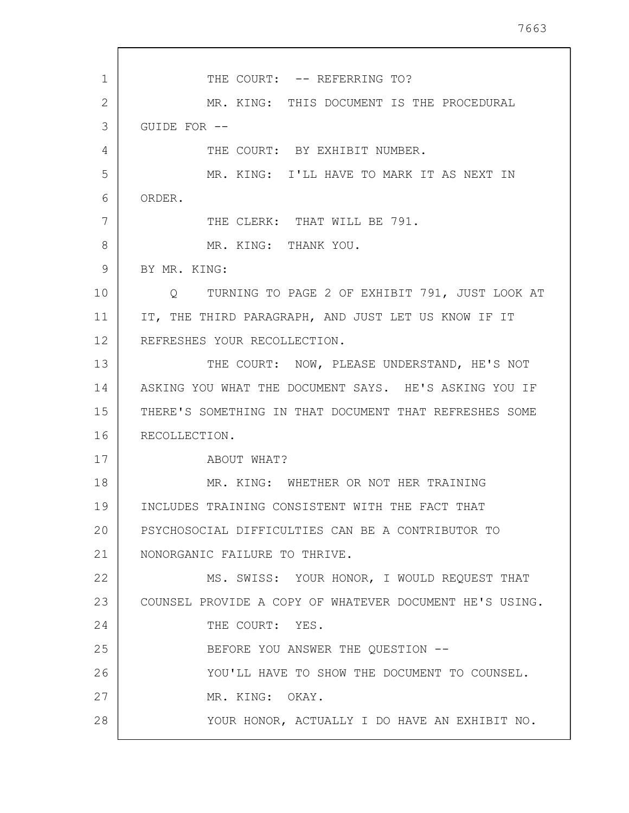1 2 3 4 5 6 7 8 9 10 11 12 13 14 15 16 17 18 19 20 21 22 23 24 25 26 27 28 THE COURT: -- REFERRING TO? MR. KING: THIS DOCUMENT IS THE PROCEDURAL GUIDE FOR -- THE COURT: BY EXHIBIT NUMBER. MR. KING: I'LL HAVE TO MARK IT AS NEXT IN ORDER. THE CLERK: THAT WILL BE 791. MR. KING: THANK YOU. BY MR. KING: Q TURNING TO PAGE 2 OF EXHIBIT 791, JUST LOOK AT IT, THE THIRD PARAGRAPH, AND JUST LET US KNOW IF IT REFRESHES YOUR RECOLLECTION. THE COURT: NOW, PLEASE UNDERSTAND, HE'S NOT ASKING YOU WHAT THE DOCUMENT SAYS. HE'S ASKING YOU IF THERE'S SOMETHING IN THAT DOCUMENT THAT REFRESHES SOME RECOLLECTION. ABOUT WHAT? MR. KING: WHETHER OR NOT HER TRAINING INCLUDES TRAINING CONSISTENT WITH THE FACT THAT PSYCHOSOCIAL DIFFICULTIES CAN BE A CONTRIBUTOR TO NONORGANIC FAILURE TO THRIVE. MS. SWISS: YOUR HONOR, I WOULD REQUEST THAT COUNSEL PROVIDE A COPY OF WHATEVER DOCUMENT HE'S USING. THE COURT: YES. BEFORE YOU ANSWER THE QUESTION -- YOU'LL HAVE TO SHOW THE DOCUMENT TO COUNSEL. MR. KING: OKAY. YOUR HONOR, ACTUALLY I DO HAVE AN EXHIBIT NO.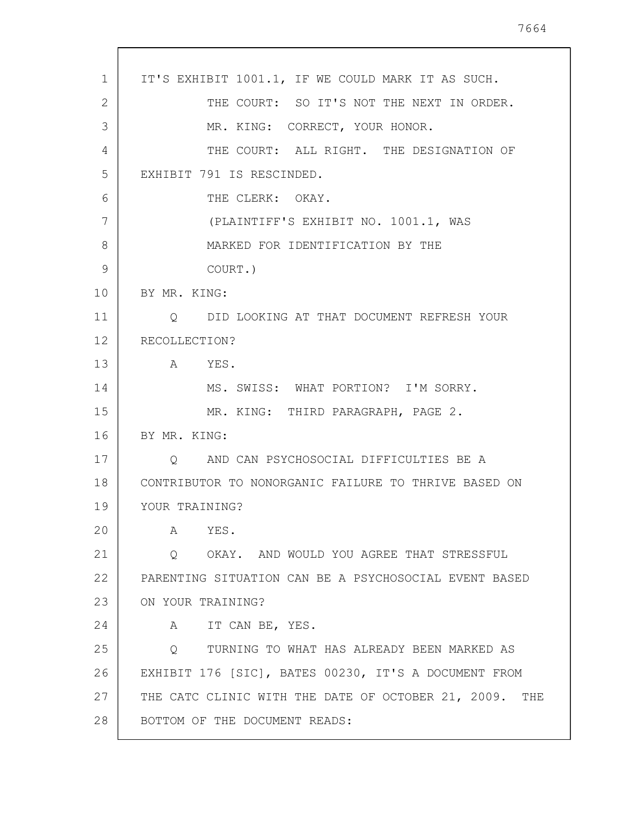| 1  | IT'S EXHIBIT 1001.1, IF WE COULD MARK IT AS SUCH.         |
|----|-----------------------------------------------------------|
| 2  | THE COURT: SO IT'S NOT THE NEXT IN ORDER.                 |
| 3  | MR. KING: CORRECT, YOUR HONOR.                            |
| 4  | THE COURT: ALL RIGHT. THE DESIGNATION OF                  |
| 5  | EXHIBIT 791 IS RESCINDED.                                 |
| 6  | THE CLERK: OKAY.                                          |
| 7  | (PLAINTIFF'S EXHIBIT NO. 1001.1, WAS                      |
| 8  | MARKED FOR IDENTIFICATION BY THE                          |
| 9  | COURT.)                                                   |
| 10 | BY MR. KING:                                              |
| 11 | Q DID LOOKING AT THAT DOCUMENT REFRESH YOUR               |
| 12 | RECOLLECTION?                                             |
| 13 | A YES.                                                    |
| 14 | MS. SWISS: WHAT PORTION? I'M SORRY.                       |
| 15 | MR. KING: THIRD PARAGRAPH, PAGE 2.                        |
| 16 | BY MR. KING:                                              |
| 17 | Q AND CAN PSYCHOSOCIAL DIFFICULTIES BE A                  |
| 18 | CONTRIBUTOR TO NONORGANIC FAILURE TO THRIVE BASED ON      |
| 19 | YOUR TRAINING?                                            |
| 20 | YES.<br>A                                                 |
| 21 | Q OKAY. AND WOULD YOU AGREE THAT STRESSFUL                |
| 22 | PARENTING SITUATION CAN BE A PSYCHOSOCIAL EVENT BASED     |
| 23 | ON YOUR TRAINING?                                         |
| 24 | IT CAN BE, YES.<br>A                                      |
| 25 | TURNING TO WHAT HAS ALREADY BEEN MARKED AS<br>Q           |
| 26 | EXHIBIT 176 [SIC], BATES 00230, IT'S A DOCUMENT FROM      |
| 27 | THE CATC CLINIC WITH THE DATE OF OCTOBER 21, 2009.<br>THE |
| 28 | BOTTOM OF THE DOCUMENT READS:                             |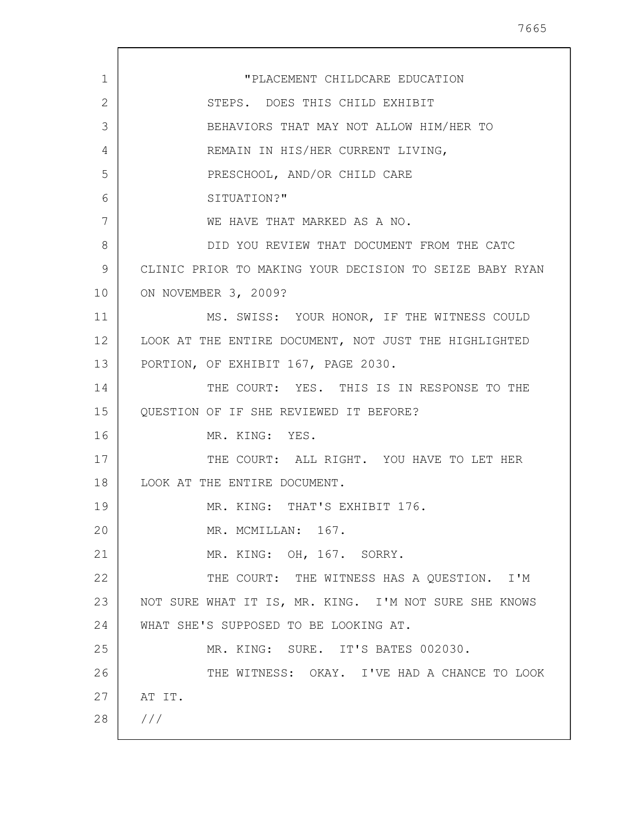| $\mathbf{1}$ | "PLACEMENT CHILDCARE EDUCATION                          |
|--------------|---------------------------------------------------------|
| 2            | STEPS. DOES THIS CHILD EXHIBIT                          |
| 3            | BEHAVIORS THAT MAY NOT ALLOW HIM/HER TO                 |
| 4            | REMAIN IN HIS/HER CURRENT LIVING,                       |
| 5            | PRESCHOOL, AND/OR CHILD CARE                            |
| 6            | SITUATION?"                                             |
| 7            | WE HAVE THAT MARKED AS A NO.                            |
| 8            | DID YOU REVIEW THAT DOCUMENT FROM THE CATC              |
| 9            | CLINIC PRIOR TO MAKING YOUR DECISION TO SEIZE BABY RYAN |
| 10           | ON NOVEMBER 3, 2009?                                    |
| 11           | MS. SWISS: YOUR HONOR, IF THE WITNESS COULD             |
| 12           | LOOK AT THE ENTIRE DOCUMENT, NOT JUST THE HIGHLIGHTED   |
| 13           | PORTION, OF EXHIBIT 167, PAGE 2030.                     |
| 14           | THE COURT: YES. THIS IS IN RESPONSE TO THE              |
| 15           | QUESTION OF IF SHE REVIEWED IT BEFORE?                  |
| 16           | MR. KING: YES.                                          |
| 17           | THE COURT: ALL RIGHT. YOU HAVE TO LET HER               |
| 18           | LOOK AT THE ENTIRE DOCUMENT.                            |
| 19           | MR. KING: THAT'S EXHIBIT 176.                           |
| 20           | MR. MCMILLAN: 167.                                      |
| 21           | MR. KING: OH, 167. SORRY.                               |
| 22           | THE COURT: THE WITNESS HAS A QUESTION. I'M              |
| 23           | NOT SURE WHAT IT IS, MR. KING. I'M NOT SURE SHE KNOWS   |
| 24           | WHAT SHE'S SUPPOSED TO BE LOOKING AT.                   |
| 25           | MR. KING: SURE. IT'S BATES 002030.                      |
| 26           | THE WITNESS: OKAY. I'VE HAD A CHANCE TO LOOK            |
| 27           | AT IT.                                                  |
| 28           | 111                                                     |
|              |                                                         |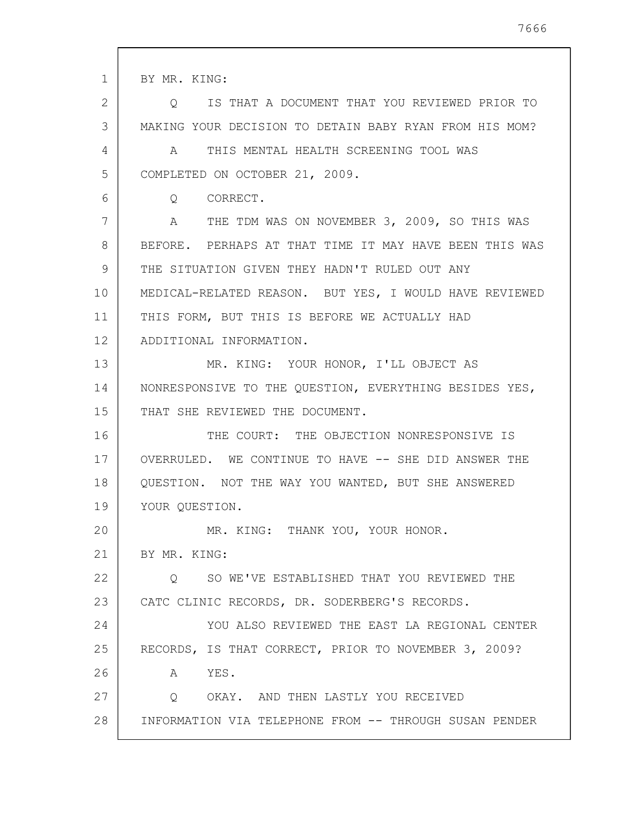1 2 3 4 5 6 7 8 9 10 11 12 13 14 15 16 17 18 19 20 21 22 23 24 25 26 27 28 BY MR. KING: Q IS THAT A DOCUMENT THAT YOU REVIEWED PRIOR TO MAKING YOUR DECISION TO DETAIN BABY RYAN FROM HIS MOM? A THIS MENTAL HEALTH SCREENING TOOL WAS COMPLETED ON OCTOBER 21, 2009. Q CORRECT. A THE TDM WAS ON NOVEMBER 3, 2009, SO THIS WAS BEFORE. PERHAPS AT THAT TIME IT MAY HAVE BEEN THIS WAS THE SITUATION GIVEN THEY HADN'T RULED OUT ANY MEDICAL-RELATED REASON. BUT YES, I WOULD HAVE REVIEWED THIS FORM, BUT THIS IS BEFORE WE ACTUALLY HAD ADDITIONAL INFORMATION. MR. KING: YOUR HONOR, I'LL OBJECT AS NONRESPONSIVE TO THE QUESTION, EVERYTHING BESIDES YES, THAT SHE REVIEWED THE DOCUMENT. THE COURT: THE OBJECTION NONRESPONSIVE IS OVERRULED. WE CONTINUE TO HAVE -- SHE DID ANSWER THE QUESTION. NOT THE WAY YOU WANTED, BUT SHE ANSWERED YOUR QUESTION. MR. KING: THANK YOU, YOUR HONOR. BY MR. KING: Q SO WE'VE ESTABLISHED THAT YOU REVIEWED THE CATC CLINIC RECORDS, DR. SODERBERG'S RECORDS. YOU ALSO REVIEWED THE EAST LA REGIONAL CENTER RECORDS, IS THAT CORRECT, PRIOR TO NOVEMBER 3, 2009? A YES. Q OKAY. AND THEN LASTLY YOU RECEIVED INFORMATION VIA TELEPHONE FROM -- THROUGH SUSAN PENDER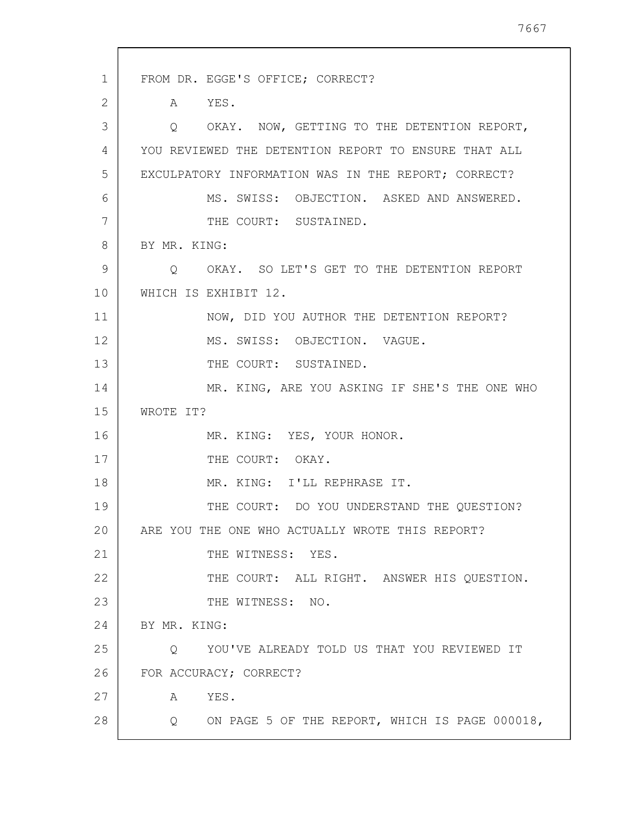1 2 3 4 5 6 7 8 9 10 11 12 13 14 15 16 17 18 19 20 21 22 23 24 25 26 27 28 FROM DR. EGGE'S OFFICE; CORRECT? A YES. Q OKAY. NOW, GETTING TO THE DETENTION REPORT, YOU REVIEWED THE DETENTION REPORT TO ENSURE THAT ALL EXCULPATORY INFORMATION WAS IN THE REPORT; CORRECT? MS. SWISS: OBJECTION. ASKED AND ANSWERED. THE COURT: SUSTAINED. BY MR. KING: Q OKAY. SO LET'S GET TO THE DETENTION REPORT WHICH IS EXHIBIT 12. NOW, DID YOU AUTHOR THE DETENTION REPORT? MS. SWISS: OBJECTION. VAGUE. THE COURT: SUSTAINED. MR. KING, ARE YOU ASKING IF SHE'S THE ONE WHO WROTE IT? MR. KING: YES, YOUR HONOR. THE COURT: OKAY. MR. KING: I'LL REPHRASE IT. THE COURT: DO YOU UNDERSTAND THE QUESTION? ARE YOU THE ONE WHO ACTUALLY WROTE THIS REPORT? THE WITNESS: YES. THE COURT: ALL RIGHT. ANSWER HIS QUESTION. THE WITNESS: NO. BY MR. KING: Q YOU'VE ALREADY TOLD US THAT YOU REVIEWED IT FOR ACCURACY; CORRECT? A YES. Q ON PAGE 5 OF THE REPORT, WHICH IS PAGE 000018,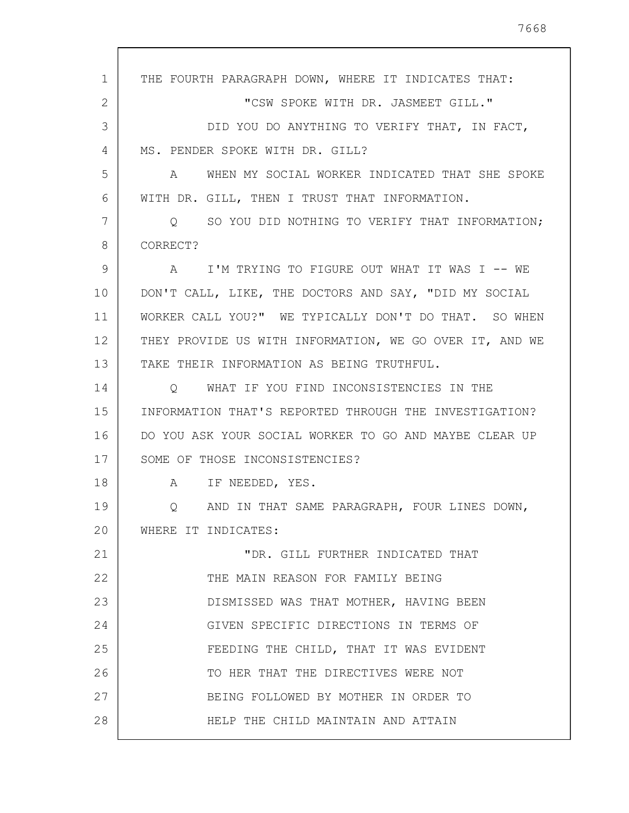1 2 3 4 5 6 7 8 9 10 11 12 13 14 15 16 17 18 19 20 21 22 23 24 25 26 27 28 THE FOURTH PARAGRAPH DOWN, WHERE IT INDICATES THAT: "CSW SPOKE WITH DR. JASMEET GILL." DID YOU DO ANYTHING TO VERIFY THAT, IN FACT, MS. PENDER SPOKE WITH DR. GILL? A WHEN MY SOCIAL WORKER INDICATED THAT SHE SPOKE WITH DR. GILL, THEN I TRUST THAT INFORMATION. Q SO YOU DID NOTHING TO VERIFY THAT INFORMATION; CORRECT? A I'M TRYING TO FIGURE OUT WHAT IT WAS I -- WE DON'T CALL, LIKE, THE DOCTORS AND SAY, "DID MY SOCIAL WORKER CALL YOU?" WE TYPICALLY DON'T DO THAT. SO WHEN THEY PROVIDE US WITH INFORMATION, WE GO OVER IT, AND WE TAKE THEIR INFORMATION AS BEING TRUTHFUL. Q WHAT IF YOU FIND INCONSISTENCIES IN THE INFORMATION THAT'S REPORTED THROUGH THE INVESTIGATION? DO YOU ASK YOUR SOCIAL WORKER TO GO AND MAYBE CLEAR UP SOME OF THOSE INCONSISTENCIES? A IF NEEDED, YES. Q AND IN THAT SAME PARAGRAPH, FOUR LINES DOWN, WHERE IT INDICATES: "DR. GILL FURTHER INDICATED THAT THE MAIN REASON FOR FAMILY BEING DISMISSED WAS THAT MOTHER, HAVING BEEN GIVEN SPECIFIC DIRECTIONS IN TERMS OF FEEDING THE CHILD, THAT IT WAS EVIDENT TO HER THAT THE DIRECTIVES WERE NOT BEING FOLLOWED BY MOTHER IN ORDER TO HELP THE CHILD MAINTAIN AND ATTAIN

7668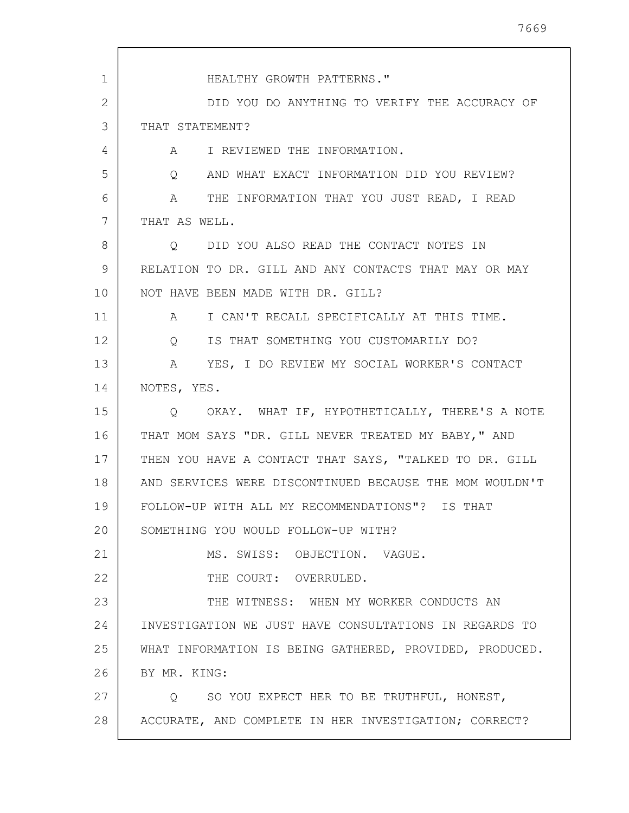| 1  | HEALTHY GROWTH PATTERNS."                                   |
|----|-------------------------------------------------------------|
| 2  | DID YOU DO ANYTHING TO VERIFY THE ACCURACY OF               |
| 3  | THAT STATEMENT?                                             |
| 4  | A I REVIEWED THE INFORMATION.                               |
| 5  | AND WHAT EXACT INFORMATION DID YOU REVIEW?<br>Q             |
| 6  | A THE INFORMATION THAT YOU JUST READ, I READ                |
| 7  | THAT AS WELL.                                               |
| 8  | DID YOU ALSO READ THE CONTACT NOTES IN<br>$\circ$           |
| 9  | RELATION TO DR. GILL AND ANY CONTACTS THAT MAY OR MAY       |
| 10 | NOT HAVE BEEN MADE WITH DR. GILL?                           |
| 11 | I CAN'T RECALL SPECIFICALLY AT THIS TIME.<br>$\mathsf A$    |
| 12 | IS THAT SOMETHING YOU CUSTOMARILY DO?<br>$Q \qquad \qquad$  |
| 13 | YES, I DO REVIEW MY SOCIAL WORKER'S CONTACT<br>$\mathbf{A}$ |
| 14 | NOTES, YES.                                                 |
| 15 | Q OKAY. WHAT IF, HYPOTHETICALLY, THERE'S A NOTE             |
| 16 | THAT MOM SAYS "DR. GILL NEVER TREATED MY BABY," AND         |
| 17 | THEN YOU HAVE A CONTACT THAT SAYS, "TALKED TO DR. GILL      |
| 18 | AND SERVICES WERE DISCONTINUED BECAUSE THE MOM WOULDN'T     |
| 19 | FOLLOW-UP WITH ALL MY RECOMMENDATIONS"? IS THAT             |
| 20 | SOMETHING YOU WOULD FOLLOW-UP WITH?                         |
| 21 | MS. SWISS: OBJECTION. VAGUE.                                |
| 22 | THE COURT: OVERRULED.                                       |
| 23 | THE WITNESS: WHEN MY WORKER CONDUCTS AN                     |
| 24 | INVESTIGATION WE JUST HAVE CONSULTATIONS IN REGARDS TO      |
| 25 | WHAT INFORMATION IS BEING GATHERED, PROVIDED, PRODUCED.     |
| 26 | BY MR. KING:                                                |
| 27 | Q SO YOU EXPECT HER TO BE TRUTHFUL, HONEST,                 |
| 28 | ACCURATE, AND COMPLETE IN HER INVESTIGATION; CORRECT?       |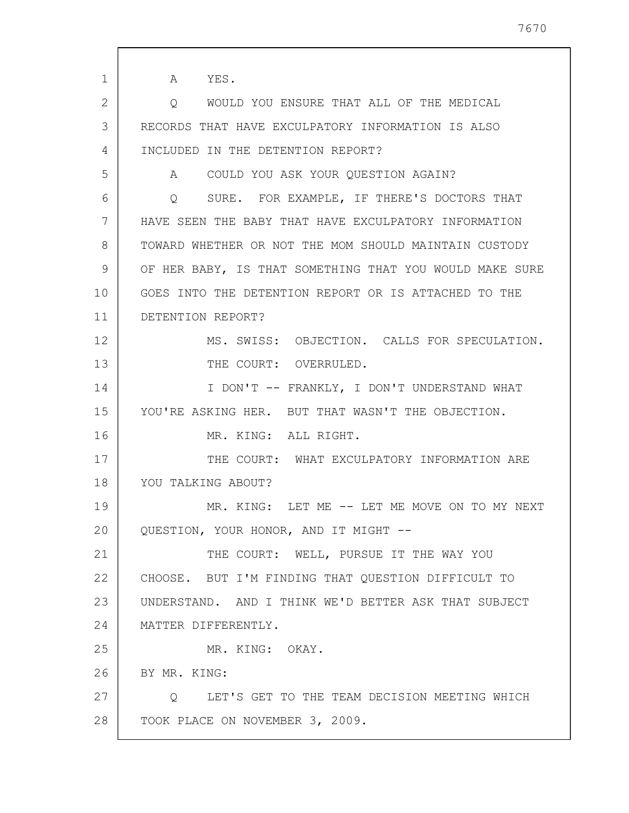1 2 3 4 5 6 7 8 9 10 11 12 13 14 15 16 17 18 19 20 21 22 23 24 25 26 27 28 A YES. Q WOULD YOU ENSURE THAT ALL OF THE MEDICAL RECORDS THAT HAVE EXCULPATORY INFORMATION IS ALSO INCLUDED IN THE DETENTION REPORT? A COULD YOU ASK YOUR QUESTION AGAIN? Q SURE. FOR EXAMPLE, IF THERE'S DOCTORS THAT HAVE SEEN THE BABY THAT HAVE EXCULPATORY INFORMATION TOWARD WHETHER OR NOT THE MOM SHOULD MAINTAIN CUSTODY OF HER BABY, IS THAT SOMETHING THAT YOU WOULD MAKE SURE GOES INTO THE DETENTION REPORT OR IS ATTACHED TO THE DETENTION REPORT? MS. SWISS: OBJECTION. CALLS FOR SPECULATION. THE COURT: OVERRULED. I DON'T -- FRANKLY, I DON'T UNDERSTAND WHAT YOU'RE ASKING HER. BUT THAT WASN'T THE OBJECTION. MR. KING: ALL RIGHT. THE COURT: WHAT EXCULPATORY INFORMATION ARE YOU TALKING ABOUT? MR. KING: LET ME -- LET ME MOVE ON TO MY NEXT QUESTION, YOUR HONOR, AND IT MIGHT -- THE COURT: WELL, PURSUE IT THE WAY YOU CHOOSE. BUT I'M FINDING THAT QUESTION DIFFICULT TO UNDERSTAND. AND I THINK WE'D BETTER ASK THAT SUBJECT MATTER DIFFERENTLY. MR. KING: OKAY. BY MR. KING: Q LET'S GET TO THE TEAM DECISION MEETING WHICH TOOK PLACE ON NOVEMBER 3, 2009.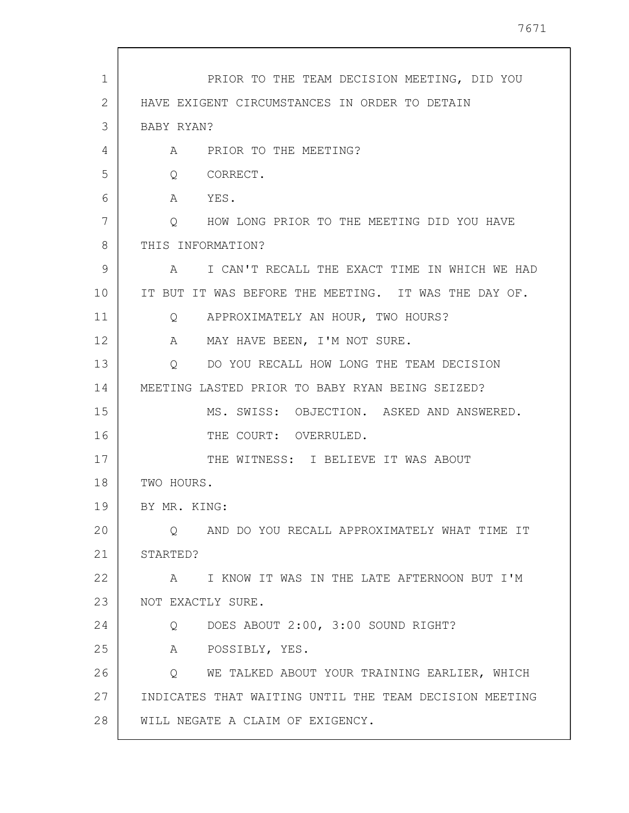| PRIOR TO THE TEAM DECISION MEETING, DID YOU                    |
|----------------------------------------------------------------|
| HAVE EXIGENT CIRCUMSTANCES IN ORDER TO DETAIN                  |
| BABY RYAN?                                                     |
| A PRIOR TO THE MEETING?                                        |
| Q CORRECT.                                                     |
| A YES.                                                         |
| Q HOW LONG PRIOR TO THE MEETING DID YOU HAVE                   |
| THIS INFORMATION?                                              |
| A I CAN'T RECALL THE EXACT TIME IN WHICH WE HAD                |
| IT BUT IT WAS BEFORE THE MEETING. IT WAS THE DAY OF.           |
| Q APPROXIMATELY AN HOUR, TWO HOURS?                            |
| A MAY HAVE BEEN, I'M NOT SURE.                                 |
| O DO YOU RECALL HOW LONG THE TEAM DECISION                     |
| MEETING LASTED PRIOR TO BABY RYAN BEING SEIZED?                |
| MS. SWISS: OBJECTION. ASKED AND ANSWERED.                      |
| THE COURT: OVERRULED.                                          |
| THE WITNESS: I BELIEVE IT WAS ABOUT                            |
| TWO HOURS.                                                     |
| BY MR. KING:                                                   |
| AND DO YOU RECALL APPROXIMATELY WHAT TIME IT<br>$\circ$        |
| STARTED?                                                       |
| A I KNOW IT WAS IN THE LATE AFTERNOON BUT I'M                  |
| NOT EXACTLY SURE.                                              |
| DOES ABOUT 2:00, 3:00 SOUND RIGHT?<br>Q                        |
| A<br>POSSIBLY, YES.                                            |
| WE TALKED ABOUT YOUR TRAINING EARLIER, WHICH<br>$\overline{Q}$ |
| INDICATES THAT WAITING UNTIL THE TEAM DECISION MEETING         |
|                                                                |
|                                                                |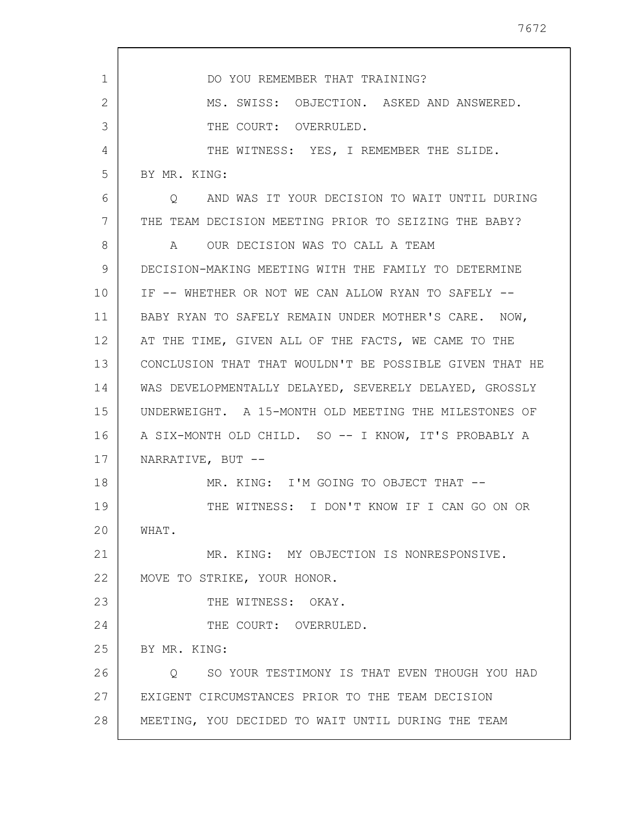| $\mathbf{1}$ | DO YOU REMEMBER THAT TRAINING?                           |
|--------------|----------------------------------------------------------|
| 2            | MS. SWISS: OBJECTION. ASKED AND ANSWERED.                |
| 3            | THE COURT: OVERRULED.                                    |
| 4            | THE WITNESS: YES, I REMEMBER THE SLIDE.                  |
| 5            | BY MR. KING:                                             |
| 6            | AND WAS IT YOUR DECISION TO WAIT UNTIL DURING<br>O.      |
| 7            | THE TEAM DECISION MEETING PRIOR TO SEIZING THE BABY?     |
| 8            | A OUR DECISION WAS TO CALL A TEAM                        |
| 9            | DECISION-MAKING MEETING WITH THE FAMILY TO DETERMINE     |
| 10           | IF -- WHETHER OR NOT WE CAN ALLOW RYAN TO SAFELY --      |
| 11           | BABY RYAN TO SAFELY REMAIN UNDER MOTHER'S CARE. NOW,     |
| 12           | AT THE TIME, GIVEN ALL OF THE FACTS, WE CAME TO THE      |
| 13           | CONCLUSION THAT THAT WOULDN'T BE POSSIBLE GIVEN THAT HE  |
| 14           | WAS DEVELOPMENTALLY DELAYED, SEVERELY DELAYED, GROSSLY   |
| 15           | UNDERWEIGHT. A 15-MONTH OLD MEETING THE MILESTONES OF    |
| 16           | A SIX-MONTH OLD CHILD. SO -- I KNOW, IT'S PROBABLY A     |
| 17           | NARRATIVE, BUT --                                        |
| 18           | MR. KING: I'M GOING TO OBJECT THAT --                    |
| 19           | THE WITNESS: I DON'T KNOW IF I CAN GO ON OR              |
| 20           | WHAT.                                                    |
| 21           | MR. KING: MY OBJECTION IS NONRESPONSIVE.                 |
| 22           | MOVE TO STRIKE, YOUR HONOR.                              |
| 23           | THE WITNESS: OKAY.                                       |
| 24           | THE COURT: OVERRULED.                                    |
| 25           | BY MR. KING:                                             |
| 26           | SO YOUR TESTIMONY IS THAT EVEN THOUGH YOU HAD<br>$\circ$ |
| 27           | EXIGENT CIRCUMSTANCES PRIOR TO THE TEAM DECISION         |
| 28           | MEETING, YOU DECIDED TO WAIT UNTIL DURING THE TEAM       |
|              |                                                          |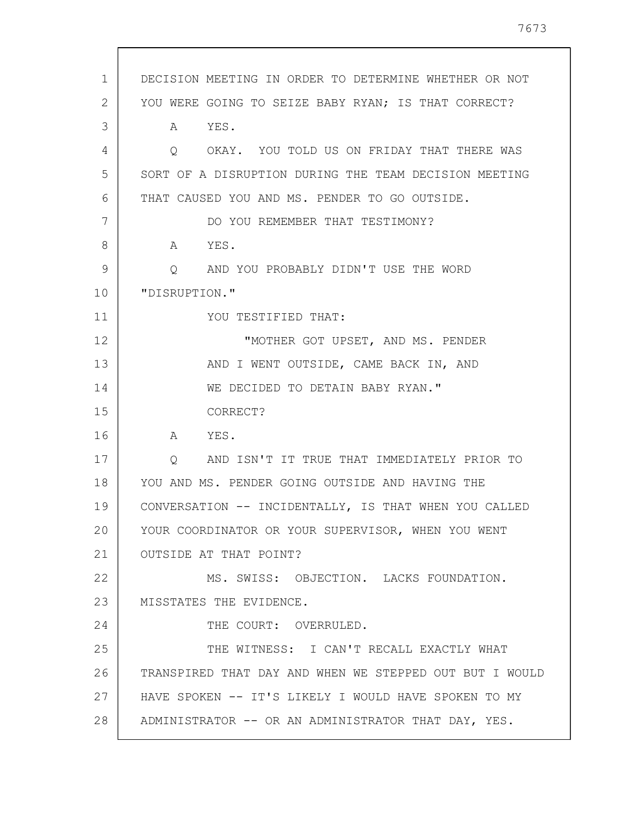| $\mathbf{1}$ | DECISION MEETING IN ORDER TO DETERMINE WHETHER OR NOT   |
|--------------|---------------------------------------------------------|
| 2            | YOU WERE GOING TO SEIZE BABY RYAN; IS THAT CORRECT?     |
| 3            | YES.<br>A                                               |
| 4            | OKAY. YOU TOLD US ON FRIDAY THAT THERE WAS<br>Q         |
| 5            | SORT OF A DISRUPTION DURING THE TEAM DECISION MEETING   |
| 6            | THAT CAUSED YOU AND MS. PENDER TO GO OUTSIDE.           |
| 7            | DO YOU REMEMBER THAT TESTIMONY?                         |
| 8            | YES.<br>A                                               |
| 9            | AND YOU PROBABLY DIDN'T USE THE WORD<br>Q               |
| 10           | "DISRUPTION."                                           |
| 11           | YOU TESTIFIED THAT:                                     |
| 12           | "MOTHER GOT UPSET, AND MS. PENDER                       |
| 13           | AND I WENT OUTSIDE, CAME BACK IN, AND                   |
| 14           | WE DECIDED TO DETAIN BABY RYAN."                        |
| 15           | CORRECT?                                                |
| 16           | YES.<br>A                                               |
| 17           | AND ISN'T IT TRUE THAT IMMEDIATELY PRIOR TO<br>O        |
| 18           | YOU AND MS. PENDER GOING OUTSIDE AND HAVING THE         |
| 19           | CONVERSATION -- INCIDENTALLY, IS THAT WHEN YOU CALLED   |
| 20           | YOUR COORDINATOR OR YOUR SUPERVISOR, WHEN YOU WENT      |
| 21           | OUTSIDE AT THAT POINT?                                  |
| 22           | MS. SWISS: OBJECTION. LACKS FOUNDATION.                 |
| 23           | MISSTATES THE EVIDENCE.                                 |
| 24           | THE COURT: OVERRULED.                                   |
| 25           | THE WITNESS: I CAN'T RECALL EXACTLY WHAT                |
| 26           | TRANSPIRED THAT DAY AND WHEN WE STEPPED OUT BUT I WOULD |
| 27           | HAVE SPOKEN -- IT'S LIKELY I WOULD HAVE SPOKEN TO MY    |
| 28           | ADMINISTRATOR -- OR AN ADMINISTRATOR THAT DAY, YES.     |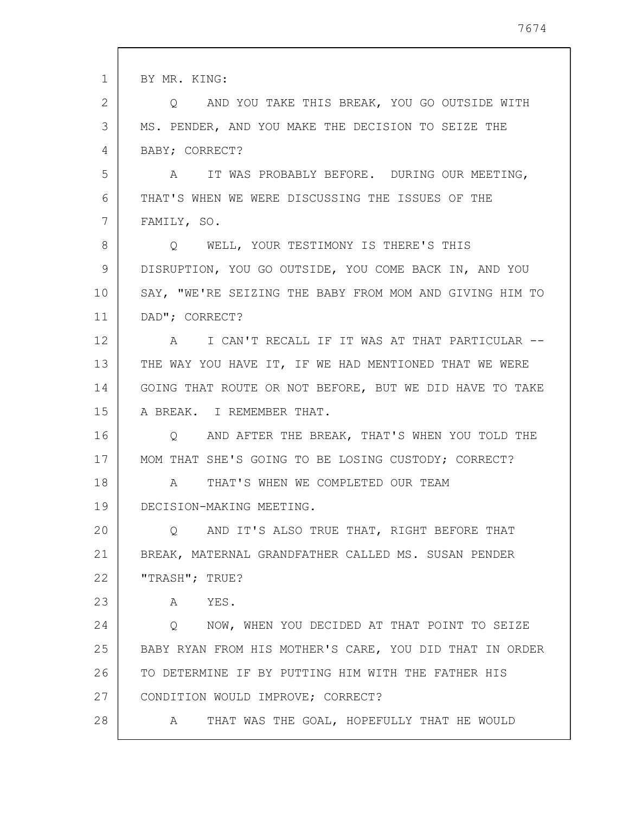| 1  | BY MR. KING:                                                   |
|----|----------------------------------------------------------------|
| 2  | Q AND YOU TAKE THIS BREAK, YOU GO OUTSIDE WITH                 |
| 3  | MS. PENDER, AND YOU MAKE THE DECISION TO SEIZE THE             |
| 4  | BABY; CORRECT?                                                 |
| 5  | IT WAS PROBABLY BEFORE. DURING OUR MEETING,<br>$\mathbb A$     |
| 6  | THAT'S WHEN WE WERE DISCUSSING THE ISSUES OF THE               |
| 7  | FAMILY, SO.                                                    |
| 8  | Q WELL, YOUR TESTIMONY IS THERE'S THIS                         |
| 9  | DISRUPTION, YOU GO OUTSIDE, YOU COME BACK IN, AND YOU          |
| 10 | SAY, "WE'RE SEIZING THE BABY FROM MOM AND GIVING HIM TO        |
| 11 | DAD"; CORRECT?                                                 |
| 12 | I CAN'T RECALL IF IT WAS AT THAT PARTICULAR --<br>A            |
| 13 | THE WAY YOU HAVE IT, IF WE HAD MENTIONED THAT WE WERE          |
| 14 | GOING THAT ROUTE OR NOT BEFORE, BUT WE DID HAVE TO TAKE        |
| 15 | A BREAK. I REMEMBER THAT.                                      |
| 16 | AND AFTER THE BREAK, THAT'S WHEN YOU TOLD THE<br>$Q_{\rm max}$ |
| 17 | MOM THAT SHE'S GOING TO BE LOSING CUSTODY; CORRECT?            |
| 18 | THAT'S WHEN WE COMPLETED OUR TEAM<br>A                         |
| 19 | DECISION-MAKING MEETING.                                       |
| 20 | AND IT'S ALSO TRUE THAT, RIGHT BEFORE THAT<br>Q                |
| 21 | BREAK, MATERNAL GRANDFATHER CALLED MS. SUSAN PENDER            |
| 22 | "TRASH"; TRUE?                                                 |
| 23 | A YES.                                                         |
| 24 | NOW, WHEN YOU DECIDED AT THAT POINT TO SEIZE<br>$\circ$        |
| 25 | BABY RYAN FROM HIS MOTHER'S CARE, YOU DID THAT IN ORDER        |
| 26 | TO DETERMINE IF BY PUTTING HIM WITH THE FATHER HIS             |
| 27 | CONDITION WOULD IMPROVE; CORRECT?                              |
| 28 | THAT WAS THE GOAL, HOPEFULLY THAT HE WOULD<br>A                |
|    |                                                                |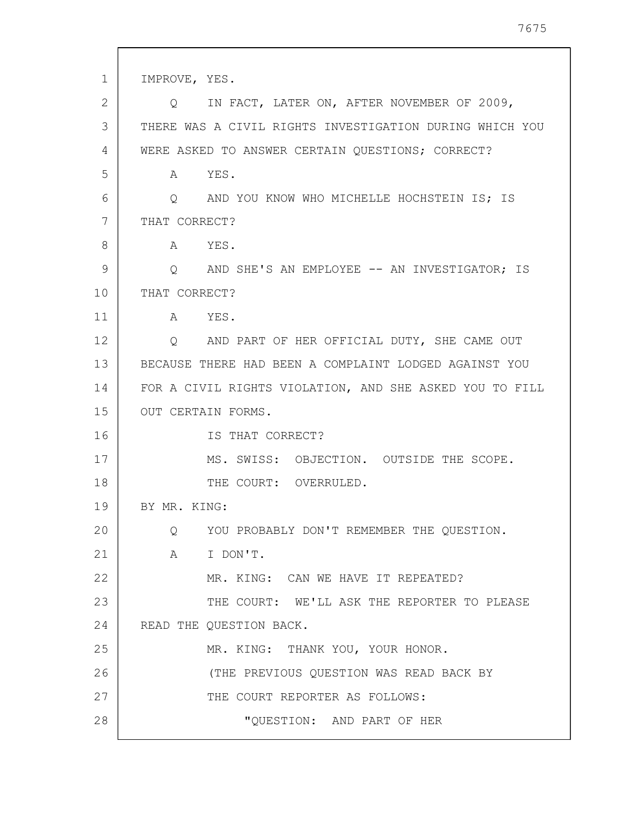1 2 3 4 5 6 7 8 9 10 11 12 13 14 15 16 17 18 19 20 21 22 23 24 25 26 27 28 IMPROVE, YES. Q IN FACT, LATER ON, AFTER NOVEMBER OF 2009, THERE WAS A CIVIL RIGHTS INVESTIGATION DURING WHICH YOU WERE ASKED TO ANSWER CERTAIN QUESTIONS; CORRECT? A YES. Q AND YOU KNOW WHO MICHELLE HOCHSTEIN IS; IS THAT CORRECT? A YES. Q AND SHE'S AN EMPLOYEE -- AN INVESTIGATOR; IS THAT CORRECT? A YES. Q AND PART OF HER OFFICIAL DUTY, SHE CAME OUT BECAUSE THERE HAD BEEN A COMPLAINT LODGED AGAINST YOU FOR A CIVIL RIGHTS VIOLATION, AND SHE ASKED YOU TO FILL OUT CERTAIN FORMS. IS THAT CORRECT? MS. SWISS: OBJECTION. OUTSIDE THE SCOPE. THE COURT: OVERRULED. BY MR. KING: Q YOU PROBABLY DON'T REMEMBER THE QUESTION. A I DON'T. MR. KING: CAN WE HAVE IT REPEATED? THE COURT: WE'LL ASK THE REPORTER TO PLEASE READ THE QUESTION BACK. MR. KING: THANK YOU, YOUR HONOR. (THE PREVIOUS QUESTION WAS READ BACK BY THE COURT REPORTER AS FOLLOWS: "QUESTION: AND PART OF HER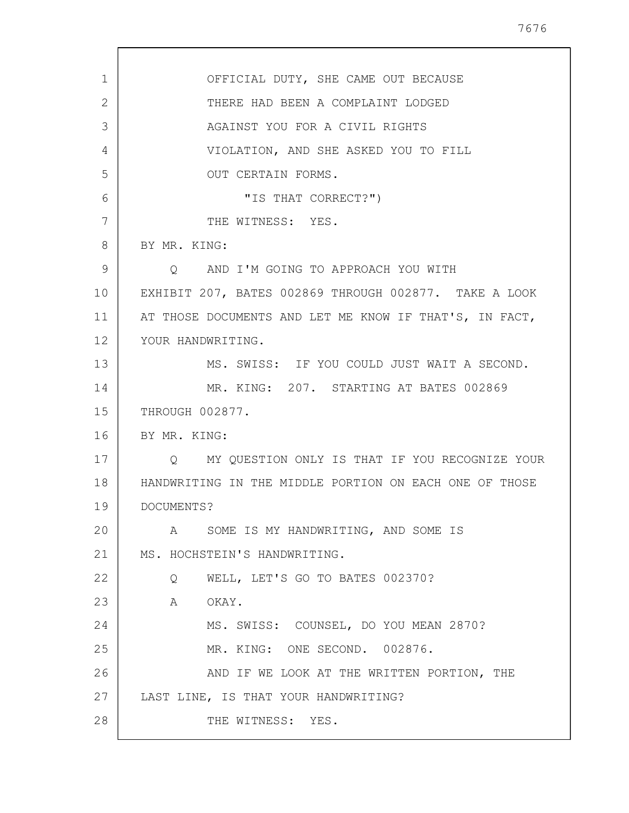7676

| 1  | OFFICIAL DUTY, SHE CAME OUT BECAUSE                    |
|----|--------------------------------------------------------|
| 2  | THERE HAD BEEN A COMPLAINT LODGED                      |
| 3  | AGAINST YOU FOR A CIVIL RIGHTS                         |
| 4  | VIOLATION, AND SHE ASKED YOU TO FILL                   |
| 5  | OUT CERTAIN FORMS.                                     |
| 6  | "IS THAT CORRECT?")                                    |
| 7  | THE WITNESS: YES.                                      |
| 8  | BY MR. KING:                                           |
| 9  | Q AND I'M GOING TO APPROACH YOU WITH                   |
| 10 | EXHIBIT 207, BATES 002869 THROUGH 002877. TAKE A LOOK  |
| 11 | AT THOSE DOCUMENTS AND LET ME KNOW IF THAT'S, IN FACT, |
| 12 | YOUR HANDWRITING.                                      |
| 13 | MS. SWISS: IF YOU COULD JUST WAIT A SECOND.            |
| 14 | MR. KING: 207. STARTING AT BATES 002869                |
| 15 | THROUGH 002877.                                        |
| 16 | BY MR. KING:                                           |
| 17 | O MY QUESTION ONLY IS THAT IF YOU RECOGNIZE YOUR       |
| 18 | HANDWRITING IN THE MIDDLE PORTION ON EACH ONE OF THOSE |
| 19 | DOCUMENTS?                                             |
| 20 | A SOME IS MY HANDWRITING, AND SOME IS                  |
| 21 | MS. HOCHSTEIN'S HANDWRITING.                           |
| 22 | WELL, LET'S GO TO BATES 002370?<br>$Q_{\rm max}$       |
| 23 | A OKAY.                                                |
| 24 | MS. SWISS: COUNSEL, DO YOU MEAN 2870?                  |
| 25 | MR. KING: ONE SECOND. 002876.                          |
| 26 | AND IF WE LOOK AT THE WRITTEN PORTION, THE             |
| 27 | LAST LINE, IS THAT YOUR HANDWRITING?                   |
| 28 | THE WITNESS: YES.                                      |
|    |                                                        |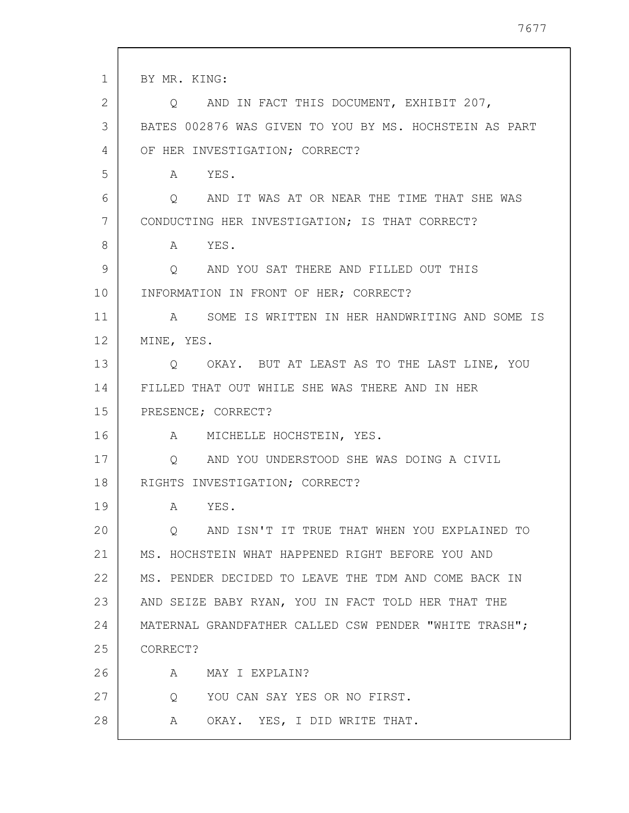| $\mathbf{1}$ | BY MR. KING:                                           |
|--------------|--------------------------------------------------------|
| 2            | Q AND IN FACT THIS DOCUMENT, EXHIBIT 207,              |
| 3            | BATES 002876 WAS GIVEN TO YOU BY MS. HOCHSTEIN AS PART |
| 4            | OF HER INVESTIGATION; CORRECT?                         |
| 5            | A YES.                                                 |
| 6            | Q AND IT WAS AT OR NEAR THE TIME THAT SHE WAS          |
| 7            | CONDUCTING HER INVESTIGATION; IS THAT CORRECT?         |
| 8            | A YES.                                                 |
| 9            | Q AND YOU SAT THERE AND FILLED OUT THIS                |
| 10           | INFORMATION IN FRONT OF HER; CORRECT?                  |
| 11           | A SOME IS WRITTEN IN HER HANDWRITING AND SOME IS       |
| 12           | MINE, YES.                                             |
| 13           | Q OKAY. BUT AT LEAST AS TO THE LAST LINE, YOU          |
| 14           | FILLED THAT OUT WHILE SHE WAS THERE AND IN HER         |
| 15           | PRESENCE; CORRECT?                                     |
| 16           | A MICHELLE HOCHSTEIN, YES.                             |
| 17           | Q AND YOU UNDERSTOOD SHE WAS DOING A CIVIL             |
| 18           | RIGHTS INVESTIGATION; CORRECT?                         |
| 19           | A YES.                                                 |
| 20           | O AND ISN'T IT TRUE THAT WHEN YOU EXPLAINED TO         |
| 21           | MS. HOCHSTEIN WHAT HAPPENED RIGHT BEFORE YOU AND       |
| 22           | MS. PENDER DECIDED TO LEAVE THE TDM AND COME BACK IN   |
| 23           | AND SEIZE BABY RYAN, YOU IN FACT TOLD HER THAT THE     |
| 24           | MATERNAL GRANDFATHER CALLED CSW PENDER "WHITE TRASH";  |
| 25           | CORRECT?                                               |
| 26           | A<br>MAY I EXPLAIN?                                    |
| 27           | YOU CAN SAY YES OR NO FIRST.<br>Q                      |
| 28           | OKAY. YES, I DID WRITE THAT.<br>A                      |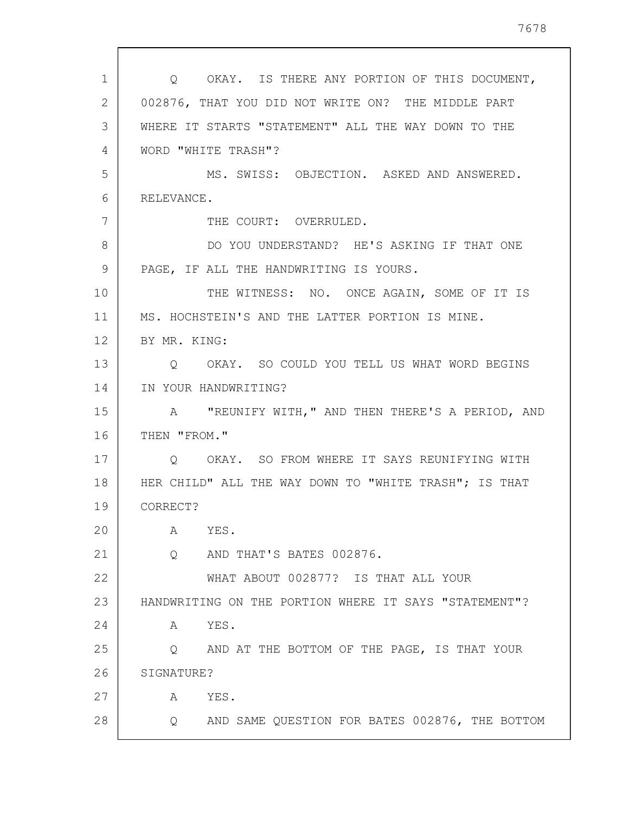| 1              | Q OKAY. IS THERE ANY PORTION OF THIS DOCUMENT,        |
|----------------|-------------------------------------------------------|
| $\overline{2}$ | 002876, THAT YOU DID NOT WRITE ON? THE MIDDLE PART    |
| 3              | WHERE IT STARTS "STATEMENT" ALL THE WAY DOWN TO THE   |
| 4              | WORD "WHITE TRASH"?                                   |
| 5              | MS. SWISS: OBJECTION. ASKED AND ANSWERED.             |
| 6              | RELEVANCE.                                            |
| 7              | THE COURT: OVERRULED.                                 |
| 8              | DO YOU UNDERSTAND? HE'S ASKING IF THAT ONE            |
| 9              | PAGE, IF ALL THE HANDWRITING IS YOURS.                |
| 10             | THE WITNESS: NO. ONCE AGAIN, SOME OF IT IS            |
| 11             | MS. HOCHSTEIN'S AND THE LATTER PORTION IS MINE.       |
| 12             | BY MR. KING:                                          |
| 13             | OKAY. SO COULD YOU TELL US WHAT WORD BEGINS<br>O      |
| 14             | IN YOUR HANDWRITING?                                  |
| 15             | A "REUNIFY WITH," AND THEN THERE'S A PERIOD, AND      |
| 16             | THEN "FROM."                                          |
| 17             | O OKAY. SO FROM WHERE IT SAYS REUNIFYING WITH         |
| 18             | HER CHILD" ALL THE WAY DOWN TO "WHITE TRASH"; IS THAT |
| 19             | CORRECT?                                              |
| 20             | YES.<br>Α                                             |
| 21             | AND THAT'S BATES 002876.<br>$\overline{Q}$            |
| 22             | WHAT ABOUT 002877? IS THAT ALL YOUR                   |
| 23             | HANDWRITING ON THE PORTION WHERE IT SAYS "STATEMENT"? |
| 24             | YES.<br>A                                             |
| 25             | AND AT THE BOTTOM OF THE PAGE, IS THAT YOUR<br>Q      |
| 26             | SIGNATURE?                                            |
| 27             | YES.<br>A                                             |
| 28             | AND SAME QUESTION FOR BATES 002876, THE BOTTOM<br>Q   |

 $\sqrt{ }$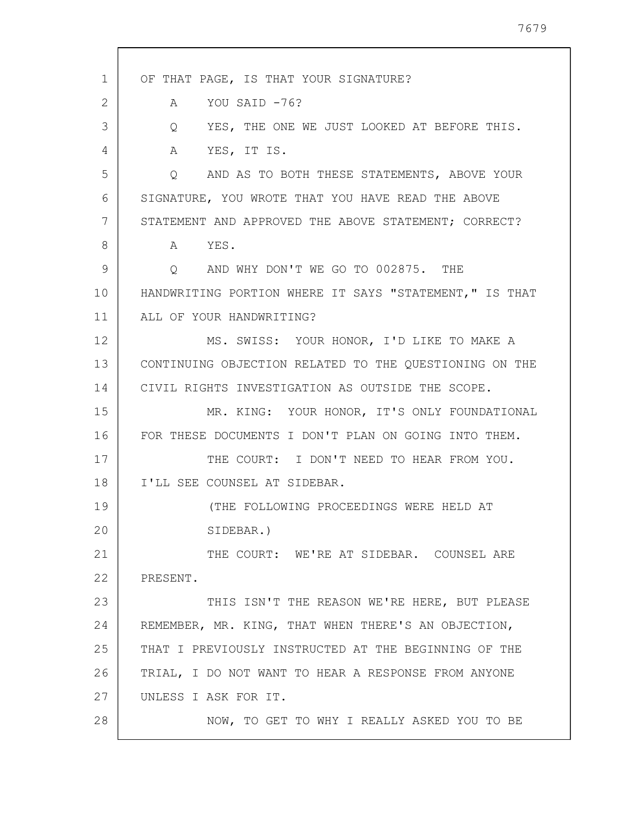| $\mathbf 1$    | OF THAT PAGE, IS THAT YOUR SIGNATURE?                  |
|----------------|--------------------------------------------------------|
| $\overline{2}$ | YOU SAID -76?<br>A                                     |
| 3              | Q YES, THE ONE WE JUST LOOKED AT BEFORE THIS.          |
| 4              | A YES, IT IS.                                          |
| 5              | AND AS TO BOTH THESE STATEMENTS, ABOVE YOUR<br>$\circ$ |
| 6              | SIGNATURE, YOU WROTE THAT YOU HAVE READ THE ABOVE      |
| 7              | STATEMENT AND APPROVED THE ABOVE STATEMENT; CORRECT?   |
| 8              | A YES.                                                 |
| 9              | Q AND WHY DON'T WE GO TO 002875. THE                   |
| 10             | HANDWRITING PORTION WHERE IT SAYS "STATEMENT," IS THAT |
| 11             | ALL OF YOUR HANDWRITING?                               |
| 12             | MS. SWISS: YOUR HONOR, I'D LIKE TO MAKE A              |
| 13             | CONTINUING OBJECTION RELATED TO THE QUESTIONING ON THE |
| 14             | CIVIL RIGHTS INVESTIGATION AS OUTSIDE THE SCOPE.       |
| 15             | MR. KING: YOUR HONOR, IT'S ONLY FOUNDATIONAL           |
| 16             | FOR THESE DOCUMENTS I DON'T PLAN ON GOING INTO THEM.   |
| 17             | THE COURT: I DON'T NEED TO HEAR FROM YOU.              |
| 18             | I'LL SEE COUNSEL AT SIDEBAR.                           |
| 19             | (THE FOLLOWING PROCEEDINGS WERE HELD AT                |
| 20             | SIDEBAR.)                                              |
| 21             | THE COURT: WE'RE AT SIDEBAR. COUNSEL ARE               |
| 22             | PRESENT.                                               |
| 23             | THIS ISN'T THE REASON WE'RE HERE, BUT PLEASE           |
| 24             | REMEMBER, MR. KING, THAT WHEN THERE'S AN OBJECTION,    |
| 25             | THAT I PREVIOUSLY INSTRUCTED AT THE BEGINNING OF THE   |
| 26             | TRIAL, I DO NOT WANT TO HEAR A RESPONSE FROM ANYONE    |
| 27             | UNLESS I ASK FOR IT.                                   |
| 28             | NOW, TO GET TO WHY I REALLY ASKED YOU TO BE            |

 $\mathbf{I}$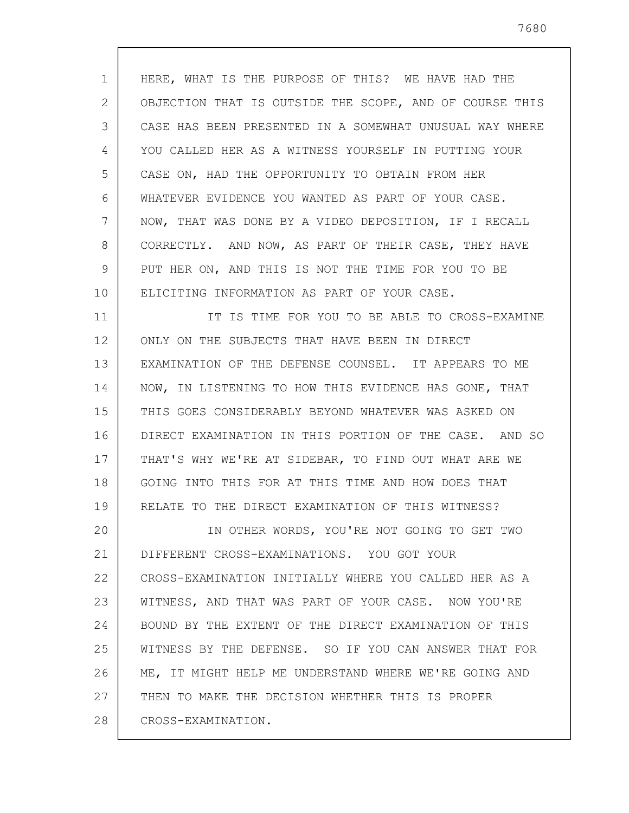1 2 3 4 5 6 7 8 9 10 11 12 13 14 15 16 17 18 19 20 21 22 23 24 25 26 27 28 HERE, WHAT IS THE PURPOSE OF THIS? WE HAVE HAD THE OBJECTION THAT IS OUTSIDE THE SCOPE, AND OF COURSE THIS CASE HAS BEEN PRESENTED IN A SOMEWHAT UNUSUAL WAY WHERE YOU CALLED HER AS A WITNESS YOURSELF IN PUTTING YOUR CASE ON, HAD THE OPPORTUNITY TO OBTAIN FROM HER WHATEVER EVIDENCE YOU WANTED AS PART OF YOUR CASE. NOW, THAT WAS DONE BY A VIDEO DEPOSITION, IF I RECALL CORRECTLY. AND NOW, AS PART OF THEIR CASE, THEY HAVE PUT HER ON, AND THIS IS NOT THE TIME FOR YOU TO BE ELICITING INFORMATION AS PART OF YOUR CASE. IT IS TIME FOR YOU TO BE ABLE TO CROSS-EXAMINE ONLY ON THE SUBJECTS THAT HAVE BEEN IN DIRECT EXAMINATION OF THE DEFENSE COUNSEL. IT APPEARS TO ME NOW, IN LISTENING TO HOW THIS EVIDENCE HAS GONE, THAT THIS GOES CONSIDERABLY BEYOND WHATEVER WAS ASKED ON DIRECT EXAMINATION IN THIS PORTION OF THE CASE. AND SO THAT'S WHY WE'RE AT SIDEBAR, TO FIND OUT WHAT ARE WE GOING INTO THIS FOR AT THIS TIME AND HOW DOES THAT RELATE TO THE DIRECT EXAMINATION OF THIS WITNESS? IN OTHER WORDS, YOU'RE NOT GOING TO GET TWO DIFFERENT CROSS-EXAMINATIONS. YOU GOT YOUR CROSS-EXAMINATION INITIALLY WHERE YOU CALLED HER AS A WITNESS, AND THAT WAS PART OF YOUR CASE. NOW YOU'RE BOUND BY THE EXTENT OF THE DIRECT EXAMINATION OF THIS WITNESS BY THE DEFENSE. SO IF YOU CAN ANSWER THAT FOR ME, IT MIGHT HELP ME UNDERSTAND WHERE WE'RE GOING AND THEN TO MAKE THE DECISION WHETHER THIS IS PROPER CROSS-EXAMINATION.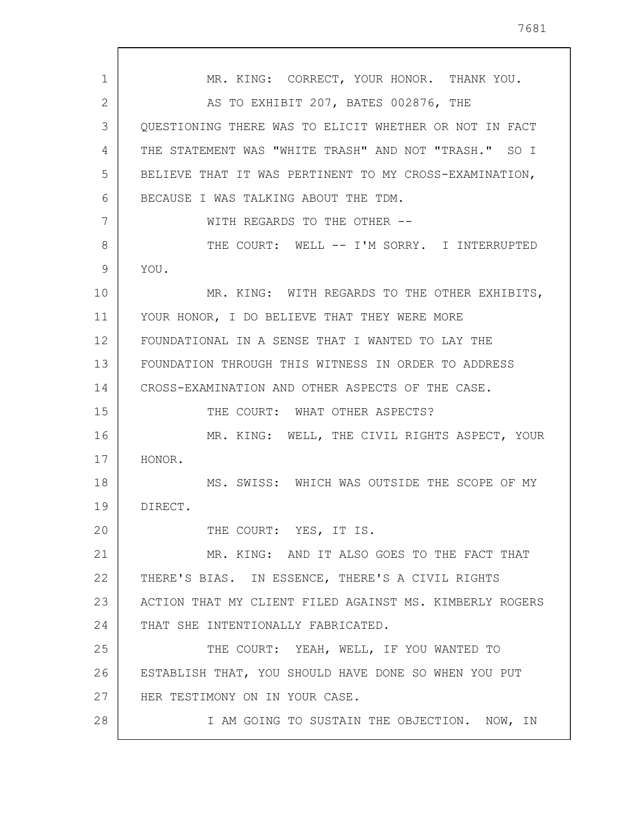1 2 3 4 5 6 7 8 9 10 11 12 13 14 15 16 17 18 19 20 21 22 23 24 25 26 27 28 MR. KING: CORRECT, YOUR HONOR. THANK YOU. AS TO EXHIBIT 207, BATES 002876, THE QUESTIONING THERE WAS TO ELICIT WHETHER OR NOT IN FACT THE STATEMENT WAS "WHITE TRASH" AND NOT "TRASH." SO I BELIEVE THAT IT WAS PERTINENT TO MY CROSS-EXAMINATION, BECAUSE I WAS TALKING ABOUT THE TDM. WITH REGARDS TO THE OTHER -- THE COURT: WELL -- I'M SORRY. I INTERRUPTED YOU. MR. KING: WITH REGARDS TO THE OTHER EXHIBITS, YOUR HONOR, I DO BELIEVE THAT THEY WERE MORE FOUNDATIONAL IN A SENSE THAT I WANTED TO LAY THE FOUNDATION THROUGH THIS WITNESS IN ORDER TO ADDRESS CROSS-EXAMINATION AND OTHER ASPECTS OF THE CASE. THE COURT: WHAT OTHER ASPECTS? MR. KING: WELL, THE CIVIL RIGHTS ASPECT, YOUR HONOR. MS. SWISS: WHICH WAS OUTSIDE THE SCOPE OF MY DIRECT. THE COURT: YES, IT IS. MR. KING: AND IT ALSO GOES TO THE FACT THAT THERE'S BIAS. IN ESSENCE, THERE'S A CIVIL RIGHTS ACTION THAT MY CLIENT FILED AGAINST MS. KIMBERLY ROGERS THAT SHE INTENTIONALLY FABRICATED. THE COURT: YEAH, WELL, IF YOU WANTED TO ESTABLISH THAT, YOU SHOULD HAVE DONE SO WHEN YOU PUT HER TESTIMONY ON IN YOUR CASE. I AM GOING TO SUSTAIN THE OBJECTION. NOW, IN

7681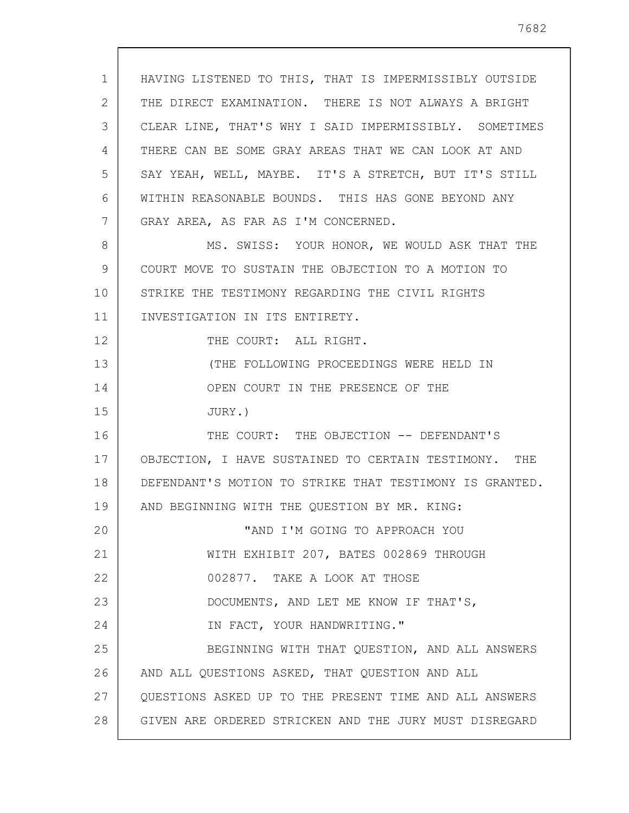1 2 3 4 5 6 7 8 9 10 11 12 13 14 15 16 17 18 19 20 21 22 23 24 25 26 27 HAVING LISTENED TO THIS, THAT IS IMPERMISSIBLY OUTSIDE THE DIRECT EXAMINATION. THERE IS NOT ALWAYS A BRIGHT CLEAR LINE, THAT'S WHY I SAID IMPERMISSIBLY. SOMETIMES THERE CAN BE SOME GRAY AREAS THAT WE CAN LOOK AT AND SAY YEAH, WELL, MAYBE. IT'S A STRETCH, BUT IT'S STILL WITHIN REASONABLE BOUNDS. THIS HAS GONE BEYOND ANY GRAY AREA, AS FAR AS I'M CONCERNED. MS. SWISS: YOUR HONOR, WE WOULD ASK THAT THE COURT MOVE TO SUSTAIN THE OBJECTION TO A MOTION TO STRIKE THE TESTIMONY REGARDING THE CIVIL RIGHTS INVESTIGATION IN ITS ENTIRETY. THE COURT: ALL RIGHT. (THE FOLLOWING PROCEEDINGS WERE HELD IN OPEN COURT IN THE PRESENCE OF THE JURY.) THE COURT: THE OBJECTION -- DEFENDANT'S OBJECTION, I HAVE SUSTAINED TO CERTAIN TESTIMONY. THE DEFENDANT'S MOTION TO STRIKE THAT TESTIMONY IS GRANTED. AND BEGINNING WITH THE QUESTION BY MR. KING: "AND I'M GOING TO APPROACH YOU WITH EXHIBIT 207, BATES 002869 THROUGH 002877. TAKE A LOOK AT THOSE DOCUMENTS, AND LET ME KNOW IF THAT'S, IN FACT, YOUR HANDWRITING." BEGINNING WITH THAT QUESTION, AND ALL ANSWERS AND ALL QUESTIONS ASKED, THAT QUESTION AND ALL QUESTIONS ASKED UP TO THE PRESENT TIME AND ALL ANSWERS

28 GIVEN ARE ORDERED STRICKEN AND THE JURY MUST DISREGARD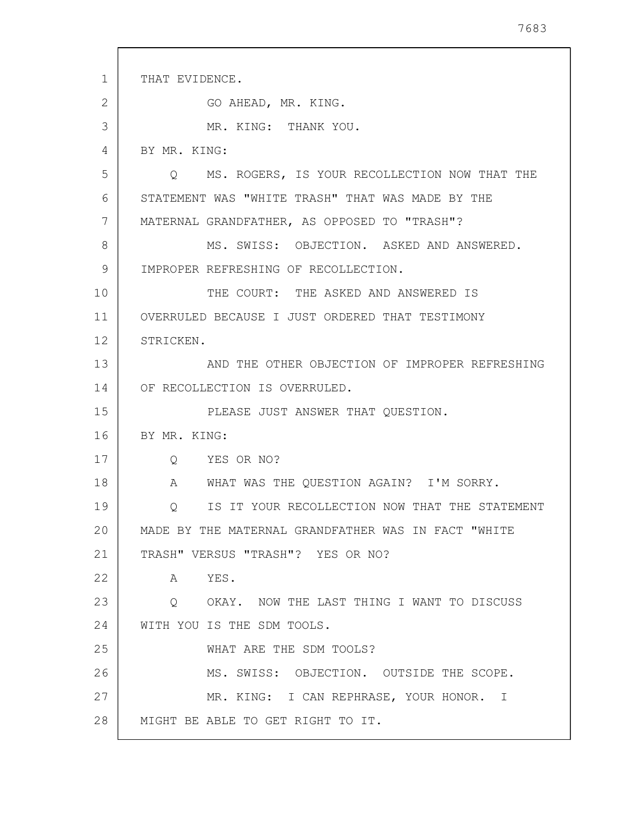1 2 3 4 5 6 7 8 9 10 11 12 13 14 15 16 17 18 19 20 21 22 23 24 25 26 27 28 THAT EVIDENCE. GO AHEAD, MR. KING. MR. KING: THANK YOU. BY MR. KING: Q MS. ROGERS, IS YOUR RECOLLECTION NOW THAT THE STATEMENT WAS "WHITE TRASH" THAT WAS MADE BY THE MATERNAL GRANDFATHER, AS OPPOSED TO "TRASH"? MS. SWISS: OBJECTION. ASKED AND ANSWERED. IMPROPER REFRESHING OF RECOLLECTION. THE COURT: THE ASKED AND ANSWERED IS OVERRULED BECAUSE I JUST ORDERED THAT TESTIMONY STRICKEN. AND THE OTHER OBJECTION OF IMPROPER REFRESHING OF RECOLLECTION IS OVERRULED. PLEASE JUST ANSWER THAT QUESTION. BY MR. KING: Q YES OR NO? A WHAT WAS THE QUESTION AGAIN? I'M SORRY. Q IS IT YOUR RECOLLECTION NOW THAT THE STATEMENT MADE BY THE MATERNAL GRANDFATHER WAS IN FACT "WHITE TRASH" VERSUS "TRASH"? YES OR NO? A YES. Q OKAY. NOW THE LAST THING I WANT TO DISCUSS WITH YOU IS THE SDM TOOLS. WHAT ARE THE SDM TOOLS? MS. SWISS: OBJECTION. OUTSIDE THE SCOPE. MR. KING: I CAN REPHRASE, YOUR HONOR. I MIGHT BE ABLE TO GET RIGHT TO IT.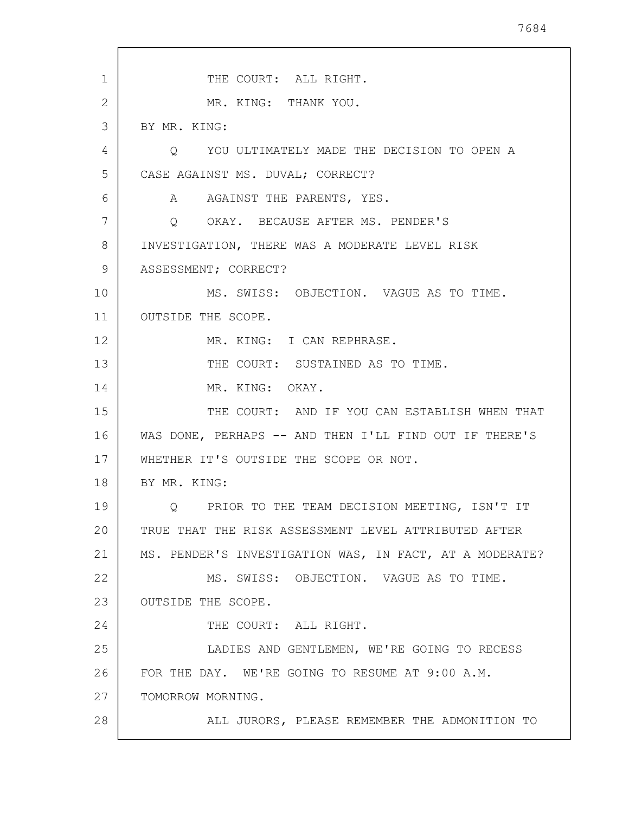1 2 3 4 5 6 7 8 9 10 11 12 13 14 15 16 17 18 19 20 21 22 23 24 25 26 27 28 THE COURT: ALL RIGHT. MR. KING: THANK YOU. BY MR. KING: Q YOU ULTIMATELY MADE THE DECISION TO OPEN A CASE AGAINST MS. DUVAL; CORRECT? A AGAINST THE PARENTS, YES. Q OKAY. BECAUSE AFTER MS. PENDER'S INVESTIGATION, THERE WAS A MODERATE LEVEL RISK ASSESSMENT; CORRECT? MS. SWISS: OBJECTION. VAGUE AS TO TIME. OUTSIDE THE SCOPE. MR. KING: I CAN REPHRASE. THE COURT: SUSTAINED AS TO TIME. MR. KING: OKAY. THE COURT: AND IF YOU CAN ESTABLISH WHEN THAT WAS DONE, PERHAPS -- AND THEN I'LL FIND OUT IF THERE'S WHETHER IT'S OUTSIDE THE SCOPE OR NOT. BY MR. KING: Q PRIOR TO THE TEAM DECISION MEETING, ISN'T IT TRUE THAT THE RISK ASSESSMENT LEVEL ATTRIBUTED AFTER MS. PENDER'S INVESTIGATION WAS, IN FACT, AT A MODERATE? MS. SWISS: OBJECTION. VAGUE AS TO TIME. OUTSIDE THE SCOPE. THE COURT: ALL RIGHT. LADIES AND GENTLEMEN, WE'RE GOING TO RECESS FOR THE DAY. WE'RE GOING TO RESUME AT 9:00 A.M. TOMORROW MORNING. ALL JURORS, PLEASE REMEMBER THE ADMONITION TO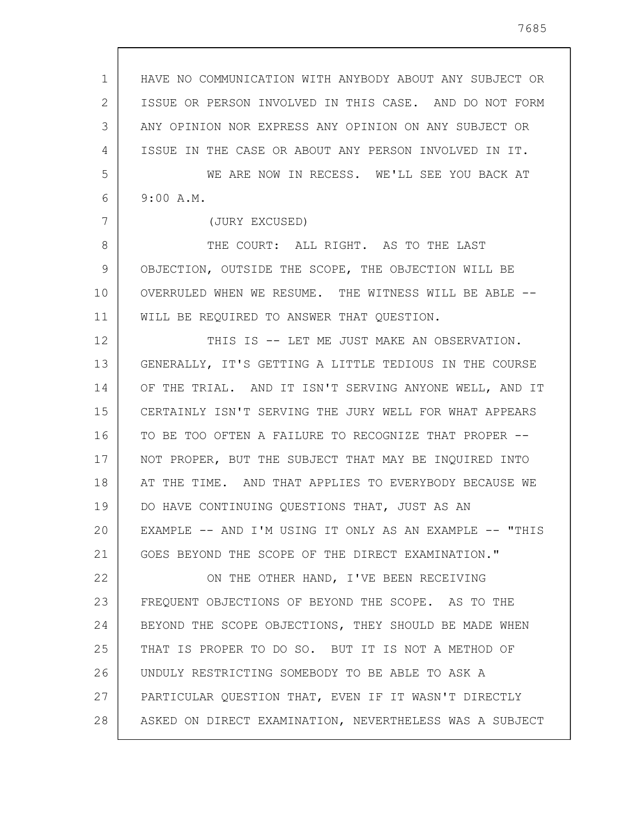| $\mathbf{1}$ | HAVE NO COMMUNICATION WITH ANYBODY ABOUT ANY SUBJECT OR |
|--------------|---------------------------------------------------------|
| 2            | ISSUE OR PERSON INVOLVED IN THIS CASE. AND DO NOT FORM  |
| 3            | ANY OPINION NOR EXPRESS ANY OPINION ON ANY SUBJECT OR   |
| 4            | ISSUE IN THE CASE OR ABOUT ANY PERSON INVOLVED IN IT.   |
| 5            | WE ARE NOW IN RECESS. WE'LL SEE YOU BACK AT             |
| 6            | 9:00 A.M.                                               |
| 7            | (JURY EXCUSED)                                          |
| 8            | THE COURT: ALL RIGHT. AS TO THE LAST                    |
| 9            | OBJECTION, OUTSIDE THE SCOPE, THE OBJECTION WILL BE     |
| 10           | OVERRULED WHEN WE RESUME. THE WITNESS WILL BE ABLE --   |
| 11           | WILL BE REQUIRED TO ANSWER THAT QUESTION.               |
| 12           | THIS IS -- LET ME JUST MAKE AN OBSERVATION.             |
| 13           | GENERALLY, IT'S GETTING A LITTLE TEDIOUS IN THE COURSE  |
| 14           | OF THE TRIAL. AND IT ISN'T SERVING ANYONE WELL, AND IT  |
| 15           | CERTAINLY ISN'T SERVING THE JURY WELL FOR WHAT APPEARS  |
| 16           | TO BE TOO OFTEN A FAILURE TO RECOGNIZE THAT PROPER --   |
| 17           | NOT PROPER, BUT THE SUBJECT THAT MAY BE INQUIRED INTO   |
| 18           | AT THE TIME. AND THAT APPLIES TO EVERYBODY BECAUSE WE   |
| 19           | DO HAVE CONTINUING QUESTIONS THAT, JUST AS AN           |
| 20           | EXAMPLE -- AND I'M USING IT ONLY AS AN EXAMPLE -- "THIS |
| 21           | GOES BEYOND THE SCOPE OF THE DIRECT EXAMINATION."       |
| 22           | ON THE OTHER HAND, I'VE BEEN RECEIVING                  |
| 23           | FREQUENT OBJECTIONS OF BEYOND THE SCOPE. AS TO THE      |
| 24           | BEYOND THE SCOPE OBJECTIONS, THEY SHOULD BE MADE WHEN   |
| 25           | THAT IS PROPER TO DO SO. BUT IT IS NOT A METHOD OF      |
| 26           | UNDULY RESTRICTING SOMEBODY TO BE ABLE TO ASK A         |
| 27           | PARTICULAR QUESTION THAT, EVEN IF IT WASN'T DIRECTLY    |
| 28           | ASKED ON DIRECT EXAMINATION, NEVERTHELESS WAS A SUBJECT |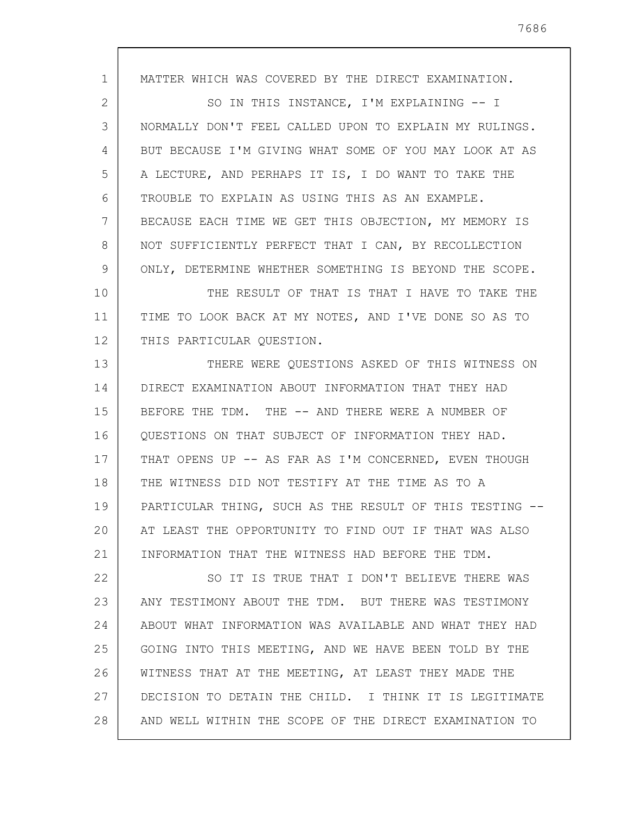1 2 3 4 5 6 7 8 9 10 11 12 13 14 15 16 17 18 19 20 21 22 23 24 25 26 27 28 MATTER WHICH WAS COVERED BY THE DIRECT EXAMINATION. SO IN THIS INSTANCE, I'M EXPLAINING -- I NORMALLY DON'T FEEL CALLED UPON TO EXPLAIN MY RULINGS. BUT BECAUSE I'M GIVING WHAT SOME OF YOU MAY LOOK AT AS A LECTURE, AND PERHAPS IT IS, I DO WANT TO TAKE THE TROUBLE TO EXPLAIN AS USING THIS AS AN EXAMPLE. BECAUSE EACH TIME WE GET THIS OBJECTION, MY MEMORY IS NOT SUFFICIENTLY PERFECT THAT I CAN, BY RECOLLECTION ONLY, DETERMINE WHETHER SOMETHING IS BEYOND THE SCOPE. THE RESULT OF THAT IS THAT I HAVE TO TAKE THE TIME TO LOOK BACK AT MY NOTES, AND I'VE DONE SO AS TO THIS PARTICULAR QUESTION. THERE WERE QUESTIONS ASKED OF THIS WITNESS ON DIRECT EXAMINATION ABOUT INFORMATION THAT THEY HAD BEFORE THE TDM. THE -- AND THERE WERE A NUMBER OF QUESTIONS ON THAT SUBJECT OF INFORMATION THEY HAD. THAT OPENS UP -- AS FAR AS I'M CONCERNED, EVEN THOUGH THE WITNESS DID NOT TESTIFY AT THE TIME AS TO A PARTICULAR THING, SUCH AS THE RESULT OF THIS TESTING -- AT LEAST THE OPPORTUNITY TO FIND OUT IF THAT WAS ALSO INFORMATION THAT THE WITNESS HAD BEFORE THE TDM. SO IT IS TRUE THAT I DON'T BELIEVE THERE WAS ANY TESTIMONY ABOUT THE TDM. BUT THERE WAS TESTIMONY ABOUT WHAT INFORMATION WAS AVAILABLE AND WHAT THEY HAD GOING INTO THIS MEETING, AND WE HAVE BEEN TOLD BY THE WITNESS THAT AT THE MEETING, AT LEAST THEY MADE THE DECISION TO DETAIN THE CHILD. I THINK IT IS LEGITIMATE AND WELL WITHIN THE SCOPE OF THE DIRECT EXAMINATION TO

7686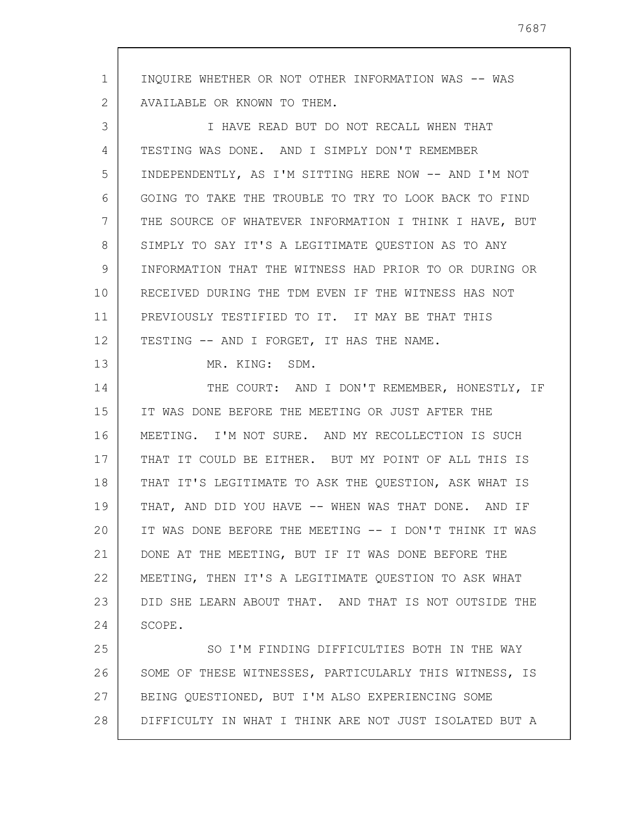1 2 3 4 5 6 7 8 9 10 11 12 13 14 15 16 17 18 19 20 21 22 23 24 25 26 27 28 INQUIRE WHETHER OR NOT OTHER INFORMATION WAS -- WAS AVAILABLE OR KNOWN TO THEM. I HAVE READ BUT DO NOT RECALL WHEN THAT TESTING WAS DONE. AND I SIMPLY DON'T REMEMBER INDEPENDENTLY, AS I'M SITTING HERE NOW -- AND I'M NOT GOING TO TAKE THE TROUBLE TO TRY TO LOOK BACK TO FIND THE SOURCE OF WHATEVER INFORMATION I THINK I HAVE, BUT SIMPLY TO SAY IT'S A LEGITIMATE QUESTION AS TO ANY INFORMATION THAT THE WITNESS HAD PRIOR TO OR DURING OR RECEIVED DURING THE TDM EVEN IF THE WITNESS HAS NOT PREVIOUSLY TESTIFIED TO IT. IT MAY BE THAT THIS TESTING -- AND I FORGET, IT HAS THE NAME. MR. KING: SDM. THE COURT: AND I DON'T REMEMBER, HONESTLY, IF IT WAS DONE BEFORE THE MEETING OR JUST AFTER THE MEETING. I'M NOT SURE. AND MY RECOLLECTION IS SUCH THAT IT COULD BE EITHER. BUT MY POINT OF ALL THIS IS THAT IT'S LEGITIMATE TO ASK THE QUESTION, ASK WHAT IS THAT, AND DID YOU HAVE -- WHEN WAS THAT DONE. AND IF IT WAS DONE BEFORE THE MEETING -- I DON'T THINK IT WAS DONE AT THE MEETING, BUT IF IT WAS DONE BEFORE THE MEETING, THEN IT'S A LEGITIMATE QUESTION TO ASK WHAT DID SHE LEARN ABOUT THAT. AND THAT IS NOT OUTSIDE THE SCOPE. SO I'M FINDING DIFFICULTIES BOTH IN THE WAY SOME OF THESE WITNESSES, PARTICULARLY THIS WITNESS, IS BEING QUESTIONED, BUT I'M ALSO EXPERIENCING SOME DIFFICULTY IN WHAT I THINK ARE NOT JUST ISOLATED BUT A

7687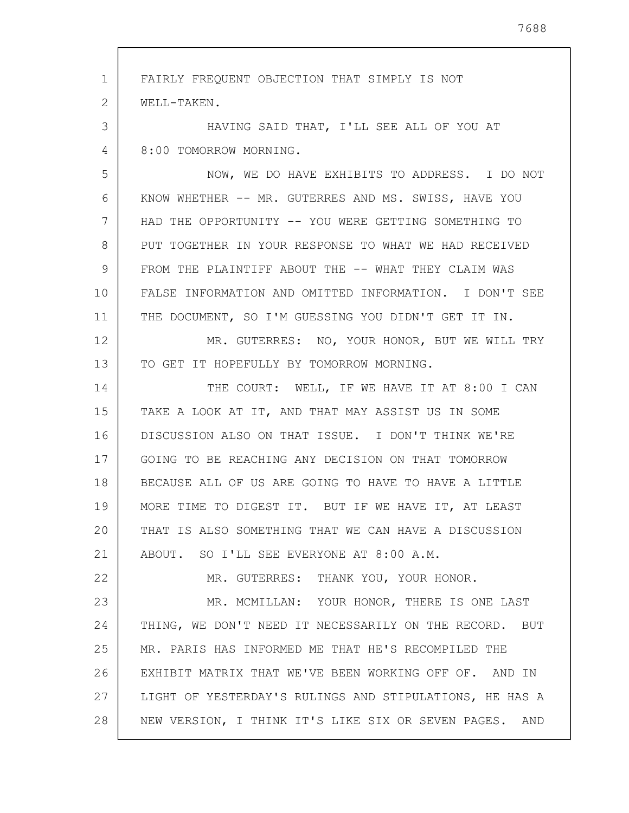| $\mathbf{1}$ | FAIRLY FREQUENT OBJECTION THAT SIMPLY IS NOT            |
|--------------|---------------------------------------------------------|
| 2            | WELL-TAKEN.                                             |
| 3            | HAVING SAID THAT, I'LL SEE ALL OF YOU AT                |
| 4            | 8:00 TOMORROW MORNING.                                  |
| 5            | NOW, WE DO HAVE EXHIBITS TO ADDRESS. I DO NOT           |
| 6            | KNOW WHETHER -- MR. GUTERRES AND MS. SWISS, HAVE YOU    |
| 7            | HAD THE OPPORTUNITY -- YOU WERE GETTING SOMETHING TO    |
| 8            | PUT TOGETHER IN YOUR RESPONSE TO WHAT WE HAD RECEIVED   |
| 9            | FROM THE PLAINTIFF ABOUT THE -- WHAT THEY CLAIM WAS     |
| 10           | FALSE INFORMATION AND OMITTED INFORMATION. I DON'T SEE  |
| 11           | THE DOCUMENT, SO I'M GUESSING YOU DIDN'T GET IT IN.     |
| 12           | MR. GUTERRES: NO, YOUR HONOR, BUT WE WILL TRY           |
| 13           | TO GET IT HOPEFULLY BY TOMORROW MORNING.                |
| 14           | THE COURT: WELL, IF WE HAVE IT AT 8:00 I CAN            |
| 15           | TAKE A LOOK AT IT, AND THAT MAY ASSIST US IN SOME       |
| 16           | DISCUSSION ALSO ON THAT ISSUE. I DON'T THINK WE'RE      |
| 17           | GOING TO BE REACHING ANY DECISION ON THAT TOMORROW      |
| 18           | BECAUSE ALL OF US ARE GOING TO HAVE TO HAVE A LITTLE    |
| 19           | MORE TIME TO DIGEST IT. BUT IF WE HAVE IT, AT LEAST     |
| 20           | THAT IS ALSO SOMETHING THAT WE CAN HAVE A DISCUSSION    |
| 21           | ABOUT. SO I'LL SEE EVERYONE AT 8:00 A.M.                |
| 22           | MR. GUTERRES: THANK YOU, YOUR HONOR.                    |
| 23           | MR. MCMILLAN: YOUR HONOR, THERE IS ONE LAST             |
| 24           | THING, WE DON'T NEED IT NECESSARILY ON THE RECORD. BUT  |
| 25           | MR. PARIS HAS INFORMED ME THAT HE'S RECOMPILED THE      |
| 26           | EXHIBIT MATRIX THAT WE'VE BEEN WORKING OFF OF. AND IN   |
| 27           | LIGHT OF YESTERDAY'S RULINGS AND STIPULATIONS, HE HAS A |
| 28           | NEW VERSION, I THINK IT'S LIKE SIX OR SEVEN PAGES. AND  |